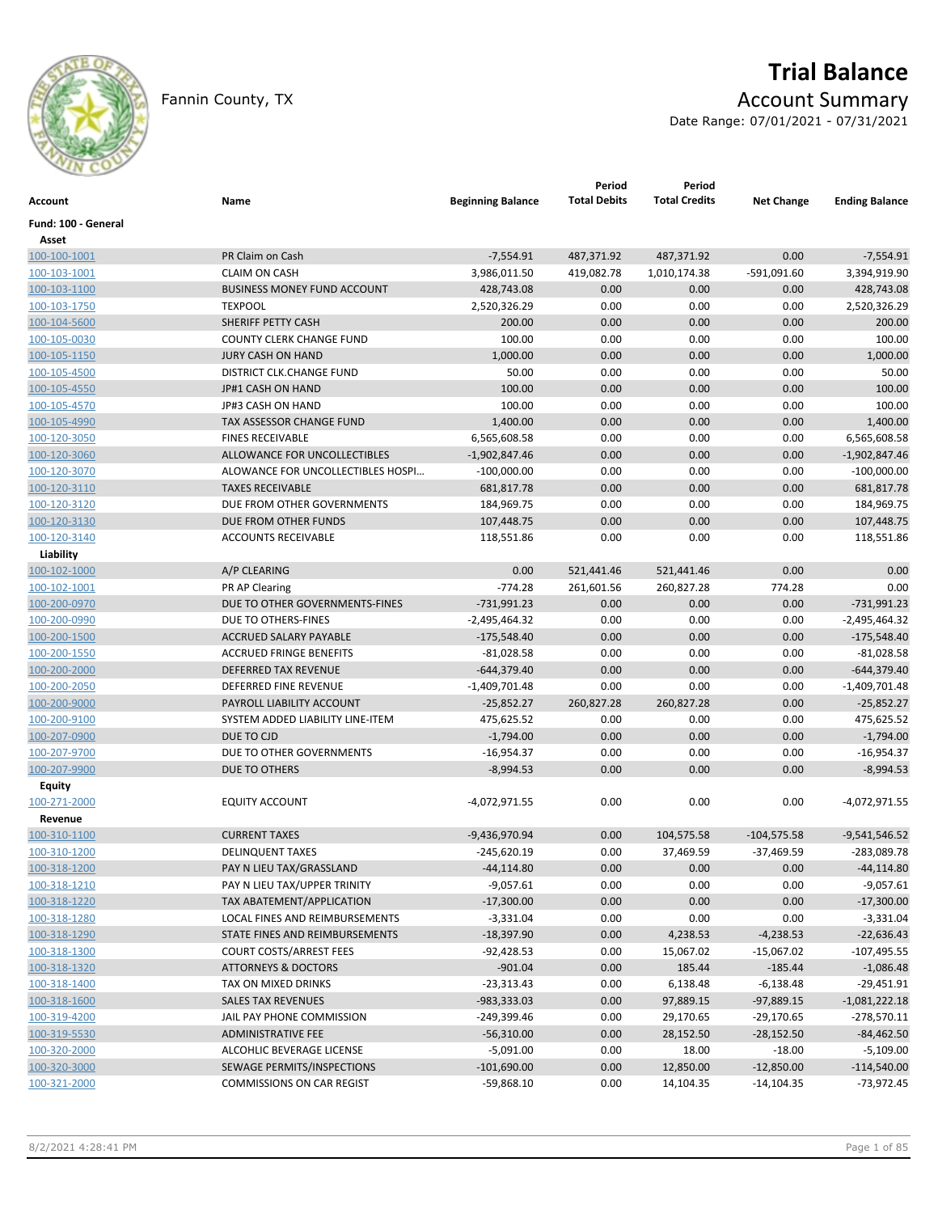

# **Trial Balance**

Fannin County, TX **Account Summary** 

Date Range: 07/01/2021 - 07/31/2021

| Account             | Name                               | <b>Beginning Balance</b> | Period<br><b>Total Debits</b> | Period<br><b>Total Credits</b> | <b>Net Change</b> | <b>Ending Balance</b> |
|---------------------|------------------------------------|--------------------------|-------------------------------|--------------------------------|-------------------|-----------------------|
| Fund: 100 - General |                                    |                          |                               |                                |                   |                       |
| Asset               |                                    |                          |                               |                                |                   |                       |
| 100-100-1001        | PR Claim on Cash                   | $-7,554.91$              | 487,371.92                    | 487,371.92                     | 0.00              | $-7,554.91$           |
| 100-103-1001        | <b>CLAIM ON CASH</b>               | 3,986,011.50             | 419,082.78                    | 1,010,174.38                   | $-591,091.60$     | 3,394,919.90          |
| 100-103-1100        | <b>BUSINESS MONEY FUND ACCOUNT</b> | 428,743.08               | 0.00                          | 0.00                           | 0.00              | 428,743.08            |
| 100-103-1750        | <b>TEXPOOL</b>                     | 2,520,326.29             | 0.00                          | 0.00                           | 0.00              | 2,520,326.29          |
| 100-104-5600        | SHERIFF PETTY CASH                 | 200.00                   | 0.00                          | 0.00                           | 0.00              | 200.00                |
| 100-105-0030        | <b>COUNTY CLERK CHANGE FUND</b>    | 100.00                   | 0.00                          | 0.00                           | 0.00              | 100.00                |
| 100-105-1150        | <b>JURY CASH ON HAND</b>           | 1,000.00                 | 0.00                          | 0.00                           | 0.00              | 1,000.00              |
| 100-105-4500        | DISTRICT CLK.CHANGE FUND           | 50.00                    | 0.00                          | 0.00                           | 0.00              | 50.00                 |
| 100-105-4550        | JP#1 CASH ON HAND                  | 100.00                   | 0.00                          | 0.00                           | 0.00              | 100.00                |
| 100-105-4570        | JP#3 CASH ON HAND                  | 100.00                   | 0.00                          | 0.00                           | 0.00              | 100.00                |
| 100-105-4990        | TAX ASSESSOR CHANGE FUND           | 1,400.00                 | 0.00                          | 0.00                           | 0.00              | 1,400.00              |
| 100-120-3050        | <b>FINES RECEIVABLE</b>            | 6,565,608.58             | 0.00                          | 0.00                           | 0.00              | 6,565,608.58          |
| 100-120-3060        | ALLOWANCE FOR UNCOLLECTIBLES       | $-1,902,847.46$          | 0.00                          | 0.00                           | 0.00              | $-1,902,847.46$       |
| 100-120-3070        | ALOWANCE FOR UNCOLLECTIBLES HOSPI  | $-100,000.00$            | 0.00                          | 0.00                           | 0.00              | $-100,000.00$         |
| 100-120-3110        | <b>TAXES RECEIVABLE</b>            | 681,817.78               | 0.00                          | 0.00                           | 0.00              | 681,817.78            |
| 100-120-3120        | DUE FROM OTHER GOVERNMENTS         | 184,969.75               | 0.00                          | 0.00                           | 0.00              | 184,969.75            |
| 100-120-3130        | DUE FROM OTHER FUNDS               | 107,448.75               | 0.00                          | 0.00                           | 0.00              | 107,448.75            |
| 100-120-3140        | <b>ACCOUNTS RECEIVABLE</b>         | 118,551.86               | 0.00                          | 0.00                           | 0.00              | 118,551.86            |
| Liability           |                                    |                          |                               |                                |                   |                       |
| 100-102-1000        | A/P CLEARING                       | 0.00                     | 521,441.46                    | 521,441.46                     | 0.00              | 0.00                  |
| 100-102-1001        | PR AP Clearing                     | $-774.28$                | 261,601.56                    | 260,827.28                     | 774.28            | 0.00                  |
| 100-200-0970        | DUE TO OTHER GOVERNMENTS-FINES     | $-731,991.23$            | 0.00                          | 0.00                           | 0.00              | $-731,991.23$         |
| 100-200-0990        | DUE TO OTHERS-FINES                | $-2,495,464.32$          | 0.00                          | 0.00                           | 0.00              | $-2,495,464.32$       |
| 100-200-1500        | ACCRUED SALARY PAYABLE             | $-175,548.40$            | 0.00                          | 0.00                           | 0.00              | $-175,548.40$         |
| 100-200-1550        | <b>ACCRUED FRINGE BENEFITS</b>     | $-81,028.58$             | 0.00                          | 0.00                           | 0.00              | $-81,028.58$          |
| 100-200-2000        | <b>DEFERRED TAX REVENUE</b>        | $-644,379.40$            | 0.00                          | 0.00                           | 0.00              | $-644,379.40$         |
| 100-200-2050        | DEFERRED FINE REVENUE              | $-1,409,701.48$          | 0.00                          | 0.00                           | 0.00              | $-1,409,701.48$       |
| 100-200-9000        | PAYROLL LIABILITY ACCOUNT          | $-25,852.27$             | 260,827.28                    | 260,827.28                     | 0.00              | $-25,852.27$          |
| 100-200-9100        | SYSTEM ADDED LIABILITY LINE-ITEM   | 475,625.52               | 0.00                          | 0.00                           | 0.00              | 475,625.52            |
| 100-207-0900        | DUE TO CJD                         | $-1,794.00$              | 0.00                          | 0.00                           | 0.00              | $-1,794.00$           |
| 100-207-9700        | DUE TO OTHER GOVERNMENTS           | $-16,954.37$             | 0.00                          | 0.00                           | 0.00              | $-16,954.37$          |
| 100-207-9900        | DUE TO OTHERS                      | $-8,994.53$              | 0.00                          | 0.00                           | 0.00              | $-8,994.53$           |
| <b>Equity</b>       |                                    |                          |                               |                                |                   |                       |
| 100-271-2000        | <b>EQUITY ACCOUNT</b>              | -4,072,971.55            | 0.00                          | 0.00                           | 0.00              | -4,072,971.55         |
| Revenue             |                                    |                          |                               |                                |                   |                       |
| 100-310-1100        | <b>CURRENT TAXES</b>               | -9,436,970.94            | 0.00                          | 104,575.58                     | $-104,575.58$     | $-9,541,546.52$       |
| 100-310-1200        | <b>DELINQUENT TAXES</b>            | $-245,620.19$            | 0.00                          | 37,469.59                      | $-37,469.59$      | -283,089.78           |
| 100-318-1200        | PAY N LIEU TAX/GRASSLAND           | $-44, 114.80$            | 0.00                          | 0.00                           | 0.00              | $-44, 114.80$         |
| 100-318-1210        | PAY N LIEU TAX/UPPER TRINITY       | $-9,057.61$              | 0.00                          | 0.00                           | 0.00              | $-9,057.61$           |
| 100-318-1220        | TAX ABATEMENT/APPLICATION          | $-17,300.00$             | 0.00                          | 0.00                           | 0.00              | $-17,300.00$          |
| 100-318-1280        | LOCAL FINES AND REIMBURSEMENTS     | $-3,331.04$              | 0.00                          | 0.00                           | 0.00              | $-3,331.04$           |
| 100-318-1290        | STATE FINES AND REIMBURSEMENTS     | $-18,397.90$             | 0.00                          | 4,238.53                       | $-4,238.53$       | $-22,636.43$          |
| 100-318-1300        | <b>COURT COSTS/ARREST FEES</b>     | $-92,428.53$             | 0.00                          | 15,067.02                      | $-15,067.02$      | $-107,495.55$         |
| 100-318-1320        | <b>ATTORNEYS &amp; DOCTORS</b>     | $-901.04$                | 0.00                          | 185.44                         | $-185.44$         | $-1,086.48$           |
| 100-318-1400        | TAX ON MIXED DRINKS                | $-23,313.43$             | 0.00                          | 6,138.48                       | $-6,138.48$       | $-29,451.91$          |
| 100-318-1600        | <b>SALES TAX REVENUES</b>          | $-983,333.03$            | 0.00                          | 97,889.15                      | $-97,889.15$      | $-1,081,222.18$       |
| 100-319-4200        | JAIL PAY PHONE COMMISSION          | $-249,399.46$            | 0.00                          | 29,170.65                      | $-29,170.65$      | $-278,570.11$         |
| 100-319-5530        | ADMINISTRATIVE FEE                 | $-56,310.00$             | 0.00                          | 28,152.50                      | $-28,152.50$      | $-84,462.50$          |
| 100-320-2000        | ALCOHLIC BEVERAGE LICENSE          | $-5,091.00$              | 0.00                          | 18.00                          | $-18.00$          | $-5,109.00$           |
| 100-320-3000        | SEWAGE PERMITS/INSPECTIONS         | $-101,690.00$            | 0.00                          | 12,850.00                      | $-12,850.00$      | $-114,540.00$         |
| 100-321-2000        | COMMISSIONS ON CAR REGIST          | $-59,868.10$             | 0.00                          | 14,104.35                      | $-14,104.35$      | $-73,972.45$          |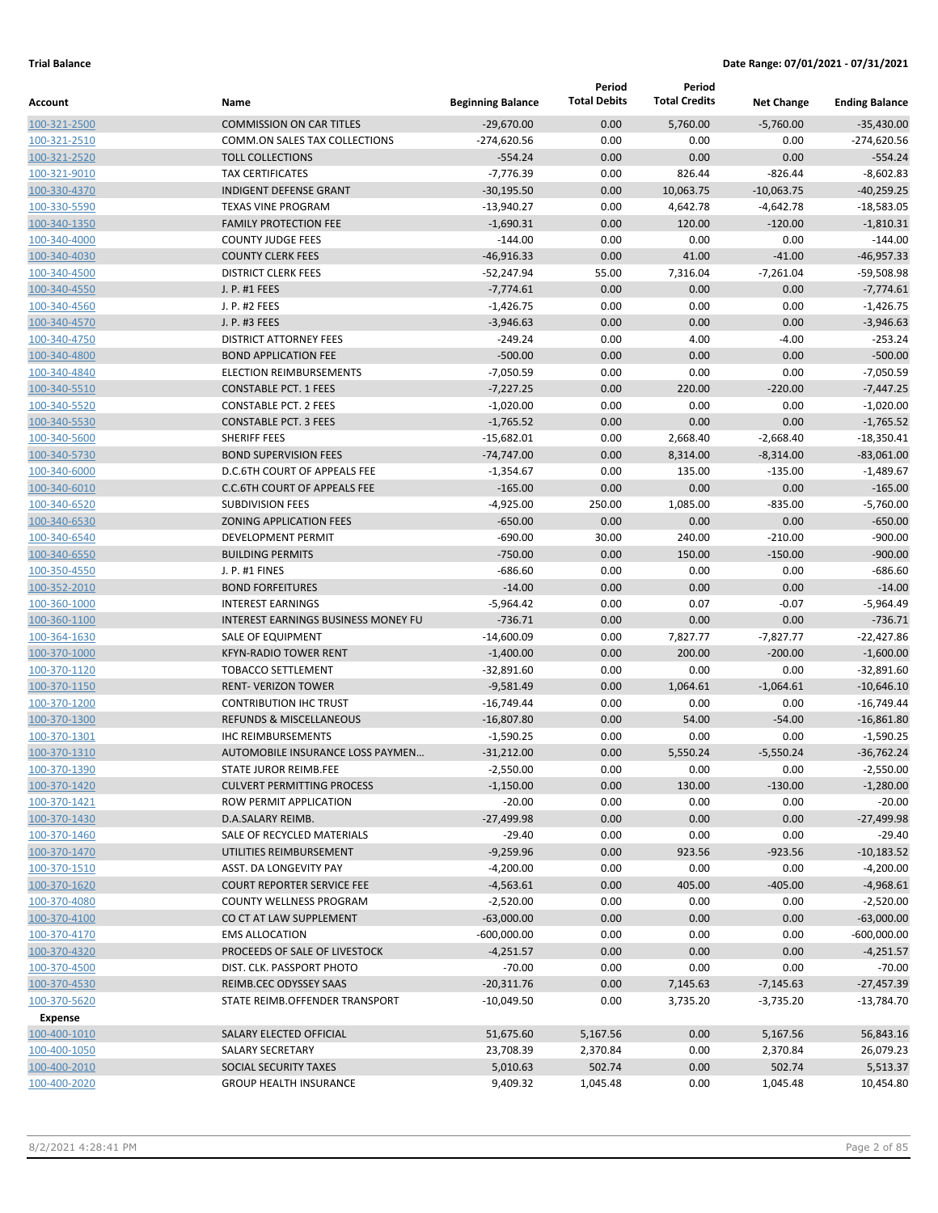|                              |                                                                     |                             | Period              | Period<br><b>Total Credits</b> |                     |                             |
|------------------------------|---------------------------------------------------------------------|-----------------------------|---------------------|--------------------------------|---------------------|-----------------------------|
| Account                      | Name                                                                | <b>Beginning Balance</b>    | <b>Total Debits</b> |                                | <b>Net Change</b>   | <b>Ending Balance</b>       |
| 100-321-2500                 | <b>COMMISSION ON CAR TITLES</b>                                     | $-29,670.00$                | 0.00                | 5,760.00                       | $-5,760.00$         | $-35,430.00$                |
| 100-321-2510                 | COMM.ON SALES TAX COLLECTIONS                                       | $-274,620.56$               | 0.00                | 0.00                           | 0.00                | $-274,620.56$               |
| 100-321-2520                 | <b>TOLL COLLECTIONS</b>                                             | $-554.24$                   | 0.00                | 0.00                           | 0.00                | $-554.24$                   |
| 100-321-9010                 | <b>TAX CERTIFICATES</b>                                             | $-7,776.39$                 | 0.00                | 826.44                         | $-826.44$           | $-8,602.83$                 |
| 100-330-4370                 | <b>INDIGENT DEFENSE GRANT</b>                                       | $-30,195.50$                | 0.00                | 10,063.75                      | $-10,063.75$        | $-40,259.25$                |
| 100-330-5590                 | <b>TEXAS VINE PROGRAM</b><br><b>FAMILY PROTECTION FEE</b>           | $-13,940.27$                | 0.00                | 4,642.78                       | $-4,642.78$         | $-18,583.05$                |
| 100-340-1350                 | <b>COUNTY JUDGE FEES</b>                                            | $-1,690.31$<br>$-144.00$    | 0.00<br>0.00        | 120.00<br>0.00                 | $-120.00$<br>0.00   | $-1,810.31$<br>$-144.00$    |
| 100-340-4000<br>100-340-4030 | <b>COUNTY CLERK FEES</b>                                            | $-46,916.33$                | 0.00                | 41.00                          | $-41.00$            | $-46,957.33$                |
| 100-340-4500                 | <b>DISTRICT CLERK FEES</b>                                          | $-52,247.94$                | 55.00               | 7,316.04                       | $-7,261.04$         | $-59,508.98$                |
| 100-340-4550                 | J. P. #1 FEES                                                       | $-7,774.61$                 | 0.00                | 0.00                           | 0.00                | $-7,774.61$                 |
| 100-340-4560                 | J. P. #2 FEES                                                       | $-1,426.75$                 | 0.00                | 0.00                           | 0.00                | $-1,426.75$                 |
| 100-340-4570                 | J. P. #3 FEES                                                       | $-3,946.63$                 | 0.00                | 0.00                           | 0.00                | $-3,946.63$                 |
| 100-340-4750                 | <b>DISTRICT ATTORNEY FEES</b>                                       | $-249.24$                   | 0.00                | 4.00                           | $-4.00$             | $-253.24$                   |
| 100-340-4800                 | <b>BOND APPLICATION FEE</b>                                         | $-500.00$                   | 0.00                | 0.00                           | 0.00                | $-500.00$                   |
| 100-340-4840                 | <b>ELECTION REIMBURSEMENTS</b>                                      | $-7,050.59$                 | 0.00                | 0.00                           | 0.00                | $-7,050.59$                 |
| 100-340-5510                 | <b>CONSTABLE PCT. 1 FEES</b>                                        | $-7,227.25$                 | 0.00                | 220.00                         | $-220.00$           | $-7,447.25$                 |
| 100-340-5520                 | <b>CONSTABLE PCT. 2 FEES</b>                                        | $-1,020.00$                 | 0.00                | 0.00                           | 0.00                | $-1,020.00$                 |
| 100-340-5530                 | <b>CONSTABLE PCT. 3 FEES</b>                                        | $-1,765.52$                 | 0.00                | 0.00                           | 0.00                | $-1,765.52$                 |
| 100-340-5600                 | <b>SHERIFF FEES</b>                                                 | $-15,682.01$                | 0.00                | 2,668.40                       | $-2,668.40$         | $-18,350.41$                |
| 100-340-5730                 | <b>BOND SUPERVISION FEES</b>                                        | $-74,747.00$                | 0.00                | 8,314.00                       | $-8,314.00$         | $-83,061.00$                |
| 100-340-6000                 | D.C.6TH COURT OF APPEALS FEE                                        | $-1,354.67$                 | 0.00                | 135.00                         | $-135.00$           | $-1,489.67$                 |
| 100-340-6010                 | <b>C.C.6TH COURT OF APPEALS FEE</b>                                 | $-165.00$                   | 0.00                | 0.00                           | 0.00                | $-165.00$                   |
| 100-340-6520                 | <b>SUBDIVISION FEES</b>                                             | $-4,925.00$                 | 250.00              | 1,085.00                       | $-835.00$           | $-5,760.00$                 |
| 100-340-6530                 | <b>ZONING APPLICATION FEES</b>                                      | $-650.00$                   | 0.00                | 0.00                           | 0.00                | $-650.00$                   |
| 100-340-6540                 | DEVELOPMENT PERMIT                                                  | $-690.00$                   | 30.00               | 240.00                         | $-210.00$           | $-900.00$                   |
| 100-340-6550                 | <b>BUILDING PERMITS</b>                                             | $-750.00$                   | 0.00                | 150.00                         | $-150.00$           | $-900.00$                   |
| 100-350-4550                 | J. P. #1 FINES                                                      | $-686.60$                   | 0.00                | 0.00                           | 0.00                | $-686.60$                   |
| 100-352-2010                 | <b>BOND FORFEITURES</b>                                             | $-14.00$                    | 0.00                | 0.00                           | 0.00                | $-14.00$                    |
| 100-360-1000                 | <b>INTEREST EARNINGS</b>                                            | $-5,964.42$                 | 0.00                | 0.07                           | $-0.07$             | $-5,964.49$                 |
| 100-360-1100                 | <b>INTEREST EARNINGS BUSINESS MONEY FU</b>                          | $-736.71$                   | 0.00                | 0.00                           | 0.00                | $-736.71$                   |
| 100-364-1630                 | <b>SALE OF EQUIPMENT</b>                                            | $-14,600.09$                | 0.00                | 7,827.77                       | $-7,827.77$         | $-22,427.86$                |
| 100-370-1000                 | <b>KFYN-RADIO TOWER RENT</b>                                        | $-1,400.00$                 | 0.00                | 200.00                         | $-200.00$           | $-1,600.00$                 |
| 100-370-1120                 | <b>TOBACCO SETTLEMENT</b>                                           | $-32,891.60$                | 0.00                | 0.00                           | 0.00                | $-32,891.60$                |
| 100-370-1150                 | <b>RENT- VERIZON TOWER</b>                                          | $-9,581.49$                 | 0.00                | 1,064.61                       | $-1,064.61$         | $-10,646.10$                |
| 100-370-1200                 | <b>CONTRIBUTION IHC TRUST</b><br><b>REFUNDS &amp; MISCELLANEOUS</b> | $-16,749.44$                | 0.00                | 0.00                           | 0.00                | $-16,749.44$                |
| 100-370-1300                 | <b>IHC REIMBURSEMENTS</b>                                           | $-16,807.80$<br>$-1,590.25$ | 0.00<br>0.00        | 54.00                          | $-54.00$            | $-16,861.80$                |
| 100-370-1301<br>100-370-1310 | AUTOMOBILE INSURANCE LOSS PAYMEN                                    | $-31,212.00$                | 0.00                | 0.00<br>5,550.24               | 0.00<br>$-5,550.24$ | $-1,590.25$<br>$-36,762.24$ |
| 100-370-1390                 | STATE JUROR REIMB.FEE                                               | $-2,550.00$                 | 0.00                | 0.00                           | 0.00                | $-2,550.00$                 |
| 100-370-1420                 | <b>CULVERT PERMITTING PROCESS</b>                                   | $-1,150.00$                 | 0.00                | 130.00                         | $-130.00$           | $-1,280.00$                 |
| 100-370-1421                 | ROW PERMIT APPLICATION                                              | $-20.00$                    | 0.00                | 0.00                           | 0.00                | $-20.00$                    |
| 100-370-1430                 | D.A.SALARY REIMB.                                                   | $-27,499.98$                | 0.00                | 0.00                           | 0.00                | $-27,499.98$                |
| 100-370-1460                 | SALE OF RECYCLED MATERIALS                                          | $-29.40$                    | 0.00                | 0.00                           | 0.00                | $-29.40$                    |
| 100-370-1470                 | UTILITIES REIMBURSEMENT                                             | $-9,259.96$                 | 0.00                | 923.56                         | $-923.56$           | $-10,183.52$                |
| 100-370-1510                 | ASST. DA LONGEVITY PAY                                              | $-4,200.00$                 | 0.00                | 0.00                           | 0.00                | $-4,200.00$                 |
| 100-370-1620                 | <b>COURT REPORTER SERVICE FEE</b>                                   | $-4,563.61$                 | 0.00                | 405.00                         | $-405.00$           | $-4,968.61$                 |
| 100-370-4080                 | <b>COUNTY WELLNESS PROGRAM</b>                                      | $-2,520.00$                 | 0.00                | 0.00                           | 0.00                | $-2,520.00$                 |
| 100-370-4100                 | CO CT AT LAW SUPPLEMENT                                             | $-63,000.00$                | 0.00                | 0.00                           | 0.00                | $-63,000.00$                |
| 100-370-4170                 | <b>EMS ALLOCATION</b>                                               | $-600,000.00$               | 0.00                | 0.00                           | 0.00                | $-600,000.00$               |
| 100-370-4320                 | PROCEEDS OF SALE OF LIVESTOCK                                       | $-4,251.57$                 | 0.00                | 0.00                           | 0.00                | $-4,251.57$                 |
| 100-370-4500                 | DIST. CLK. PASSPORT PHOTO                                           | $-70.00$                    | 0.00                | 0.00                           | 0.00                | $-70.00$                    |
| 100-370-4530                 | REIMB.CEC ODYSSEY SAAS                                              | $-20,311.76$                | 0.00                | 7,145.63                       | $-7,145.63$         | $-27,457.39$                |
| 100-370-5620                 | STATE REIMB.OFFENDER TRANSPORT                                      | $-10,049.50$                | 0.00                | 3,735.20                       | $-3,735.20$         | -13,784.70                  |
| Expense                      |                                                                     |                             |                     |                                |                     |                             |
| 100-400-1010                 | SALARY ELECTED OFFICIAL                                             | 51,675.60                   | 5,167.56            | 0.00                           | 5,167.56            | 56,843.16                   |
| 100-400-1050                 | SALARY SECRETARY                                                    | 23,708.39                   | 2,370.84            | 0.00                           | 2,370.84            | 26,079.23                   |
| 100-400-2010                 | SOCIAL SECURITY TAXES                                               | 5,010.63                    | 502.74              | 0.00                           | 502.74              | 5,513.37                    |
| 100-400-2020                 | <b>GROUP HEALTH INSURANCE</b>                                       | 9,409.32                    | 1,045.48            | 0.00                           | 1,045.48            | 10,454.80                   |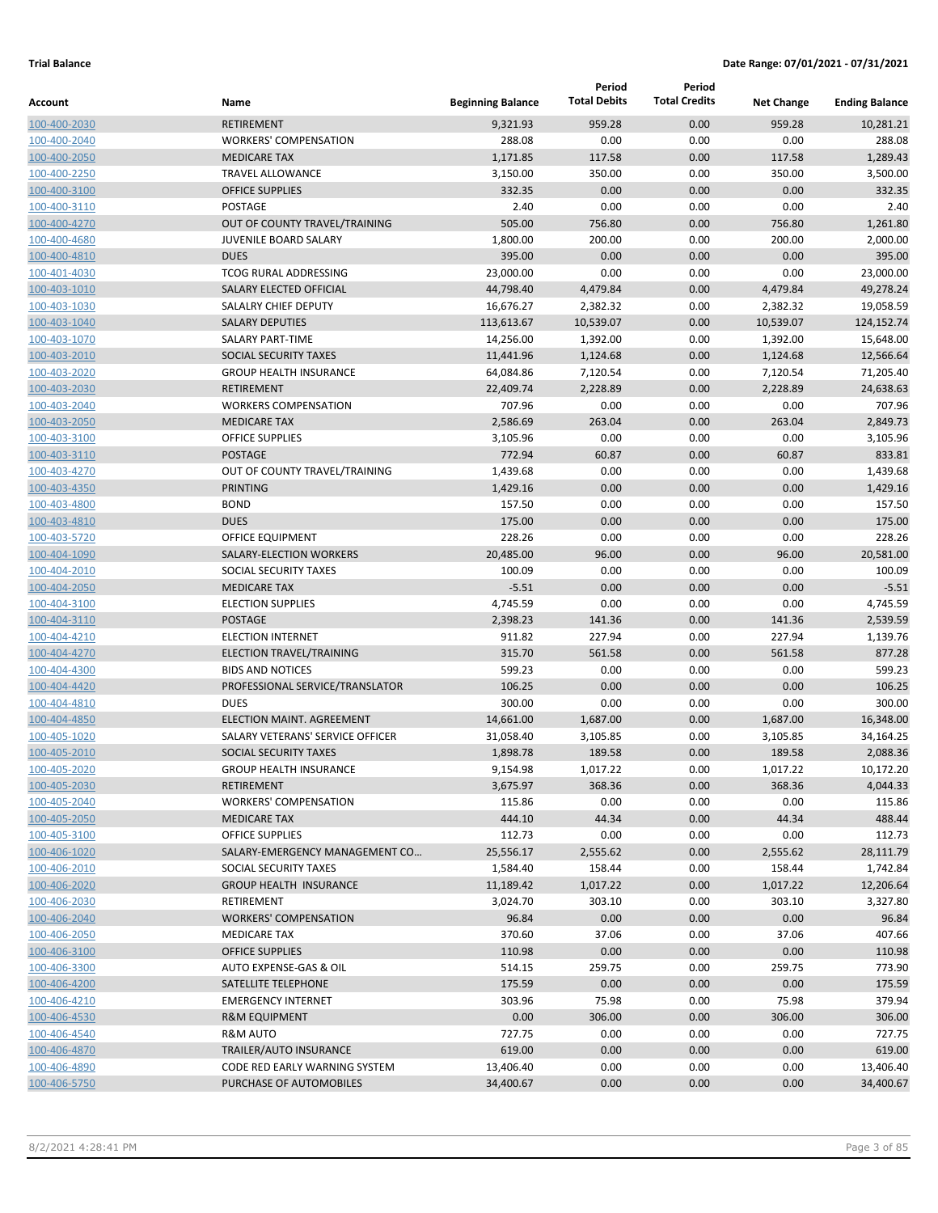|                              |                                                 |                          | Period              | Period               |                   |                       |
|------------------------------|-------------------------------------------------|--------------------------|---------------------|----------------------|-------------------|-----------------------|
| Account                      | Name                                            | <b>Beginning Balance</b> | <b>Total Debits</b> | <b>Total Credits</b> | <b>Net Change</b> | <b>Ending Balance</b> |
| 100-400-2030                 | <b>RETIREMENT</b>                               | 9,321.93                 | 959.28              | 0.00                 | 959.28            | 10,281.21             |
| 100-400-2040                 | <b>WORKERS' COMPENSATION</b>                    | 288.08                   | 0.00                | 0.00                 | 0.00              | 288.08                |
| 100-400-2050                 | <b>MEDICARE TAX</b>                             | 1,171.85                 | 117.58              | 0.00                 | 117.58            | 1,289.43              |
| 100-400-2250                 | <b>TRAVEL ALLOWANCE</b>                         | 3,150.00                 | 350.00              | 0.00                 | 350.00            | 3,500.00              |
| 100-400-3100                 | <b>OFFICE SUPPLIES</b>                          | 332.35                   | 0.00                | 0.00                 | 0.00              | 332.35                |
| 100-400-3110                 | POSTAGE                                         | 2.40                     | 0.00                | 0.00                 | 0.00              | 2.40                  |
| 100-400-4270                 | OUT OF COUNTY TRAVEL/TRAINING                   | 505.00                   | 756.80              | 0.00                 | 756.80            | 1,261.80              |
| 100-400-4680                 | JUVENILE BOARD SALARY                           | 1,800.00                 | 200.00              | 0.00                 | 200.00            | 2,000.00              |
| 100-400-4810                 | <b>DUES</b>                                     | 395.00                   | 0.00                | 0.00                 | 0.00              | 395.00                |
| 100-401-4030                 | <b>TCOG RURAL ADDRESSING</b>                    | 23,000.00                | 0.00                | 0.00                 | 0.00              | 23,000.00             |
| 100-403-1010                 | SALARY ELECTED OFFICIAL                         | 44,798.40                | 4,479.84            | 0.00                 | 4,479.84          | 49,278.24             |
| 100-403-1030                 | SALALRY CHIEF DEPUTY                            | 16,676.27                | 2,382.32            | 0.00                 | 2,382.32          | 19,058.59             |
| 100-403-1040                 | <b>SALARY DEPUTIES</b>                          | 113,613.67               | 10,539.07           | 0.00                 | 10,539.07         | 124,152.74            |
| 100-403-1070                 | <b>SALARY PART-TIME</b>                         | 14,256.00                | 1,392.00            | 0.00                 | 1,392.00          | 15,648.00             |
| 100-403-2010                 | SOCIAL SECURITY TAXES                           | 11,441.96                | 1,124.68            | 0.00                 | 1,124.68          | 12,566.64             |
| 100-403-2020                 | <b>GROUP HEALTH INSURANCE</b>                   | 64,084.86                | 7,120.54            | 0.00                 | 7,120.54          | 71,205.40             |
| 100-403-2030                 | <b>RETIREMENT</b>                               | 22,409.74                | 2,228.89            | 0.00                 | 2,228.89          | 24,638.63             |
| 100-403-2040                 | <b>WORKERS COMPENSATION</b>                     | 707.96                   | 0.00                | 0.00                 | 0.00              | 707.96                |
| 100-403-2050                 | <b>MEDICARE TAX</b>                             | 2,586.69                 | 263.04              | 0.00                 | 263.04            | 2,849.73              |
| 100-403-3100                 | <b>OFFICE SUPPLIES</b>                          | 3,105.96                 | 0.00                | 0.00                 | 0.00              | 3,105.96              |
| 100-403-3110                 | <b>POSTAGE</b>                                  | 772.94                   | 60.87               | 0.00                 | 60.87             | 833.81                |
| 100-403-4270                 | OUT OF COUNTY TRAVEL/TRAINING                   | 1,439.68                 | 0.00                | 0.00                 | 0.00              | 1,439.68              |
| 100-403-4350                 | <b>PRINTING</b>                                 | 1,429.16                 | 0.00                | 0.00                 | 0.00              | 1,429.16              |
| 100-403-4800                 | <b>BOND</b>                                     | 157.50                   | 0.00                | 0.00                 | 0.00              | 157.50                |
| 100-403-4810                 | <b>DUES</b>                                     | 175.00                   | 0.00                | 0.00                 | 0.00              | 175.00                |
| 100-403-5720                 | OFFICE EQUIPMENT                                | 228.26                   | 0.00                | 0.00                 | 0.00              | 228.26                |
| 100-404-1090                 | SALARY-ELECTION WORKERS                         | 20,485.00                | 96.00               | 0.00                 | 96.00             | 20,581.00             |
| 100-404-2010                 | SOCIAL SECURITY TAXES                           | 100.09                   | 0.00                | 0.00                 | 0.00              | 100.09                |
| 100-404-2050                 | <b>MEDICARE TAX</b><br><b>ELECTION SUPPLIES</b> | $-5.51$                  | 0.00<br>0.00        | 0.00<br>0.00         | 0.00<br>0.00      | $-5.51$               |
| 100-404-3100                 | <b>POSTAGE</b>                                  | 4,745.59<br>2,398.23     |                     | 0.00                 |                   | 4,745.59<br>2,539.59  |
| 100-404-3110                 | <b>ELECTION INTERNET</b>                        | 911.82                   | 141.36<br>227.94    | 0.00                 | 141.36<br>227.94  | 1,139.76              |
| 100-404-4210<br>100-404-4270 | ELECTION TRAVEL/TRAINING                        | 315.70                   | 561.58              | 0.00                 | 561.58            | 877.28                |
| 100-404-4300                 | <b>BIDS AND NOTICES</b>                         | 599.23                   | 0.00                | 0.00                 | 0.00              | 599.23                |
| 100-404-4420                 | PROFESSIONAL SERVICE/TRANSLATOR                 | 106.25                   | 0.00                | 0.00                 | 0.00              | 106.25                |
| 100-404-4810                 | <b>DUES</b>                                     | 300.00                   | 0.00                | 0.00                 | 0.00              | 300.00                |
| 100-404-4850                 | <b>ELECTION MAINT, AGREEMENT</b>                | 14,661.00                | 1,687.00            | 0.00                 | 1,687.00          | 16,348.00             |
| 100-405-1020                 | SALARY VETERANS' SERVICE OFFICER                | 31,058.40                | 3,105.85            | 0.00                 | 3,105.85          | 34,164.25             |
| 100-405-2010                 | SOCIAL SECURITY TAXES                           | 1,898.78                 | 189.58              | 0.00                 | 189.58            | 2,088.36              |
| 100-405-2020                 | <b>GROUP HEALTH INSURANCE</b>                   | 9,154.98                 | 1,017.22            | 0.00                 | 1,017.22          | 10,172.20             |
| 100-405-2030                 | RETIREMENT                                      | 3,675.97                 | 368.36              | 0.00                 | 368.36            | 4,044.33              |
| 100-405-2040                 | <b>WORKERS' COMPENSATION</b>                    | 115.86                   | 0.00                | 0.00                 | 0.00              | 115.86                |
| 100-405-2050                 | <b>MEDICARE TAX</b>                             | 444.10                   | 44.34               | 0.00                 | 44.34             | 488.44                |
| 100-405-3100                 | <b>OFFICE SUPPLIES</b>                          | 112.73                   | 0.00                | 0.00                 | 0.00              | 112.73                |
| 100-406-1020                 | SALARY-EMERGENCY MANAGEMENT CO                  | 25,556.17                | 2,555.62            | 0.00                 | 2,555.62          | 28,111.79             |
| 100-406-2010                 | SOCIAL SECURITY TAXES                           | 1,584.40                 | 158.44              | 0.00                 | 158.44            | 1,742.84              |
| 100-406-2020                 | <b>GROUP HEALTH INSURANCE</b>                   | 11,189.42                | 1,017.22            | 0.00                 | 1,017.22          | 12,206.64             |
| 100-406-2030                 | RETIREMENT                                      | 3,024.70                 | 303.10              | 0.00                 | 303.10            | 3,327.80              |
| 100-406-2040                 | <b>WORKERS' COMPENSATION</b>                    | 96.84                    | 0.00                | 0.00                 | 0.00              | 96.84                 |
| 100-406-2050                 | <b>MEDICARE TAX</b>                             | 370.60                   | 37.06               | 0.00                 | 37.06             | 407.66                |
| 100-406-3100                 | <b>OFFICE SUPPLIES</b>                          | 110.98                   | 0.00                | 0.00                 | 0.00              | 110.98                |
| 100-406-3300                 | AUTO EXPENSE-GAS & OIL                          | 514.15                   | 259.75              | 0.00                 | 259.75            | 773.90                |
| 100-406-4200                 | SATELLITE TELEPHONE                             | 175.59                   | 0.00                | 0.00                 | 0.00              | 175.59                |
| 100-406-4210                 | <b>EMERGENCY INTERNET</b>                       | 303.96                   | 75.98               | 0.00                 | 75.98             | 379.94                |
| 100-406-4530                 | <b>R&amp;M EQUIPMENT</b>                        | 0.00                     | 306.00              | 0.00                 | 306.00            | 306.00                |
| 100-406-4540                 | <b>R&amp;M AUTO</b>                             | 727.75                   | 0.00                | 0.00                 | 0.00              | 727.75                |
| 100-406-4870                 | TRAILER/AUTO INSURANCE                          | 619.00                   | 0.00                | 0.00                 | 0.00              | 619.00                |
| 100-406-4890                 | CODE RED EARLY WARNING SYSTEM                   | 13,406.40                | 0.00                | 0.00                 | 0.00              | 13,406.40             |
| 100-406-5750                 | PURCHASE OF AUTOMOBILES                         | 34,400.67                | 0.00                | 0.00                 | 0.00              | 34,400.67             |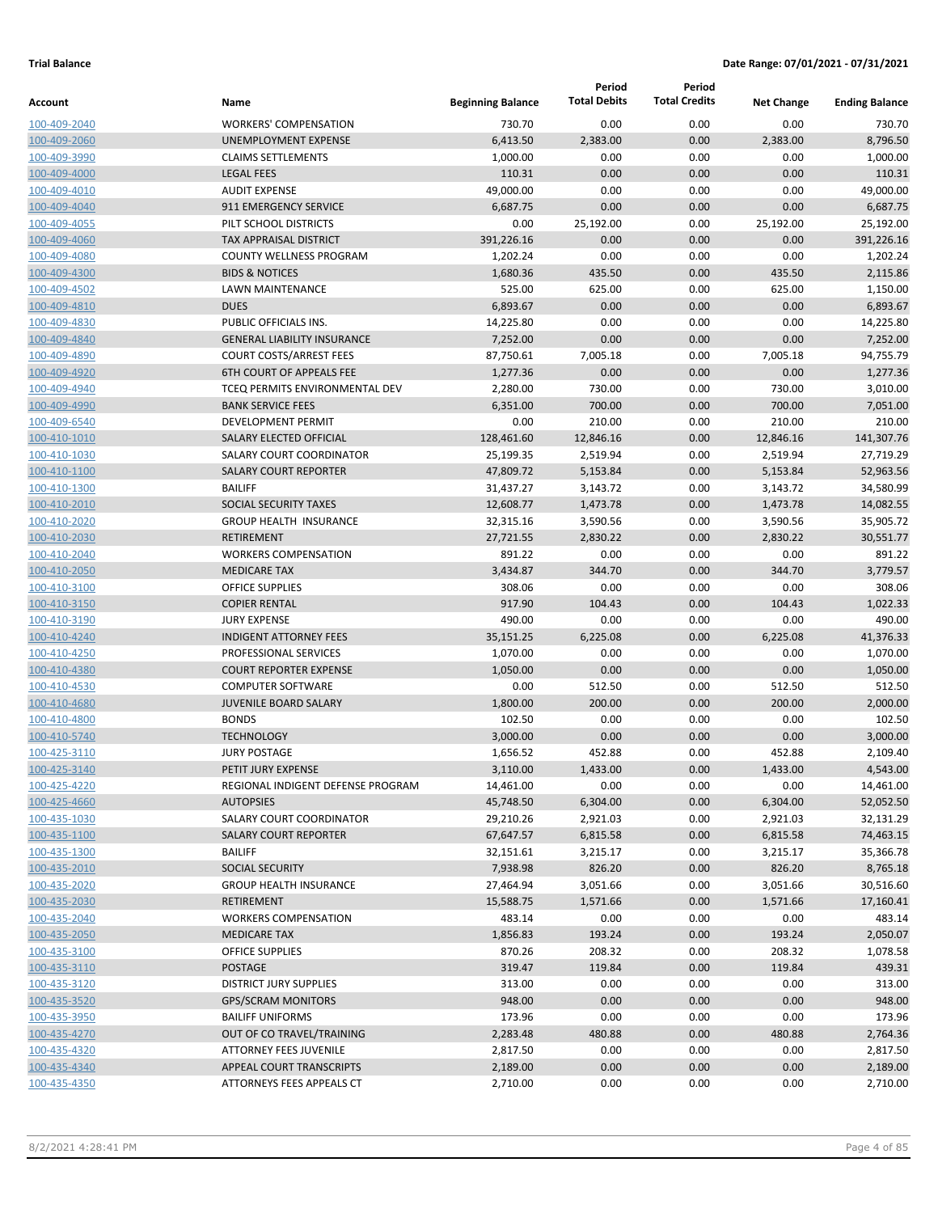|              |                                    |                          | Period              | Period               |                   |                       |
|--------------|------------------------------------|--------------------------|---------------------|----------------------|-------------------|-----------------------|
| Account      | Name                               | <b>Beginning Balance</b> | <b>Total Debits</b> | <b>Total Credits</b> | <b>Net Change</b> | <b>Ending Balance</b> |
| 100-409-2040 | <b>WORKERS' COMPENSATION</b>       | 730.70                   | 0.00                | 0.00                 | 0.00              | 730.70                |
| 100-409-2060 | UNEMPLOYMENT EXPENSE               | 6,413.50                 | 2,383.00            | 0.00                 | 2,383.00          | 8,796.50              |
| 100-409-3990 | <b>CLAIMS SETTLEMENTS</b>          | 1,000.00                 | 0.00                | 0.00                 | 0.00              | 1,000.00              |
| 100-409-4000 | <b>LEGAL FEES</b>                  | 110.31                   | 0.00                | 0.00                 | 0.00              | 110.31                |
| 100-409-4010 | <b>AUDIT EXPENSE</b>               | 49,000.00                | 0.00                | 0.00                 | 0.00              | 49,000.00             |
| 100-409-4040 | 911 EMERGENCY SERVICE              | 6,687.75                 | 0.00                | 0.00                 | 0.00              | 6,687.75              |
| 100-409-4055 | PILT SCHOOL DISTRICTS              | 0.00                     | 25,192.00           | 0.00                 | 25,192.00         | 25,192.00             |
| 100-409-4060 | <b>TAX APPRAISAL DISTRICT</b>      | 391,226.16               | 0.00                | 0.00                 | 0.00              | 391,226.16            |
| 100-409-4080 | <b>COUNTY WELLNESS PROGRAM</b>     | 1,202.24                 | 0.00                | 0.00                 | 0.00              | 1,202.24              |
| 100-409-4300 | <b>BIDS &amp; NOTICES</b>          | 1,680.36                 | 435.50              | 0.00                 | 435.50            | 2,115.86              |
| 100-409-4502 | LAWN MAINTENANCE                   | 525.00                   | 625.00              | 0.00                 | 625.00            | 1,150.00              |
| 100-409-4810 | <b>DUES</b>                        | 6,893.67                 | 0.00                | 0.00                 | 0.00              | 6,893.67              |
| 100-409-4830 | PUBLIC OFFICIALS INS.              | 14,225.80                | 0.00                | 0.00                 | 0.00              | 14,225.80             |
| 100-409-4840 | <b>GENERAL LIABILITY INSURANCE</b> | 7,252.00                 | 0.00                | 0.00                 | 0.00              | 7,252.00              |
| 100-409-4890 | <b>COURT COSTS/ARREST FEES</b>     | 87,750.61                | 7,005.18            | 0.00                 | 7,005.18          | 94,755.79             |
| 100-409-4920 | <b>6TH COURT OF APPEALS FEE</b>    | 1,277.36                 | 0.00                | 0.00                 | 0.00              | 1,277.36              |
| 100-409-4940 | TCEQ PERMITS ENVIRONMENTAL DEV     | 2,280.00                 | 730.00              | 0.00                 | 730.00            | 3,010.00              |
| 100-409-4990 | <b>BANK SERVICE FEES</b>           | 6,351.00                 | 700.00              | 0.00                 | 700.00            | 7,051.00              |
| 100-409-6540 | <b>DEVELOPMENT PERMIT</b>          | 0.00                     | 210.00              | 0.00                 | 210.00            | 210.00                |
| 100-410-1010 | SALARY ELECTED OFFICIAL            | 128,461.60               | 12,846.16           | 0.00                 | 12,846.16         | 141,307.76            |
| 100-410-1030 | SALARY COURT COORDINATOR           | 25,199.35                | 2,519.94            | 0.00                 | 2,519.94          | 27,719.29             |
| 100-410-1100 | <b>SALARY COURT REPORTER</b>       | 47,809.72                | 5,153.84            | 0.00                 | 5,153.84          | 52,963.56             |
| 100-410-1300 | <b>BAILIFF</b>                     | 31,437.27                | 3,143.72            | 0.00                 | 3,143.72          | 34,580.99             |
| 100-410-2010 | SOCIAL SECURITY TAXES              | 12,608.77                | 1,473.78            | 0.00                 | 1,473.78          | 14,082.55             |
| 100-410-2020 | <b>GROUP HEALTH INSURANCE</b>      | 32,315.16                | 3,590.56            | 0.00                 | 3,590.56          | 35,905.72             |
| 100-410-2030 | <b>RETIREMENT</b>                  | 27,721.55                | 2,830.22            | 0.00                 | 2,830.22          | 30,551.77             |
| 100-410-2040 | <b>WORKERS COMPENSATION</b>        | 891.22                   | 0.00                | 0.00                 | 0.00              | 891.22                |
| 100-410-2050 | <b>MEDICARE TAX</b>                | 3,434.87                 | 344.70              | 0.00                 | 344.70            | 3,779.57              |
| 100-410-3100 | <b>OFFICE SUPPLIES</b>             | 308.06                   | 0.00                | 0.00                 | 0.00              | 308.06                |
| 100-410-3150 | <b>COPIER RENTAL</b>               | 917.90                   | 104.43              | 0.00                 | 104.43            | 1,022.33              |
| 100-410-3190 | <b>JURY EXPENSE</b>                | 490.00                   | 0.00                | 0.00                 | 0.00              | 490.00                |
| 100-410-4240 | <b>INDIGENT ATTORNEY FEES</b>      | 35,151.25                | 6,225.08            | 0.00                 | 6,225.08          | 41,376.33             |
| 100-410-4250 | PROFESSIONAL SERVICES              | 1,070.00                 | 0.00                | 0.00                 | 0.00              | 1,070.00              |
| 100-410-4380 | <b>COURT REPORTER EXPENSE</b>      | 1,050.00                 | 0.00                | 0.00                 | 0.00              | 1,050.00              |
| 100-410-4530 | <b>COMPUTER SOFTWARE</b>           | 0.00                     | 512.50              | 0.00                 | 512.50            | 512.50                |
| 100-410-4680 | <b>JUVENILE BOARD SALARY</b>       | 1,800.00                 | 200.00              | 0.00                 | 200.00            | 2,000.00              |
| 100-410-4800 | <b>BONDS</b>                       | 102.50                   | 0.00                | 0.00                 | 0.00              | 102.50                |
| 100-410-5740 | <b>TECHNOLOGY</b>                  | 3,000.00                 | 0.00                | 0.00                 | 0.00              | 3,000.00              |
| 100-425-3110 | <b>JURY POSTAGE</b>                | 1,656.52                 | 452.88              | 0.00                 | 452.88            | 2,109.40              |
| 100-425-3140 | PETIT JURY EXPENSE                 | 3,110.00                 | 1,433.00            | 0.00                 | 1,433.00          | 4,543.00              |
| 100-425-4220 | REGIONAL INDIGENT DEFENSE PROGRAM  | 14,461.00                | 0.00                | 0.00                 | 0.00              | 14,461.00             |
| 100-425-4660 | <b>AUTOPSIES</b>                   | 45,748.50                | 6,304.00            | 0.00                 | 6,304.00          | 52,052.50             |
| 100-435-1030 | SALARY COURT COORDINATOR           | 29,210.26                | 2,921.03            | 0.00                 | 2,921.03          | 32,131.29             |
| 100-435-1100 | <b>SALARY COURT REPORTER</b>       | 67,647.57                | 6,815.58            | 0.00                 | 6,815.58          | 74,463.15             |
| 100-435-1300 | <b>BAILIFF</b>                     | 32,151.61                | 3,215.17            | 0.00                 | 3,215.17          | 35,366.78             |
| 100-435-2010 | SOCIAL SECURITY                    | 7,938.98                 | 826.20              | 0.00                 | 826.20            | 8,765.18              |
| 100-435-2020 | <b>GROUP HEALTH INSURANCE</b>      | 27,464.94                | 3,051.66            | 0.00                 | 3,051.66          | 30,516.60             |
| 100-435-2030 | <b>RETIREMENT</b>                  | 15,588.75                | 1,571.66            | 0.00                 | 1,571.66          | 17,160.41             |
| 100-435-2040 | <b>WORKERS COMPENSATION</b>        | 483.14                   | 0.00                | 0.00                 | 0.00              | 483.14                |
| 100-435-2050 | <b>MEDICARE TAX</b>                | 1,856.83                 | 193.24              | 0.00                 | 193.24            | 2,050.07              |
| 100-435-3100 | <b>OFFICE SUPPLIES</b>             | 870.26                   | 208.32              | 0.00                 | 208.32            | 1,078.58              |
| 100-435-3110 | POSTAGE                            | 319.47                   | 119.84              | 0.00                 | 119.84            | 439.31                |
| 100-435-3120 | <b>DISTRICT JURY SUPPLIES</b>      | 313.00                   | 0.00                | 0.00                 | 0.00              | 313.00                |
| 100-435-3520 | <b>GPS/SCRAM MONITORS</b>          | 948.00                   | 0.00                | 0.00                 | 0.00              | 948.00                |
| 100-435-3950 | <b>BAILIFF UNIFORMS</b>            | 173.96                   | 0.00                | 0.00                 | 0.00              | 173.96                |
| 100-435-4270 | OUT OF CO TRAVEL/TRAINING          | 2,283.48                 | 480.88              | 0.00                 | 480.88            | 2,764.36              |
| 100-435-4320 | ATTORNEY FEES JUVENILE             | 2,817.50                 | 0.00                | 0.00                 | 0.00              | 2,817.50              |
| 100-435-4340 | APPEAL COURT TRANSCRIPTS           | 2,189.00                 | 0.00                | 0.00                 | 0.00              | 2,189.00              |
| 100-435-4350 | ATTORNEYS FEES APPEALS CT          | 2,710.00                 | 0.00                | 0.00                 | 0.00              | 2,710.00              |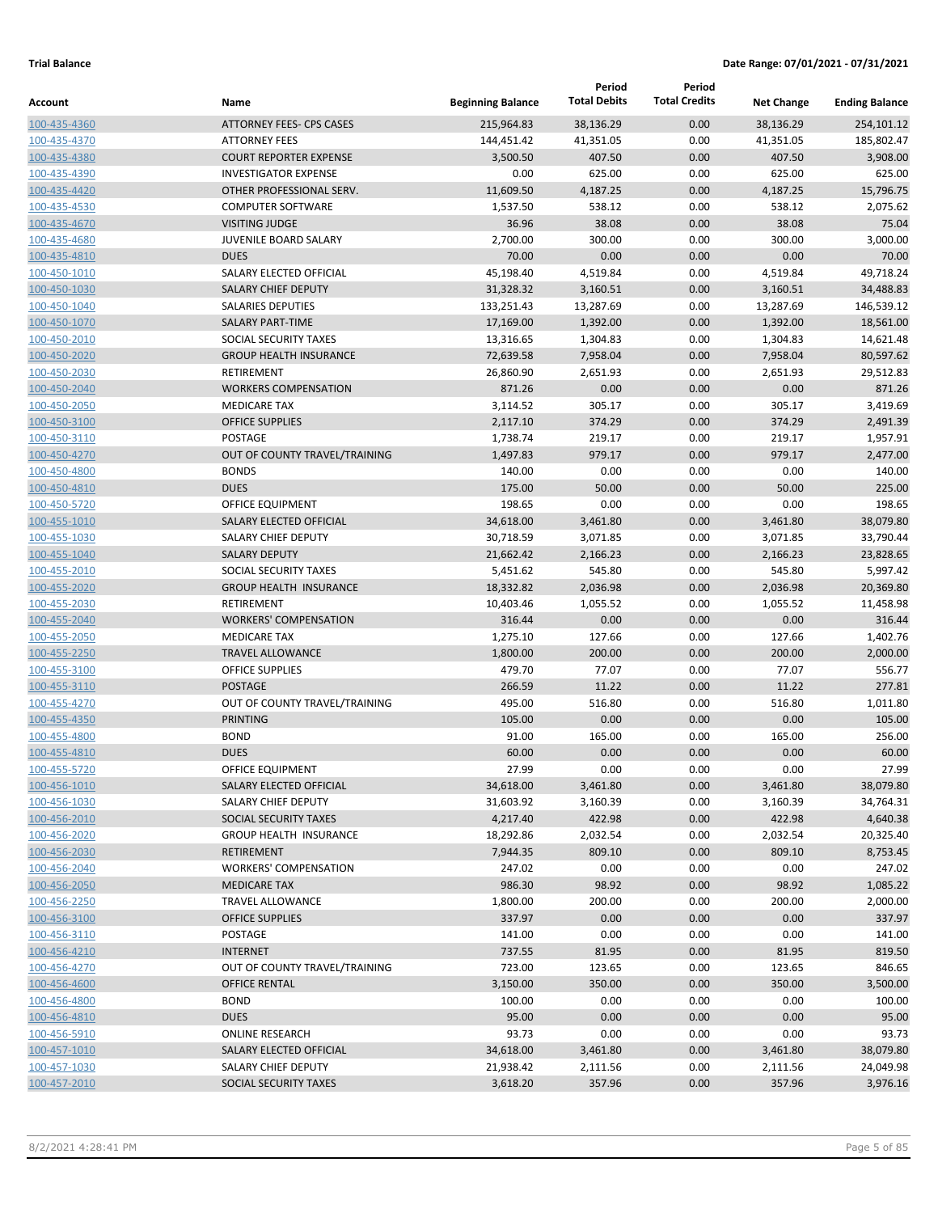|                              |                                                  |                          | Period              | Period               |                   |                       |
|------------------------------|--------------------------------------------------|--------------------------|---------------------|----------------------|-------------------|-----------------------|
| Account                      | Name                                             | <b>Beginning Balance</b> | <b>Total Debits</b> | <b>Total Credits</b> | <b>Net Change</b> | <b>Ending Balance</b> |
| 100-435-4360                 | <b>ATTORNEY FEES- CPS CASES</b>                  | 215,964.83               | 38,136.29           | 0.00                 | 38,136.29         | 254,101.12            |
| 100-435-4370                 | <b>ATTORNEY FEES</b>                             | 144,451.42               | 41,351.05           | 0.00                 | 41,351.05         | 185,802.47            |
| 100-435-4380                 | <b>COURT REPORTER EXPENSE</b>                    | 3,500.50                 | 407.50              | 0.00                 | 407.50            | 3,908.00              |
| 100-435-4390                 | <b>INVESTIGATOR EXPENSE</b>                      | 0.00                     | 625.00              | 0.00                 | 625.00            | 625.00                |
| 100-435-4420                 | OTHER PROFESSIONAL SERV.                         | 11,609.50                | 4,187.25            | 0.00                 | 4,187.25          | 15,796.75             |
| 100-435-4530                 | <b>COMPUTER SOFTWARE</b>                         | 1,537.50                 | 538.12              | 0.00                 | 538.12            | 2,075.62              |
| 100-435-4670                 | <b>VISITING JUDGE</b>                            | 36.96                    | 38.08               | 0.00                 | 38.08             | 75.04                 |
| 100-435-4680                 | <b>JUVENILE BOARD SALARY</b>                     | 2,700.00                 | 300.00              | 0.00                 | 300.00            | 3,000.00              |
| 100-435-4810                 | <b>DUES</b>                                      | 70.00                    | 0.00                | 0.00                 | 0.00              | 70.00                 |
| 100-450-1010                 | SALARY ELECTED OFFICIAL                          | 45,198.40                | 4,519.84            | 0.00                 | 4,519.84          | 49,718.24             |
| 100-450-1030                 | <b>SALARY CHIEF DEPUTY</b>                       | 31,328.32                | 3,160.51            | 0.00                 | 3,160.51          | 34,488.83             |
| 100-450-1040                 | <b>SALARIES DEPUTIES</b>                         | 133,251.43               | 13,287.69           | 0.00                 | 13,287.69         | 146,539.12            |
| 100-450-1070                 | <b>SALARY PART-TIME</b>                          | 17,169.00                | 1,392.00            | 0.00                 | 1,392.00          | 18,561.00             |
| 100-450-2010                 | SOCIAL SECURITY TAXES                            | 13,316.65                | 1,304.83            | 0.00                 | 1,304.83          | 14,621.48             |
| 100-450-2020                 | <b>GROUP HEALTH INSURANCE</b>                    | 72,639.58                | 7,958.04            | 0.00                 | 7,958.04          | 80,597.62             |
| 100-450-2030                 | RETIREMENT                                       | 26,860.90                | 2,651.93            | 0.00                 | 2,651.93          | 29,512.83             |
| 100-450-2040                 | <b>WORKERS COMPENSATION</b>                      | 871.26                   | 0.00                | 0.00                 | 0.00              | 871.26                |
| 100-450-2050                 | <b>MEDICARE TAX</b>                              | 3,114.52                 | 305.17              | 0.00                 | 305.17            | 3,419.69              |
| 100-450-3100                 | <b>OFFICE SUPPLIES</b>                           | 2,117.10                 | 374.29              | 0.00                 | 374.29            | 2,491.39              |
| 100-450-3110                 | POSTAGE                                          | 1,738.74                 | 219.17              | 0.00                 | 219.17            | 1,957.91              |
| 100-450-4270                 | OUT OF COUNTY TRAVEL/TRAINING                    | 1,497.83                 | 979.17              | 0.00                 | 979.17            | 2,477.00              |
| 100-450-4800                 | <b>BONDS</b>                                     | 140.00                   | 0.00                | 0.00                 | 0.00              | 140.00                |
| 100-450-4810                 | <b>DUES</b>                                      | 175.00                   | 50.00               | 0.00                 | 50.00             | 225.00                |
| 100-450-5720                 | OFFICE EQUIPMENT                                 | 198.65                   | 0.00                | 0.00                 | 0.00              | 198.65                |
| 100-455-1010                 | SALARY ELECTED OFFICIAL                          | 34,618.00                | 3,461.80            | 0.00                 | 3,461.80          | 38,079.80             |
| 100-455-1030                 | SALARY CHIEF DEPUTY                              | 30,718.59                | 3,071.85            | 0.00                 | 3,071.85          | 33,790.44             |
| 100-455-1040                 | <b>SALARY DEPUTY</b>                             | 21,662.42                | 2,166.23            | 0.00                 | 2,166.23          | 23,828.65             |
| 100-455-2010                 | SOCIAL SECURITY TAXES                            | 5,451.62                 | 545.80              | 0.00                 | 545.80            | 5,997.42              |
| 100-455-2020                 | <b>GROUP HEALTH INSURANCE</b>                    | 18,332.82                | 2,036.98            | 0.00                 | 2,036.98          | 20,369.80             |
| 100-455-2030                 | RETIREMENT                                       | 10,403.46                | 1,055.52            | 0.00                 | 1,055.52          | 11,458.98             |
| 100-455-2040                 | <b>WORKERS' COMPENSATION</b>                     | 316.44                   | 0.00                | 0.00                 | 0.00              | 316.44                |
| 100-455-2050                 | <b>MEDICARE TAX</b>                              | 1,275.10                 | 127.66              | 0.00                 | 127.66            | 1,402.76              |
| 100-455-2250                 | <b>TRAVEL ALLOWANCE</b>                          | 1,800.00                 | 200.00              | 0.00                 | 200.00            | 2,000.00              |
| 100-455-3100                 | <b>OFFICE SUPPLIES</b>                           | 479.70                   | 77.07               | 0.00                 | 77.07             | 556.77                |
| 100-455-3110                 | <b>POSTAGE</b>                                   | 266.59                   | 11.22               | 0.00                 | 11.22             | 277.81                |
| 100-455-4270                 | OUT OF COUNTY TRAVEL/TRAINING<br><b>PRINTING</b> | 495.00                   | 516.80              | 0.00<br>0.00         | 516.80            | 1,011.80              |
| 100-455-4350<br>100-455-4800 | <b>BOND</b>                                      | 105.00                   | 0.00<br>165.00      |                      | 0.00              | 105.00<br>256.00      |
| 100-455-4810                 | <b>DUES</b>                                      | 91.00<br>60.00           | 0.00                | 0.00<br>0.00         | 165.00<br>0.00    | 60.00                 |
| 100-455-5720                 | OFFICE EQUIPMENT                                 | 27.99                    | 0.00                | 0.00                 | 0.00              | 27.99                 |
| 100-456-1010                 | SALARY ELECTED OFFICIAL                          | 34,618.00                | 3,461.80            | 0.00                 | 3,461.80          | 38,079.80             |
| 100-456-1030                 | SALARY CHIEF DEPUTY                              | 31,603.92                | 3,160.39            | 0.00                 | 3,160.39          | 34,764.31             |
| 100-456-2010                 | SOCIAL SECURITY TAXES                            | 4,217.40                 | 422.98              | 0.00                 | 422.98            | 4,640.38              |
| 100-456-2020                 | <b>GROUP HEALTH INSURANCE</b>                    | 18,292.86                | 2,032.54            | 0.00                 | 2,032.54          | 20,325.40             |
| 100-456-2030                 | RETIREMENT                                       | 7,944.35                 | 809.10              | 0.00                 | 809.10            | 8,753.45              |
| 100-456-2040                 | <b>WORKERS' COMPENSATION</b>                     | 247.02                   | 0.00                | 0.00                 | 0.00              | 247.02                |
| 100-456-2050                 | <b>MEDICARE TAX</b>                              | 986.30                   | 98.92               | 0.00                 | 98.92             | 1,085.22              |
| 100-456-2250                 | TRAVEL ALLOWANCE                                 | 1,800.00                 | 200.00              | 0.00                 | 200.00            | 2,000.00              |
| 100-456-3100                 | <b>OFFICE SUPPLIES</b>                           | 337.97                   | 0.00                | 0.00                 | 0.00              | 337.97                |
| 100-456-3110                 | POSTAGE                                          | 141.00                   | 0.00                | 0.00                 | 0.00              | 141.00                |
| 100-456-4210                 | <b>INTERNET</b>                                  | 737.55                   | 81.95               | 0.00                 | 81.95             | 819.50                |
| 100-456-4270                 | OUT OF COUNTY TRAVEL/TRAINING                    | 723.00                   | 123.65              | 0.00                 | 123.65            | 846.65                |
| 100-456-4600                 | <b>OFFICE RENTAL</b>                             | 3,150.00                 | 350.00              | 0.00                 | 350.00            | 3,500.00              |
| 100-456-4800                 | <b>BOND</b>                                      | 100.00                   | 0.00                | 0.00                 | 0.00              | 100.00                |
| 100-456-4810                 | <b>DUES</b>                                      | 95.00                    | 0.00                | 0.00                 | 0.00              | 95.00                 |
| 100-456-5910                 | <b>ONLINE RESEARCH</b>                           | 93.73                    | 0.00                | 0.00                 | 0.00              | 93.73                 |
| 100-457-1010                 | SALARY ELECTED OFFICIAL                          | 34,618.00                | 3,461.80            | 0.00                 | 3,461.80          | 38,079.80             |
| 100-457-1030                 | SALARY CHIEF DEPUTY                              | 21,938.42                | 2,111.56            | 0.00                 | 2,111.56          | 24,049.98             |
| 100-457-2010                 | SOCIAL SECURITY TAXES                            | 3,618.20                 | 357.96              | 0.00                 | 357.96            | 3,976.16              |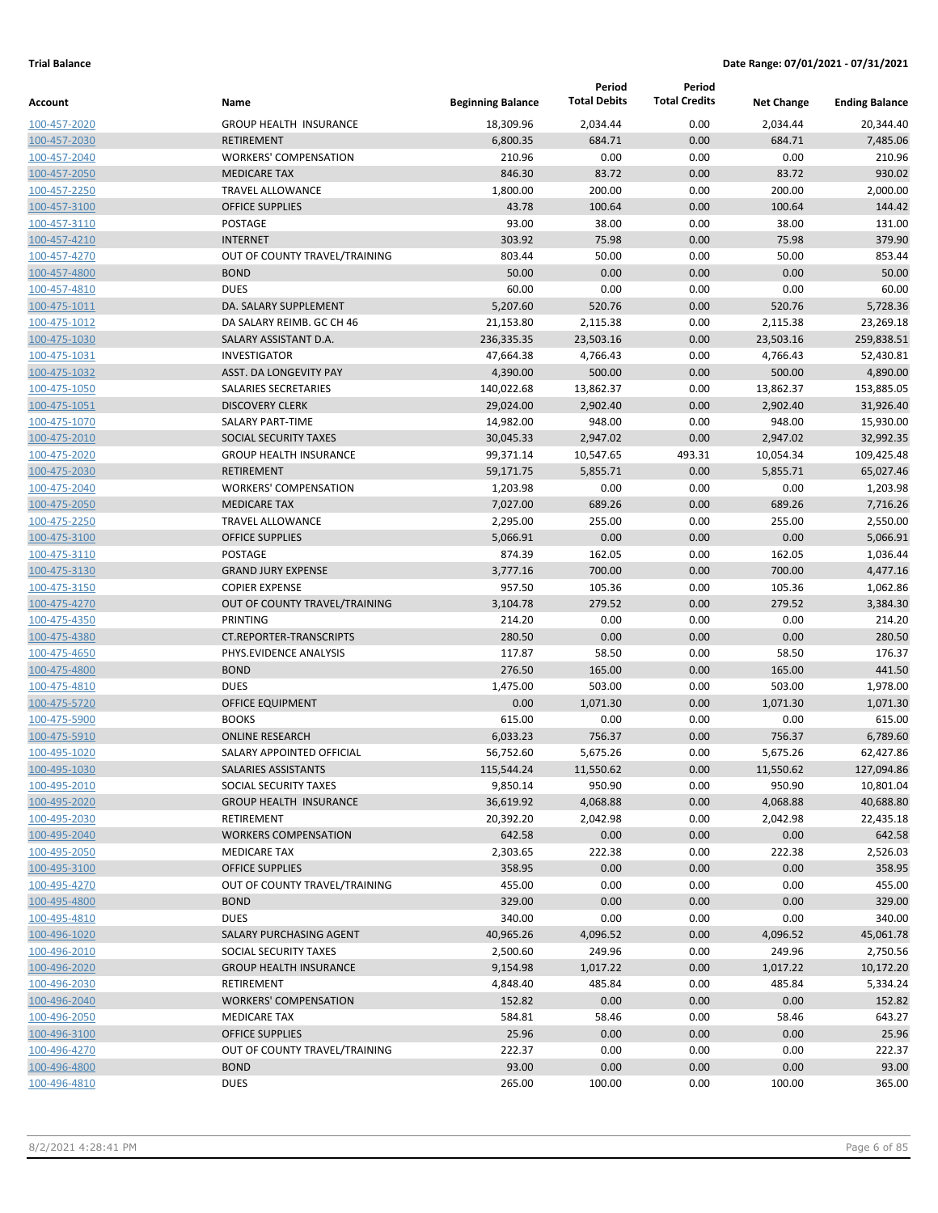|                              |                                                    |                          | Period              | Period               |                   |                       |
|------------------------------|----------------------------------------------------|--------------------------|---------------------|----------------------|-------------------|-----------------------|
| Account                      | Name                                               | <b>Beginning Balance</b> | <b>Total Debits</b> | <b>Total Credits</b> | <b>Net Change</b> | <b>Ending Balance</b> |
| 100-457-2020                 | <b>GROUP HEALTH INSURANCE</b>                      | 18,309.96                | 2,034.44            | 0.00                 | 2,034.44          | 20,344.40             |
| 100-457-2030                 | <b>RETIREMENT</b>                                  | 6,800.35                 | 684.71              | 0.00                 | 684.71            | 7,485.06              |
| 100-457-2040                 | <b>WORKERS' COMPENSATION</b>                       | 210.96                   | 0.00                | 0.00                 | 0.00              | 210.96                |
| 100-457-2050                 | <b>MEDICARE TAX</b>                                | 846.30                   | 83.72               | 0.00                 | 83.72             | 930.02                |
| 100-457-2250                 | <b>TRAVEL ALLOWANCE</b>                            | 1,800.00                 | 200.00              | 0.00                 | 200.00            | 2,000.00              |
| 100-457-3100                 | <b>OFFICE SUPPLIES</b>                             | 43.78                    | 100.64              | 0.00                 | 100.64            | 144.42                |
| 100-457-3110                 | POSTAGE                                            | 93.00                    | 38.00               | 0.00                 | 38.00             | 131.00                |
| 100-457-4210                 | <b>INTERNET</b>                                    | 303.92                   | 75.98               | 0.00                 | 75.98             | 379.90                |
| 100-457-4270                 | OUT OF COUNTY TRAVEL/TRAINING                      | 803.44                   | 50.00               | 0.00                 | 50.00             | 853.44                |
| 100-457-4800                 | <b>BOND</b>                                        | 50.00                    | 0.00                | 0.00                 | 0.00              | 50.00                 |
| 100-457-4810                 | <b>DUES</b>                                        | 60.00                    | 0.00                | 0.00                 | 0.00              | 60.00                 |
| 100-475-1011                 | DA. SALARY SUPPLEMENT                              | 5,207.60                 | 520.76              | 0.00                 | 520.76            | 5,728.36              |
| 100-475-1012                 | DA SALARY REIMB. GC CH 46                          | 21,153.80                | 2,115.38            | 0.00                 | 2,115.38          | 23,269.18             |
| 100-475-1030                 | SALARY ASSISTANT D.A.                              | 236,335.35               | 23,503.16           | 0.00                 | 23,503.16         | 259,838.51            |
| 100-475-1031                 | <b>INVESTIGATOR</b>                                | 47,664.38                | 4,766.43            | 0.00                 | 4,766.43          | 52,430.81             |
| 100-475-1032                 | ASST. DA LONGEVITY PAY                             | 4,390.00                 | 500.00              | 0.00                 | 500.00            | 4,890.00              |
| 100-475-1050                 | SALARIES SECRETARIES                               | 140,022.68               | 13,862.37           | 0.00                 | 13,862.37         | 153,885.05            |
| 100-475-1051                 | <b>DISCOVERY CLERK</b>                             | 29,024.00                | 2,902.40            | 0.00                 | 2,902.40          | 31,926.40             |
| 100-475-1070                 | <b>SALARY PART-TIME</b>                            | 14,982.00                | 948.00              | 0.00                 | 948.00            | 15,930.00             |
| 100-475-2010                 | SOCIAL SECURITY TAXES                              | 30,045.33                | 2,947.02            | 0.00                 | 2,947.02          | 32,992.35             |
| 100-475-2020                 | <b>GROUP HEALTH INSURANCE</b>                      | 99,371.14                | 10,547.65           | 493.31               | 10,054.34         | 109,425.48            |
| 100-475-2030                 | <b>RETIREMENT</b>                                  | 59,171.75                | 5,855.71            | 0.00                 | 5,855.71          | 65,027.46             |
| 100-475-2040                 | <b>WORKERS' COMPENSATION</b>                       | 1,203.98                 | 0.00                | 0.00                 | 0.00              | 1,203.98              |
| 100-475-2050                 | <b>MEDICARE TAX</b>                                | 7,027.00                 | 689.26              | 0.00                 | 689.26            | 7,716.26              |
| 100-475-2250                 | <b>TRAVEL ALLOWANCE</b>                            | 2,295.00                 | 255.00              | 0.00                 | 255.00            | 2,550.00              |
| 100-475-3100                 | <b>OFFICE SUPPLIES</b>                             | 5,066.91                 | 0.00                | 0.00                 | 0.00              | 5,066.91              |
| 100-475-3110                 | POSTAGE                                            | 874.39                   | 162.05              | 0.00                 | 162.05            | 1,036.44              |
| 100-475-3130                 | <b>GRAND JURY EXPENSE</b><br><b>COPIER EXPENSE</b> | 3,777.16<br>957.50       | 700.00              | 0.00<br>0.00         | 700.00            | 4,477.16              |
| 100-475-3150                 |                                                    | 3,104.78                 | 105.36<br>279.52    | 0.00                 | 105.36<br>279.52  | 1,062.86<br>3,384.30  |
| 100-475-4270                 | OUT OF COUNTY TRAVEL/TRAINING<br>PRINTING          | 214.20                   | 0.00                | 0.00                 | 0.00              | 214.20                |
| 100-475-4350                 | <b>CT.REPORTER-TRANSCRIPTS</b>                     | 280.50                   | 0.00                | 0.00                 | 0.00              | 280.50                |
| 100-475-4380<br>100-475-4650 | PHYS.EVIDENCE ANALYSIS                             | 117.87                   | 58.50               | 0.00                 | 58.50             | 176.37                |
| 100-475-4800                 | <b>BOND</b>                                        | 276.50                   | 165.00              | 0.00                 | 165.00            | 441.50                |
| 100-475-4810                 | <b>DUES</b>                                        | 1,475.00                 | 503.00              | 0.00                 | 503.00            | 1,978.00              |
| 100-475-5720                 | OFFICE EQUIPMENT                                   | 0.00                     | 1,071.30            | 0.00                 | 1,071.30          | 1,071.30              |
| 100-475-5900                 | <b>BOOKS</b>                                       | 615.00                   | 0.00                | 0.00                 | 0.00              | 615.00                |
| 100-475-5910                 | <b>ONLINE RESEARCH</b>                             | 6,033.23                 | 756.37              | 0.00                 | 756.37            | 6,789.60              |
| 100-495-1020                 | SALARY APPOINTED OFFICIAL                          | 56,752.60                | 5,675.26            | 0.00                 | 5,675.26          | 62,427.86             |
| 100-495-1030                 | SALARIES ASSISTANTS                                | 115,544.24               | 11,550.62           | 0.00                 | 11,550.62         | 127,094.86            |
| 100-495-2010                 | SOCIAL SECURITY TAXES                              | 9,850.14                 | 950.90              | 0.00                 | 950.90            | 10,801.04             |
| 100-495-2020                 | <b>GROUP HEALTH INSURANCE</b>                      | 36,619.92                | 4,068.88            | 0.00                 | 4,068.88          | 40,688.80             |
| 100-495-2030                 | RETIREMENT                                         | 20,392.20                | 2,042.98            | 0.00                 | 2,042.98          | 22,435.18             |
| 100-495-2040                 | <b>WORKERS COMPENSATION</b>                        | 642.58                   | 0.00                | 0.00                 | 0.00              | 642.58                |
| 100-495-2050                 | <b>MEDICARE TAX</b>                                | 2,303.65                 | 222.38              | 0.00                 | 222.38            | 2,526.03              |
| 100-495-3100                 | <b>OFFICE SUPPLIES</b>                             | 358.95                   | 0.00                | 0.00                 | 0.00              | 358.95                |
| 100-495-4270                 | OUT OF COUNTY TRAVEL/TRAINING                      | 455.00                   | 0.00                | 0.00                 | 0.00              | 455.00                |
| 100-495-4800                 | <b>BOND</b>                                        | 329.00                   | 0.00                | 0.00                 | 0.00              | 329.00                |
| 100-495-4810                 | <b>DUES</b>                                        | 340.00                   | 0.00                | 0.00                 | 0.00              | 340.00                |
| 100-496-1020                 | SALARY PURCHASING AGENT                            | 40,965.26                | 4,096.52            | 0.00                 | 4,096.52          | 45,061.78             |
| 100-496-2010                 | SOCIAL SECURITY TAXES                              | 2,500.60                 | 249.96              | 0.00                 | 249.96            | 2,750.56              |
| 100-496-2020                 | <b>GROUP HEALTH INSURANCE</b>                      | 9,154.98                 | 1,017.22            | 0.00                 | 1,017.22          | 10,172.20             |
| 100-496-2030                 | RETIREMENT                                         | 4,848.40                 | 485.84              | 0.00                 | 485.84            | 5,334.24              |
| 100-496-2040                 | <b>WORKERS' COMPENSATION</b>                       | 152.82                   | 0.00                | 0.00                 | 0.00              | 152.82                |
| 100-496-2050                 | <b>MEDICARE TAX</b>                                | 584.81                   | 58.46               | 0.00                 | 58.46             | 643.27                |
| 100-496-3100                 | <b>OFFICE SUPPLIES</b>                             | 25.96                    | 0.00                | 0.00                 | 0.00              | 25.96                 |
| 100-496-4270                 | OUT OF COUNTY TRAVEL/TRAINING                      | 222.37                   | 0.00                | 0.00                 | 0.00              | 222.37                |
| 100-496-4800                 | <b>BOND</b>                                        | 93.00                    | 0.00                | 0.00                 | 0.00              | 93.00                 |
| 100-496-4810                 | <b>DUES</b>                                        | 265.00                   | 100.00              | 0.00                 | 100.00            | 365.00                |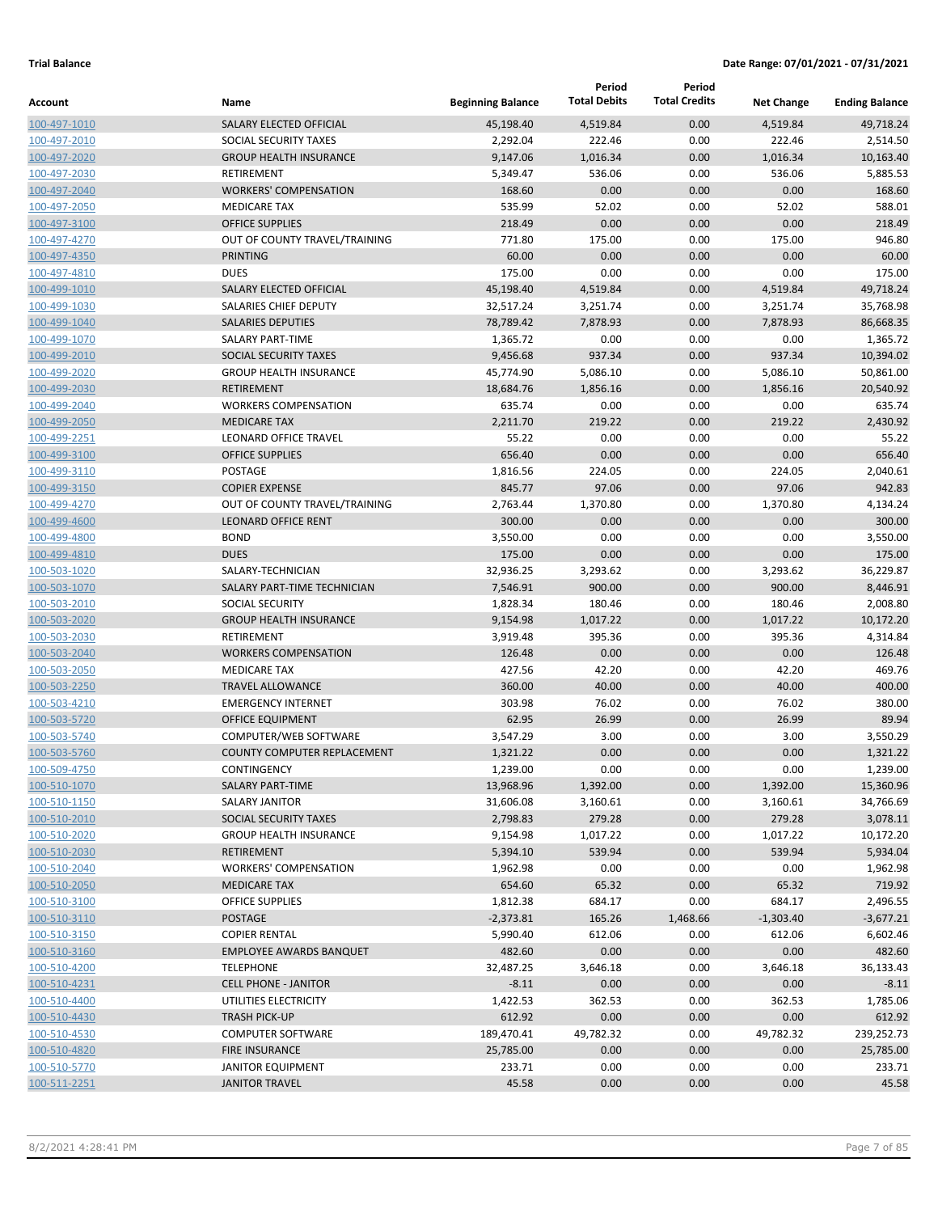|                              |                                                      |                          | Period              | Period               |                   |                       |
|------------------------------|------------------------------------------------------|--------------------------|---------------------|----------------------|-------------------|-----------------------|
| Account                      | Name                                                 | <b>Beginning Balance</b> | <b>Total Debits</b> | <b>Total Credits</b> | <b>Net Change</b> | <b>Ending Balance</b> |
| 100-497-1010                 | SALARY ELECTED OFFICIAL                              | 45,198.40                | 4,519.84            | 0.00                 | 4,519.84          | 49,718.24             |
| 100-497-2010                 | SOCIAL SECURITY TAXES                                | 2,292.04                 | 222.46              | 0.00                 | 222.46            | 2,514.50              |
| 100-497-2020                 | <b>GROUP HEALTH INSURANCE</b>                        | 9,147.06                 | 1,016.34            | 0.00                 | 1,016.34          | 10,163.40             |
| 100-497-2030                 | RETIREMENT                                           | 5,349.47                 | 536.06              | 0.00                 | 536.06            | 5,885.53              |
| 100-497-2040                 | <b>WORKERS' COMPENSATION</b>                         | 168.60                   | 0.00                | 0.00                 | 0.00              | 168.60                |
| 100-497-2050                 | <b>MEDICARE TAX</b>                                  | 535.99                   | 52.02               | 0.00                 | 52.02             | 588.01                |
| 100-497-3100                 | <b>OFFICE SUPPLIES</b>                               | 218.49                   | 0.00                | 0.00                 | 0.00              | 218.49                |
| 100-497-4270                 | OUT OF COUNTY TRAVEL/TRAINING                        | 771.80                   | 175.00              | 0.00                 | 175.00            | 946.80                |
| 100-497-4350                 | <b>PRINTING</b>                                      | 60.00                    | 0.00                | 0.00                 | 0.00              | 60.00                 |
| 100-497-4810                 | <b>DUES</b>                                          | 175.00                   | 0.00                | 0.00                 | 0.00              | 175.00                |
| 100-499-1010                 | SALARY ELECTED OFFICIAL                              | 45,198.40                | 4,519.84            | 0.00                 | 4,519.84          | 49,718.24             |
| 100-499-1030                 | SALARIES CHIEF DEPUTY                                | 32,517.24                | 3,251.74            | 0.00                 | 3,251.74          | 35,768.98             |
| 100-499-1040                 | <b>SALARIES DEPUTIES</b>                             | 78,789.42                | 7,878.93            | 0.00                 | 7,878.93          | 86,668.35             |
| 100-499-1070                 | SALARY PART-TIME                                     | 1,365.72                 | 0.00                | 0.00                 | 0.00              | 1,365.72              |
| 100-499-2010                 | SOCIAL SECURITY TAXES                                | 9,456.68                 | 937.34              | 0.00                 | 937.34            | 10,394.02             |
| 100-499-2020                 | <b>GROUP HEALTH INSURANCE</b>                        | 45,774.90                | 5,086.10            | 0.00                 | 5,086.10          | 50,861.00             |
| 100-499-2030                 | <b>RETIREMENT</b>                                    | 18,684.76                | 1,856.16            | 0.00                 | 1,856.16          | 20,540.92             |
| 100-499-2040                 | <b>WORKERS COMPENSATION</b>                          | 635.74                   | 0.00                | 0.00                 | 0.00              | 635.74                |
| 100-499-2050                 | <b>MEDICARE TAX</b>                                  | 2,211.70                 | 219.22              | 0.00                 | 219.22            | 2,430.92              |
| 100-499-2251                 | <b>LEONARD OFFICE TRAVEL</b>                         | 55.22                    | 0.00                | 0.00                 | 0.00              | 55.22                 |
| 100-499-3100                 | <b>OFFICE SUPPLIES</b>                               | 656.40                   | 0.00                | 0.00                 | 0.00              | 656.40                |
| 100-499-3110                 | POSTAGE                                              | 1,816.56                 | 224.05              | 0.00                 | 224.05            | 2,040.61              |
| 100-499-3150                 | <b>COPIER EXPENSE</b>                                | 845.77                   | 97.06               | 0.00                 | 97.06             | 942.83                |
| 100-499-4270                 | OUT OF COUNTY TRAVEL/TRAINING                        | 2,763.44                 | 1,370.80            | 0.00                 | 1,370.80          | 4,134.24              |
| 100-499-4600                 | <b>LEONARD OFFICE RENT</b>                           | 300.00                   | 0.00                | 0.00                 | 0.00              | 300.00                |
| 100-499-4800                 | <b>BOND</b>                                          | 3,550.00                 | 0.00                | 0.00                 | 0.00              | 3,550.00              |
| 100-499-4810                 | <b>DUES</b>                                          | 175.00                   | 0.00                | 0.00                 | 0.00              | 175.00                |
| 100-503-1020                 | SALARY-TECHNICIAN                                    | 32,936.25                | 3,293.62            | 0.00                 | 3,293.62          | 36,229.87             |
| 100-503-1070                 | SALARY PART-TIME TECHNICIAN                          | 7,546.91                 | 900.00              | 0.00                 | 900.00            | 8,446.91              |
| 100-503-2010                 | <b>SOCIAL SECURITY</b>                               | 1,828.34                 | 180.46              | 0.00                 | 180.46            | 2,008.80              |
| 100-503-2020                 | <b>GROUP HEALTH INSURANCE</b>                        | 9,154.98                 | 1,017.22            | 0.00                 | 1,017.22          | 10,172.20             |
| 100-503-2030                 | RETIREMENT                                           | 3,919.48                 | 395.36              | 0.00                 | 395.36            | 4,314.84              |
| 100-503-2040                 | <b>WORKERS COMPENSATION</b>                          | 126.48                   | 0.00                | 0.00                 | 0.00              | 126.48                |
| 100-503-2050                 | <b>MEDICARE TAX</b>                                  | 427.56                   | 42.20               | 0.00                 | 42.20             | 469.76                |
| 100-503-2250                 | <b>TRAVEL ALLOWANCE</b>                              | 360.00                   | 40.00               | 0.00                 | 40.00             | 400.00                |
| 100-503-4210                 | <b>EMERGENCY INTERNET</b><br><b>OFFICE EQUIPMENT</b> | 303.98                   | 76.02               | 0.00                 | 76.02             | 380.00                |
| 100-503-5720<br>100-503-5740 | <b>COMPUTER/WEB SOFTWARE</b>                         | 62.95<br>3,547.29        | 26.99               | 0.00                 | 26.99             | 89.94                 |
| 100-503-5760                 | <b>COUNTY COMPUTER REPLACEMENT</b>                   | 1,321.22                 | 3.00<br>0.00        | 0.00<br>0.00         | 3.00<br>0.00      | 3,550.29<br>1,321.22  |
| 100-509-4750                 | CONTINGENCY                                          | 1,239.00                 | 0.00                | 0.00                 | 0.00              | 1,239.00              |
| 100-510-1070                 | SALARY PART-TIME                                     | 13,968.96                | 1,392.00            | 0.00                 | 1,392.00          | 15,360.96             |
| 100-510-1150                 | <b>SALARY JANITOR</b>                                | 31,606.08                | 3,160.61            | 0.00                 | 3,160.61          | 34,766.69             |
| 100-510-2010                 | SOCIAL SECURITY TAXES                                | 2,798.83                 | 279.28              | 0.00                 | 279.28            | 3,078.11              |
| 100-510-2020                 | <b>GROUP HEALTH INSURANCE</b>                        | 9,154.98                 | 1,017.22            | 0.00                 | 1,017.22          | 10,172.20             |
| 100-510-2030                 | <b>RETIREMENT</b>                                    | 5,394.10                 | 539.94              | 0.00                 | 539.94            | 5,934.04              |
| 100-510-2040                 | <b>WORKERS' COMPENSATION</b>                         | 1,962.98                 | 0.00                | 0.00                 | 0.00              | 1,962.98              |
| 100-510-2050                 | <b>MEDICARE TAX</b>                                  | 654.60                   | 65.32               | 0.00                 | 65.32             | 719.92                |
| 100-510-3100                 | <b>OFFICE SUPPLIES</b>                               | 1,812.38                 | 684.17              | 0.00                 | 684.17            | 2,496.55              |
| 100-510-3110                 | <b>POSTAGE</b>                                       | $-2,373.81$              | 165.26              | 1,468.66             | $-1,303.40$       | $-3,677.21$           |
| 100-510-3150                 | <b>COPIER RENTAL</b>                                 | 5,990.40                 | 612.06              | 0.00                 | 612.06            | 6,602.46              |
| 100-510-3160                 | <b>EMPLOYEE AWARDS BANQUET</b>                       | 482.60                   | 0.00                | 0.00                 | 0.00              | 482.60                |
| 100-510-4200                 | <b>TELEPHONE</b>                                     | 32,487.25                | 3,646.18            | 0.00                 | 3,646.18          | 36,133.43             |
| 100-510-4231                 | <b>CELL PHONE - JANITOR</b>                          | $-8.11$                  | 0.00                | 0.00                 | 0.00              | $-8.11$               |
| 100-510-4400                 | UTILITIES ELECTRICITY                                | 1,422.53                 | 362.53              | 0.00                 | 362.53            | 1,785.06              |
| 100-510-4430                 | <b>TRASH PICK-UP</b>                                 | 612.92                   | 0.00                | 0.00                 | 0.00              | 612.92                |
| 100-510-4530                 | <b>COMPUTER SOFTWARE</b>                             | 189,470.41               | 49,782.32           | 0.00                 | 49,782.32         | 239,252.73            |
| 100-510-4820                 | <b>FIRE INSURANCE</b>                                | 25,785.00                | 0.00                | 0.00                 | 0.00              | 25,785.00             |
| 100-510-5770                 | <b>JANITOR EQUIPMENT</b>                             | 233.71                   | 0.00                | 0.00                 | 0.00              | 233.71                |
| 100-511-2251                 | <b>JANITOR TRAVEL</b>                                | 45.58                    | 0.00                | 0.00                 | 0.00              | 45.58                 |
|                              |                                                      |                          |                     |                      |                   |                       |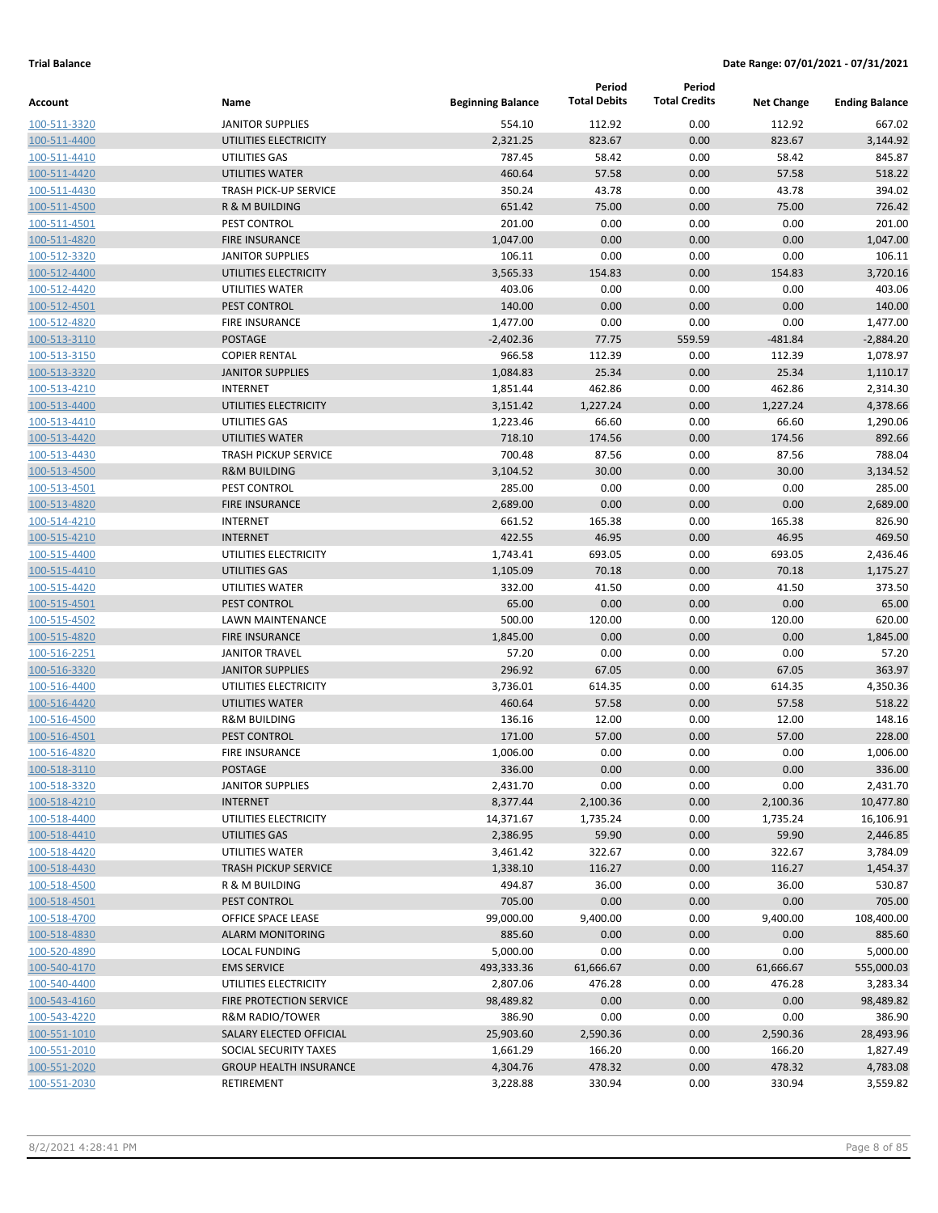|                              |                                       |                          | Period              | Period               |                   |                       |
|------------------------------|---------------------------------------|--------------------------|---------------------|----------------------|-------------------|-----------------------|
| Account                      | Name                                  | <b>Beginning Balance</b> | <b>Total Debits</b> | <b>Total Credits</b> | <b>Net Change</b> | <b>Ending Balance</b> |
| 100-511-3320                 | <b>JANITOR SUPPLIES</b>               | 554.10                   | 112.92              | 0.00                 | 112.92            | 667.02                |
| 100-511-4400                 | UTILITIES ELECTRICITY                 | 2,321.25                 | 823.67              | 0.00                 | 823.67            | 3,144.92              |
| 100-511-4410                 | UTILITIES GAS                         | 787.45                   | 58.42               | 0.00                 | 58.42             | 845.87                |
| 100-511-4420                 | <b>UTILITIES WATER</b>                | 460.64                   | 57.58               | 0.00                 | 57.58             | 518.22                |
| 100-511-4430                 | <b>TRASH PICK-UP SERVICE</b>          | 350.24                   | 43.78               | 0.00                 | 43.78             | 394.02                |
| 100-511-4500                 | R & M BUILDING                        | 651.42                   | 75.00               | 0.00                 | 75.00             | 726.42                |
| 100-511-4501                 | PEST CONTROL                          | 201.00                   | 0.00                | 0.00                 | 0.00              | 201.00                |
| 100-511-4820                 | <b>FIRE INSURANCE</b>                 | 1,047.00                 | 0.00                | 0.00                 | 0.00              | 1,047.00              |
| 100-512-3320                 | <b>JANITOR SUPPLIES</b>               | 106.11                   | 0.00                | 0.00                 | 0.00              | 106.11                |
| 100-512-4400                 | UTILITIES ELECTRICITY                 | 3,565.33                 | 154.83              | 0.00                 | 154.83            | 3,720.16              |
| 100-512-4420                 | UTILITIES WATER                       | 403.06                   | 0.00                | 0.00                 | 0.00              | 403.06                |
| 100-512-4501                 | PEST CONTROL                          | 140.00                   | 0.00                | 0.00                 | 0.00              | 140.00                |
| 100-512-4820                 | <b>FIRE INSURANCE</b>                 | 1,477.00                 | 0.00                | 0.00                 | 0.00              | 1,477.00              |
| 100-513-3110                 | <b>POSTAGE</b>                        | $-2,402.36$              | 77.75               | 559.59               | $-481.84$         | $-2,884.20$           |
| 100-513-3150                 | <b>COPIER RENTAL</b>                  | 966.58                   | 112.39              | 0.00                 | 112.39            | 1,078.97              |
| 100-513-3320                 | <b>JANITOR SUPPLIES</b>               | 1,084.83                 | 25.34               | 0.00                 | 25.34             | 1,110.17              |
| 100-513-4210                 | <b>INTERNET</b>                       | 1,851.44                 | 462.86              | 0.00                 | 462.86            | 2,314.30              |
| 100-513-4400                 | UTILITIES ELECTRICITY                 | 3,151.42                 | 1,227.24            | 0.00                 | 1,227.24          | 4,378.66              |
| 100-513-4410                 | UTILITIES GAS                         | 1,223.46                 | 66.60               | 0.00                 | 66.60             | 1,290.06              |
| 100-513-4420                 | <b>UTILITIES WATER</b>                | 718.10                   | 174.56              | 0.00                 | 174.56            | 892.66                |
| 100-513-4430                 | <b>TRASH PICKUP SERVICE</b>           | 700.48                   | 87.56               | 0.00                 | 87.56             | 788.04                |
| 100-513-4500                 | <b>R&amp;M BUILDING</b>               | 3,104.52                 | 30.00               | 0.00                 | 30.00             | 3,134.52              |
| 100-513-4501                 | PEST CONTROL                          | 285.00                   | 0.00                | 0.00                 | 0.00              | 285.00                |
| 100-513-4820                 | <b>FIRE INSURANCE</b>                 | 2,689.00                 | 0.00                | 0.00                 | 0.00              | 2,689.00              |
| 100-514-4210                 | <b>INTERNET</b>                       | 661.52                   | 165.38              | 0.00                 | 165.38            | 826.90                |
| 100-515-4210                 | <b>INTERNET</b>                       | 422.55                   | 46.95               | 0.00                 | 46.95             | 469.50                |
| 100-515-4400                 | UTILITIES ELECTRICITY                 | 1,743.41                 | 693.05              | 0.00                 | 693.05            | 2,436.46              |
| 100-515-4410                 | UTILITIES GAS                         | 1,105.09                 | 70.18               | 0.00                 | 70.18             | 1,175.27              |
| 100-515-4420                 | UTILITIES WATER                       | 332.00                   | 41.50               | 0.00                 | 41.50             | 373.50                |
| 100-515-4501                 | PEST CONTROL                          | 65.00                    | 0.00                | 0.00                 | 0.00              | 65.00                 |
| 100-515-4502                 | LAWN MAINTENANCE                      | 500.00                   | 120.00              | 0.00                 | 120.00            | 620.00                |
| 100-515-4820                 | <b>FIRE INSURANCE</b>                 | 1,845.00                 | 0.00                | 0.00                 | 0.00              | 1,845.00              |
| 100-516-2251                 | <b>JANITOR TRAVEL</b>                 | 57.20                    | 0.00                | 0.00                 | 0.00              | 57.20                 |
| 100-516-3320                 | <b>JANITOR SUPPLIES</b>               | 296.92                   | 67.05               | 0.00                 | 67.05             | 363.97                |
| 100-516-4400                 | UTILITIES ELECTRICITY                 | 3,736.01                 | 614.35              | 0.00                 | 614.35            | 4,350.36              |
| 100-516-4420                 | <b>UTILITIES WATER</b>                | 460.64                   | 57.58               | 0.00                 | 57.58             | 518.22                |
| 100-516-4500                 | <b>R&amp;M BUILDING</b>               | 136.16                   | 12.00               | 0.00                 | 12.00             | 148.16                |
| 100-516-4501<br>100-516-4820 | PEST CONTROL<br><b>FIRE INSURANCE</b> | 171.00<br>1,006.00       | 57.00<br>0.00       | 0.00<br>0.00         | 57.00<br>0.00     | 228.00<br>1,006.00    |
|                              | POSTAGE                               | 336.00                   | 0.00                | 0.00                 | 0.00              | 336.00                |
| 100-518-3110<br>100-518-3320 | <b>JANITOR SUPPLIES</b>               | 2,431.70                 | 0.00                | 0.00                 | 0.00              | 2,431.70              |
| 100-518-4210                 | <b>INTERNET</b>                       | 8,377.44                 | 2,100.36            | 0.00                 | 2,100.36          | 10,477.80             |
| 100-518-4400                 | UTILITIES ELECTRICITY                 | 14,371.67                | 1,735.24            | 0.00                 | 1,735.24          | 16,106.91             |
| 100-518-4410                 | UTILITIES GAS                         | 2,386.95                 | 59.90               | 0.00                 | 59.90             | 2,446.85              |
| 100-518-4420                 | UTILITIES WATER                       | 3,461.42                 | 322.67              | 0.00                 | 322.67            | 3,784.09              |
| 100-518-4430                 | <b>TRASH PICKUP SERVICE</b>           | 1,338.10                 | 116.27              | 0.00                 | 116.27            | 1,454.37              |
| 100-518-4500                 | <b>R &amp; M BUILDING</b>             | 494.87                   | 36.00               | 0.00                 | 36.00             | 530.87                |
| 100-518-4501                 | PEST CONTROL                          | 705.00                   | 0.00                | 0.00                 | 0.00              | 705.00                |
| 100-518-4700                 | OFFICE SPACE LEASE                    | 99,000.00                | 9,400.00            | 0.00                 | 9,400.00          | 108,400.00            |
| 100-518-4830                 | <b>ALARM MONITORING</b>               | 885.60                   | 0.00                | 0.00                 | 0.00              | 885.60                |
| 100-520-4890                 | <b>LOCAL FUNDING</b>                  | 5,000.00                 | 0.00                | 0.00                 | 0.00              | 5,000.00              |
| 100-540-4170                 | <b>EMS SERVICE</b>                    | 493,333.36               | 61,666.67           | 0.00                 | 61,666.67         | 555,000.03            |
| 100-540-4400                 | UTILITIES ELECTRICITY                 | 2,807.06                 | 476.28              | 0.00                 | 476.28            | 3,283.34              |
| 100-543-4160                 | FIRE PROTECTION SERVICE               | 98,489.82                | 0.00                | 0.00                 | 0.00              | 98,489.82             |
| 100-543-4220                 | <b>R&amp;M RADIO/TOWER</b>            | 386.90                   | 0.00                | 0.00                 | 0.00              | 386.90                |
| 100-551-1010                 | SALARY ELECTED OFFICIAL               | 25,903.60                | 2,590.36            | 0.00                 | 2,590.36          | 28,493.96             |
| 100-551-2010                 | SOCIAL SECURITY TAXES                 | 1,661.29                 | 166.20              | 0.00                 | 166.20            | 1,827.49              |
| 100-551-2020                 | <b>GROUP HEALTH INSURANCE</b>         | 4,304.76                 | 478.32              | 0.00                 | 478.32            | 4,783.08              |
| 100-551-2030                 | RETIREMENT                            | 3,228.88                 | 330.94              | 0.00                 | 330.94            | 3,559.82              |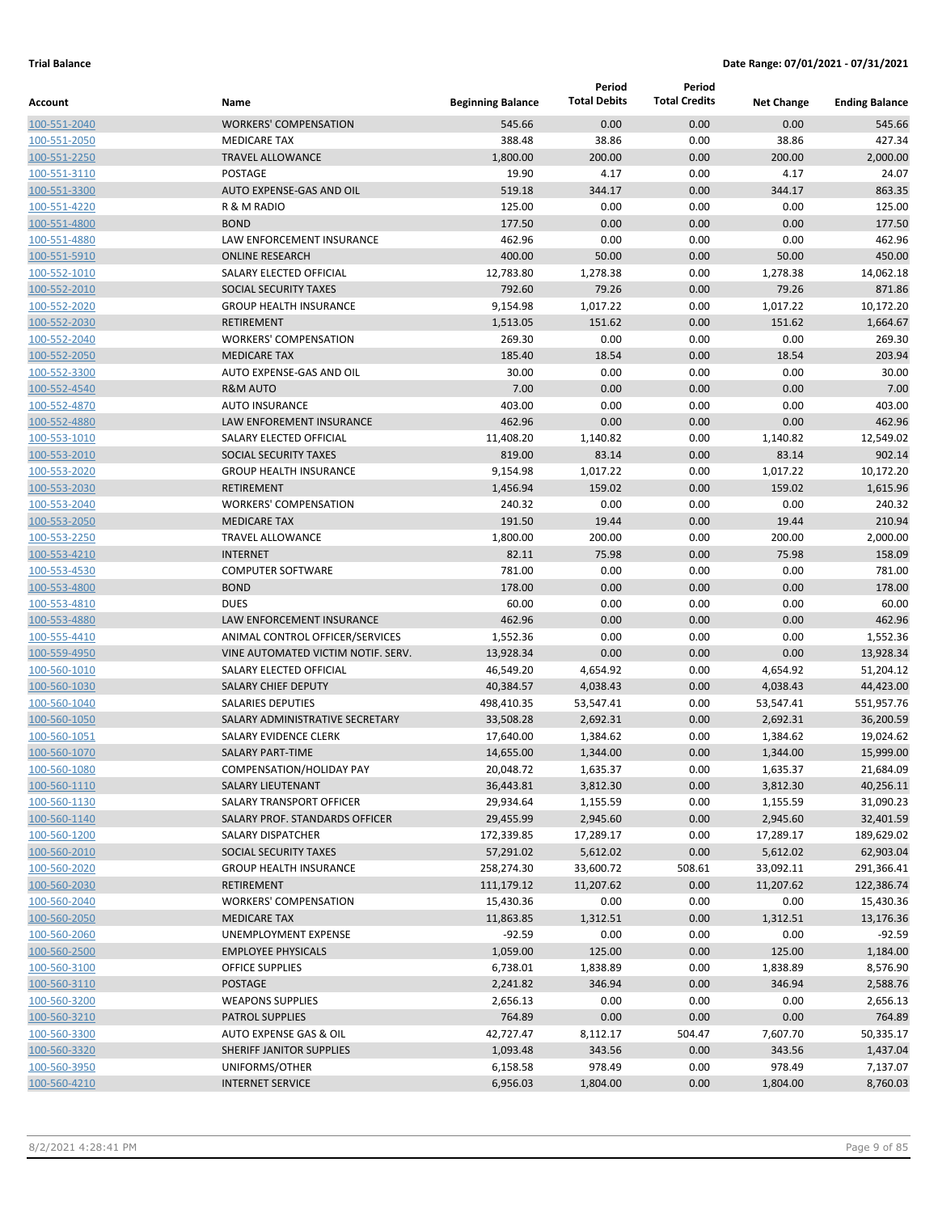|                              |                                                 |                          | Period              | Period<br><b>Total Credits</b> |                   |                       |
|------------------------------|-------------------------------------------------|--------------------------|---------------------|--------------------------------|-------------------|-----------------------|
| Account                      | Name                                            | <b>Beginning Balance</b> | <b>Total Debits</b> |                                | <b>Net Change</b> | <b>Ending Balance</b> |
| 100-551-2040                 | <b>WORKERS' COMPENSATION</b>                    | 545.66                   | 0.00                | 0.00                           | 0.00              | 545.66                |
| 100-551-2050                 | <b>MEDICARE TAX</b>                             | 388.48                   | 38.86               | 0.00                           | 38.86             | 427.34                |
| 100-551-2250                 | <b>TRAVEL ALLOWANCE</b>                         | 1,800.00                 | 200.00              | 0.00                           | 200.00            | 2,000.00              |
| 100-551-3110                 | <b>POSTAGE</b>                                  | 19.90                    | 4.17                | 0.00                           | 4.17              | 24.07                 |
| 100-551-3300                 | AUTO EXPENSE-GAS AND OIL                        | 519.18                   | 344.17              | 0.00                           | 344.17            | 863.35                |
| 100-551-4220                 | R & M RADIO                                     | 125.00                   | 0.00                | 0.00                           | 0.00              | 125.00                |
| 100-551-4800                 | <b>BOND</b>                                     | 177.50                   | 0.00                | 0.00                           | 0.00              | 177.50                |
| 100-551-4880                 | LAW ENFORCEMENT INSURANCE                       | 462.96                   | 0.00                | 0.00                           | 0.00              | 462.96                |
| 100-551-5910                 | <b>ONLINE RESEARCH</b>                          | 400.00                   | 50.00               | 0.00                           | 50.00             | 450.00                |
| 100-552-1010                 | SALARY ELECTED OFFICIAL                         | 12,783.80                | 1,278.38            | 0.00                           | 1,278.38          | 14,062.18             |
| 100-552-2010                 | SOCIAL SECURITY TAXES                           | 792.60                   | 79.26               | 0.00                           | 79.26             | 871.86                |
| 100-552-2020                 | <b>GROUP HEALTH INSURANCE</b>                   | 9,154.98                 | 1,017.22            | 0.00                           | 1,017.22          | 10,172.20             |
| 100-552-2030                 | <b>RETIREMENT</b>                               | 1,513.05                 | 151.62<br>0.00      | 0.00                           | 151.62            | 1,664.67<br>269.30    |
| 100-552-2040                 | <b>WORKERS' COMPENSATION</b>                    | 269.30                   |                     | 0.00                           | 0.00              |                       |
| 100-552-2050<br>100-552-3300 | <b>MEDICARE TAX</b><br>AUTO EXPENSE-GAS AND OIL | 185.40<br>30.00          | 18.54<br>0.00       | 0.00<br>0.00                   | 18.54<br>0.00     | 203.94<br>30.00       |
| 100-552-4540                 | <b>R&amp;M AUTO</b>                             | 7.00                     | 0.00                | 0.00                           | 0.00              | 7.00                  |
| 100-552-4870                 | <b>AUTO INSURANCE</b>                           | 403.00                   | 0.00                | 0.00                           | 0.00              | 403.00                |
| 100-552-4880                 | <b>LAW ENFOREMENT INSURANCE</b>                 | 462.96                   | 0.00                | 0.00                           | 0.00              | 462.96                |
| 100-553-1010                 | SALARY ELECTED OFFICIAL                         | 11,408.20                | 1,140.82            | 0.00                           | 1,140.82          | 12,549.02             |
| 100-553-2010                 | <b>SOCIAL SECURITY TAXES</b>                    | 819.00                   | 83.14               | 0.00                           | 83.14             | 902.14                |
| 100-553-2020                 | <b>GROUP HEALTH INSURANCE</b>                   | 9,154.98                 | 1,017.22            | 0.00                           | 1,017.22          | 10,172.20             |
| 100-553-2030                 | <b>RETIREMENT</b>                               | 1,456.94                 | 159.02              | 0.00                           | 159.02            | 1,615.96              |
| 100-553-2040                 | <b>WORKERS' COMPENSATION</b>                    | 240.32                   | 0.00                | 0.00                           | 0.00              | 240.32                |
| 100-553-2050                 | <b>MEDICARE TAX</b>                             | 191.50                   | 19.44               | 0.00                           | 19.44             | 210.94                |
| 100-553-2250                 | <b>TRAVEL ALLOWANCE</b>                         | 1,800.00                 | 200.00              | 0.00                           | 200.00            | 2,000.00              |
| 100-553-4210                 | <b>INTERNET</b>                                 | 82.11                    | 75.98               | 0.00                           | 75.98             | 158.09                |
| 100-553-4530                 | <b>COMPUTER SOFTWARE</b>                        | 781.00                   | 0.00                | 0.00                           | 0.00              | 781.00                |
| 100-553-4800                 | <b>BOND</b>                                     | 178.00                   | 0.00                | 0.00                           | 0.00              | 178.00                |
| 100-553-4810                 | <b>DUES</b>                                     | 60.00                    | 0.00                | 0.00                           | 0.00              | 60.00                 |
| 100-553-4880                 | LAW ENFORCEMENT INSURANCE                       | 462.96                   | 0.00                | 0.00                           | 0.00              | 462.96                |
| 100-555-4410                 | ANIMAL CONTROL OFFICER/SERVICES                 | 1,552.36                 | 0.00                | 0.00                           | 0.00              | 1,552.36              |
| 100-559-4950                 | VINE AUTOMATED VICTIM NOTIF. SERV.              | 13,928.34                | 0.00                | 0.00                           | 0.00              | 13,928.34             |
| 100-560-1010                 | SALARY ELECTED OFFICIAL                         | 46,549.20                | 4,654.92            | 0.00                           | 4,654.92          | 51,204.12             |
| 100-560-1030                 | <b>SALARY CHIEF DEPUTY</b>                      | 40,384.57                | 4,038.43            | 0.00                           | 4,038.43          | 44,423.00             |
| 100-560-1040                 | <b>SALARIES DEPUTIES</b>                        | 498,410.35               | 53,547.41           | 0.00                           | 53,547.41         | 551,957.76            |
| 100-560-1050                 | SALARY ADMINISTRATIVE SECRETARY                 | 33,508.28                | 2,692.31            | 0.00                           | 2,692.31          | 36,200.59             |
| 100-560-1051                 | SALARY EVIDENCE CLERK                           | 17,640.00                | 1,384.62            | 0.00                           | 1,384.62          | 19,024.62             |
| 100-560-1070                 | SALARY PART-TIME                                | 14,655.00                | 1,344.00            | 0.00                           | 1,344.00          | 15,999.00             |
| 100-560-1080                 | COMPENSATION/HOLIDAY PAY                        | 20,048.72                | 1,635.37            | 0.00                           | 1,635.37          | 21,684.09             |
| 100-560-1110                 | SALARY LIEUTENANT                               | 36,443.81                | 3,812.30            | 0.00                           | 3,812.30          | 40,256.11             |
| 100-560-1130                 | SALARY TRANSPORT OFFICER                        | 29,934.64                | 1,155.59            | 0.00                           | 1,155.59          | 31,090.23             |
| 100-560-1140                 | SALARY PROF. STANDARDS OFFICER                  | 29,455.99                | 2,945.60            | 0.00                           | 2,945.60          | 32,401.59             |
| 100-560-1200                 | SALARY DISPATCHER                               | 172,339.85               | 17,289.17           | 0.00                           | 17,289.17         | 189,629.02            |
| 100-560-2010                 | SOCIAL SECURITY TAXES                           | 57,291.02                | 5,612.02            | 0.00                           | 5,612.02          | 62,903.04             |
| 100-560-2020                 | <b>GROUP HEALTH INSURANCE</b>                   | 258,274.30               | 33,600.72           | 508.61                         | 33,092.11         | 291,366.41            |
| 100-560-2030                 | <b>RETIREMENT</b>                               | 111,179.12               | 11,207.62           | 0.00                           | 11,207.62         | 122,386.74            |
| 100-560-2040                 | <b>WORKERS' COMPENSATION</b>                    | 15,430.36                | 0.00                | 0.00                           | 0.00              | 15,430.36             |
| 100-560-2050                 | <b>MEDICARE TAX</b>                             | 11,863.85                | 1,312.51            | 0.00                           | 1,312.51          | 13,176.36             |
| 100-560-2060                 | UNEMPLOYMENT EXPENSE                            | $-92.59$                 | 0.00                | 0.00                           | 0.00              | $-92.59$              |
| 100-560-2500                 | <b>EMPLOYEE PHYSICALS</b>                       | 1,059.00                 | 125.00              | 0.00                           | 125.00            | 1,184.00              |
| 100-560-3100                 | <b>OFFICE SUPPLIES</b>                          | 6,738.01                 | 1,838.89            | 0.00                           | 1,838.89          | 8,576.90              |
| 100-560-3110                 | <b>POSTAGE</b>                                  | 2,241.82                 | 346.94              | 0.00                           | 346.94            | 2,588.76              |
| 100-560-3200                 | <b>WEAPONS SUPPLIES</b>                         | 2,656.13                 | 0.00                | 0.00                           | 0.00              | 2,656.13              |
| 100-560-3210                 | PATROL SUPPLIES                                 | 764.89                   | 0.00                | 0.00                           | 0.00              | 764.89                |
| 100-560-3300                 | AUTO EXPENSE GAS & OIL                          | 42,727.47                | 8,112.17            | 504.47                         | 7,607.70          | 50,335.17             |
| 100-560-3320                 | SHERIFF JANITOR SUPPLIES                        | 1,093.48                 | 343.56              | 0.00                           | 343.56            | 1,437.04              |
| 100-560-3950                 | UNIFORMS/OTHER                                  | 6,158.58                 | 978.49              | 0.00                           | 978.49            | 7,137.07              |
| 100-560-4210                 | <b>INTERNET SERVICE</b>                         | 6,956.03                 | 1,804.00            | 0.00                           | 1,804.00          | 8,760.03              |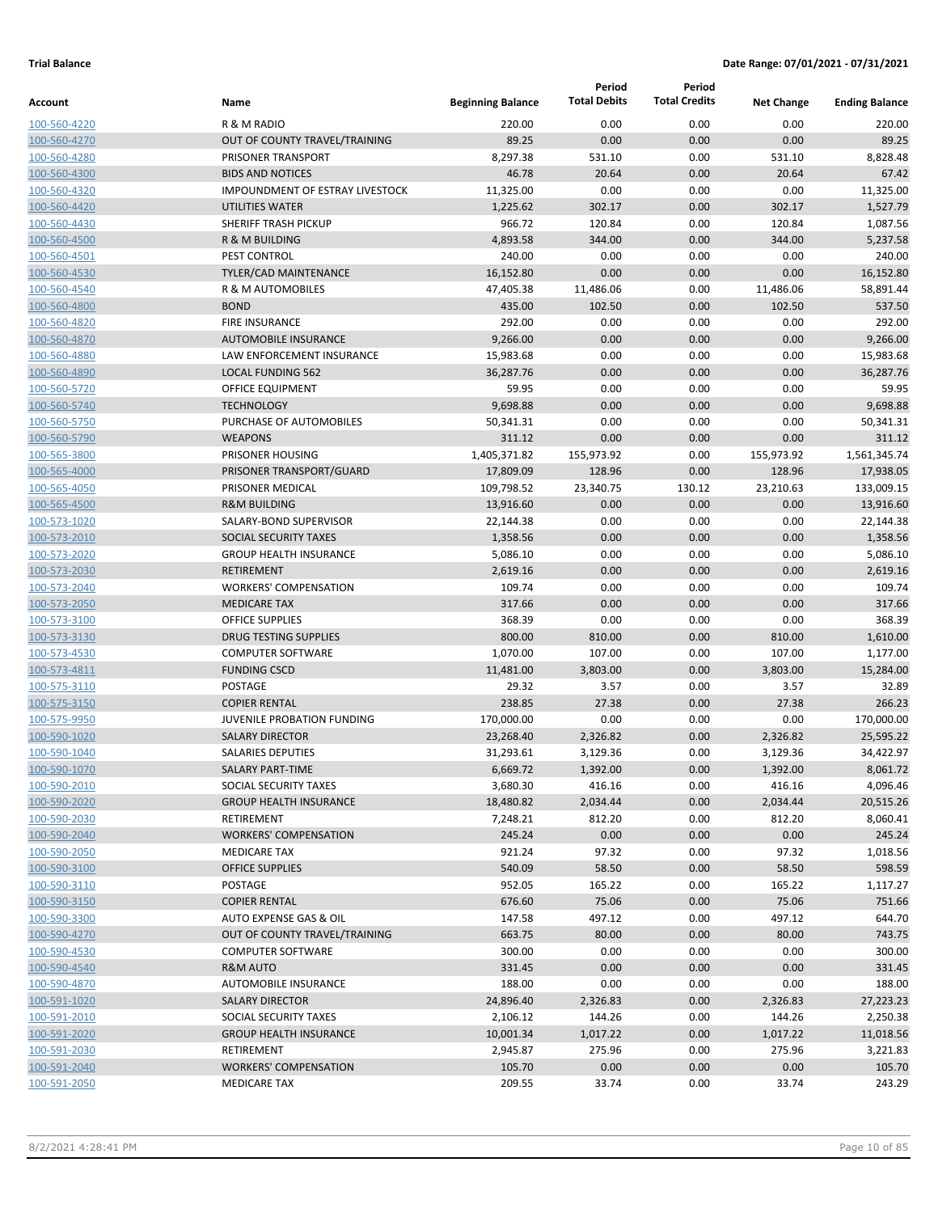|                              |                                                |                          | Period              | Period               |                   |                       |
|------------------------------|------------------------------------------------|--------------------------|---------------------|----------------------|-------------------|-----------------------|
| Account                      | Name                                           | <b>Beginning Balance</b> | <b>Total Debits</b> | <b>Total Credits</b> | <b>Net Change</b> | <b>Ending Balance</b> |
| 100-560-4220                 | R & M RADIO                                    | 220.00                   | 0.00                | 0.00                 | 0.00              | 220.00                |
| 100-560-4270                 | OUT OF COUNTY TRAVEL/TRAINING                  | 89.25                    | 0.00                | 0.00                 | 0.00              | 89.25                 |
| 100-560-4280                 | PRISONER TRANSPORT                             | 8,297.38                 | 531.10              | 0.00                 | 531.10            | 8,828.48              |
| 100-560-4300                 | <b>BIDS AND NOTICES</b>                        | 46.78                    | 20.64               | 0.00                 | 20.64             | 67.42                 |
| 100-560-4320                 | <b>IMPOUNDMENT OF ESTRAY LIVESTOCK</b>         | 11,325.00                | 0.00                | 0.00                 | 0.00              | 11,325.00             |
| 100-560-4420                 | <b>UTILITIES WATER</b>                         | 1,225.62                 | 302.17              | 0.00                 | 302.17            | 1,527.79              |
| 100-560-4430                 | SHERIFF TRASH PICKUP                           | 966.72                   | 120.84              | 0.00                 | 120.84            | 1,087.56              |
| 100-560-4500                 | R & M BUILDING                                 | 4,893.58                 | 344.00              | 0.00                 | 344.00            | 5,237.58              |
| 100-560-4501                 | PEST CONTROL                                   | 240.00                   | 0.00                | 0.00                 | 0.00              | 240.00                |
| 100-560-4530                 | <b>TYLER/CAD MAINTENANCE</b>                   | 16,152.80                | 0.00                | 0.00                 | 0.00              | 16,152.80             |
| 100-560-4540                 | R & M AUTOMOBILES                              | 47,405.38                | 11,486.06           | 0.00                 | 11,486.06         | 58,891.44             |
| 100-560-4800                 | <b>BOND</b>                                    | 435.00                   | 102.50              | 0.00                 | 102.50            | 537.50                |
| 100-560-4820                 | <b>FIRE INSURANCE</b>                          | 292.00                   | 0.00                | 0.00                 | 0.00              | 292.00                |
| 100-560-4870                 | <b>AUTOMOBILE INSURANCE</b>                    | 9,266.00                 | 0.00                | 0.00                 | 0.00              | 9,266.00              |
| 100-560-4880                 | LAW ENFORCEMENT INSURANCE                      | 15,983.68                | 0.00                | 0.00                 | 0.00              | 15,983.68             |
| 100-560-4890                 | <b>LOCAL FUNDING 562</b>                       | 36,287.76                | 0.00                | 0.00                 | 0.00              | 36,287.76             |
| 100-560-5720                 | <b>OFFICE EQUIPMENT</b>                        | 59.95                    | 0.00                | 0.00                 | 0.00              | 59.95                 |
| 100-560-5740                 | <b>TECHNOLOGY</b>                              | 9,698.88                 | 0.00                | 0.00                 | 0.00              | 9,698.88              |
| 100-560-5750                 | PURCHASE OF AUTOMOBILES                        | 50,341.31                | 0.00                | 0.00                 | 0.00              | 50,341.31             |
| 100-560-5790                 | <b>WEAPONS</b>                                 | 311.12                   | 0.00                | 0.00                 | 0.00              | 311.12                |
| 100-565-3800                 | PRISONER HOUSING                               | 1,405,371.82             | 155,973.92          | 0.00                 | 155,973.92        | 1,561,345.74          |
| 100-565-4000                 | PRISONER TRANSPORT/GUARD                       | 17,809.09                | 128.96              | 0.00                 | 128.96            | 17,938.05             |
| 100-565-4050                 | PRISONER MEDICAL                               | 109,798.52               | 23,340.75           | 130.12               | 23,210.63         | 133,009.15            |
| 100-565-4500                 | <b>R&amp;M BUILDING</b>                        | 13,916.60                | 0.00                | 0.00                 | 0.00              | 13,916.60             |
| 100-573-1020                 | SALARY-BOND SUPERVISOR                         | 22,144.38                | 0.00                | 0.00                 | 0.00              | 22,144.38             |
| 100-573-2010                 | SOCIAL SECURITY TAXES                          | 1,358.56                 | 0.00                | 0.00                 | 0.00              | 1,358.56              |
| 100-573-2020                 | <b>GROUP HEALTH INSURANCE</b>                  | 5,086.10                 | 0.00                | 0.00                 | 0.00              | 5,086.10              |
| 100-573-2030                 | <b>RETIREMENT</b>                              | 2,619.16                 | 0.00                | 0.00                 | 0.00              | 2,619.16              |
| 100-573-2040                 | <b>WORKERS' COMPENSATION</b>                   | 109.74                   | 0.00                | 0.00                 | 0.00              | 109.74                |
| 100-573-2050                 | <b>MEDICARE TAX</b>                            | 317.66                   | 0.00                | 0.00                 | 0.00              | 317.66                |
| 100-573-3100                 | <b>OFFICE SUPPLIES</b>                         | 368.39                   | 0.00                | 0.00                 | 0.00              | 368.39                |
| 100-573-3130                 | <b>DRUG TESTING SUPPLIES</b>                   | 800.00                   | 810.00              | 0.00                 | 810.00            | 1,610.00              |
| 100-573-4530                 | <b>COMPUTER SOFTWARE</b>                       | 1,070.00                 | 107.00              | 0.00                 | 107.00            | 1,177.00              |
| 100-573-4811                 | <b>FUNDING CSCD</b>                            | 11,481.00                | 3,803.00            | 0.00                 | 3,803.00          | 15,284.00             |
| 100-575-3110                 | <b>POSTAGE</b>                                 | 29.32                    | 3.57                | 0.00                 | 3.57              | 32.89                 |
| 100-575-3150                 | <b>COPIER RENTAL</b>                           | 238.85                   | 27.38               | 0.00                 | 27.38             | 266.23                |
| 100-575-9950                 | JUVENILE PROBATION FUNDING                     | 170,000.00               | 0.00                | 0.00                 | 0.00              | 170,000.00            |
| 100-590-1020                 | <b>SALARY DIRECTOR</b>                         | 23,268.40                | 2,326.82            | 0.00                 | 2,326.82          | 25,595.22             |
| 100-590-1040                 | <b>SALARIES DEPUTIES</b>                       | 31,293.61                | 3,129.36            | 0.00                 | 3,129.36          | 34,422.97             |
| 100-590-1070                 | SALARY PART-TIME                               | 6,669.72                 | 1,392.00            | 0.00                 | 1,392.00          | 8,061.72              |
| 100-590-2010                 | SOCIAL SECURITY TAXES                          | 3,680.30                 | 416.16              | 0.00                 | 416.16            | 4,096.46              |
| 100-590-2020                 | <b>GROUP HEALTH INSURANCE</b>                  | 18,480.82                | 2,034.44            | 0.00                 | 2,034.44          | 20,515.26             |
| 100-590-2030                 | RETIREMENT                                     | 7,248.21                 | 812.20              | 0.00                 | 812.20            | 8,060.41              |
| 100-590-2040                 | <b>WORKERS' COMPENSATION</b>                   | 245.24                   | 0.00                | 0.00                 | 0.00              | 245.24                |
| 100-590-2050                 | <b>MEDICARE TAX</b>                            | 921.24                   | 97.32               | 0.00                 | 97.32             | 1,018.56              |
| 100-590-3100                 | <b>OFFICE SUPPLIES</b>                         | 540.09                   | 58.50               | 0.00                 | 58.50             | 598.59                |
| 100-590-3110<br>100-590-3150 | POSTAGE                                        | 952.05                   | 165.22<br>75.06     | 0.00                 | 165.22<br>75.06   | 1,117.27<br>751.66    |
| 100-590-3300                 | <b>COPIER RENTAL</b><br>AUTO EXPENSE GAS & OIL | 676.60<br>147.58         | 497.12              | 0.00<br>0.00         | 497.12            | 644.70                |
| 100-590-4270                 | OUT OF COUNTY TRAVEL/TRAINING                  | 663.75                   | 80.00               | 0.00                 | 80.00             | 743.75                |
| 100-590-4530                 | <b>COMPUTER SOFTWARE</b>                       | 300.00                   | 0.00                | 0.00                 | 0.00              | 300.00                |
| 100-590-4540                 | R&M AUTO                                       | 331.45                   | 0.00                | 0.00                 | 0.00              | 331.45                |
| 100-590-4870                 | AUTOMOBILE INSURANCE                           | 188.00                   | 0.00                | 0.00                 | 0.00              | 188.00                |
| 100-591-1020                 | SALARY DIRECTOR                                | 24,896.40                | 2,326.83            | 0.00                 | 2,326.83          | 27,223.23             |
| 100-591-2010                 | SOCIAL SECURITY TAXES                          | 2,106.12                 | 144.26              | 0.00                 | 144.26            | 2,250.38              |
| 100-591-2020                 | <b>GROUP HEALTH INSURANCE</b>                  | 10,001.34                | 1,017.22            | 0.00                 | 1,017.22          | 11,018.56             |
| 100-591-2030                 | RETIREMENT                                     | 2,945.87                 | 275.96              | 0.00                 | 275.96            | 3,221.83              |
| 100-591-2040                 | <b>WORKERS' COMPENSATION</b>                   | 105.70                   | 0.00                | 0.00                 | 0.00              | 105.70                |
| 100-591-2050                 | <b>MEDICARE TAX</b>                            | 209.55                   | 33.74               | 0.00                 | 33.74             | 243.29                |
|                              |                                                |                          |                     |                      |                   |                       |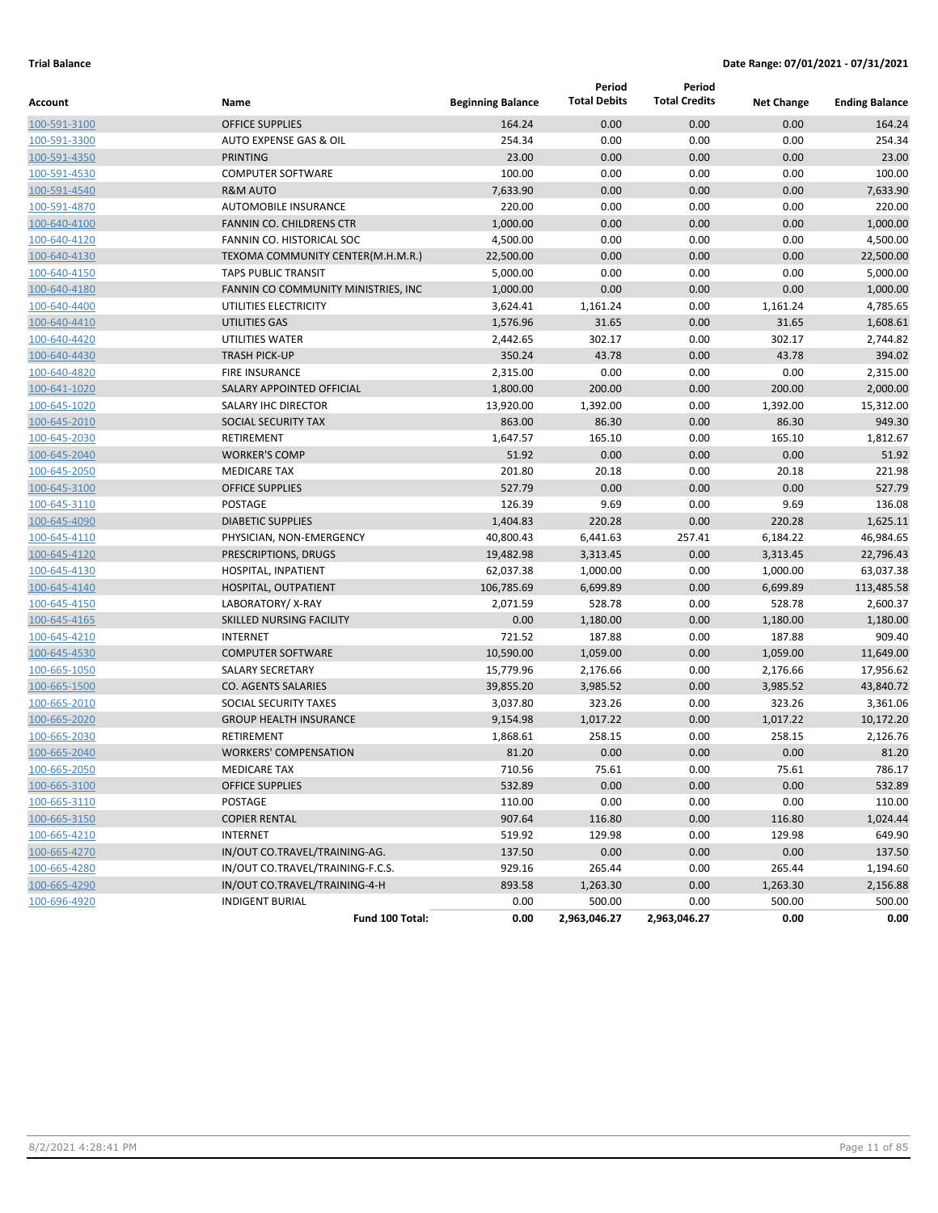|              |                                     |                          | Period              | Period               |                   |                       |
|--------------|-------------------------------------|--------------------------|---------------------|----------------------|-------------------|-----------------------|
| Account      | Name                                | <b>Beginning Balance</b> | <b>Total Debits</b> | <b>Total Credits</b> | <b>Net Change</b> | <b>Ending Balance</b> |
| 100-591-3100 | <b>OFFICE SUPPLIES</b>              | 164.24                   | 0.00                | 0.00                 | 0.00              | 164.24                |
| 100-591-3300 | AUTO EXPENSE GAS & OIL              | 254.34                   | 0.00                | 0.00                 | 0.00              | 254.34                |
| 100-591-4350 | <b>PRINTING</b>                     | 23.00                    | 0.00                | 0.00                 | 0.00              | 23.00                 |
| 100-591-4530 | <b>COMPUTER SOFTWARE</b>            | 100.00                   | 0.00                | 0.00                 | 0.00              | 100.00                |
| 100-591-4540 | <b>R&amp;M AUTO</b>                 | 7,633.90                 | 0.00                | 0.00                 | 0.00              | 7,633.90              |
| 100-591-4870 | <b>AUTOMOBILE INSURANCE</b>         | 220.00                   | 0.00                | 0.00                 | 0.00              | 220.00                |
| 100-640-4100 | <b>FANNIN CO. CHILDRENS CTR</b>     | 1,000.00                 | 0.00                | 0.00                 | 0.00              | 1,000.00              |
| 100-640-4120 | FANNIN CO. HISTORICAL SOC           | 4,500.00                 | 0.00                | 0.00                 | 0.00              | 4,500.00              |
| 100-640-4130 | TEXOMA COMMUNITY CENTER(M.H.M.R.)   | 22,500.00                | 0.00                | 0.00                 | 0.00              | 22,500.00             |
| 100-640-4150 | <b>TAPS PUBLIC TRANSIT</b>          | 5,000.00                 | 0.00                | 0.00                 | 0.00              | 5,000.00              |
| 100-640-4180 | FANNIN CO COMMUNITY MINISTRIES, INC | 1,000.00                 | 0.00                | 0.00                 | 0.00              | 1,000.00              |
| 100-640-4400 | UTILITIES ELECTRICITY               | 3,624.41                 | 1,161.24            | 0.00                 | 1,161.24          | 4,785.65              |
| 100-640-4410 | UTILITIES GAS                       | 1,576.96                 | 31.65               | 0.00                 | 31.65             | 1,608.61              |
| 100-640-4420 | UTILITIES WATER                     | 2,442.65                 | 302.17              | 0.00                 | 302.17            | 2,744.82              |
| 100-640-4430 | <b>TRASH PICK-UP</b>                | 350.24                   | 43.78               | 0.00                 | 43.78             | 394.02                |
| 100-640-4820 | <b>FIRE INSURANCE</b>               | 2,315.00                 | 0.00                | 0.00                 | 0.00              | 2,315.00              |
| 100-641-1020 | <b>SALARY APPOINTED OFFICIAL</b>    | 1,800.00                 | 200.00              | 0.00                 | 200.00            | 2,000.00              |
| 100-645-1020 | SALARY IHC DIRECTOR                 | 13,920.00                | 1,392.00            | 0.00                 | 1,392.00          | 15,312.00             |
| 100-645-2010 | SOCIAL SECURITY TAX                 | 863.00                   | 86.30               | 0.00                 | 86.30             | 949.30                |
| 100-645-2030 | RETIREMENT                          | 1,647.57                 | 165.10              | 0.00                 | 165.10            | 1,812.67              |
| 100-645-2040 | <b>WORKER'S COMP</b>                | 51.92                    | 0.00                | 0.00                 | 0.00              | 51.92                 |
| 100-645-2050 | <b>MEDICARE TAX</b>                 | 201.80                   | 20.18               | 0.00                 | 20.18             | 221.98                |
| 100-645-3100 | <b>OFFICE SUPPLIES</b>              | 527.79                   | 0.00                | 0.00                 | 0.00              | 527.79                |
| 100-645-3110 | <b>POSTAGE</b>                      | 126.39                   | 9.69                | 0.00                 | 9.69              | 136.08                |
| 100-645-4090 | <b>DIABETIC SUPPLIES</b>            | 1,404.83                 | 220.28              | 0.00                 | 220.28            | 1,625.11              |
| 100-645-4110 | PHYSICIAN, NON-EMERGENCY            | 40,800.43                | 6,441.63            | 257.41               | 6,184.22          | 46,984.65             |
| 100-645-4120 | PRESCRIPTIONS, DRUGS                | 19,482.98                | 3,313.45            | 0.00                 | 3,313.45          | 22,796.43             |
| 100-645-4130 | HOSPITAL, INPATIENT                 | 62,037.38                | 1,000.00            | 0.00                 | 1,000.00          | 63,037.38             |
| 100-645-4140 | HOSPITAL, OUTPATIENT                | 106,785.69               | 6,699.89            | 0.00                 | 6,699.89          | 113,485.58            |
| 100-645-4150 | LABORATORY/X-RAY                    | 2,071.59                 | 528.78              | 0.00                 | 528.78            | 2,600.37              |
| 100-645-4165 | SKILLED NURSING FACILITY            | 0.00                     | 1,180.00            | 0.00                 | 1,180.00          | 1,180.00              |
| 100-645-4210 | <b>INTERNET</b>                     | 721.52                   | 187.88              | 0.00                 | 187.88            | 909.40                |
| 100-645-4530 | <b>COMPUTER SOFTWARE</b>            | 10,590.00                | 1,059.00            | 0.00                 | 1,059.00          | 11,649.00             |
| 100-665-1050 | <b>SALARY SECRETARY</b>             | 15,779.96                | 2,176.66            | 0.00                 | 2,176.66          | 17,956.62             |
| 100-665-1500 | <b>CO. AGENTS SALARIES</b>          | 39,855.20                | 3,985.52            | 0.00                 | 3,985.52          | 43,840.72             |
| 100-665-2010 | SOCIAL SECURITY TAXES               | 3,037.80                 | 323.26              | 0.00                 | 323.26            | 3,361.06              |
| 100-665-2020 | <b>GROUP HEALTH INSURANCE</b>       | 9,154.98                 | 1,017.22            | 0.00                 | 1,017.22          | 10,172.20             |
| 100-665-2030 | RETIREMENT                          | 1,868.61                 | 258.15              | 0.00                 | 258.15            | 2,126.76              |
| 100-665-2040 | <b>WORKERS' COMPENSATION</b>        | 81.20                    | 0.00                | 0.00                 | 0.00              | 81.20                 |
| 100-665-2050 | MEDICARE TAX                        | 710.56                   | 75.61               | 0.00                 | 75.61             | 786.17                |
| 100-665-3100 | <b>OFFICE SUPPLIES</b>              | 532.89                   | 0.00                | 0.00                 | 0.00              | 532.89                |
| 100-665-3110 | POSTAGE                             | 110.00                   | 0.00                | 0.00                 | 0.00              | 110.00                |
| 100-665-3150 | <b>COPIER RENTAL</b>                | 907.64                   | 116.80              | 0.00                 | 116.80            | 1,024.44              |
| 100-665-4210 | <b>INTERNET</b>                     | 519.92                   | 129.98              | 0.00                 | 129.98            | 649.90                |
| 100-665-4270 | IN/OUT CO.TRAVEL/TRAINING-AG.       | 137.50                   | 0.00                | 0.00                 | 0.00              | 137.50                |
| 100-665-4280 | IN/OUT CO.TRAVEL/TRAINING-F.C.S.    | 929.16                   | 265.44              | 0.00                 | 265.44            | 1,194.60              |
| 100-665-4290 | IN/OUT CO.TRAVEL/TRAINING-4-H       | 893.58                   | 1,263.30            | 0.00                 | 1,263.30          | 2,156.88              |
| 100-696-4920 | <b>INDIGENT BURIAL</b>              | 0.00                     | 500.00              | 0.00                 | 500.00            | 500.00                |
|              | Fund 100 Total:                     | 0.00                     | 2,963,046.27        | 2,963,046.27         | 0.00              | 0.00                  |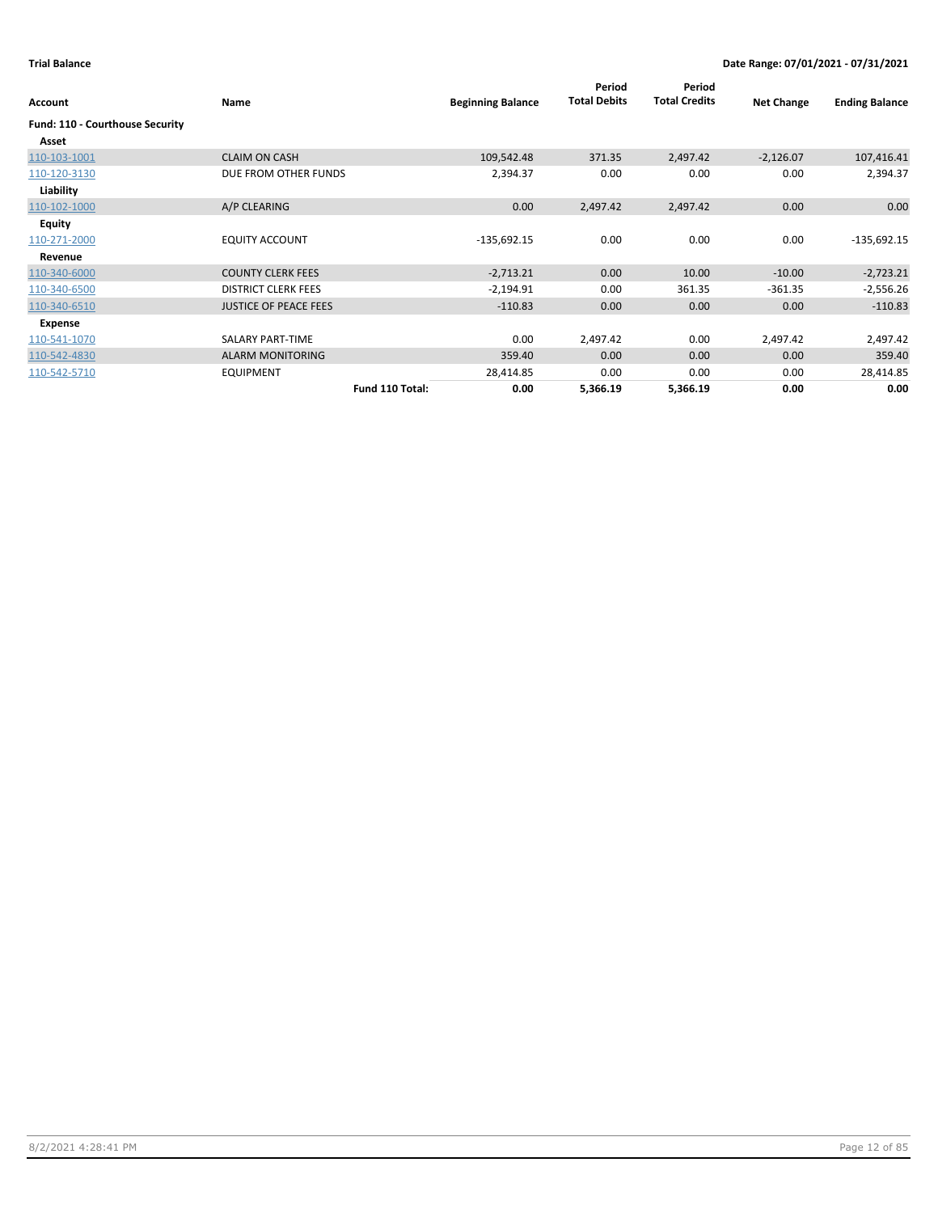| Account                         | Name                         | <b>Beginning Balance</b> | Period<br><b>Total Debits</b> | Period<br><b>Total Credits</b> | <b>Net Change</b> | <b>Ending Balance</b> |
|---------------------------------|------------------------------|--------------------------|-------------------------------|--------------------------------|-------------------|-----------------------|
| Fund: 110 - Courthouse Security |                              |                          |                               |                                |                   |                       |
| Asset                           |                              |                          |                               |                                |                   |                       |
| 110-103-1001                    | <b>CLAIM ON CASH</b>         | 109,542.48               | 371.35                        | 2,497.42                       | $-2,126.07$       | 107,416.41            |
| 110-120-3130                    | DUE FROM OTHER FUNDS         | 2,394.37                 | 0.00                          | 0.00                           | 0.00              | 2,394.37              |
| Liability                       |                              |                          |                               |                                |                   |                       |
| 110-102-1000                    | A/P CLEARING                 | 0.00                     | 2,497.42                      | 2,497.42                       | 0.00              | 0.00                  |
| Equity                          |                              |                          |                               |                                |                   |                       |
| 110-271-2000                    | <b>EQUITY ACCOUNT</b>        | $-135,692.15$            | 0.00                          | 0.00                           | 0.00              | $-135,692.15$         |
| Revenue                         |                              |                          |                               |                                |                   |                       |
| 110-340-6000                    | <b>COUNTY CLERK FEES</b>     | $-2,713.21$              | 0.00                          | 10.00                          | $-10.00$          | $-2,723.21$           |
| 110-340-6500                    | <b>DISTRICT CLERK FEES</b>   | $-2,194.91$              | 0.00                          | 361.35                         | $-361.35$         | $-2,556.26$           |
| 110-340-6510                    | <b>JUSTICE OF PEACE FEES</b> | $-110.83$                | 0.00                          | 0.00                           | 0.00              | $-110.83$             |
| Expense                         |                              |                          |                               |                                |                   |                       |
| 110-541-1070                    | SALARY PART-TIME             | 0.00                     | 2,497.42                      | 0.00                           | 2,497.42          | 2,497.42              |
| 110-542-4830                    | <b>ALARM MONITORING</b>      | 359.40                   | 0.00                          | 0.00                           | 0.00              | 359.40                |
| 110-542-5710                    | <b>EQUIPMENT</b>             | 28,414.85                | 0.00                          | 0.00                           | 0.00              | 28,414.85             |
|                                 | Fund 110 Total:              | 0.00                     | 5,366.19                      | 5,366.19                       | 0.00              | 0.00                  |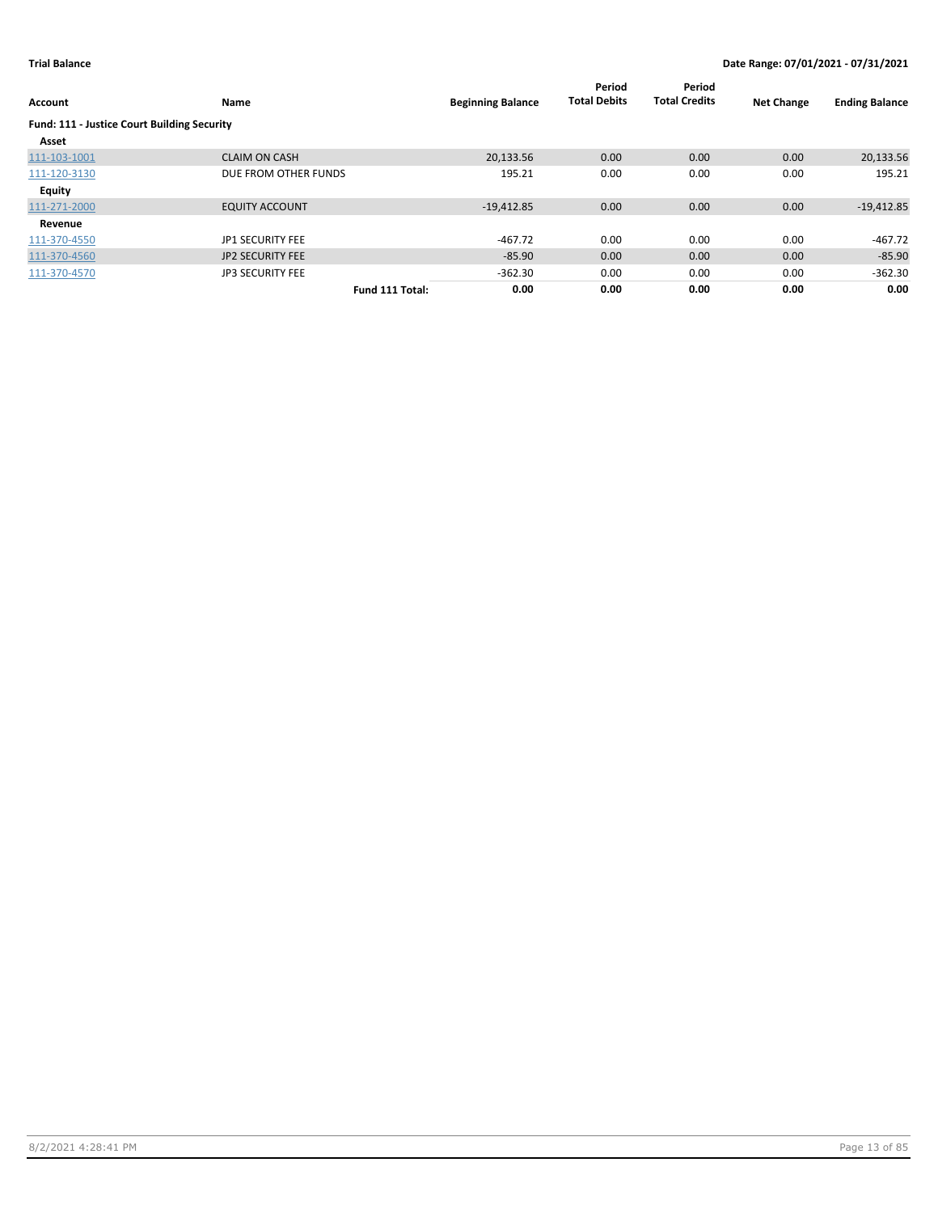| Account                                     | Name                    |                 | <b>Beginning Balance</b> | Period<br><b>Total Debits</b> | Period<br><b>Total Credits</b> | <b>Net Change</b> | <b>Ending Balance</b> |
|---------------------------------------------|-------------------------|-----------------|--------------------------|-------------------------------|--------------------------------|-------------------|-----------------------|
| Fund: 111 - Justice Court Building Security |                         |                 |                          |                               |                                |                   |                       |
| Asset                                       |                         |                 |                          |                               |                                |                   |                       |
| 111-103-1001                                | <b>CLAIM ON CASH</b>    |                 | 20.133.56                | 0.00                          | 0.00                           | 0.00              | 20,133.56             |
| 111-120-3130                                | DUE FROM OTHER FUNDS    |                 | 195.21                   | 0.00                          | 0.00                           | 0.00              | 195.21                |
| <b>Equity</b>                               |                         |                 |                          |                               |                                |                   |                       |
| 111-271-2000                                | <b>EQUITY ACCOUNT</b>   |                 | $-19,412.85$             | 0.00                          | 0.00                           | 0.00              | $-19,412.85$          |
| Revenue                                     |                         |                 |                          |                               |                                |                   |                       |
| 111-370-4550                                | JP1 SECURITY FEE        |                 | $-467.72$                | 0.00                          | 0.00                           | 0.00              | $-467.72$             |
| 111-370-4560                                | <b>JP2 SECURITY FEE</b> |                 | $-85.90$                 | 0.00                          | 0.00                           | 0.00              | $-85.90$              |
| 111-370-4570                                | <b>JP3 SECURITY FEE</b> |                 | $-362.30$                | 0.00                          | 0.00                           | 0.00              | $-362.30$             |
|                                             |                         | Fund 111 Total: | 0.00                     | 0.00                          | 0.00                           | 0.00              | 0.00                  |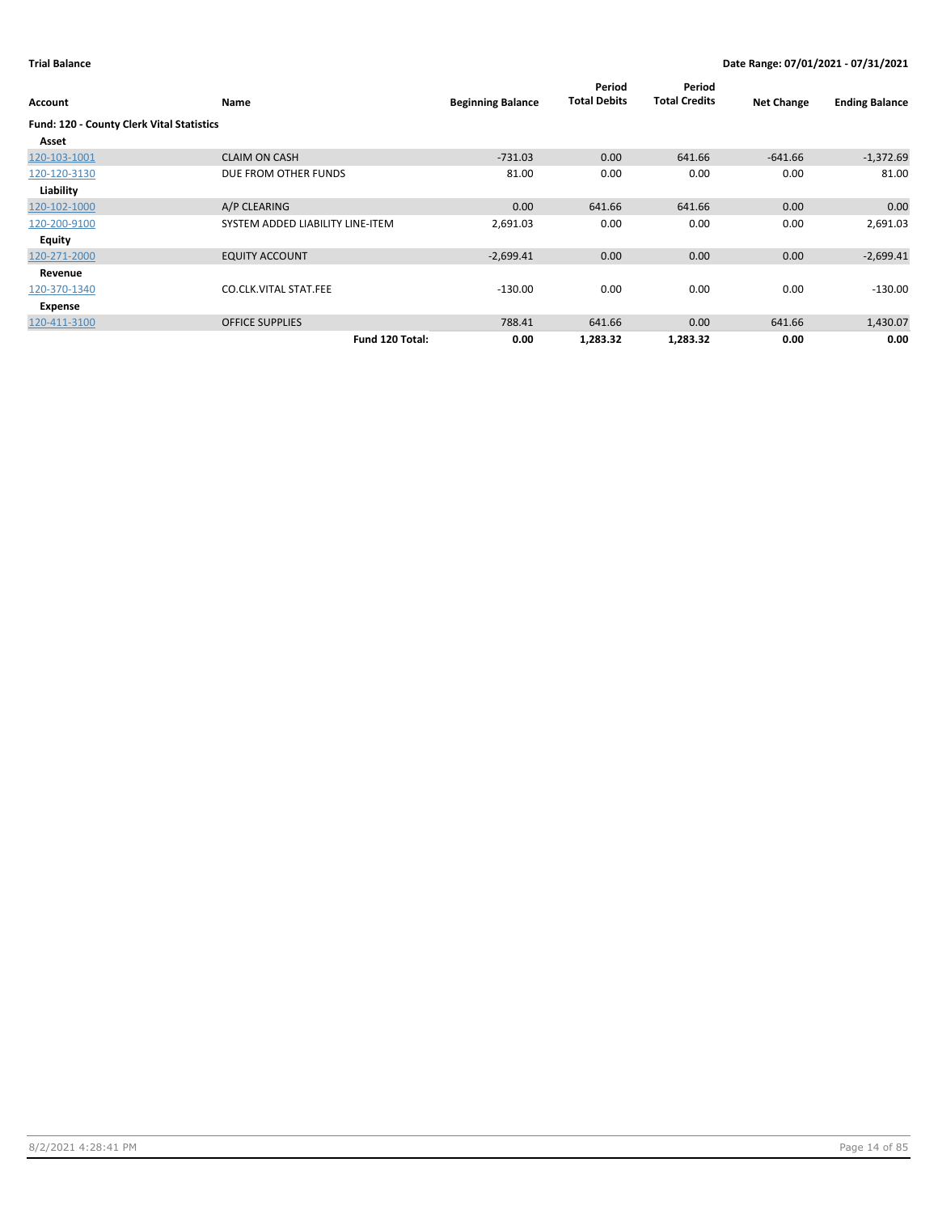| Account                                   | Name                             | <b>Beginning Balance</b> | Period<br><b>Total Debits</b> | Period<br><b>Total Credits</b> | <b>Net Change</b> | <b>Ending Balance</b> |
|-------------------------------------------|----------------------------------|--------------------------|-------------------------------|--------------------------------|-------------------|-----------------------|
| Fund: 120 - County Clerk Vital Statistics |                                  |                          |                               |                                |                   |                       |
| Asset                                     |                                  |                          |                               |                                |                   |                       |
| 120-103-1001                              | <b>CLAIM ON CASH</b>             | $-731.03$                | 0.00                          | 641.66                         | $-641.66$         | $-1,372.69$           |
| 120-120-3130                              | DUE FROM OTHER FUNDS             | 81.00                    | 0.00                          | 0.00                           | 0.00              | 81.00                 |
| Liability                                 |                                  |                          |                               |                                |                   |                       |
| 120-102-1000                              | A/P CLEARING                     | 0.00                     | 641.66                        | 641.66                         | 0.00              | 0.00                  |
| 120-200-9100                              | SYSTEM ADDED LIABILITY LINE-ITEM | 2,691.03                 | 0.00                          | 0.00                           | 0.00              | 2,691.03              |
| <b>Equity</b>                             |                                  |                          |                               |                                |                   |                       |
| 120-271-2000                              | <b>EQUITY ACCOUNT</b>            | $-2,699.41$              | 0.00                          | 0.00                           | 0.00              | $-2,699.41$           |
| Revenue                                   |                                  |                          |                               |                                |                   |                       |
| 120-370-1340                              | <b>CO.CLK.VITAL STAT.FEE</b>     | $-130.00$                | 0.00                          | 0.00                           | 0.00              | $-130.00$             |
| Expense                                   |                                  |                          |                               |                                |                   |                       |
| 120-411-3100                              | <b>OFFICE SUPPLIES</b>           | 788.41                   | 641.66                        | 0.00                           | 641.66            | 1,430.07              |
|                                           | Fund 120 Total:                  | 0.00                     | 1,283.32                      | 1,283.32                       | 0.00              | 0.00                  |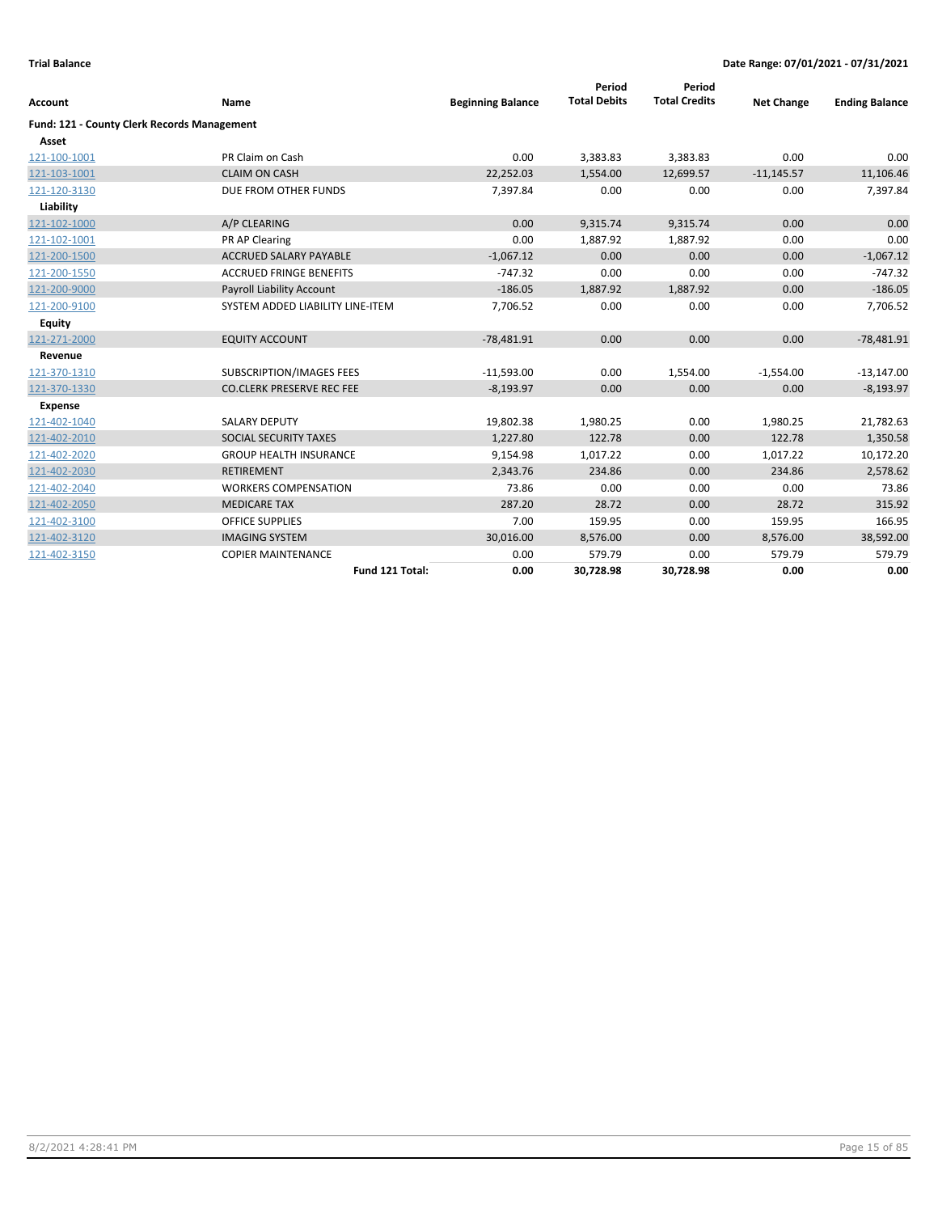|                                             |                                  |                          | Period              | Period               |                   |                       |
|---------------------------------------------|----------------------------------|--------------------------|---------------------|----------------------|-------------------|-----------------------|
| <b>Account</b>                              | Name                             | <b>Beginning Balance</b> | <b>Total Debits</b> | <b>Total Credits</b> | <b>Net Change</b> | <b>Ending Balance</b> |
| Fund: 121 - County Clerk Records Management |                                  |                          |                     |                      |                   |                       |
| Asset                                       |                                  |                          |                     |                      |                   |                       |
| 121-100-1001                                | PR Claim on Cash                 | 0.00                     | 3,383.83            | 3,383.83             | 0.00              | 0.00                  |
| 121-103-1001                                | <b>CLAIM ON CASH</b>             | 22,252.03                | 1,554.00            | 12,699.57            | $-11,145.57$      | 11,106.46             |
| 121-120-3130                                | DUE FROM OTHER FUNDS             | 7,397.84                 | 0.00                | 0.00                 | 0.00              | 7,397.84              |
| Liability                                   |                                  |                          |                     |                      |                   |                       |
| 121-102-1000                                | A/P CLEARING                     | 0.00                     | 9,315.74            | 9,315.74             | 0.00              | 0.00                  |
| 121-102-1001                                | PR AP Clearing                   | 0.00                     | 1,887.92            | 1,887.92             | 0.00              | 0.00                  |
| 121-200-1500                                | <b>ACCRUED SALARY PAYABLE</b>    | $-1,067.12$              | 0.00                | 0.00                 | 0.00              | $-1,067.12$           |
| 121-200-1550                                | <b>ACCRUED FRINGE BENEFITS</b>   | $-747.32$                | 0.00                | 0.00                 | 0.00              | $-747.32$             |
| 121-200-9000                                | Payroll Liability Account        | $-186.05$                | 1,887.92            | 1,887.92             | 0.00              | $-186.05$             |
| 121-200-9100                                | SYSTEM ADDED LIABILITY LINE-ITEM | 7,706.52                 | 0.00                | 0.00                 | 0.00              | 7,706.52              |
| <b>Equity</b>                               |                                  |                          |                     |                      |                   |                       |
| 121-271-2000                                | <b>EQUITY ACCOUNT</b>            | $-78,481.91$             | 0.00                | 0.00                 | 0.00              | $-78,481.91$          |
| Revenue                                     |                                  |                          |                     |                      |                   |                       |
| 121-370-1310                                | SUBSCRIPTION/IMAGES FEES         | $-11,593.00$             | 0.00                | 1,554.00             | $-1,554.00$       | $-13,147.00$          |
| 121-370-1330                                | <b>CO.CLERK PRESERVE REC FEE</b> | $-8,193.97$              | 0.00                | 0.00                 | 0.00              | $-8,193.97$           |
| Expense                                     |                                  |                          |                     |                      |                   |                       |
| 121-402-1040                                | <b>SALARY DEPUTY</b>             | 19,802.38                | 1,980.25            | 0.00                 | 1,980.25          | 21,782.63             |
| 121-402-2010                                | SOCIAL SECURITY TAXES            | 1,227.80                 | 122.78              | 0.00                 | 122.78            | 1,350.58              |
| 121-402-2020                                | <b>GROUP HEALTH INSURANCE</b>    | 9,154.98                 | 1,017.22            | 0.00                 | 1,017.22          | 10,172.20             |
| 121-402-2030                                | <b>RETIREMENT</b>                | 2,343.76                 | 234.86              | 0.00                 | 234.86            | 2,578.62              |
| 121-402-2040                                | <b>WORKERS COMPENSATION</b>      | 73.86                    | 0.00                | 0.00                 | 0.00              | 73.86                 |
| 121-402-2050                                | <b>MEDICARE TAX</b>              | 287.20                   | 28.72               | 0.00                 | 28.72             | 315.92                |
| 121-402-3100                                | <b>OFFICE SUPPLIES</b>           | 7.00                     | 159.95              | 0.00                 | 159.95            | 166.95                |
| 121-402-3120                                | <b>IMAGING SYSTEM</b>            | 30,016.00                | 8,576.00            | 0.00                 | 8,576.00          | 38,592.00             |
| 121-402-3150                                | <b>COPIER MAINTENANCE</b>        | 0.00                     | 579.79              | 0.00                 | 579.79            | 579.79                |
|                                             | Fund 121 Total:                  | 0.00                     | 30,728.98           | 30,728.98            | 0.00              | 0.00                  |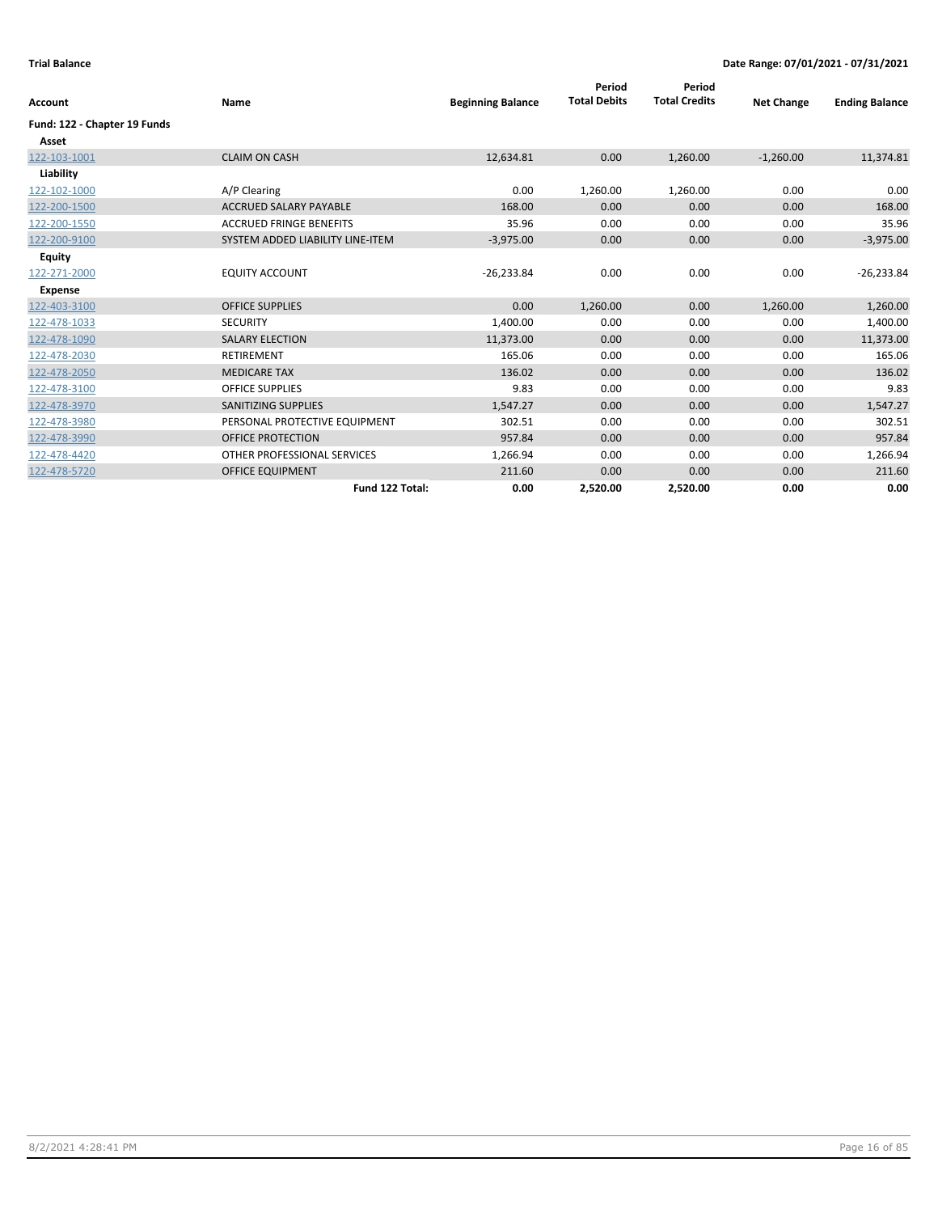| <b>Account</b>               | Name                             | <b>Beginning Balance</b> | Period<br><b>Total Debits</b> | Period<br><b>Total Credits</b> | <b>Net Change</b> | <b>Ending Balance</b> |
|------------------------------|----------------------------------|--------------------------|-------------------------------|--------------------------------|-------------------|-----------------------|
| Fund: 122 - Chapter 19 Funds |                                  |                          |                               |                                |                   |                       |
| Asset                        |                                  |                          |                               |                                |                   |                       |
| 122-103-1001                 | <b>CLAIM ON CASH</b>             | 12,634.81                | 0.00                          | 1,260.00                       | $-1,260.00$       | 11,374.81             |
| Liability                    |                                  |                          |                               |                                |                   |                       |
| 122-102-1000                 | A/P Clearing                     | 0.00                     | 1,260.00                      | 1,260.00                       | 0.00              | 0.00                  |
| 122-200-1500                 | <b>ACCRUED SALARY PAYABLE</b>    | 168.00                   | 0.00                          | 0.00                           | 0.00              | 168.00                |
| 122-200-1550                 | <b>ACCRUED FRINGE BENEFITS</b>   | 35.96                    | 0.00                          | 0.00                           | 0.00              | 35.96                 |
| 122-200-9100                 | SYSTEM ADDED LIABILITY LINE-ITEM | $-3,975.00$              | 0.00                          | 0.00                           | 0.00              | $-3,975.00$           |
| Equity                       |                                  |                          |                               |                                |                   |                       |
| 122-271-2000                 | <b>EQUITY ACCOUNT</b>            | $-26,233.84$             | 0.00                          | 0.00                           | 0.00              | $-26,233.84$          |
| Expense                      |                                  |                          |                               |                                |                   |                       |
| 122-403-3100                 | <b>OFFICE SUPPLIES</b>           | 0.00                     | 1,260.00                      | 0.00                           | 1,260.00          | 1,260.00              |
| 122-478-1033                 | <b>SECURITY</b>                  | 1,400.00                 | 0.00                          | 0.00                           | 0.00              | 1,400.00              |
| 122-478-1090                 | <b>SALARY ELECTION</b>           | 11,373.00                | 0.00                          | 0.00                           | 0.00              | 11,373.00             |
| 122-478-2030                 | <b>RETIREMENT</b>                | 165.06                   | 0.00                          | 0.00                           | 0.00              | 165.06                |
| 122-478-2050                 | <b>MEDICARE TAX</b>              | 136.02                   | 0.00                          | 0.00                           | 0.00              | 136.02                |
| 122-478-3100                 | <b>OFFICE SUPPLIES</b>           | 9.83                     | 0.00                          | 0.00                           | 0.00              | 9.83                  |
| 122-478-3970                 | <b>SANITIZING SUPPLIES</b>       | 1,547.27                 | 0.00                          | 0.00                           | 0.00              | 1,547.27              |
| 122-478-3980                 | PERSONAL PROTECTIVE EQUIPMENT    | 302.51                   | 0.00                          | 0.00                           | 0.00              | 302.51                |
| 122-478-3990                 | <b>OFFICE PROTECTION</b>         | 957.84                   | 0.00                          | 0.00                           | 0.00              | 957.84                |
| 122-478-4420                 | OTHER PROFESSIONAL SERVICES      | 1,266.94                 | 0.00                          | 0.00                           | 0.00              | 1,266.94              |
| 122-478-5720                 | <b>OFFICE EQUIPMENT</b>          | 211.60                   | 0.00                          | 0.00                           | 0.00              | 211.60                |
|                              | Fund 122 Total:                  | 0.00                     | 2,520.00                      | 2,520.00                       | 0.00              | 0.00                  |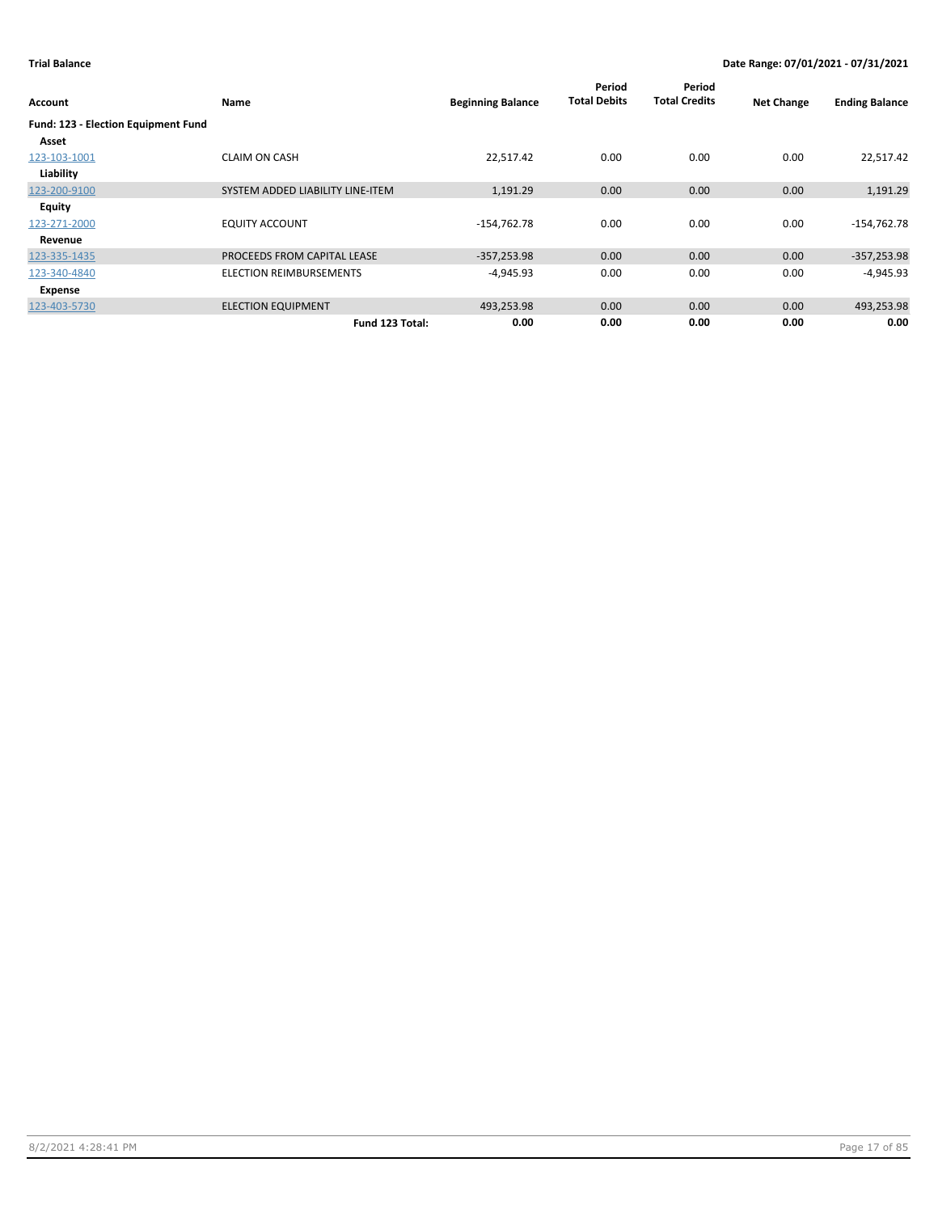| Account                             | Name                             | <b>Beginning Balance</b> | Period<br><b>Total Debits</b> | Period<br><b>Total Credits</b> | <b>Net Change</b> | <b>Ending Balance</b> |
|-------------------------------------|----------------------------------|--------------------------|-------------------------------|--------------------------------|-------------------|-----------------------|
| Fund: 123 - Election Equipment Fund |                                  |                          |                               |                                |                   |                       |
| Asset                               |                                  |                          |                               |                                |                   |                       |
| 123-103-1001                        | <b>CLAIM ON CASH</b>             | 22,517.42                | 0.00                          | 0.00                           | 0.00              | 22,517.42             |
| Liability                           |                                  |                          |                               |                                |                   |                       |
| 123-200-9100                        | SYSTEM ADDED LIABILITY LINE-ITEM | 1,191.29                 | 0.00                          | 0.00                           | 0.00              | 1,191.29              |
| Equity                              |                                  |                          |                               |                                |                   |                       |
| 123-271-2000                        | <b>EQUITY ACCOUNT</b>            | $-154,762.78$            | 0.00                          | 0.00                           | 0.00              | $-154,762.78$         |
| Revenue                             |                                  |                          |                               |                                |                   |                       |
| 123-335-1435                        | PROCEEDS FROM CAPITAL LEASE      | $-357,253.98$            | 0.00                          | 0.00                           | 0.00              | $-357,253.98$         |
| 123-340-4840                        | <b>ELECTION REIMBURSEMENTS</b>   | $-4,945.93$              | 0.00                          | 0.00                           | 0.00              | $-4,945.93$           |
| Expense                             |                                  |                          |                               |                                |                   |                       |
| 123-403-5730                        | <b>ELECTION EQUIPMENT</b>        | 493,253.98               | 0.00                          | 0.00                           | 0.00              | 493,253.98            |
|                                     | Fund 123 Total:                  | 0.00                     | 0.00                          | 0.00                           | 0.00              | 0.00                  |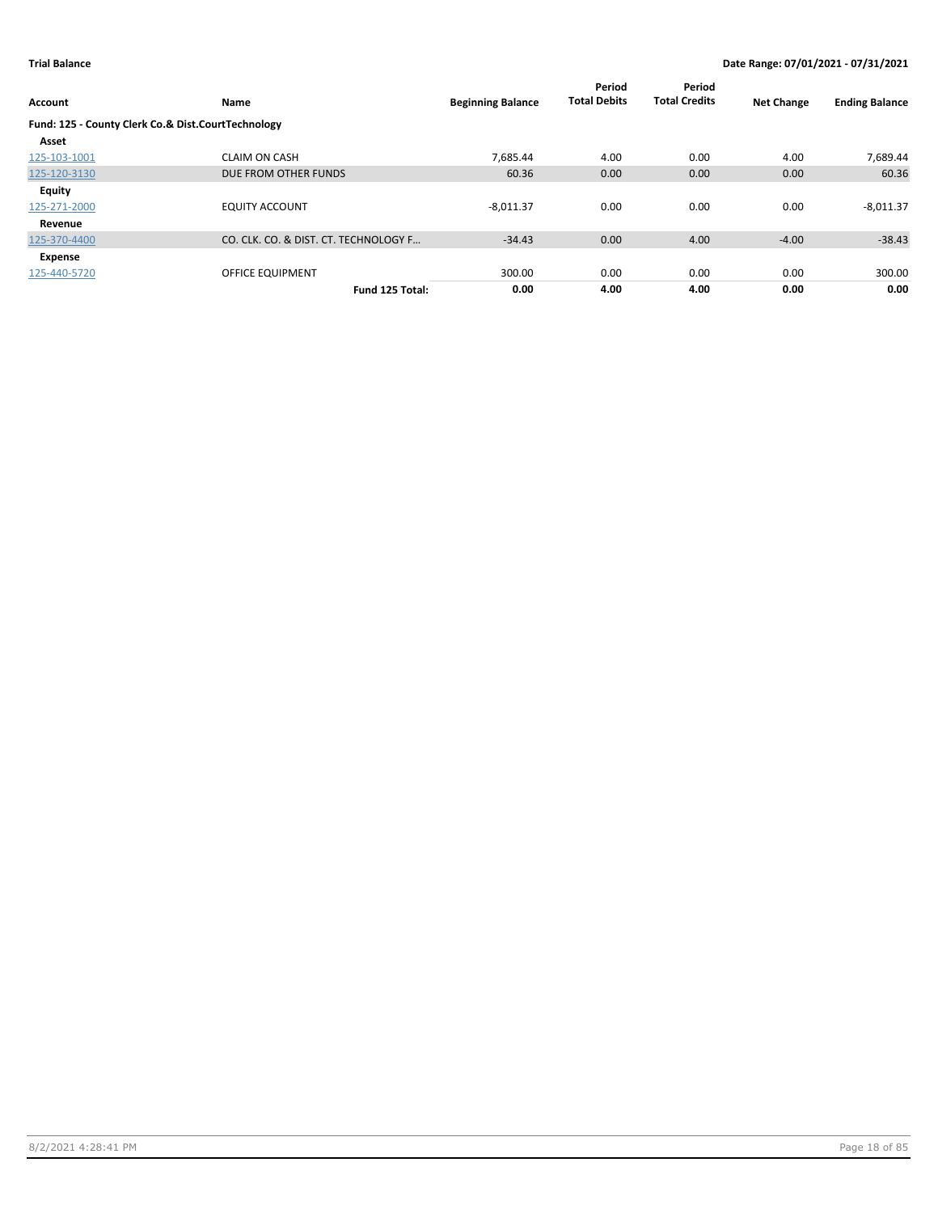| Account                                            | Name                                  | <b>Beginning Balance</b> | Period<br><b>Total Debits</b> | Period<br><b>Total Credits</b> | <b>Net Change</b> | <b>Ending Balance</b> |
|----------------------------------------------------|---------------------------------------|--------------------------|-------------------------------|--------------------------------|-------------------|-----------------------|
| Fund: 125 - County Clerk Co.& Dist.CourtTechnology |                                       |                          |                               |                                |                   |                       |
| Asset                                              |                                       |                          |                               |                                |                   |                       |
| 125-103-1001                                       | <b>CLAIM ON CASH</b>                  | 7.685.44                 | 4.00                          | 0.00                           | 4.00              | 7,689.44              |
| 125-120-3130                                       | DUE FROM OTHER FUNDS                  | 60.36                    | 0.00                          | 0.00                           | 0.00              | 60.36                 |
| <b>Equity</b>                                      |                                       |                          |                               |                                |                   |                       |
| 125-271-2000                                       | <b>EQUITY ACCOUNT</b>                 | $-8,011.37$              | 0.00                          | 0.00                           | 0.00              | $-8,011.37$           |
| Revenue                                            |                                       |                          |                               |                                |                   |                       |
| 125-370-4400                                       | CO. CLK. CO. & DIST. CT. TECHNOLOGY F | $-34.43$                 | 0.00                          | 4.00                           | $-4.00$           | $-38.43$              |
| Expense                                            |                                       |                          |                               |                                |                   |                       |
| 125-440-5720                                       | OFFICE EQUIPMENT                      | 300.00                   | 0.00                          | 0.00                           | 0.00              | 300.00                |
|                                                    | Fund 125 Total:                       | 0.00                     | 4.00                          | 4.00                           | 0.00              | 0.00                  |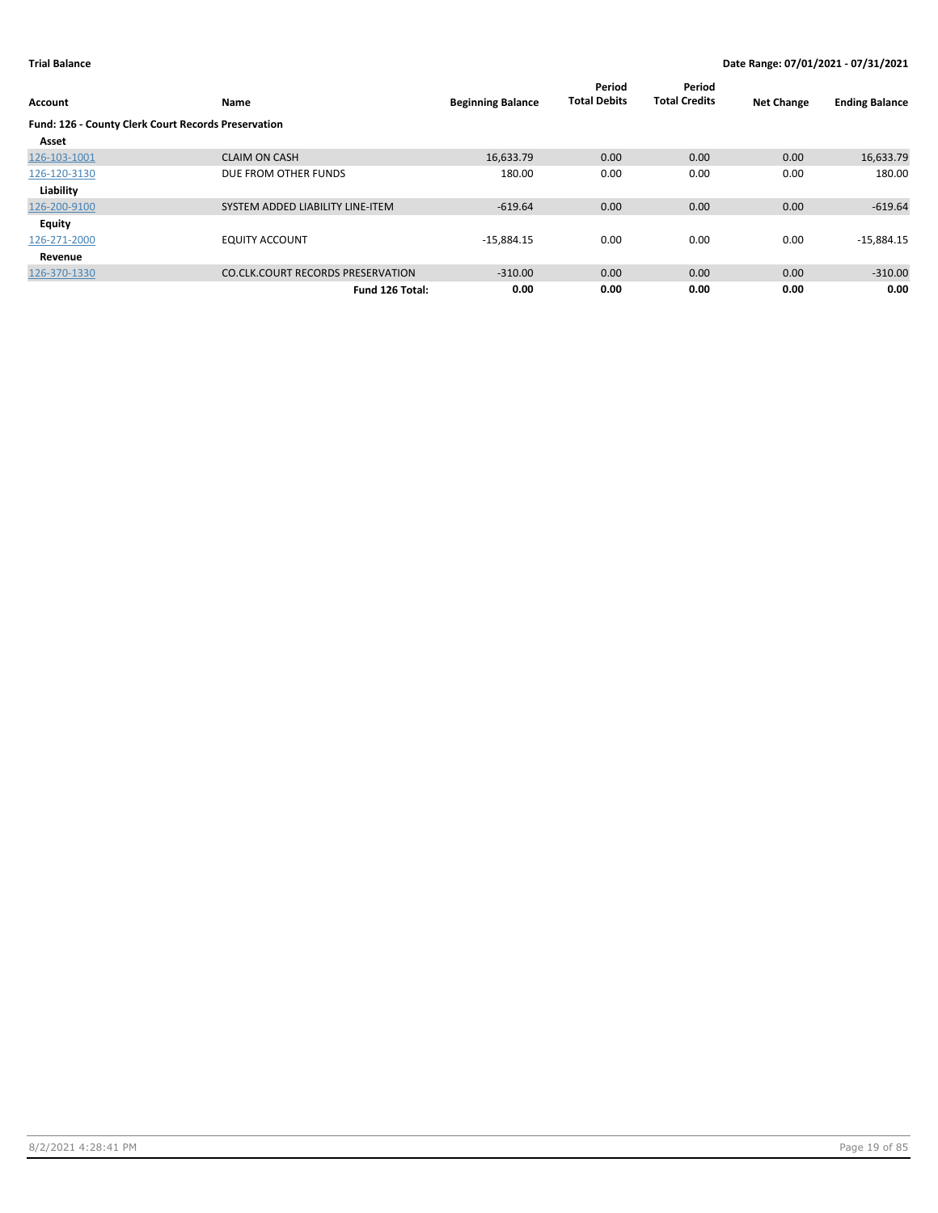| Account                                             | Name                                     | <b>Beginning Balance</b> | Period<br><b>Total Debits</b> | Period<br><b>Total Credits</b> | <b>Net Change</b> | <b>Ending Balance</b> |
|-----------------------------------------------------|------------------------------------------|--------------------------|-------------------------------|--------------------------------|-------------------|-----------------------|
| Fund: 126 - County Clerk Court Records Preservation |                                          |                          |                               |                                |                   |                       |
| Asset                                               |                                          |                          |                               |                                |                   |                       |
| 126-103-1001                                        | <b>CLAIM ON CASH</b>                     | 16,633.79                | 0.00                          | 0.00                           | 0.00              | 16,633.79             |
| 126-120-3130                                        | DUE FROM OTHER FUNDS                     | 180.00                   | 0.00                          | 0.00                           | 0.00              | 180.00                |
| Liability                                           |                                          |                          |                               |                                |                   |                       |
| 126-200-9100                                        | SYSTEM ADDED LIABILITY LINE-ITEM         | $-619.64$                | 0.00                          | 0.00                           | 0.00              | $-619.64$             |
| Equity                                              |                                          |                          |                               |                                |                   |                       |
| 126-271-2000                                        | <b>EQUITY ACCOUNT</b>                    | $-15,884.15$             | 0.00                          | 0.00                           | 0.00              | $-15,884.15$          |
| Revenue                                             |                                          |                          |                               |                                |                   |                       |
| 126-370-1330                                        | <b>CO.CLK.COURT RECORDS PRESERVATION</b> | $-310.00$                | 0.00                          | 0.00                           | 0.00              | $-310.00$             |
|                                                     | Fund 126 Total:                          | 0.00                     | 0.00                          | 0.00                           | 0.00              | 0.00                  |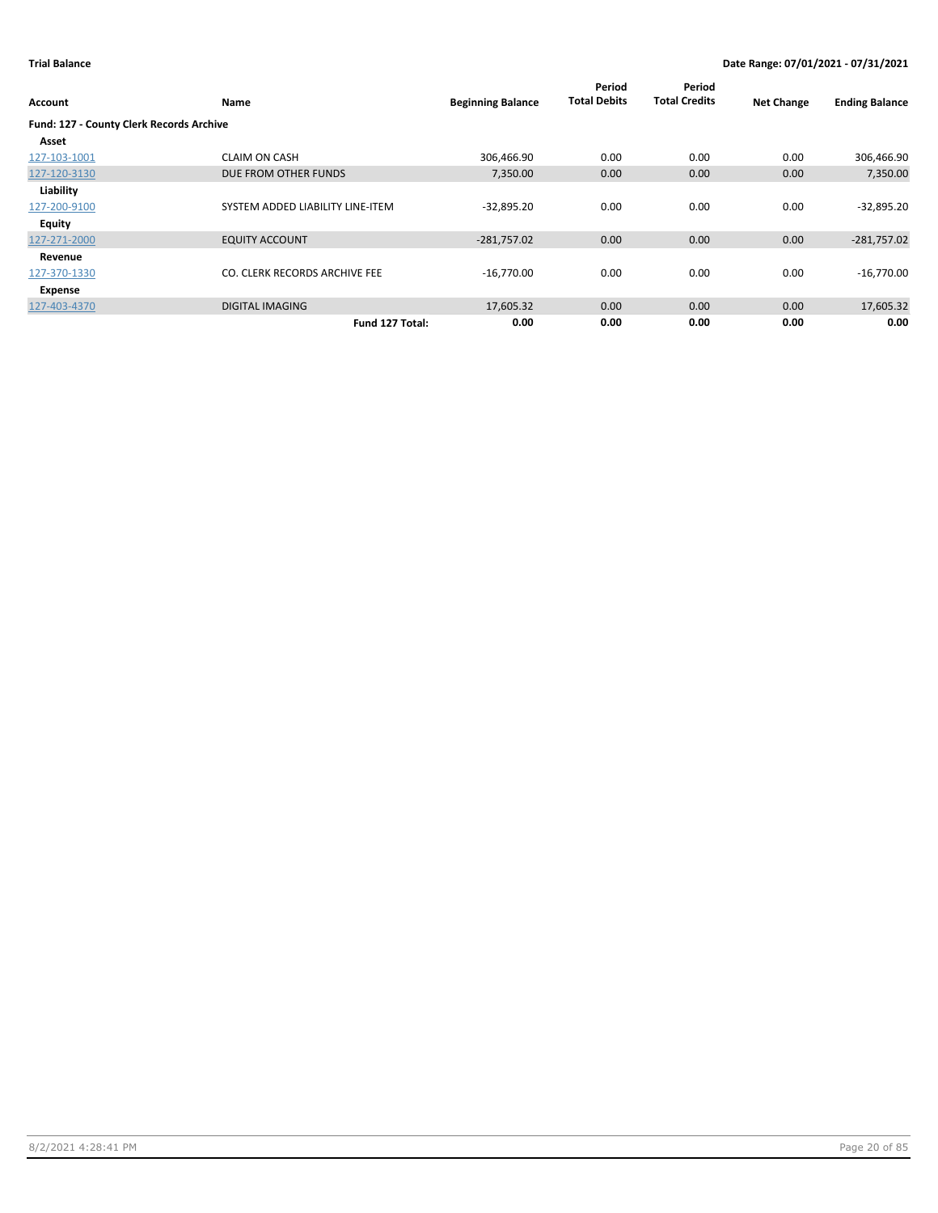| Account                                  | Name                             | <b>Beginning Balance</b> | Period<br><b>Total Debits</b> | Period<br><b>Total Credits</b> | <b>Net Change</b> | <b>Ending Balance</b> |
|------------------------------------------|----------------------------------|--------------------------|-------------------------------|--------------------------------|-------------------|-----------------------|
| Fund: 127 - County Clerk Records Archive |                                  |                          |                               |                                |                   |                       |
| Asset                                    |                                  |                          |                               |                                |                   |                       |
| 127-103-1001                             | <b>CLAIM ON CASH</b>             | 306,466.90               | 0.00                          | 0.00                           | 0.00              | 306,466.90            |
| 127-120-3130                             | DUE FROM OTHER FUNDS             | 7,350.00                 | 0.00                          | 0.00                           | 0.00              | 7,350.00              |
| Liability                                |                                  |                          |                               |                                |                   |                       |
| 127-200-9100                             | SYSTEM ADDED LIABILITY LINE-ITEM | $-32,895.20$             | 0.00                          | 0.00                           | 0.00              | $-32,895.20$          |
| Equity                                   |                                  |                          |                               |                                |                   |                       |
| 127-271-2000                             | <b>EQUITY ACCOUNT</b>            | $-281,757.02$            | 0.00                          | 0.00                           | 0.00              | $-281,757.02$         |
| Revenue                                  |                                  |                          |                               |                                |                   |                       |
| 127-370-1330                             | CO. CLERK RECORDS ARCHIVE FEE    | $-16,770.00$             | 0.00                          | 0.00                           | 0.00              | $-16,770.00$          |
| Expense                                  |                                  |                          |                               |                                |                   |                       |
| 127-403-4370                             | <b>DIGITAL IMAGING</b>           | 17,605.32                | 0.00                          | 0.00                           | 0.00              | 17,605.32             |
|                                          | Fund 127 Total:                  | 0.00                     | 0.00                          | 0.00                           | 0.00              | 0.00                  |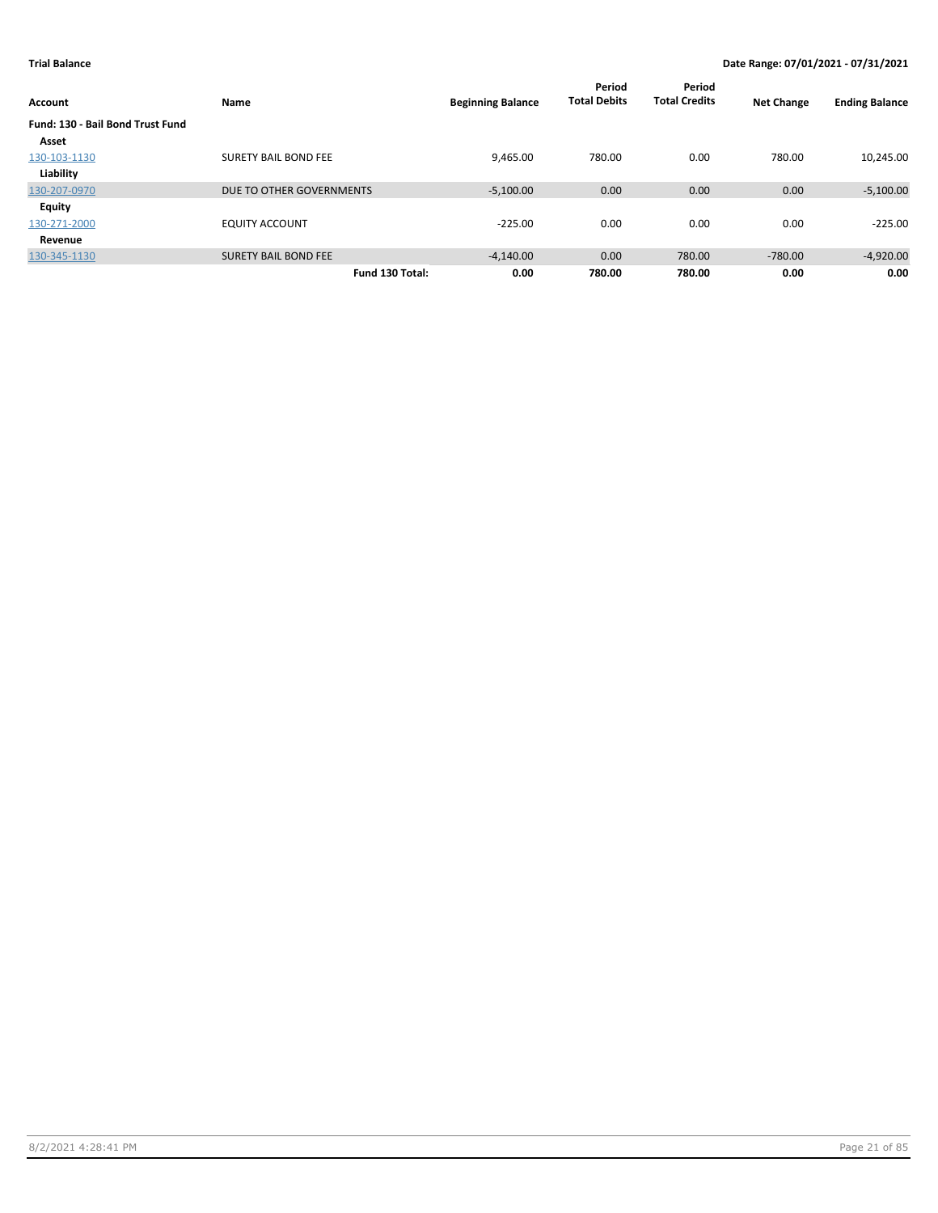| Account                          | Name                        | <b>Beginning Balance</b> | Period<br><b>Total Debits</b> | Period<br><b>Total Credits</b> | <b>Net Change</b> | <b>Ending Balance</b> |
|----------------------------------|-----------------------------|--------------------------|-------------------------------|--------------------------------|-------------------|-----------------------|
| Fund: 130 - Bail Bond Trust Fund |                             |                          |                               |                                |                   |                       |
| Asset                            |                             |                          |                               |                                |                   |                       |
| 130-103-1130                     | <b>SURETY BAIL BOND FEE</b> | 9,465.00                 | 780.00                        | 0.00                           | 780.00            | 10,245.00             |
| Liability                        |                             |                          |                               |                                |                   |                       |
| 130-207-0970                     | DUE TO OTHER GOVERNMENTS    | $-5,100.00$              | 0.00                          | 0.00                           | 0.00              | $-5,100.00$           |
| Equity                           |                             |                          |                               |                                |                   |                       |
| 130-271-2000                     | <b>EQUITY ACCOUNT</b>       | $-225.00$                | 0.00                          | 0.00                           | 0.00              | $-225.00$             |
| Revenue                          |                             |                          |                               |                                |                   |                       |
| 130-345-1130                     | <b>SURETY BAIL BOND FEE</b> | $-4,140.00$              | 0.00                          | 780.00                         | $-780.00$         | $-4,920.00$           |
|                                  | Fund 130 Total:             | 0.00                     | 780.00                        | 780.00                         | 0.00              | 0.00                  |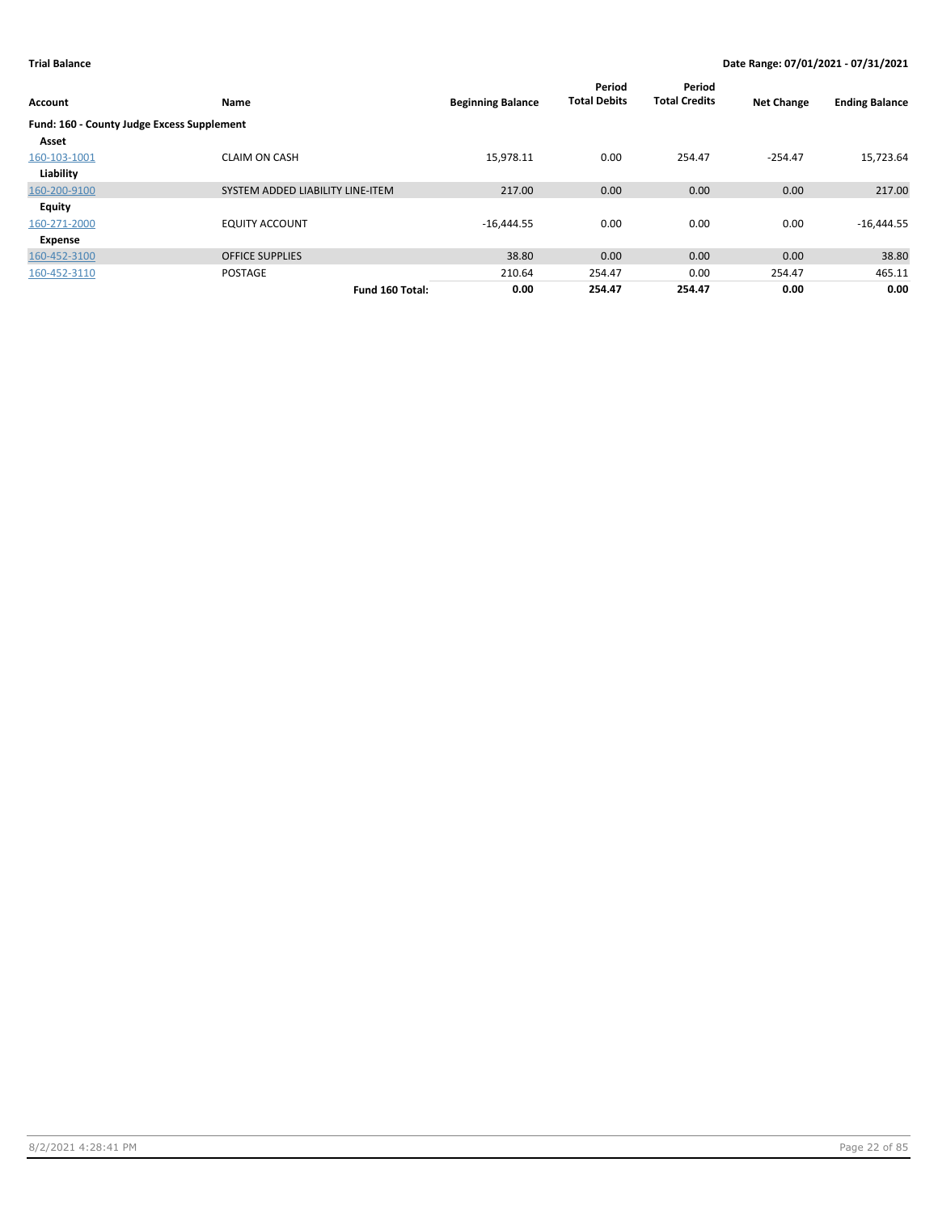| <b>Account</b>                             | Name                             | <b>Beginning Balance</b> | Period<br><b>Total Debits</b> | Period<br><b>Total Credits</b> | <b>Net Change</b> | <b>Ending Balance</b> |
|--------------------------------------------|----------------------------------|--------------------------|-------------------------------|--------------------------------|-------------------|-----------------------|
| Fund: 160 - County Judge Excess Supplement |                                  |                          |                               |                                |                   |                       |
| Asset                                      |                                  |                          |                               |                                |                   |                       |
| 160-103-1001                               | <b>CLAIM ON CASH</b>             | 15,978.11                | 0.00                          | 254.47                         | $-254.47$         | 15,723.64             |
| Liability                                  |                                  |                          |                               |                                |                   |                       |
| 160-200-9100                               | SYSTEM ADDED LIABILITY LINE-ITEM | 217.00                   | 0.00                          | 0.00                           | 0.00              | 217.00                |
| <b>Equity</b>                              |                                  |                          |                               |                                |                   |                       |
| 160-271-2000                               | <b>EQUITY ACCOUNT</b>            | $-16,444.55$             | 0.00                          | 0.00                           | 0.00              | $-16,444.55$          |
| Expense                                    |                                  |                          |                               |                                |                   |                       |
| 160-452-3100                               | <b>OFFICE SUPPLIES</b>           | 38.80                    | 0.00                          | 0.00                           | 0.00              | 38.80                 |
| 160-452-3110                               | <b>POSTAGE</b>                   | 210.64                   | 254.47                        | 0.00                           | 254.47            | 465.11                |
|                                            | Fund 160 Total:                  | 0.00                     | 254.47                        | 254.47                         | 0.00              | 0.00                  |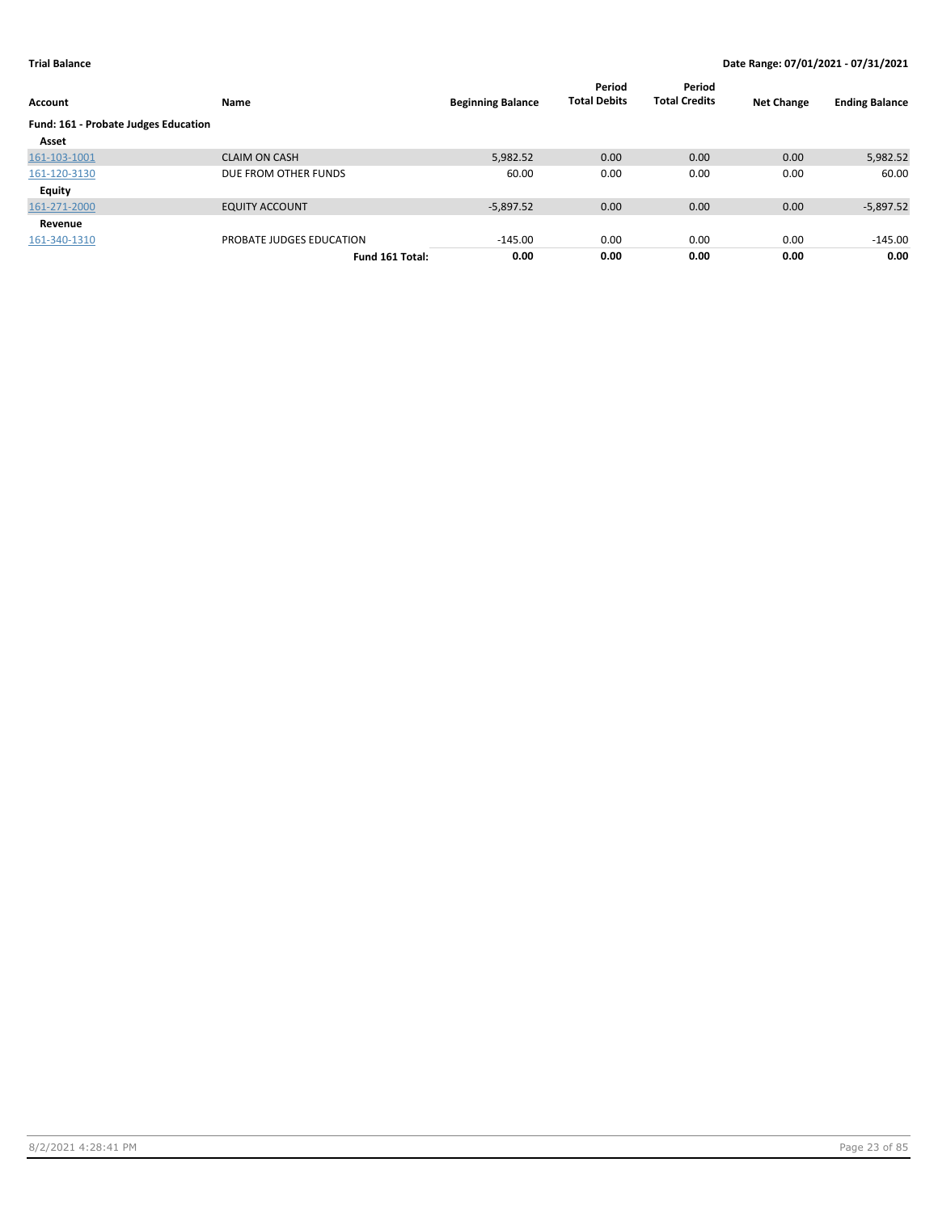| Account                              | Name                     | <b>Beginning Balance</b> | Period<br><b>Total Debits</b> | Period<br><b>Total Credits</b> | <b>Net Change</b> | <b>Ending Balance</b> |
|--------------------------------------|--------------------------|--------------------------|-------------------------------|--------------------------------|-------------------|-----------------------|
| Fund: 161 - Probate Judges Education |                          |                          |                               |                                |                   |                       |
| Asset                                |                          |                          |                               |                                |                   |                       |
| 161-103-1001                         | <b>CLAIM ON CASH</b>     | 5,982.52                 | 0.00                          | 0.00                           | 0.00              | 5,982.52              |
| 161-120-3130                         | DUE FROM OTHER FUNDS     | 60.00                    | 0.00                          | 0.00                           | 0.00              | 60.00                 |
| Equity                               |                          |                          |                               |                                |                   |                       |
| 161-271-2000                         | <b>EQUITY ACCOUNT</b>    | $-5.897.52$              | 0.00                          | 0.00                           | 0.00              | $-5,897.52$           |
| Revenue                              |                          |                          |                               |                                |                   |                       |
| 161-340-1310                         | PROBATE JUDGES EDUCATION | $-145.00$                | 0.00                          | 0.00                           | 0.00              | $-145.00$             |
|                                      | Fund 161 Total:          | 0.00                     | 0.00                          | 0.00                           | 0.00              | 0.00                  |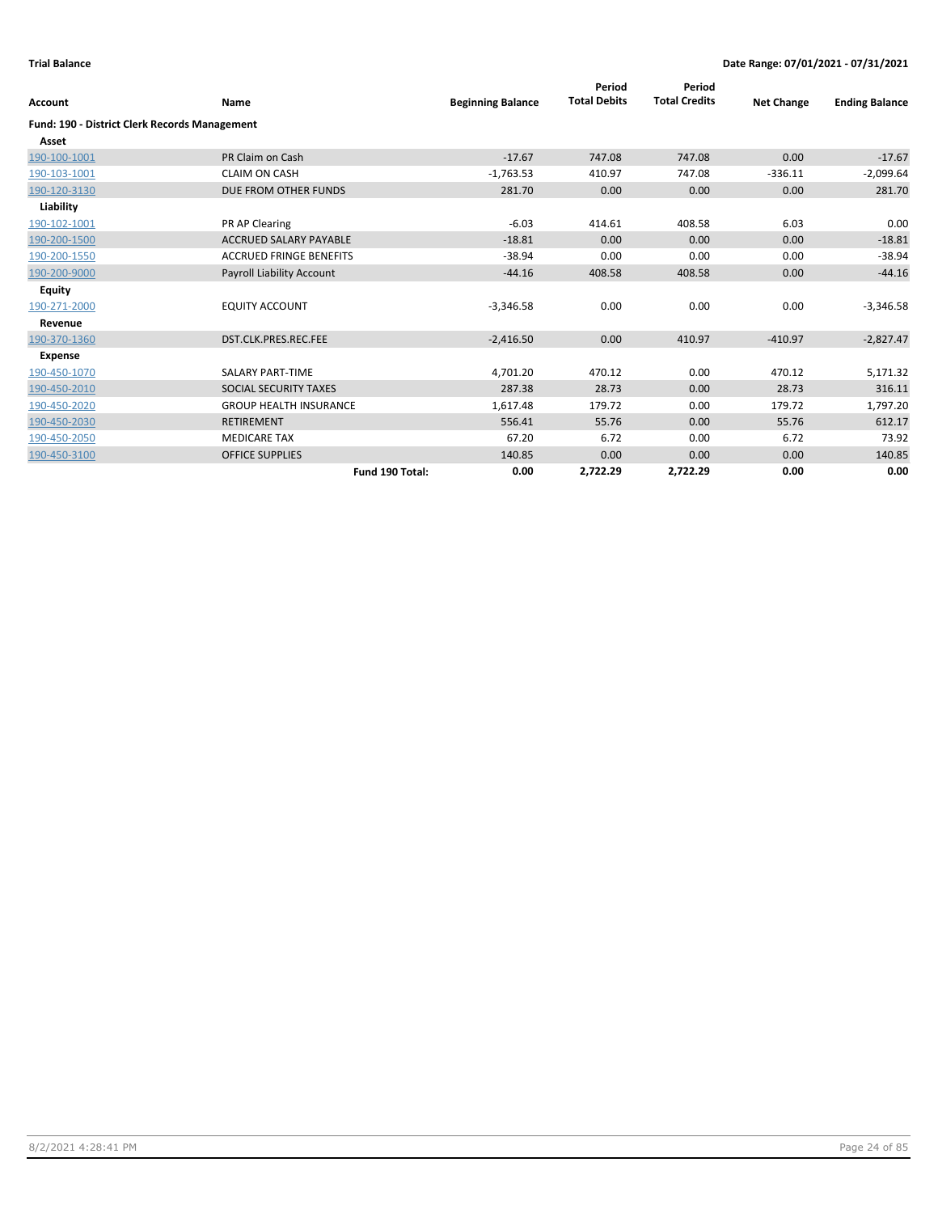| Account                                              | Name                           | <b>Beginning Balance</b> | Period<br><b>Total Debits</b> | Period<br><b>Total Credits</b> | <b>Net Change</b> | <b>Ending Balance</b> |
|------------------------------------------------------|--------------------------------|--------------------------|-------------------------------|--------------------------------|-------------------|-----------------------|
| <b>Fund: 190 - District Clerk Records Management</b> |                                |                          |                               |                                |                   |                       |
| Asset                                                |                                |                          |                               |                                |                   |                       |
| 190-100-1001                                         | PR Claim on Cash               | $-17.67$                 | 747.08                        | 747.08                         | 0.00              | $-17.67$              |
| 190-103-1001                                         | <b>CLAIM ON CASH</b>           | $-1,763.53$              | 410.97                        | 747.08                         | $-336.11$         | $-2,099.64$           |
| 190-120-3130                                         | DUE FROM OTHER FUNDS           | 281.70                   | 0.00                          | 0.00                           | 0.00              | 281.70                |
| Liability                                            |                                |                          |                               |                                |                   |                       |
| 190-102-1001                                         | PR AP Clearing                 | $-6.03$                  | 414.61                        | 408.58                         | 6.03              | 0.00                  |
| 190-200-1500                                         | <b>ACCRUED SALARY PAYABLE</b>  | $-18.81$                 | 0.00                          | 0.00                           | 0.00              | $-18.81$              |
| 190-200-1550                                         | <b>ACCRUED FRINGE BENEFITS</b> | $-38.94$                 | 0.00                          | 0.00                           | 0.00              | $-38.94$              |
| 190-200-9000                                         | Payroll Liability Account      | $-44.16$                 | 408.58                        | 408.58                         | 0.00              | $-44.16$              |
| <b>Equity</b>                                        |                                |                          |                               |                                |                   |                       |
| 190-271-2000                                         | <b>EQUITY ACCOUNT</b>          | $-3,346.58$              | 0.00                          | 0.00                           | 0.00              | $-3,346.58$           |
| Revenue                                              |                                |                          |                               |                                |                   |                       |
| 190-370-1360                                         | DST.CLK.PRES.REC.FEE           | $-2,416.50$              | 0.00                          | 410.97                         | $-410.97$         | $-2,827.47$           |
| <b>Expense</b>                                       |                                |                          |                               |                                |                   |                       |
| 190-450-1070                                         | <b>SALARY PART-TIME</b>        | 4,701.20                 | 470.12                        | 0.00                           | 470.12            | 5,171.32              |
| 190-450-2010                                         | SOCIAL SECURITY TAXES          | 287.38                   | 28.73                         | 0.00                           | 28.73             | 316.11                |
| 190-450-2020                                         | <b>GROUP HEALTH INSURANCE</b>  | 1,617.48                 | 179.72                        | 0.00                           | 179.72            | 1,797.20              |
| 190-450-2030                                         | <b>RETIREMENT</b>              | 556.41                   | 55.76                         | 0.00                           | 55.76             | 612.17                |
| 190-450-2050                                         | <b>MEDICARE TAX</b>            | 67.20                    | 6.72                          | 0.00                           | 6.72              | 73.92                 |
| 190-450-3100                                         | <b>OFFICE SUPPLIES</b>         | 140.85                   | 0.00                          | 0.00                           | 0.00              | 140.85                |
|                                                      | Fund 190 Total:                | 0.00                     | 2,722.29                      | 2,722.29                       | 0.00              | 0.00                  |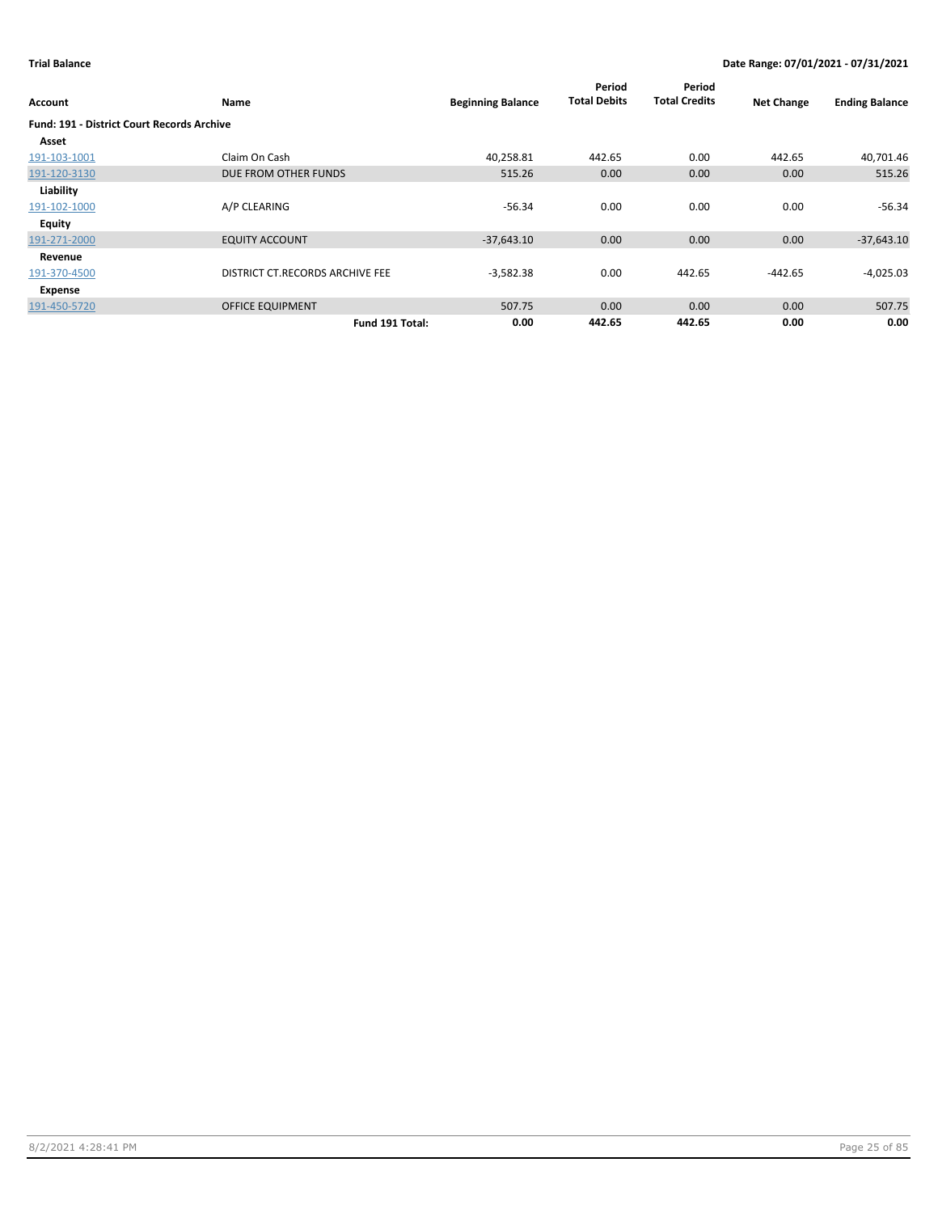| Account                                           | Name                            | <b>Beginning Balance</b> | Period<br><b>Total Debits</b> | Period<br><b>Total Credits</b> | <b>Net Change</b> | <b>Ending Balance</b> |
|---------------------------------------------------|---------------------------------|--------------------------|-------------------------------|--------------------------------|-------------------|-----------------------|
| <b>Fund: 191 - District Court Records Archive</b> |                                 |                          |                               |                                |                   |                       |
| Asset                                             |                                 |                          |                               |                                |                   |                       |
| 191-103-1001                                      | Claim On Cash                   | 40,258.81                | 442.65                        | 0.00                           | 442.65            | 40,701.46             |
| 191-120-3130                                      | DUE FROM OTHER FUNDS            | 515.26                   | 0.00                          | 0.00                           | 0.00              | 515.26                |
| Liability                                         |                                 |                          |                               |                                |                   |                       |
| 191-102-1000                                      | A/P CLEARING                    | $-56.34$                 | 0.00                          | 0.00                           | 0.00              | $-56.34$              |
| Equity                                            |                                 |                          |                               |                                |                   |                       |
| 191-271-2000                                      | <b>EQUITY ACCOUNT</b>           | $-37,643.10$             | 0.00                          | 0.00                           | 0.00              | $-37,643.10$          |
| Revenue                                           |                                 |                          |                               |                                |                   |                       |
| 191-370-4500                                      | DISTRICT CT.RECORDS ARCHIVE FEE | $-3,582.38$              | 0.00                          | 442.65                         | $-442.65$         | $-4,025.03$           |
| Expense                                           |                                 |                          |                               |                                |                   |                       |
| 191-450-5720                                      | <b>OFFICE EQUIPMENT</b>         | 507.75                   | 0.00                          | 0.00                           | 0.00              | 507.75                |
|                                                   | Fund 191 Total:                 | 0.00                     | 442.65                        | 442.65                         | 0.00              | 0.00                  |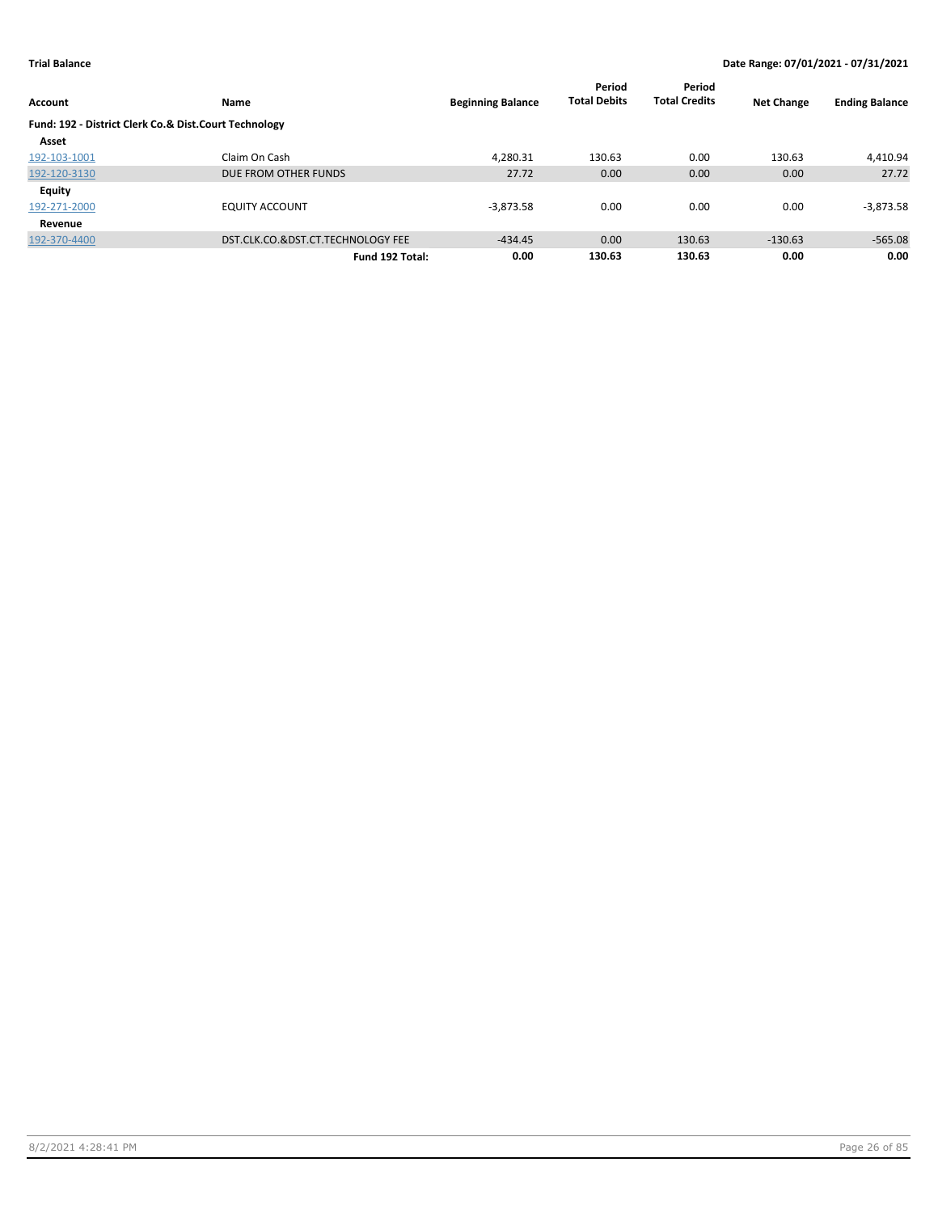|                                                       |                                   |                          | Period              | Period               |                   |                       |
|-------------------------------------------------------|-----------------------------------|--------------------------|---------------------|----------------------|-------------------|-----------------------|
| Account                                               | Name                              | <b>Beginning Balance</b> | <b>Total Debits</b> | <b>Total Credits</b> | <b>Net Change</b> | <b>Ending Balance</b> |
| Fund: 192 - District Clerk Co.& Dist.Court Technology |                                   |                          |                     |                      |                   |                       |
| Asset                                                 |                                   |                          |                     |                      |                   |                       |
| 192-103-1001                                          | Claim On Cash                     | 4.280.31                 | 130.63              | 0.00                 | 130.63            | 4,410.94              |
| 192-120-3130                                          | DUE FROM OTHER FUNDS              | 27.72                    | 0.00                | 0.00                 | 0.00              | 27.72                 |
| <b>Equity</b>                                         |                                   |                          |                     |                      |                   |                       |
| 192-271-2000                                          | <b>EQUITY ACCOUNT</b>             | $-3,873.58$              | 0.00                | 0.00                 | 0.00              | $-3,873.58$           |
| Revenue                                               |                                   |                          |                     |                      |                   |                       |
| 192-370-4400                                          | DST.CLK.CO.&DST.CT.TECHNOLOGY FEE | $-434.45$                | 0.00                | 130.63               | $-130.63$         | $-565.08$             |
|                                                       | Fund 192 Total:                   | 0.00                     | 130.63              | 130.63               | 0.00              | 0.00                  |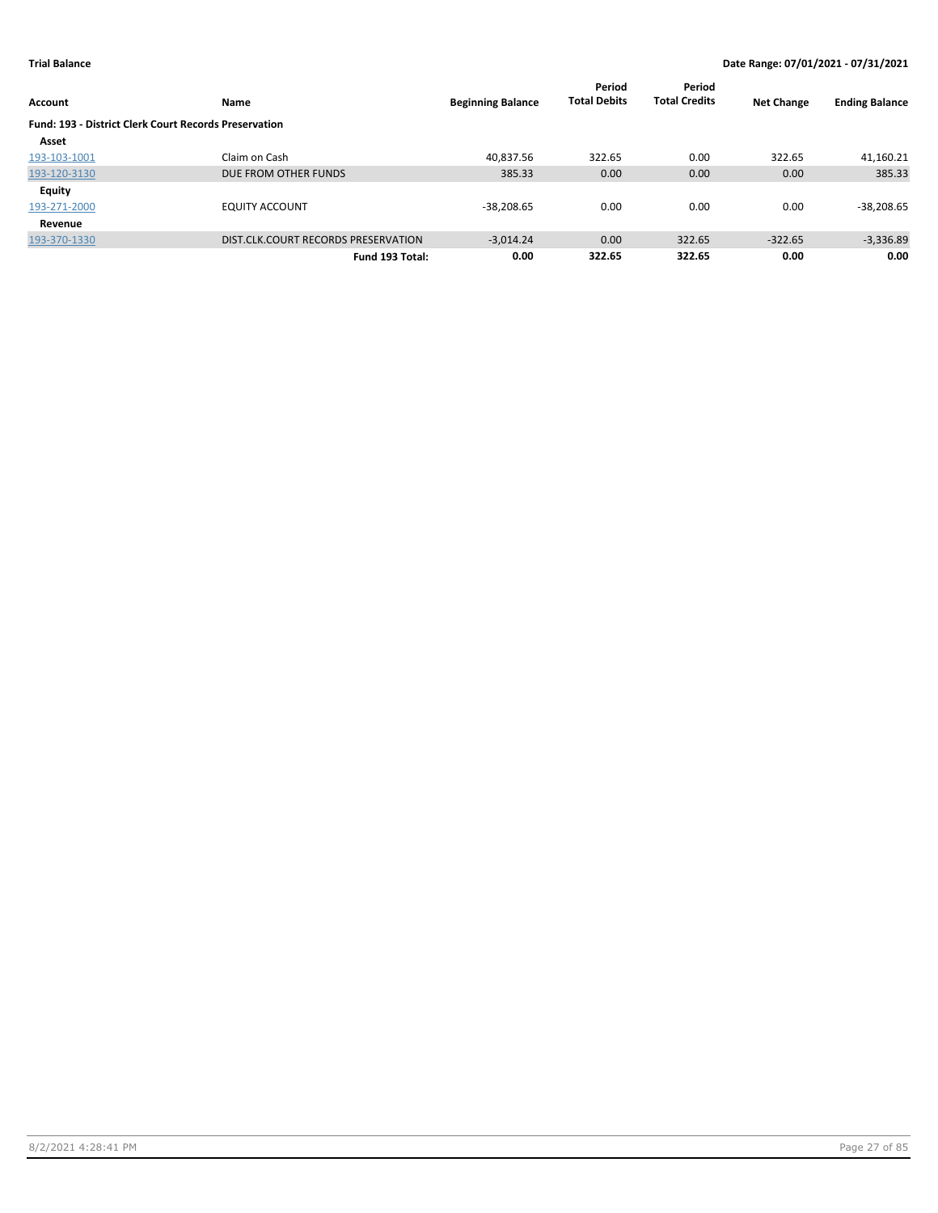| Account                                                      | Name                                | <b>Beginning Balance</b> | Period<br><b>Total Debits</b> | Period<br><b>Total Credits</b> | <b>Net Change</b> | <b>Ending Balance</b> |
|--------------------------------------------------------------|-------------------------------------|--------------------------|-------------------------------|--------------------------------|-------------------|-----------------------|
| <b>Fund: 193 - District Clerk Court Records Preservation</b> |                                     |                          |                               |                                |                   |                       |
| Asset                                                        |                                     |                          |                               |                                |                   |                       |
| 193-103-1001                                                 | Claim on Cash                       | 40.837.56                | 322.65                        | 0.00                           | 322.65            | 41,160.21             |
| 193-120-3130                                                 | DUE FROM OTHER FUNDS                | 385.33                   | 0.00                          | 0.00                           | 0.00              | 385.33                |
| <b>Equity</b>                                                |                                     |                          |                               |                                |                   |                       |
| 193-271-2000                                                 | <b>EQUITY ACCOUNT</b>               | $-38,208.65$             | 0.00                          | 0.00                           | 0.00              | $-38,208.65$          |
| Revenue                                                      |                                     |                          |                               |                                |                   |                       |
| 193-370-1330                                                 | DIST.CLK.COURT RECORDS PRESERVATION | $-3.014.24$              | 0.00                          | 322.65                         | $-322.65$         | $-3,336.89$           |
|                                                              | Fund 193 Total:                     | 0.00                     | 322.65                        | 322.65                         | 0.00              | 0.00                  |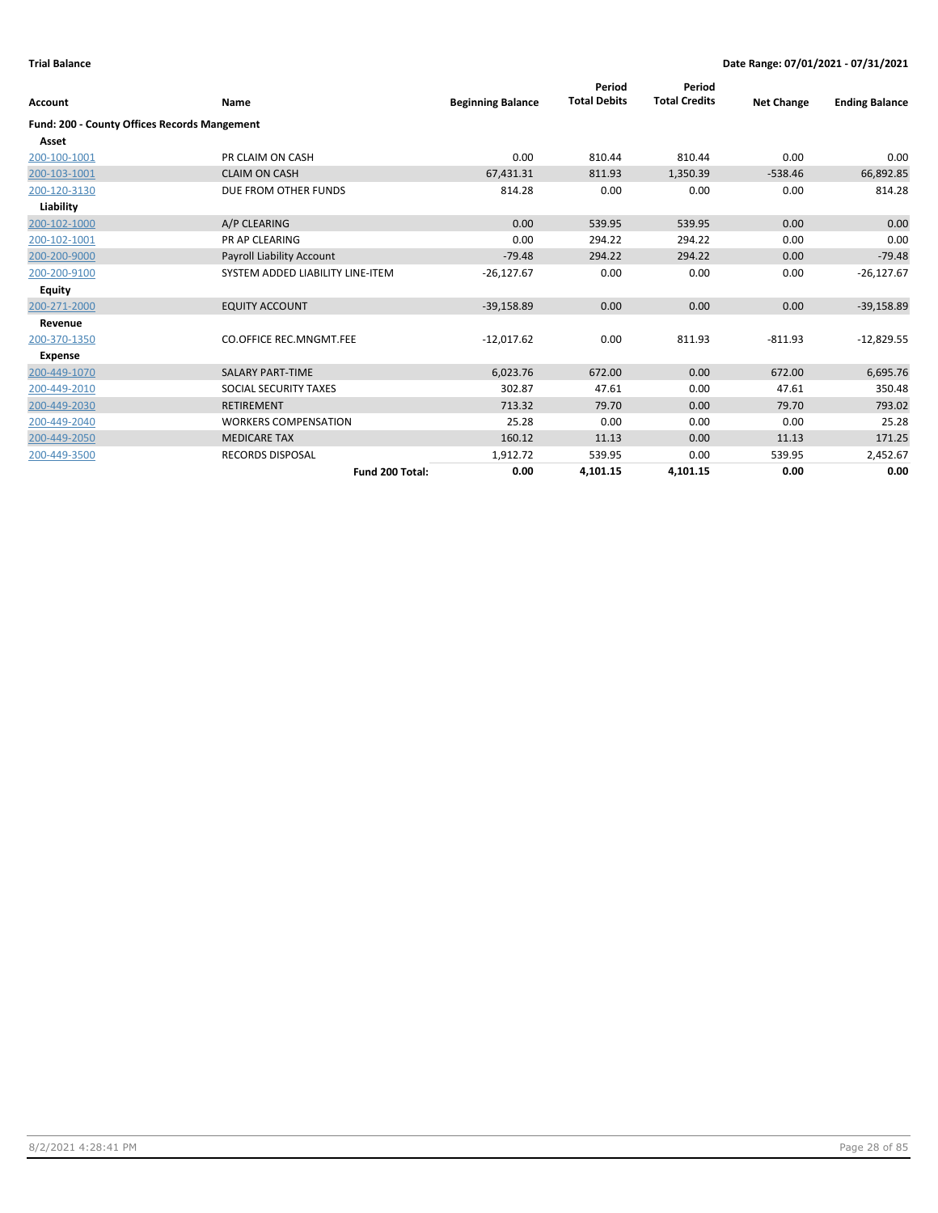| Account                                             | Name                             | <b>Beginning Balance</b> | Period<br><b>Total Debits</b> | Period<br><b>Total Credits</b> | <b>Net Change</b> | <b>Ending Balance</b> |
|-----------------------------------------------------|----------------------------------|--------------------------|-------------------------------|--------------------------------|-------------------|-----------------------|
| <b>Fund: 200 - County Offices Records Mangement</b> |                                  |                          |                               |                                |                   |                       |
| Asset                                               |                                  |                          |                               |                                |                   |                       |
| 200-100-1001                                        | PR CLAIM ON CASH                 | 0.00                     | 810.44                        | 810.44                         | 0.00              | 0.00                  |
| 200-103-1001                                        | <b>CLAIM ON CASH</b>             | 67,431.31                | 811.93                        | 1,350.39                       | $-538.46$         | 66,892.85             |
| 200-120-3130                                        | DUE FROM OTHER FUNDS             | 814.28                   | 0.00                          | 0.00                           | 0.00              | 814.28                |
| Liability                                           |                                  |                          |                               |                                |                   |                       |
| 200-102-1000                                        | A/P CLEARING                     | 0.00                     | 539.95                        | 539.95                         | 0.00              | 0.00                  |
| 200-102-1001                                        | <b>PR AP CLEARING</b>            | 0.00                     | 294.22                        | 294.22                         | 0.00              | 0.00                  |
| 200-200-9000                                        | Payroll Liability Account        | $-79.48$                 | 294.22                        | 294.22                         | 0.00              | $-79.48$              |
| 200-200-9100                                        | SYSTEM ADDED LIABILITY LINE-ITEM | $-26,127.67$             | 0.00                          | 0.00                           | 0.00              | $-26,127.67$          |
| <b>Equity</b>                                       |                                  |                          |                               |                                |                   |                       |
| 200-271-2000                                        | <b>EQUITY ACCOUNT</b>            | $-39,158.89$             | 0.00                          | 0.00                           | 0.00              | $-39,158.89$          |
| Revenue                                             |                                  |                          |                               |                                |                   |                       |
| 200-370-1350                                        | CO.OFFICE REC.MNGMT.FEE          | $-12,017.62$             | 0.00                          | 811.93                         | $-811.93$         | $-12,829.55$          |
| <b>Expense</b>                                      |                                  |                          |                               |                                |                   |                       |
| 200-449-1070                                        | <b>SALARY PART-TIME</b>          | 6,023.76                 | 672.00                        | 0.00                           | 672.00            | 6,695.76              |
| 200-449-2010                                        | SOCIAL SECURITY TAXES            | 302.87                   | 47.61                         | 0.00                           | 47.61             | 350.48                |
| 200-449-2030                                        | <b>RETIREMENT</b>                | 713.32                   | 79.70                         | 0.00                           | 79.70             | 793.02                |
| 200-449-2040                                        | <b>WORKERS COMPENSATION</b>      | 25.28                    | 0.00                          | 0.00                           | 0.00              | 25.28                 |
| 200-449-2050                                        | <b>MEDICARE TAX</b>              | 160.12                   | 11.13                         | 0.00                           | 11.13             | 171.25                |
| 200-449-3500                                        | <b>RECORDS DISPOSAL</b>          | 1,912.72                 | 539.95                        | 0.00                           | 539.95            | 2,452.67              |
|                                                     | Fund 200 Total:                  | 0.00                     | 4,101.15                      | 4,101.15                       | 0.00              | 0.00                  |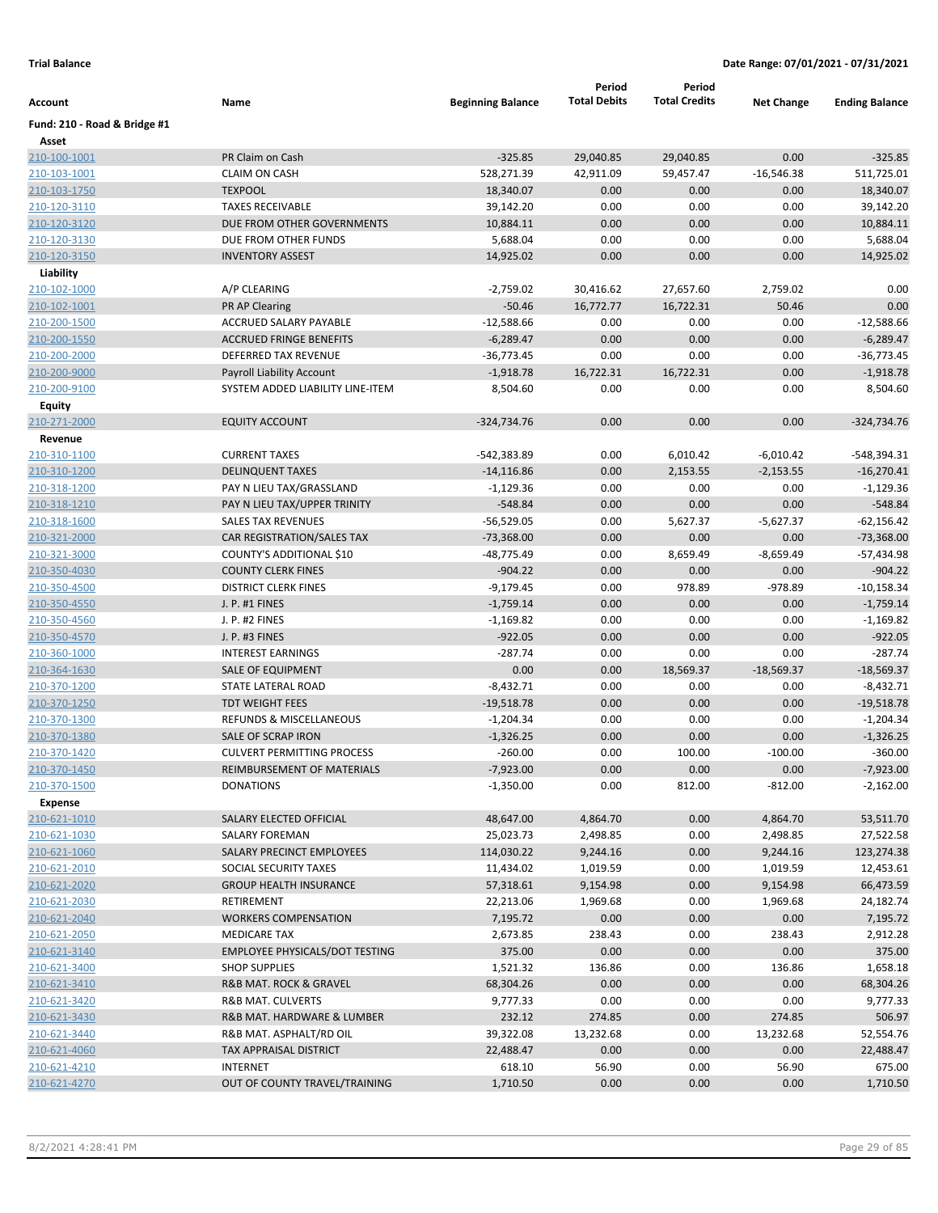|                              |                                                          |                          | Period              | Period               |                   |                              |
|------------------------------|----------------------------------------------------------|--------------------------|---------------------|----------------------|-------------------|------------------------------|
| Account                      | Name                                                     | <b>Beginning Balance</b> | <b>Total Debits</b> | <b>Total Credits</b> | <b>Net Change</b> | <b>Ending Balance</b>        |
| Fund: 210 - Road & Bridge #1 |                                                          |                          |                     |                      |                   |                              |
| Asset                        |                                                          |                          |                     |                      |                   |                              |
| 210-100-1001                 | PR Claim on Cash                                         | $-325.85$                | 29,040.85           | 29,040.85            | 0.00              | $-325.85$                    |
| 210-103-1001                 | <b>CLAIM ON CASH</b>                                     | 528,271.39               | 42,911.09           | 59,457.47            | $-16,546.38$      | 511,725.01                   |
| 210-103-1750                 | <b>TEXPOOL</b>                                           | 18,340.07                | 0.00                | 0.00                 | 0.00              | 18,340.07                    |
| 210-120-3110                 | <b>TAXES RECEIVABLE</b>                                  | 39,142.20                | 0.00                | 0.00                 | 0.00              | 39,142.20                    |
| 210-120-3120                 | DUE FROM OTHER GOVERNMENTS                               | 10,884.11                | 0.00                | 0.00                 | 0.00              | 10,884.11                    |
| 210-120-3130                 | DUE FROM OTHER FUNDS                                     | 5,688.04                 | 0.00                | 0.00                 | 0.00              | 5,688.04                     |
| 210-120-3150                 | <b>INVENTORY ASSEST</b>                                  | 14,925.02                | 0.00                | 0.00                 | 0.00              | 14,925.02                    |
| Liability                    |                                                          |                          |                     |                      |                   |                              |
| 210-102-1000                 | A/P CLEARING                                             | $-2,759.02$              | 30,416.62           | 27,657.60            | 2,759.02          | 0.00                         |
| 210-102-1001                 | PR AP Clearing                                           | $-50.46$                 | 16,772.77           | 16,722.31            | 50.46             | 0.00                         |
| 210-200-1500                 | ACCRUED SALARY PAYABLE                                   | $-12,588.66$             | 0.00                | 0.00                 | 0.00              | $-12,588.66$                 |
| 210-200-1550                 | <b>ACCRUED FRINGE BENEFITS</b>                           | $-6,289.47$              | 0.00                | 0.00                 | 0.00              | $-6,289.47$                  |
| 210-200-2000                 | DEFERRED TAX REVENUE                                     | $-36,773.45$             | 0.00                | 0.00                 | 0.00              | $-36,773.45$                 |
| 210-200-9000                 | Payroll Liability Account                                | $-1,918.78$              | 16,722.31           | 16,722.31            | 0.00              | $-1,918.78$                  |
| 210-200-9100                 | SYSTEM ADDED LIABILITY LINE-ITEM                         | 8,504.60                 | 0.00                | 0.00                 | 0.00              | 8,504.60                     |
| Equity                       |                                                          |                          |                     |                      |                   |                              |
| 210-271-2000                 | <b>EQUITY ACCOUNT</b>                                    | -324,734.76              | 0.00                | 0.00                 | 0.00              | $-324,734.76$                |
| Revenue                      |                                                          |                          |                     |                      |                   |                              |
| 210-310-1100                 | <b>CURRENT TAXES</b>                                     | $-542,383.89$            | 0.00                | 6,010.42             | $-6,010.42$       | -548,394.31                  |
| 210-310-1200                 | <b>DELINQUENT TAXES</b>                                  | $-14,116.86$             | 0.00                | 2,153.55             | $-2,153.55$       | $-16,270.41$                 |
| 210-318-1200                 | PAY N LIEU TAX/GRASSLAND                                 | -1,129.36                | 0.00                | 0.00                 | 0.00              | $-1,129.36$                  |
| 210-318-1210                 | PAY N LIEU TAX/UPPER TRINITY                             | $-548.84$                | 0.00                | 0.00                 | 0.00              | $-548.84$                    |
| 210-318-1600                 | SALES TAX REVENUES                                       | $-56,529.05$             | 0.00                | 5,627.37             | $-5,627.37$       | $-62,156.42$                 |
| 210-321-2000                 | CAR REGISTRATION/SALES TAX                               | $-73,368.00$             | 0.00<br>0.00        | 0.00                 | 0.00              | $-73,368.00$<br>$-57,434.98$ |
| 210-321-3000                 | COUNTY'S ADDITIONAL \$10                                 | -48,775.49<br>$-904.22$  | 0.00                | 8,659.49             | $-8,659.49$       | $-904.22$                    |
| 210-350-4030<br>210-350-4500 | <b>COUNTY CLERK FINES</b><br><b>DISTRICT CLERK FINES</b> | $-9,179.45$              | 0.00                | 0.00<br>978.89       | 0.00<br>$-978.89$ | $-10,158.34$                 |
| 210-350-4550                 | J. P. #1 FINES                                           | $-1,759.14$              | 0.00                | 0.00                 | 0.00              | $-1,759.14$                  |
| 210-350-4560                 | J. P. #2 FINES                                           | $-1,169.82$              | 0.00                | 0.00                 | 0.00              | $-1,169.82$                  |
| 210-350-4570                 | J. P. #3 FINES                                           | $-922.05$                | 0.00                | 0.00                 | 0.00              | $-922.05$                    |
| 210-360-1000                 | <b>INTEREST EARNINGS</b>                                 | $-287.74$                | 0.00                | 0.00                 | 0.00              | $-287.74$                    |
| 210-364-1630                 | SALE OF EQUIPMENT                                        | 0.00                     | 0.00                | 18,569.37            | $-18,569.37$      | $-18,569.37$                 |
| 210-370-1200                 | STATE LATERAL ROAD                                       | $-8,432.71$              | 0.00                | 0.00                 | 0.00              | $-8,432.71$                  |
| 210-370-1250                 | <b>TDT WEIGHT FEES</b>                                   | $-19,518.78$             | 0.00                | 0.00                 | 0.00              | $-19,518.78$                 |
| 210-370-1300                 | REFUNDS & MISCELLANEOUS                                  | $-1,204.34$              | 0.00                | 0.00                 | 0.00              | $-1,204.34$                  |
| 210-370-1380                 | SALE OF SCRAP IRON                                       | $-1,326.25$              | 0.00                | 0.00                 | 0.00              | $-1,326.25$                  |
| 210-370-1420                 | <b>CULVERT PERMITTING PROCESS</b>                        | $-260.00$                | 0.00                | 100.00               | $-100.00$         | $-360.00$                    |
| 210-370-1450                 | REIMBURSEMENT OF MATERIALS                               | $-7,923.00$              | 0.00                | 0.00                 | 0.00              | $-7,923.00$                  |
| 210-370-1500                 | <b>DONATIONS</b>                                         | $-1,350.00$              | 0.00                | 812.00               | $-812.00$         | $-2,162.00$                  |
| <b>Expense</b>               |                                                          |                          |                     |                      |                   |                              |
| 210-621-1010                 | SALARY ELECTED OFFICIAL                                  | 48,647.00                | 4,864.70            | 0.00                 | 4,864.70          | 53,511.70                    |
| 210-621-1030                 | SALARY FOREMAN                                           | 25,023.73                | 2,498.85            | 0.00                 | 2,498.85          | 27,522.58                    |
| 210-621-1060                 | SALARY PRECINCT EMPLOYEES                                | 114,030.22               | 9,244.16            | 0.00                 | 9,244.16          | 123,274.38                   |
| 210-621-2010                 | SOCIAL SECURITY TAXES                                    | 11,434.02                | 1,019.59            | 0.00                 | 1,019.59          | 12,453.61                    |
| 210-621-2020                 | <b>GROUP HEALTH INSURANCE</b>                            | 57,318.61                | 9,154.98            | 0.00                 | 9,154.98          | 66,473.59                    |
| 210-621-2030                 | RETIREMENT                                               | 22,213.06                | 1,969.68            | 0.00                 | 1,969.68          | 24,182.74                    |
| 210-621-2040                 | <b>WORKERS COMPENSATION</b>                              | 7,195.72                 | 0.00                | 0.00                 | 0.00              | 7,195.72                     |
| 210-621-2050                 | <b>MEDICARE TAX</b>                                      | 2,673.85                 | 238.43              | 0.00                 | 238.43            | 2,912.28                     |
| 210-621-3140                 | <b>EMPLOYEE PHYSICALS/DOT TESTING</b>                    | 375.00                   | 0.00                | 0.00                 | 0.00              | 375.00                       |
| 210-621-3400                 | <b>SHOP SUPPLIES</b>                                     | 1,521.32                 | 136.86              | 0.00                 | 136.86            | 1,658.18                     |
| 210-621-3410                 | R&B MAT. ROCK & GRAVEL                                   | 68,304.26                | 0.00                | 0.00                 | 0.00              | 68,304.26                    |
| 210-621-3420                 | R&B MAT. CULVERTS                                        | 9,777.33                 | 0.00                | 0.00                 | 0.00              | 9,777.33                     |
| 210-621-3430                 | R&B MAT. HARDWARE & LUMBER                               | 232.12                   | 274.85              | 0.00                 | 274.85            | 506.97                       |
| 210-621-3440                 | R&B MAT. ASPHALT/RD OIL                                  | 39,322.08                | 13,232.68           | 0.00                 | 13,232.68         | 52,554.76                    |
| 210-621-4060                 | <b>TAX APPRAISAL DISTRICT</b>                            | 22,488.47                | 0.00                | 0.00                 | 0.00              | 22,488.47                    |
| 210-621-4210                 | <b>INTERNET</b>                                          | 618.10                   | 56.90               | 0.00                 | 56.90             | 675.00                       |
| 210-621-4270                 | OUT OF COUNTY TRAVEL/TRAINING                            | 1,710.50                 | 0.00                | 0.00                 | 0.00              | 1,710.50                     |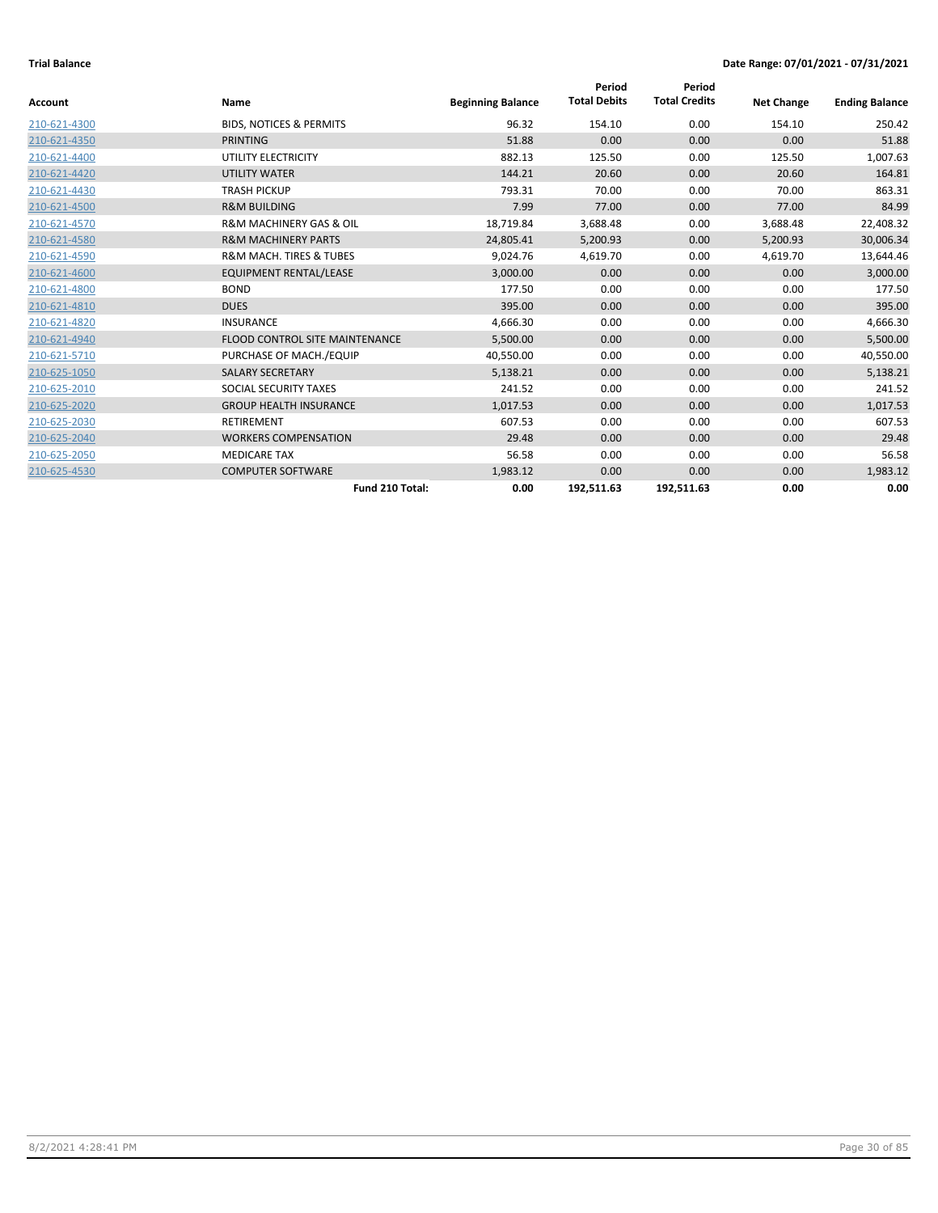|              |                                        |                          | Period              | Period               |                   |                       |
|--------------|----------------------------------------|--------------------------|---------------------|----------------------|-------------------|-----------------------|
| Account      | Name                                   | <b>Beginning Balance</b> | <b>Total Debits</b> | <b>Total Credits</b> | <b>Net Change</b> | <b>Ending Balance</b> |
| 210-621-4300 | <b>BIDS, NOTICES &amp; PERMITS</b>     | 96.32                    | 154.10              | 0.00                 | 154.10            | 250.42                |
| 210-621-4350 | <b>PRINTING</b>                        | 51.88                    | 0.00                | 0.00                 | 0.00              | 51.88                 |
| 210-621-4400 | UTILITY ELECTRICITY                    | 882.13                   | 125.50              | 0.00                 | 125.50            | 1,007.63              |
| 210-621-4420 | <b>UTILITY WATER</b>                   | 144.21                   | 20.60               | 0.00                 | 20.60             | 164.81                |
| 210-621-4430 | <b>TRASH PICKUP</b>                    | 793.31                   | 70.00               | 0.00                 | 70.00             | 863.31                |
| 210-621-4500 | <b>R&amp;M BUILDING</b>                | 7.99                     | 77.00               | 0.00                 | 77.00             | 84.99                 |
| 210-621-4570 | <b>R&amp;M MACHINERY GAS &amp; OIL</b> | 18,719.84                | 3,688.48            | 0.00                 | 3,688.48          | 22,408.32             |
| 210-621-4580 | <b>R&amp;M MACHINERY PARTS</b>         | 24,805.41                | 5,200.93            | 0.00                 | 5,200.93          | 30,006.34             |
| 210-621-4590 | <b>R&amp;M MACH. TIRES &amp; TUBES</b> | 9,024.76                 | 4,619.70            | 0.00                 | 4,619.70          | 13,644.46             |
| 210-621-4600 | <b>EQUIPMENT RENTAL/LEASE</b>          | 3,000.00                 | 0.00                | 0.00                 | 0.00              | 3,000.00              |
| 210-621-4800 | <b>BOND</b>                            | 177.50                   | 0.00                | 0.00                 | 0.00              | 177.50                |
| 210-621-4810 | <b>DUES</b>                            | 395.00                   | 0.00                | 0.00                 | 0.00              | 395.00                |
| 210-621-4820 | INSURANCE                              | 4,666.30                 | 0.00                | 0.00                 | 0.00              | 4,666.30              |
| 210-621-4940 | <b>FLOOD CONTROL SITE MAINTENANCE</b>  | 5,500.00                 | 0.00                | 0.00                 | 0.00              | 5,500.00              |
| 210-621-5710 | PURCHASE OF MACH./EQUIP                | 40,550.00                | 0.00                | 0.00                 | 0.00              | 40,550.00             |
| 210-625-1050 | <b>SALARY SECRETARY</b>                | 5,138.21                 | 0.00                | 0.00                 | 0.00              | 5,138.21              |
| 210-625-2010 | SOCIAL SECURITY TAXES                  | 241.52                   | 0.00                | 0.00                 | 0.00              | 241.52                |
| 210-625-2020 | <b>GROUP HEALTH INSURANCE</b>          | 1,017.53                 | 0.00                | 0.00                 | 0.00              | 1,017.53              |
| 210-625-2030 | <b>RETIREMENT</b>                      | 607.53                   | 0.00                | 0.00                 | 0.00              | 607.53                |
| 210-625-2040 | <b>WORKERS COMPENSATION</b>            | 29.48                    | 0.00                | 0.00                 | 0.00              | 29.48                 |
| 210-625-2050 | <b>MEDICARE TAX</b>                    | 56.58                    | 0.00                | 0.00                 | 0.00              | 56.58                 |
| 210-625-4530 | <b>COMPUTER SOFTWARE</b>               | 1,983.12                 | 0.00                | 0.00                 | 0.00              | 1,983.12              |
|              | Fund 210 Total:                        | 0.00                     | 192,511.63          | 192,511.63           | 0.00              | 0.00                  |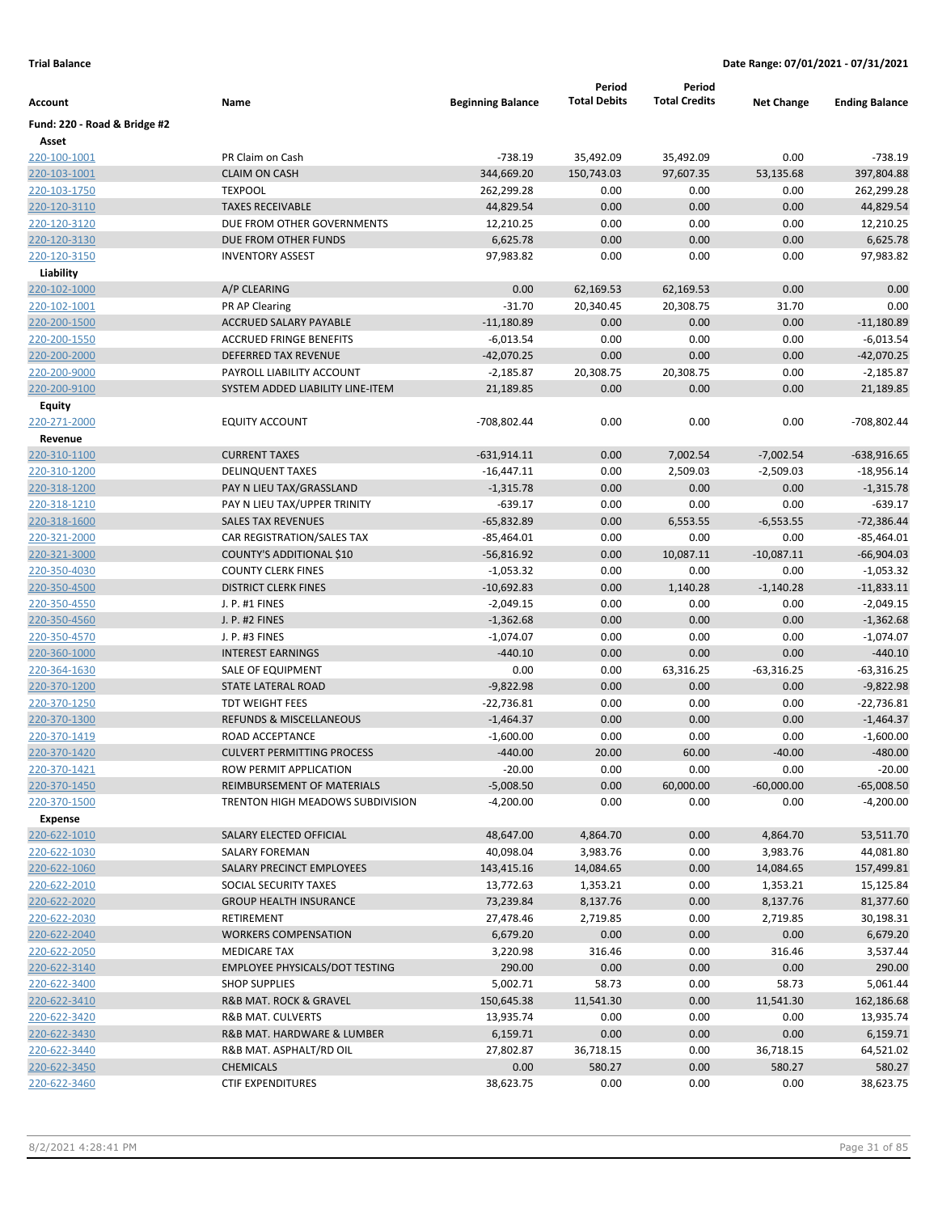|                              |                                       |                          | Period              | Period               |                   |                       |
|------------------------------|---------------------------------------|--------------------------|---------------------|----------------------|-------------------|-----------------------|
| Account                      | Name                                  | <b>Beginning Balance</b> | <b>Total Debits</b> | <b>Total Credits</b> | <b>Net Change</b> | <b>Ending Balance</b> |
| Fund: 220 - Road & Bridge #2 |                                       |                          |                     |                      |                   |                       |
| Asset                        |                                       |                          |                     |                      |                   |                       |
| 220-100-1001                 | PR Claim on Cash                      | $-738.19$                | 35,492.09           | 35,492.09            | 0.00              | $-738.19$             |
| 220-103-1001                 | <b>CLAIM ON CASH</b>                  | 344,669.20               | 150,743.03          | 97,607.35            | 53,135.68         | 397,804.88            |
| 220-103-1750                 | <b>TEXPOOL</b>                        | 262,299.28               | 0.00                | 0.00                 | 0.00              | 262,299.28            |
| 220-120-3110                 | <b>TAXES RECEIVABLE</b>               | 44,829.54                | 0.00                | 0.00                 | 0.00              | 44,829.54             |
| 220-120-3120                 | DUE FROM OTHER GOVERNMENTS            | 12,210.25                | 0.00                | 0.00                 | 0.00              | 12,210.25             |
| 220-120-3130                 | DUE FROM OTHER FUNDS                  | 6,625.78                 | 0.00                | 0.00                 | 0.00              | 6,625.78              |
| 220-120-3150                 | <b>INVENTORY ASSEST</b>               | 97,983.82                | 0.00                | 0.00                 | 0.00              | 97,983.82             |
| Liability                    |                                       |                          |                     |                      |                   |                       |
| 220-102-1000                 | A/P CLEARING                          | 0.00                     | 62,169.53           | 62,169.53            | 0.00              | 0.00                  |
| 220-102-1001                 | PR AP Clearing                        | $-31.70$                 | 20,340.45           | 20,308.75            | 31.70             | 0.00                  |
| 220-200-1500                 | <b>ACCRUED SALARY PAYABLE</b>         | $-11,180.89$             | 0.00                | 0.00                 | 0.00              | $-11,180.89$          |
| 220-200-1550                 | <b>ACCRUED FRINGE BENEFITS</b>        | $-6,013.54$              | 0.00                | 0.00                 | 0.00              | $-6,013.54$           |
| 220-200-2000                 | DEFERRED TAX REVENUE                  | $-42,070.25$             | 0.00                | 0.00                 | 0.00              | $-42,070.25$          |
| 220-200-9000                 | PAYROLL LIABILITY ACCOUNT             | $-2,185.87$              | 20,308.75           | 20,308.75            | 0.00              | $-2,185.87$           |
| 220-200-9100                 | SYSTEM ADDED LIABILITY LINE-ITEM      | 21,189.85                | 0.00                | 0.00                 | 0.00              | 21,189.85             |
| Equity                       |                                       |                          |                     |                      |                   |                       |
| 220-271-2000                 | <b>EQUITY ACCOUNT</b>                 | -708,802.44              | 0.00                | 0.00                 | 0.00              | -708,802.44           |
| Revenue                      |                                       |                          |                     |                      |                   |                       |
| 220-310-1100                 | <b>CURRENT TAXES</b>                  | $-631,914.11$            | 0.00                | 7,002.54             | $-7,002.54$       | $-638,916.65$         |
| 220-310-1200                 | <b>DELINQUENT TAXES</b>               | $-16,447.11$             | 0.00                | 2,509.03             | $-2,509.03$       | $-18,956.14$          |
| <u>220-318-1200</u>          | PAY N LIEU TAX/GRASSLAND              | $-1,315.78$              | 0.00                | 0.00                 | 0.00              | $-1,315.78$           |
| 220-318-1210                 | PAY N LIEU TAX/UPPER TRINITY          | $-639.17$                | 0.00                | 0.00                 | 0.00              | $-639.17$             |
| 220-318-1600                 | <b>SALES TAX REVENUES</b>             | $-65,832.89$             | 0.00                | 6,553.55             | $-6,553.55$       | $-72,386.44$          |
| 220-321-2000                 | CAR REGISTRATION/SALES TAX            | $-85,464.01$             | 0.00                | 0.00                 | 0.00              | $-85,464.01$          |
| 220-321-3000                 | COUNTY'S ADDITIONAL \$10              | $-56,816.92$             | 0.00                | 10,087.11            | $-10,087.11$      | $-66,904.03$          |
| 220-350-4030                 | <b>COUNTY CLERK FINES</b>             | $-1,053.32$              | 0.00                | 0.00                 | 0.00              | $-1,053.32$           |
| 220-350-4500                 | <b>DISTRICT CLERK FINES</b>           | $-10,692.83$             | 0.00                | 1,140.28             | $-1,140.28$       | $-11,833.11$          |
| 220-350-4550                 | J. P. #1 FINES                        | $-2,049.15$              | 0.00                | 0.00                 | 0.00              | $-2,049.15$           |
| 220-350-4560                 | J. P. #2 FINES                        | $-1,362.68$              | 0.00                | 0.00                 | 0.00              | $-1,362.68$           |
| 220-350-4570                 | J. P. #3 FINES                        | $-1,074.07$              | 0.00                | 0.00                 | 0.00              | $-1,074.07$           |
| 220-360-1000                 | <b>INTEREST EARNINGS</b>              | $-440.10$                | 0.00                | 0.00                 | 0.00              | $-440.10$             |
| 220-364-1630                 | SALE OF EQUIPMENT                     | 0.00                     | 0.00                | 63,316.25            | $-63,316.25$      | $-63,316.25$          |
| 220-370-1200                 | STATE LATERAL ROAD                    | $-9,822.98$              | 0.00                | 0.00                 | 0.00              | $-9,822.98$           |
| 220-370-1250                 | <b>TDT WEIGHT FEES</b>                | $-22,736.81$             | 0.00                | 0.00                 | 0.00              | -22,736.81            |
| 220-370-1300                 | REFUNDS & MISCELLANEOUS               | $-1,464.37$              | 0.00                | 0.00                 | 0.00              | $-1,464.37$           |
| 220-370-1419                 | ROAD ACCEPTANCE                       | $-1,600.00$              | 0.00                | 0.00                 | 0.00              | $-1,600.00$           |
| 220-370-1420                 | <b>CULVERT PERMITTING PROCESS</b>     | $-440.00$                | 20.00               | 60.00                | $-40.00$          | $-480.00$             |
| 220-370-1421                 | ROW PERMIT APPLICATION                | $-20.00$                 | 0.00                | 0.00                 | 0.00              | $-20.00$              |
| 220-370-1450                 | REIMBURSEMENT OF MATERIALS            | $-5,008.50$              | 0.00                | 60,000.00            | $-60,000.00$      | $-65,008.50$          |
| 220-370-1500                 | TRENTON HIGH MEADOWS SUBDIVISION      | $-4,200.00$              | 0.00                | 0.00                 | 0.00              | $-4,200.00$           |
| <b>Expense</b>               |                                       |                          |                     |                      |                   |                       |
| 220-622-1010                 | SALARY ELECTED OFFICIAL               | 48,647.00                | 4,864.70            | 0.00                 | 4,864.70          | 53,511.70             |
| 220-622-1030                 | SALARY FOREMAN                        | 40,098.04                | 3,983.76            | 0.00                 | 3,983.76          | 44,081.80             |
| 220-622-1060                 | SALARY PRECINCT EMPLOYEES             | 143,415.16               | 14,084.65           | 0.00                 | 14,084.65         | 157,499.81            |
| 220-622-2010                 | SOCIAL SECURITY TAXES                 | 13,772.63                | 1,353.21            | 0.00                 | 1,353.21          | 15,125.84             |
| 220-622-2020                 | <b>GROUP HEALTH INSURANCE</b>         | 73,239.84                | 8,137.76            | 0.00                 | 8,137.76          | 81,377.60             |
| 220-622-2030                 | RETIREMENT                            | 27,478.46                | 2,719.85            | 0.00                 | 2,719.85          | 30,198.31             |
| 220-622-2040                 | <b>WORKERS COMPENSATION</b>           | 6,679.20                 | 0.00                | 0.00                 | 0.00              | 6,679.20              |
| 220-622-2050                 | <b>MEDICARE TAX</b>                   |                          | 316.46              | 0.00                 | 316.46            |                       |
|                              | <b>EMPLOYEE PHYSICALS/DOT TESTING</b> | 3,220.98<br>290.00       | 0.00                | 0.00                 | 0.00              | 3,537.44<br>290.00    |
| 220-622-3140                 |                                       |                          |                     |                      |                   |                       |
| 220-622-3400<br>220-622-3410 | <b>SHOP SUPPLIES</b>                  | 5,002.71                 | 58.73               | 0.00<br>0.00         | 58.73             | 5,061.44              |
|                              | R&B MAT. ROCK & GRAVEL                | 150,645.38               | 11,541.30           |                      | 11,541.30         | 162,186.68            |
| 220-622-3420                 | R&B MAT. CULVERTS                     | 13,935.74                | 0.00                | 0.00                 | 0.00              | 13,935.74             |
| 220-622-3430                 | R&B MAT. HARDWARE & LUMBER            | 6,159.71                 | 0.00                | 0.00                 | 0.00              | 6,159.71              |
| 220-622-3440                 | R&B MAT. ASPHALT/RD OIL               | 27,802.87                | 36,718.15           | 0.00                 | 36,718.15         | 64,521.02             |
| 220-622-3450                 | <b>CHEMICALS</b>                      | 0.00                     | 580.27              | 0.00                 | 580.27            | 580.27                |
| 220-622-3460                 | <b>CTIF EXPENDITURES</b>              | 38,623.75                | 0.00                | 0.00                 | 0.00              | 38,623.75             |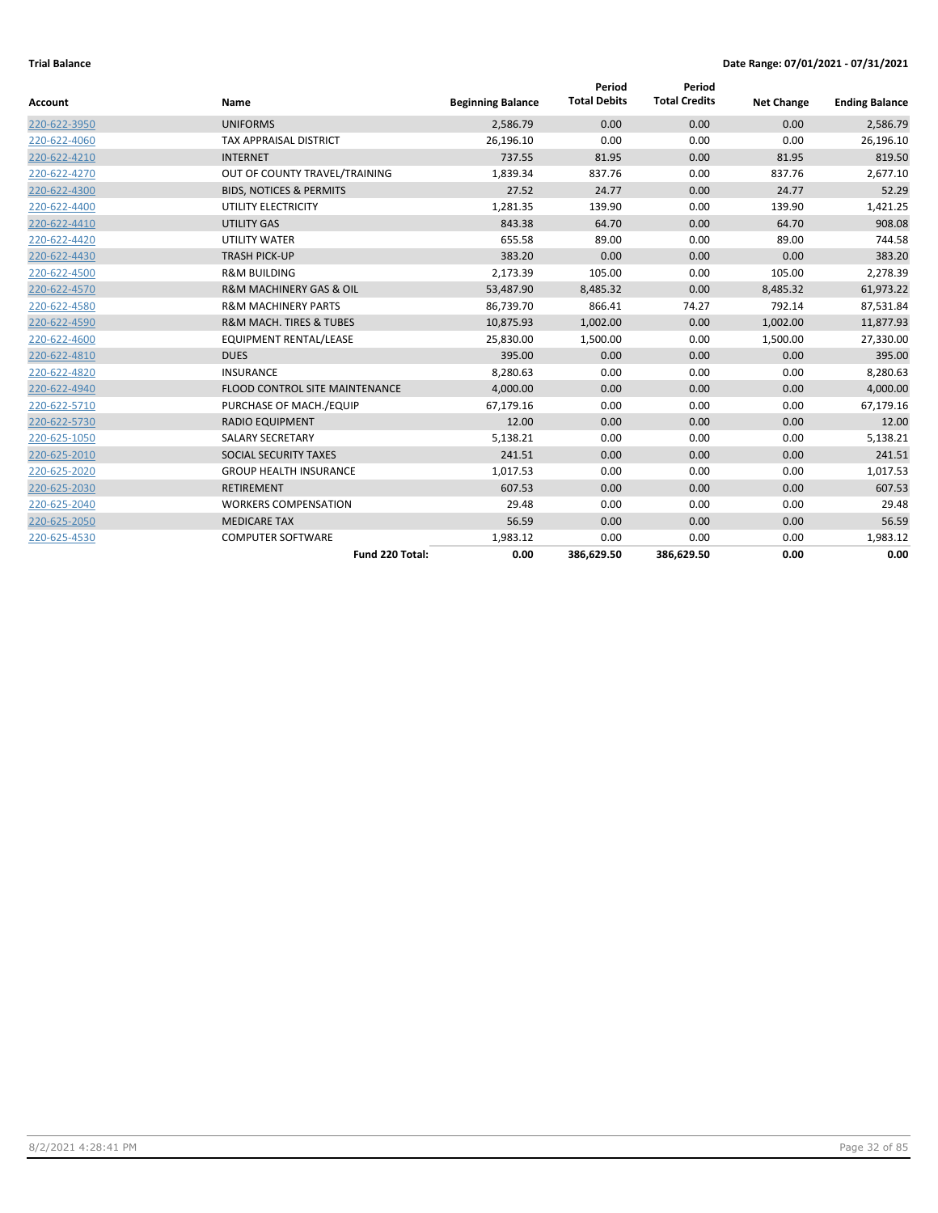| <b>Account</b> | Name                                   | <b>Beginning Balance</b> | Period<br><b>Total Debits</b> | Period<br><b>Total Credits</b> | <b>Net Change</b> | <b>Ending Balance</b> |
|----------------|----------------------------------------|--------------------------|-------------------------------|--------------------------------|-------------------|-----------------------|
| 220-622-3950   | <b>UNIFORMS</b>                        | 2,586.79                 | 0.00                          | 0.00                           | 0.00              | 2,586.79              |
| 220-622-4060   | <b>TAX APPRAISAL DISTRICT</b>          | 26,196.10                | 0.00                          | 0.00                           | 0.00              | 26,196.10             |
| 220-622-4210   | <b>INTERNET</b>                        | 737.55                   | 81.95                         | 0.00                           | 81.95             | 819.50                |
| 220-622-4270   | OUT OF COUNTY TRAVEL/TRAINING          | 1,839.34                 | 837.76                        | 0.00                           | 837.76            | 2,677.10              |
| 220-622-4300   | <b>BIDS, NOTICES &amp; PERMITS</b>     | 27.52                    | 24.77                         | 0.00                           | 24.77             | 52.29                 |
| 220-622-4400   | UTILITY ELECTRICITY                    | 1,281.35                 | 139.90                        | 0.00                           | 139.90            | 1,421.25              |
| 220-622-4410   | <b>UTILITY GAS</b>                     | 843.38                   | 64.70                         | 0.00                           | 64.70             | 908.08                |
| 220-622-4420   | <b>UTILITY WATER</b>                   | 655.58                   | 89.00                         | 0.00                           | 89.00             | 744.58                |
| 220-622-4430   | <b>TRASH PICK-UP</b>                   | 383.20                   | 0.00                          | 0.00                           | 0.00              | 383.20                |
| 220-622-4500   | <b>R&amp;M BUILDING</b>                | 2,173.39                 | 105.00                        | 0.00                           | 105.00            | 2,278.39              |
| 220-622-4570   | R&M MACHINERY GAS & OIL                | 53,487.90                | 8,485.32                      | 0.00                           | 8,485.32          | 61,973.22             |
| 220-622-4580   | <b>R&amp;M MACHINERY PARTS</b>         | 86,739.70                | 866.41                        | 74.27                          | 792.14            | 87,531.84             |
| 220-622-4590   | <b>R&amp;M MACH. TIRES &amp; TUBES</b> | 10,875.93                | 1,002.00                      | 0.00                           | 1,002.00          | 11,877.93             |
| 220-622-4600   | <b>EQUIPMENT RENTAL/LEASE</b>          | 25,830.00                | 1,500.00                      | 0.00                           | 1,500.00          | 27,330.00             |
| 220-622-4810   | <b>DUES</b>                            | 395.00                   | 0.00                          | 0.00                           | 0.00              | 395.00                |
| 220-622-4820   | <b>INSURANCE</b>                       | 8,280.63                 | 0.00                          | 0.00                           | 0.00              | 8,280.63              |
| 220-622-4940   | FLOOD CONTROL SITE MAINTENANCE         | 4,000.00                 | 0.00                          | 0.00                           | 0.00              | 4,000.00              |
| 220-622-5710   | PURCHASE OF MACH./EQUIP                | 67,179.16                | 0.00                          | 0.00                           | 0.00              | 67,179.16             |
| 220-622-5730   | <b>RADIO EQUIPMENT</b>                 | 12.00                    | 0.00                          | 0.00                           | 0.00              | 12.00                 |
| 220-625-1050   | <b>SALARY SECRETARY</b>                | 5,138.21                 | 0.00                          | 0.00                           | 0.00              | 5,138.21              |
| 220-625-2010   | SOCIAL SECURITY TAXES                  | 241.51                   | 0.00                          | 0.00                           | 0.00              | 241.51                |
| 220-625-2020   | <b>GROUP HEALTH INSURANCE</b>          | 1,017.53                 | 0.00                          | 0.00                           | 0.00              | 1,017.53              |
| 220-625-2030   | <b>RETIREMENT</b>                      | 607.53                   | 0.00                          | 0.00                           | 0.00              | 607.53                |
| 220-625-2040   | <b>WORKERS COMPENSATION</b>            | 29.48                    | 0.00                          | 0.00                           | 0.00              | 29.48                 |
| 220-625-2050   | <b>MEDICARE TAX</b>                    | 56.59                    | 0.00                          | 0.00                           | 0.00              | 56.59                 |
| 220-625-4530   | <b>COMPUTER SOFTWARE</b>               | 1,983.12                 | 0.00                          | 0.00                           | 0.00              | 1,983.12              |
|                | Fund 220 Total:                        | 0.00                     | 386,629.50                    | 386,629.50                     | 0.00              | 0.00                  |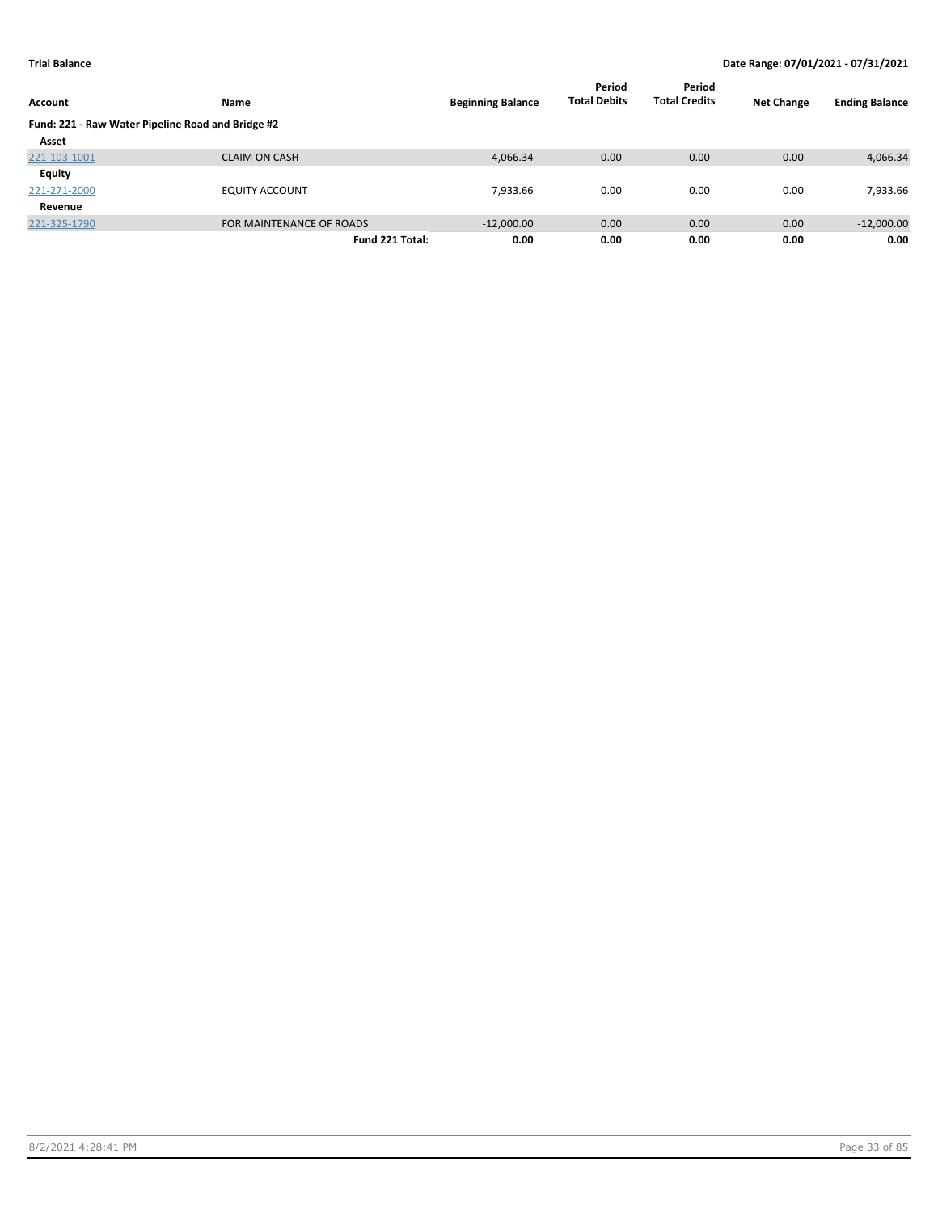| Account                                           | Name                     | <b>Beginning Balance</b> | Period<br><b>Total Debits</b> | Period<br><b>Total Credits</b> | <b>Net Change</b> | <b>Ending Balance</b> |
|---------------------------------------------------|--------------------------|--------------------------|-------------------------------|--------------------------------|-------------------|-----------------------|
| Fund: 221 - Raw Water Pipeline Road and Bridge #2 |                          |                          |                               |                                |                   |                       |
| Asset                                             |                          |                          |                               |                                |                   |                       |
| 221-103-1001                                      | <b>CLAIM ON CASH</b>     | 4,066.34                 | 0.00                          | 0.00                           | 0.00              | 4,066.34              |
| Equity                                            |                          |                          |                               |                                |                   |                       |
| 221-271-2000                                      | <b>EQUITY ACCOUNT</b>    | 7,933.66                 | 0.00                          | 0.00                           | 0.00              | 7,933.66              |
| Revenue                                           |                          |                          |                               |                                |                   |                       |
| 221-325-1790                                      | FOR MAINTENANCE OF ROADS | $-12,000.00$             | 0.00                          | 0.00                           | 0.00              | $-12,000.00$          |
|                                                   | Fund 221 Total:          | 0.00                     | 0.00                          | 0.00                           | 0.00              | 0.00                  |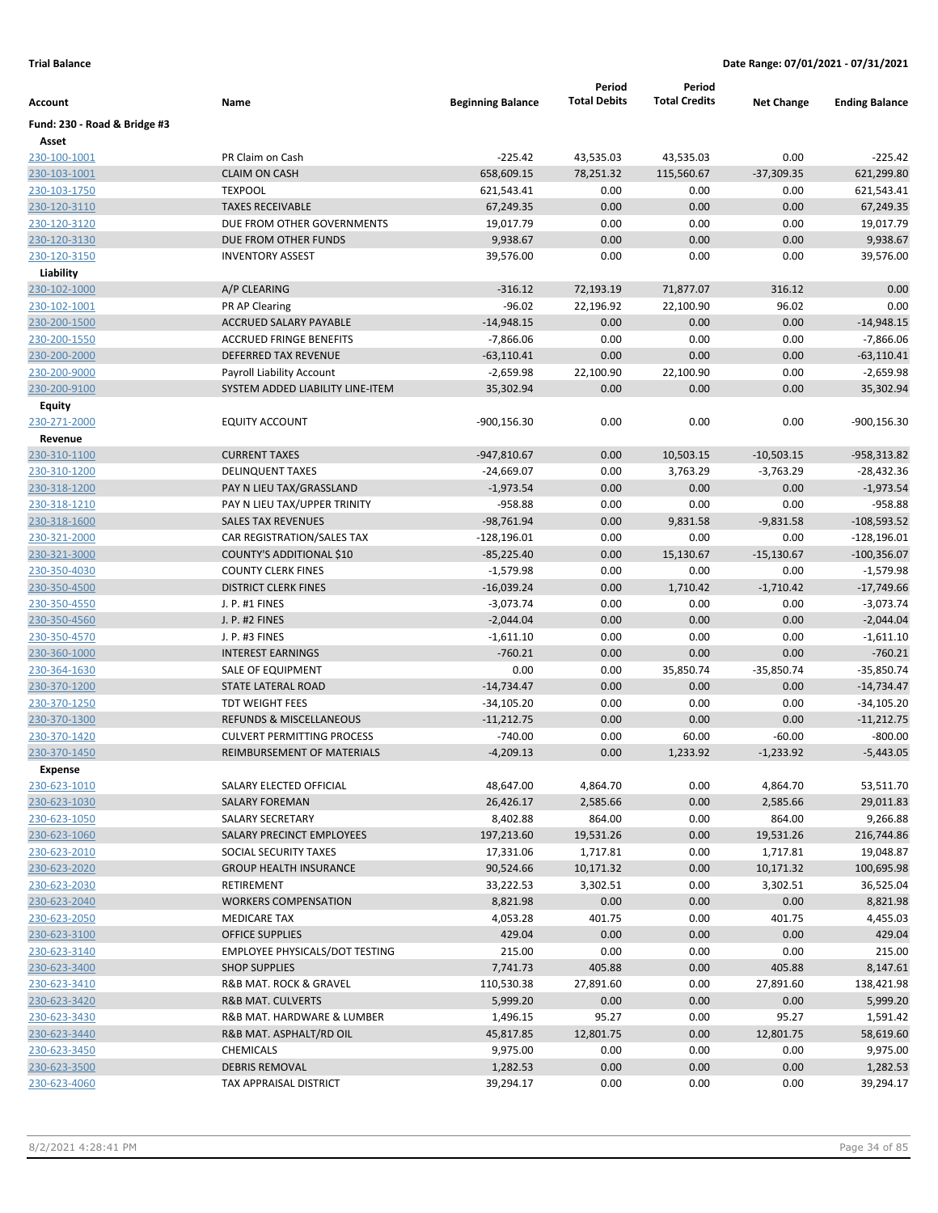|                              |                                                               |                          | Period              | Period               |                   |                       |
|------------------------------|---------------------------------------------------------------|--------------------------|---------------------|----------------------|-------------------|-----------------------|
| Account                      | Name                                                          | <b>Beginning Balance</b> | <b>Total Debits</b> | <b>Total Credits</b> | <b>Net Change</b> | <b>Ending Balance</b> |
| Fund: 230 - Road & Bridge #3 |                                                               |                          |                     |                      |                   |                       |
| Asset                        |                                                               |                          |                     |                      |                   |                       |
| 230-100-1001                 | PR Claim on Cash                                              | $-225.42$                | 43,535.03           | 43,535.03            | 0.00              | $-225.42$             |
| 230-103-1001                 | <b>CLAIM ON CASH</b>                                          | 658,609.15               | 78,251.32           | 115,560.67           | $-37,309.35$      | 621,299.80            |
| 230-103-1750                 | <b>TEXPOOL</b>                                                | 621,543.41               | 0.00                | 0.00                 | 0.00              | 621,543.41            |
| 230-120-3110                 | <b>TAXES RECEIVABLE</b>                                       | 67,249.35                | 0.00                | 0.00                 | 0.00              | 67,249.35             |
| 230-120-3120                 | DUE FROM OTHER GOVERNMENTS                                    | 19,017.79                | 0.00                | 0.00                 | 0.00              | 19,017.79             |
| 230-120-3130                 | DUE FROM OTHER FUNDS                                          | 9,938.67                 | 0.00                | 0.00                 | 0.00              | 9,938.67              |
| 230-120-3150                 | <b>INVENTORY ASSEST</b>                                       | 39,576.00                | 0.00                | 0.00                 | 0.00              | 39,576.00             |
| Liability                    |                                                               |                          |                     |                      |                   |                       |
| 230-102-1000                 | A/P CLEARING                                                  | $-316.12$                | 72,193.19           | 71,877.07            | 316.12            | 0.00                  |
| 230-102-1001                 | PR AP Clearing                                                | $-96.02$                 | 22,196.92           | 22,100.90            | 96.02             | 0.00                  |
| 230-200-1500                 | <b>ACCRUED SALARY PAYABLE</b>                                 | $-14,948.15$             | 0.00                | 0.00                 | 0.00              | $-14,948.15$          |
| 230-200-1550                 | <b>ACCRUED FRINGE BENEFITS</b>                                | $-7,866.06$              | 0.00                | 0.00                 | 0.00              | $-7,866.06$           |
| 230-200-2000                 | DEFERRED TAX REVENUE                                          | $-63,110.41$             | 0.00                | 0.00                 | 0.00              | $-63,110.41$          |
| 230-200-9000                 | Payroll Liability Account<br>SYSTEM ADDED LIABILITY LINE-ITEM | $-2,659.98$              | 22,100.90<br>0.00   | 22,100.90<br>0.00    | 0.00<br>0.00      | $-2,659.98$           |
| 230-200-9100                 |                                                               | 35,302.94                |                     |                      |                   | 35,302.94             |
| Equity                       | <b>EQUITY ACCOUNT</b>                                         | $-900, 156.30$           | 0.00                | 0.00                 | 0.00              | -900,156.30           |
| 230-271-2000<br>Revenue      |                                                               |                          |                     |                      |                   |                       |
| 230-310-1100                 | <b>CURRENT TAXES</b>                                          | $-947,810.67$            | 0.00                | 10,503.15            | $-10,503.15$      | -958,313.82           |
| 230-310-1200                 | <b>DELINQUENT TAXES</b>                                       | $-24,669.07$             | 0.00                | 3,763.29             | $-3,763.29$       | -28,432.36            |
| 230-318-1200                 | PAY N LIEU TAX/GRASSLAND                                      | $-1,973.54$              | 0.00                | 0.00                 | 0.00              | $-1,973.54$           |
| 230-318-1210                 | PAY N LIEU TAX/UPPER TRINITY                                  | $-958.88$                | 0.00                | 0.00                 | 0.00              | $-958.88$             |
| 230-318-1600                 | <b>SALES TAX REVENUES</b>                                     | $-98,761.94$             | 0.00                | 9,831.58             | $-9,831.58$       | $-108,593.52$         |
| 230-321-2000                 | CAR REGISTRATION/SALES TAX                                    | $-128,196.01$            | 0.00                | 0.00                 | 0.00              | $-128,196.01$         |
| 230-321-3000                 | COUNTY'S ADDITIONAL \$10                                      | $-85,225.40$             | 0.00                | 15,130.67            | $-15,130.67$      | $-100,356.07$         |
| 230-350-4030                 | <b>COUNTY CLERK FINES</b>                                     | $-1,579.98$              | 0.00                | 0.00                 | 0.00              | $-1,579.98$           |
| 230-350-4500                 | <b>DISTRICT CLERK FINES</b>                                   | $-16,039.24$             | 0.00                | 1,710.42             | $-1,710.42$       | $-17,749.66$          |
| 230-350-4550                 | J. P. #1 FINES                                                | $-3,073.74$              | 0.00                | 0.00                 | 0.00              | $-3,073.74$           |
| 230-350-4560                 | J. P. #2 FINES                                                | $-2,044.04$              | 0.00                | 0.00                 | 0.00              | $-2,044.04$           |
| 230-350-4570                 | J. P. #3 FINES                                                | $-1,611.10$              | 0.00                | 0.00                 | 0.00              | $-1,611.10$           |
| 230-360-1000                 | <b>INTEREST EARNINGS</b>                                      | $-760.21$                | 0.00                | 0.00                 | 0.00              | $-760.21$             |
| 230-364-1630                 | SALE OF EQUIPMENT                                             | 0.00                     | 0.00                | 35,850.74            | $-35,850.74$      | $-35,850.74$          |
| 230-370-1200                 | STATE LATERAL ROAD                                            | $-14,734.47$             | 0.00                | 0.00                 | 0.00              | $-14,734.47$          |
| 230-370-1250                 | <b>TDT WEIGHT FEES</b>                                        | $-34,105.20$             | 0.00                | 0.00                 | 0.00              | $-34,105.20$          |
| 230-370-1300                 | <b>REFUNDS &amp; MISCELLANEOUS</b>                            | $-11,212.75$             | 0.00                | 0.00                 | 0.00              | $-11,212.75$          |
| 230-370-1420                 | <b>CULVERT PERMITTING PROCESS</b>                             | $-740.00$                | 0.00                | 60.00                | $-60.00$          | $-800.00$             |
| 230-370-1450                 | <b>REIMBURSEMENT OF MATERIALS</b>                             | $-4,209.13$              | 0.00                | 1,233.92             | $-1,233.92$       | $-5,443.05$           |
| <b>Expense</b>               |                                                               |                          |                     |                      |                   |                       |
| 230-623-1010                 | SALARY ELECTED OFFICIAL                                       | 48,647.00                | 4,864.70            | 0.00                 | 4,864.70          | 53,511.70             |
| 230-623-1030                 | <b>SALARY FOREMAN</b>                                         | 26,426.17                | 2,585.66            | 0.00                 | 2,585.66          | 29,011.83             |
| 230-623-1050                 | SALARY SECRETARY                                              | 8,402.88                 | 864.00              | 0.00                 | 864.00            | 9,266.88              |
| 230-623-1060                 | SALARY PRECINCT EMPLOYEES                                     | 197,213.60               | 19,531.26           | 0.00                 | 19,531.26         | 216,744.86            |
| 230-623-2010                 | SOCIAL SECURITY TAXES                                         | 17,331.06                | 1,717.81            | 0.00                 | 1,717.81          | 19,048.87             |
| 230-623-2020                 | <b>GROUP HEALTH INSURANCE</b>                                 | 90,524.66                | 10,171.32           | 0.00                 | 10,171.32         | 100,695.98            |
| 230-623-2030                 | RETIREMENT                                                    | 33,222.53                | 3,302.51            | 0.00                 | 3,302.51          | 36,525.04             |
| 230-623-2040                 | <b>WORKERS COMPENSATION</b>                                   | 8,821.98                 | 0.00                | 0.00                 | 0.00              | 8,821.98              |
| 230-623-2050                 | <b>MEDICARE TAX</b>                                           | 4,053.28                 | 401.75              | 0.00                 | 401.75            | 4,455.03              |
| 230-623-3100                 | <b>OFFICE SUPPLIES</b>                                        | 429.04                   | 0.00                | 0.00                 | 0.00              | 429.04                |
| 230-623-3140                 | <b>EMPLOYEE PHYSICALS/DOT TESTING</b>                         | 215.00                   | 0.00                | 0.00                 | 0.00              | 215.00                |
| 230-623-3400                 | <b>SHOP SUPPLIES</b>                                          | 7,741.73                 | 405.88              | 0.00                 | 405.88            | 8,147.61              |
| 230-623-3410                 | R&B MAT. ROCK & GRAVEL                                        | 110,530.38               | 27,891.60           | 0.00                 | 27,891.60         | 138,421.98            |
| 230-623-3420                 | R&B MAT. CULVERTS                                             | 5,999.20                 | 0.00                | 0.00                 | 0.00              | 5,999.20              |
| 230-623-3430                 | R&B MAT. HARDWARE & LUMBER                                    | 1,496.15                 | 95.27               | 0.00                 | 95.27             | 1,591.42              |
| 230-623-3440                 | R&B MAT. ASPHALT/RD OIL                                       | 45,817.85                | 12,801.75           | 0.00                 | 12,801.75         | 58,619.60             |
| 230-623-3450                 | CHEMICALS                                                     | 9,975.00                 | 0.00                | 0.00                 | 0.00              | 9,975.00              |
| 230-623-3500                 | <b>DEBRIS REMOVAL</b>                                         | 1,282.53                 | 0.00                | 0.00                 | 0.00              | 1,282.53              |
| 230-623-4060                 | TAX APPRAISAL DISTRICT                                        | 39,294.17                | 0.00                | 0.00                 | 0.00              | 39,294.17             |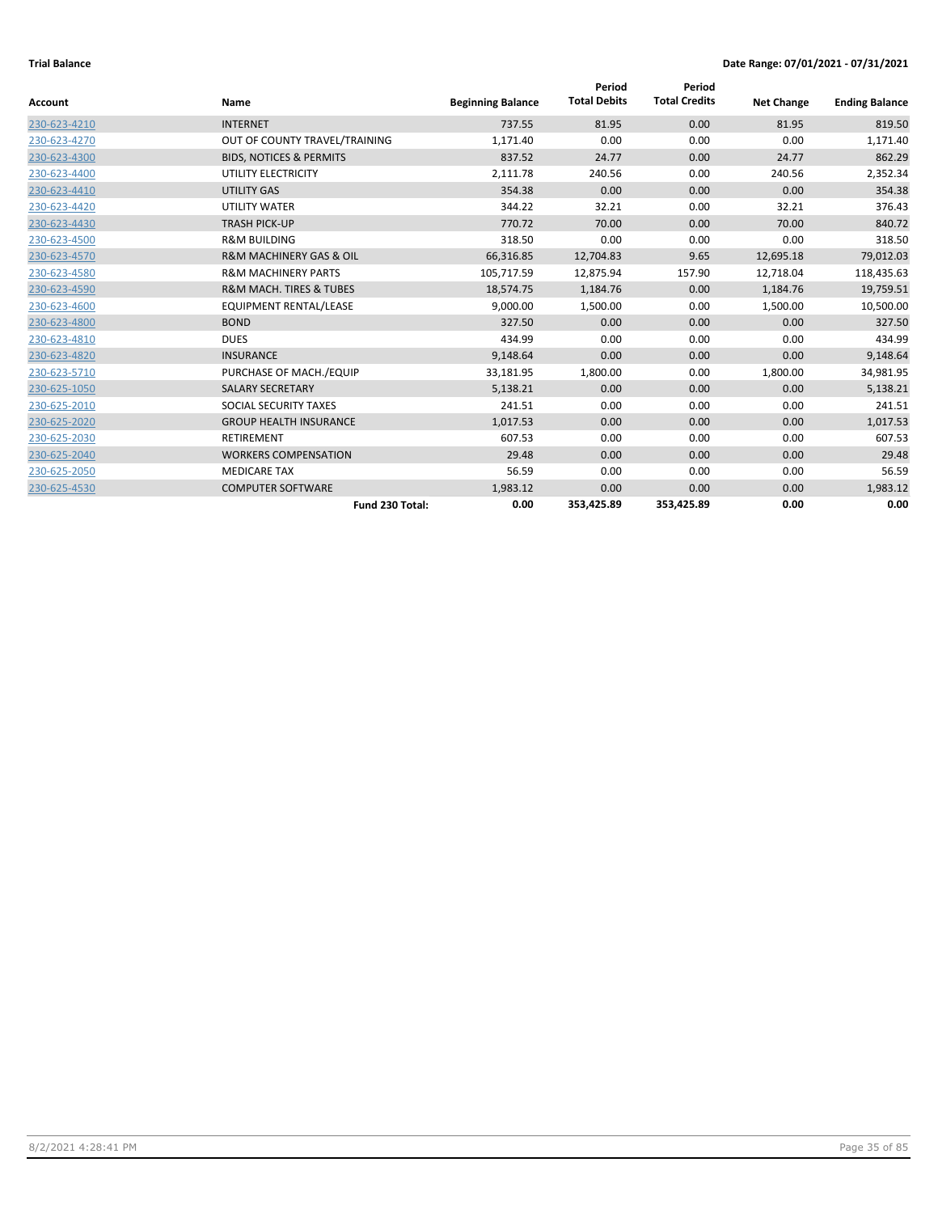|              |                                        |                          | Period              | Period               |                   |                       |
|--------------|----------------------------------------|--------------------------|---------------------|----------------------|-------------------|-----------------------|
| Account      | Name                                   | <b>Beginning Balance</b> | <b>Total Debits</b> | <b>Total Credits</b> | <b>Net Change</b> | <b>Ending Balance</b> |
| 230-623-4210 | <b>INTERNET</b>                        | 737.55                   | 81.95               | 0.00                 | 81.95             | 819.50                |
| 230-623-4270 | OUT OF COUNTY TRAVEL/TRAINING          | 1,171.40                 | 0.00                | 0.00                 | 0.00              | 1,171.40              |
| 230-623-4300 | <b>BIDS, NOTICES &amp; PERMITS</b>     | 837.52                   | 24.77               | 0.00                 | 24.77             | 862.29                |
| 230-623-4400 | UTILITY ELECTRICITY                    | 2,111.78                 | 240.56              | 0.00                 | 240.56            | 2,352.34              |
| 230-623-4410 | <b>UTILITY GAS</b>                     | 354.38                   | 0.00                | 0.00                 | 0.00              | 354.38                |
| 230-623-4420 | <b>UTILITY WATER</b>                   | 344.22                   | 32.21               | 0.00                 | 32.21             | 376.43                |
| 230-623-4430 | <b>TRASH PICK-UP</b>                   | 770.72                   | 70.00               | 0.00                 | 70.00             | 840.72                |
| 230-623-4500 | <b>R&amp;M BUILDING</b>                | 318.50                   | 0.00                | 0.00                 | 0.00              | 318.50                |
| 230-623-4570 | <b>R&amp;M MACHINERY GAS &amp; OIL</b> | 66,316.85                | 12,704.83           | 9.65                 | 12,695.18         | 79,012.03             |
| 230-623-4580 | <b>R&amp;M MACHINERY PARTS</b>         | 105,717.59               | 12,875.94           | 157.90               | 12,718.04         | 118,435.63            |
| 230-623-4590 | <b>R&amp;M MACH. TIRES &amp; TUBES</b> | 18,574.75                | 1,184.76            | 0.00                 | 1,184.76          | 19,759.51             |
| 230-623-4600 | <b>EQUIPMENT RENTAL/LEASE</b>          | 9,000.00                 | 1,500.00            | 0.00                 | 1,500.00          | 10,500.00             |
| 230-623-4800 | <b>BOND</b>                            | 327.50                   | 0.00                | 0.00                 | 0.00              | 327.50                |
| 230-623-4810 | <b>DUES</b>                            | 434.99                   | 0.00                | 0.00                 | 0.00              | 434.99                |
| 230-623-4820 | <b>INSURANCE</b>                       | 9,148.64                 | 0.00                | 0.00                 | 0.00              | 9,148.64              |
| 230-623-5710 | PURCHASE OF MACH./EQUIP                | 33,181.95                | 1,800.00            | 0.00                 | 1,800.00          | 34,981.95             |
| 230-625-1050 | <b>SALARY SECRETARY</b>                | 5,138.21                 | 0.00                | 0.00                 | 0.00              | 5,138.21              |
| 230-625-2010 | SOCIAL SECURITY TAXES                  | 241.51                   | 0.00                | 0.00                 | 0.00              | 241.51                |
| 230-625-2020 | <b>GROUP HEALTH INSURANCE</b>          | 1,017.53                 | 0.00                | 0.00                 | 0.00              | 1,017.53              |
| 230-625-2030 | <b>RETIREMENT</b>                      | 607.53                   | 0.00                | 0.00                 | 0.00              | 607.53                |
| 230-625-2040 | <b>WORKERS COMPENSATION</b>            | 29.48                    | 0.00                | 0.00                 | 0.00              | 29.48                 |
| 230-625-2050 | <b>MEDICARE TAX</b>                    | 56.59                    | 0.00                | 0.00                 | 0.00              | 56.59                 |
| 230-625-4530 | <b>COMPUTER SOFTWARE</b>               | 1,983.12                 | 0.00                | 0.00                 | 0.00              | 1,983.12              |
|              | Fund 230 Total:                        | 0.00                     | 353,425.89          | 353,425.89           | 0.00              | 0.00                  |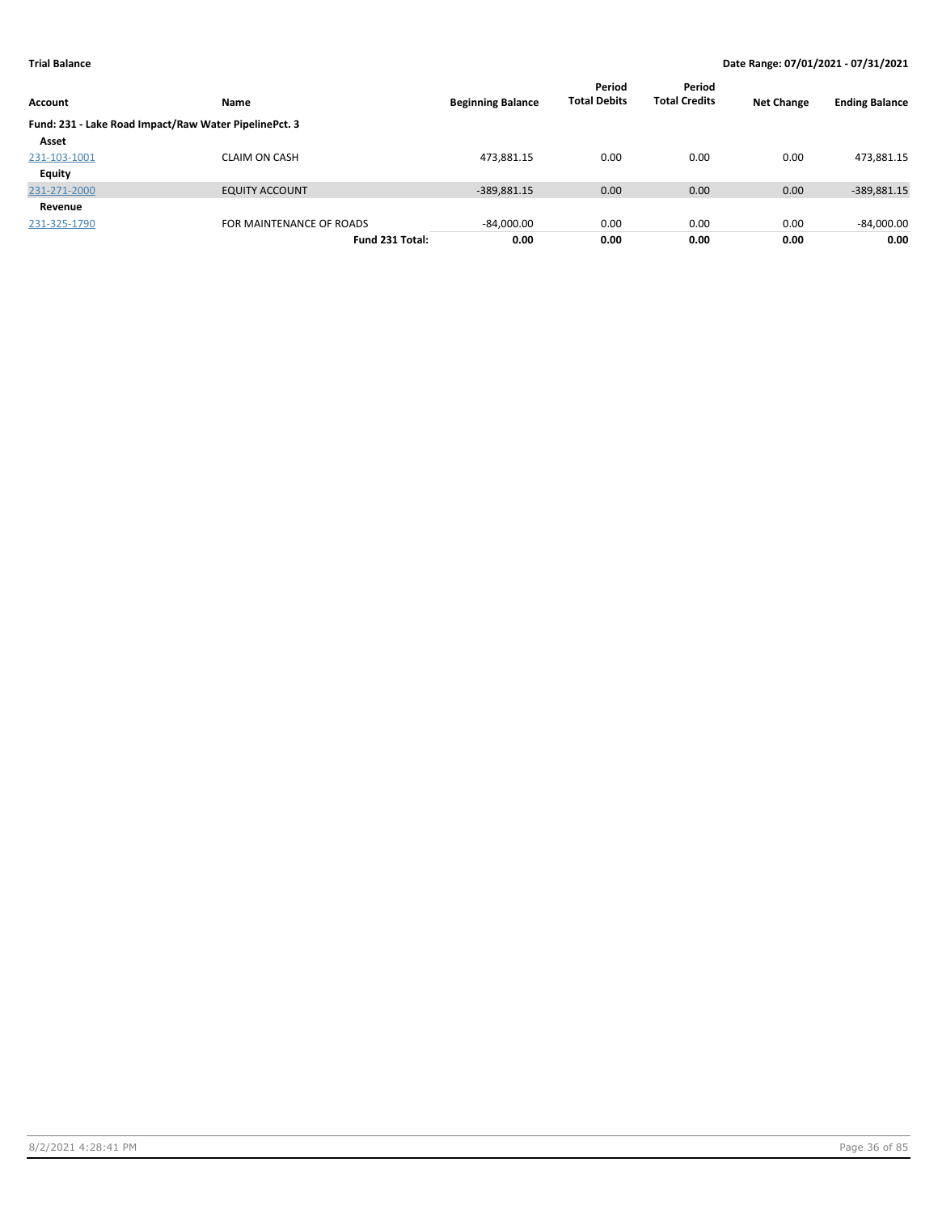| Account       | Name                                                  | <b>Beginning Balance</b> | Period<br><b>Total Debits</b> | Period<br><b>Total Credits</b> | <b>Net Change</b> | <b>Ending Balance</b> |
|---------------|-------------------------------------------------------|--------------------------|-------------------------------|--------------------------------|-------------------|-----------------------|
|               | Fund: 231 - Lake Road Impact/Raw Water PipelinePct. 3 |                          |                               |                                |                   |                       |
| Asset         |                                                       |                          |                               |                                |                   |                       |
| 231-103-1001  | <b>CLAIM ON CASH</b>                                  | 473,881.15               | 0.00                          | 0.00                           | 0.00              | 473,881.15            |
| <b>Equity</b> |                                                       |                          |                               |                                |                   |                       |
| 231-271-2000  | <b>EQUITY ACCOUNT</b>                                 | $-389,881.15$            | 0.00                          | 0.00                           | 0.00              | -389,881.15           |
| Revenue       |                                                       |                          |                               |                                |                   |                       |
| 231-325-1790  | FOR MAINTENANCE OF ROADS                              | $-84,000.00$             | 0.00                          | 0.00                           | 0.00              | $-84,000.00$          |
|               | Fund 231 Total:                                       | 0.00                     | 0.00                          | 0.00                           | 0.00              | 0.00                  |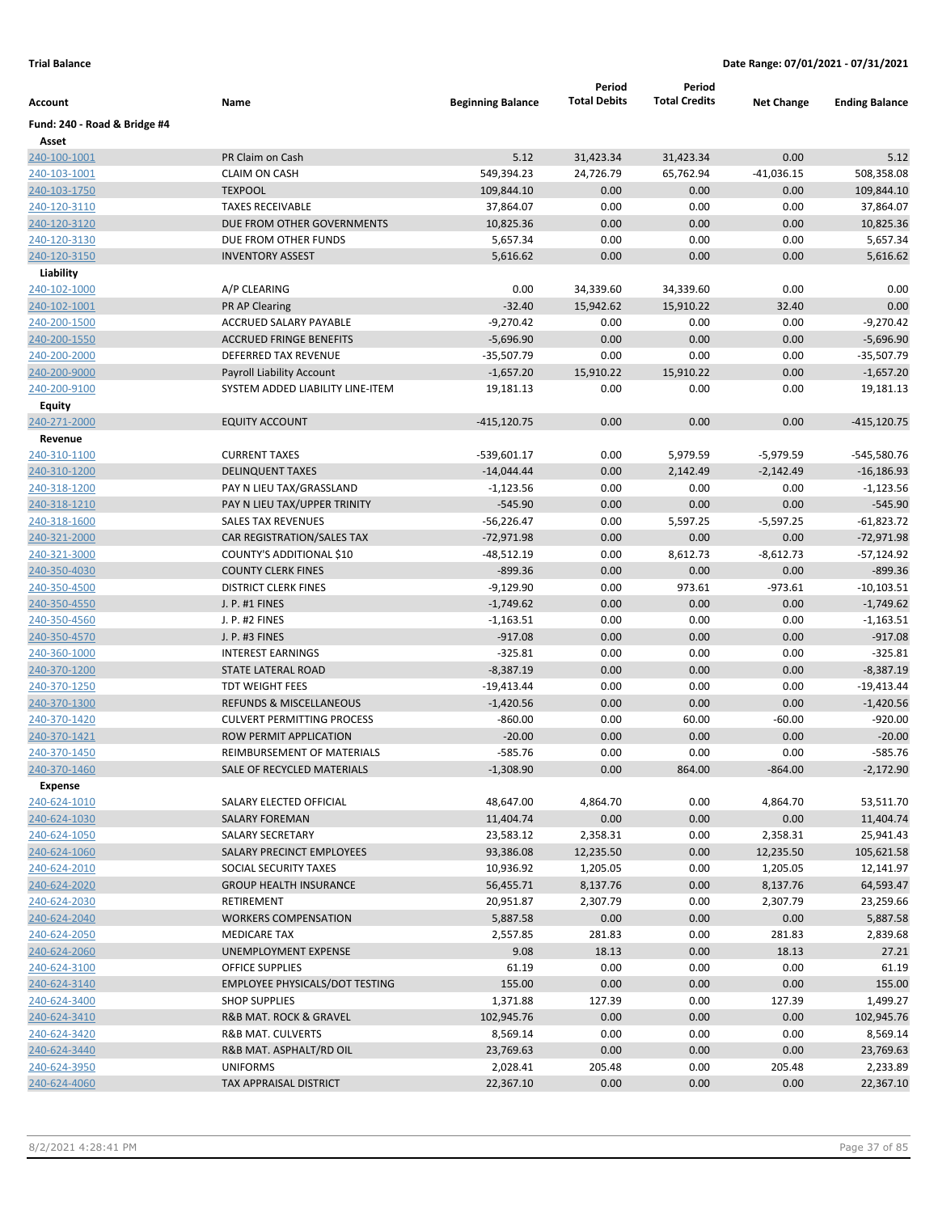|                              |                                                              |                          | Period              | Period               |                   |                          |
|------------------------------|--------------------------------------------------------------|--------------------------|---------------------|----------------------|-------------------|--------------------------|
| Account                      | Name                                                         | <b>Beginning Balance</b> | <b>Total Debits</b> | <b>Total Credits</b> | <b>Net Change</b> | <b>Ending Balance</b>    |
| Fund: 240 - Road & Bridge #4 |                                                              |                          |                     |                      |                   |                          |
| Asset                        |                                                              |                          |                     |                      |                   |                          |
| 240-100-1001                 | PR Claim on Cash                                             | 5.12                     | 31,423.34           | 31,423.34            | 0.00              | 5.12                     |
| 240-103-1001                 | <b>CLAIM ON CASH</b>                                         | 549,394.23               | 24,726.79           | 65,762.94            | $-41,036.15$      | 508,358.08               |
| 240-103-1750                 | <b>TEXPOOL</b>                                               | 109,844.10               | 0.00                | 0.00                 | 0.00              | 109,844.10               |
| 240-120-3110                 | <b>TAXES RECEIVABLE</b>                                      | 37,864.07                | 0.00                | 0.00                 | 0.00              | 37,864.07                |
| 240-120-3120                 | DUE FROM OTHER GOVERNMENTS                                   | 10,825.36                | 0.00                | 0.00                 | 0.00              | 10,825.36                |
| 240-120-3130                 | DUE FROM OTHER FUNDS                                         | 5,657.34                 | 0.00                | 0.00                 | 0.00              | 5,657.34                 |
| 240-120-3150                 | <b>INVENTORY ASSEST</b>                                      | 5,616.62                 | 0.00                | 0.00                 | 0.00              | 5,616.62                 |
| Liability                    |                                                              |                          |                     |                      |                   |                          |
| 240-102-1000                 | A/P CLEARING                                                 | 0.00                     | 34,339.60           | 34,339.60            | 0.00              | 0.00                     |
| 240-102-1001                 | PR AP Clearing                                               | $-32.40$                 | 15,942.62           | 15,910.22            | 32.40             | 0.00                     |
| 240-200-1500                 | ACCRUED SALARY PAYABLE                                       | $-9,270.42$              | 0.00                | 0.00                 | 0.00              | $-9,270.42$              |
| 240-200-1550                 | <b>ACCRUED FRINGE BENEFITS</b>                               | $-5,696.90$              | 0.00                | 0.00                 | 0.00              | $-5,696.90$              |
| 240-200-2000                 | DEFERRED TAX REVENUE                                         | $-35,507.79$             | 0.00                | 0.00                 | 0.00              | $-35,507.79$             |
| 240-200-9000                 | <b>Payroll Liability Account</b>                             | $-1,657.20$              | 15,910.22           | 15,910.22            | 0.00              | $-1,657.20$              |
| 240-200-9100                 | SYSTEM ADDED LIABILITY LINE-ITEM                             | 19,181.13                | 0.00                | 0.00                 | 0.00              | 19,181.13                |
| Equity                       |                                                              |                          |                     |                      |                   |                          |
| 240-271-2000                 | <b>EQUITY ACCOUNT</b>                                        | $-415,120.75$            | 0.00                | 0.00                 | 0.00              | $-415, 120.75$           |
| Revenue                      |                                                              |                          |                     |                      |                   |                          |
| 240-310-1100                 | <b>CURRENT TAXES</b>                                         | $-539,601.17$            | 0.00                | 5,979.59             | $-5,979.59$       | -545,580.76              |
| 240-310-1200                 | <b>DELINQUENT TAXES</b>                                      | $-14,044.44$             | 0.00                | 2,142.49             | $-2,142.49$       | $-16,186.93$             |
| 240-318-1200                 | PAY N LIEU TAX/GRASSLAND                                     | $-1,123.56$              | 0.00                | 0.00                 | 0.00              | $-1,123.56$              |
| 240-318-1210                 | PAY N LIEU TAX/UPPER TRINITY                                 | $-545.90$                | 0.00                | 0.00                 | 0.00              | $-545.90$                |
| 240-318-1600                 | <b>SALES TAX REVENUES</b>                                    | $-56,226.47$             | 0.00                | 5,597.25             | $-5,597.25$       | $-61,823.72$             |
| 240-321-2000                 | CAR REGISTRATION/SALES TAX                                   | $-72,971.98$             | 0.00                | 0.00                 | 0.00              | $-72,971.98$             |
| 240-321-3000                 | COUNTY'S ADDITIONAL \$10                                     | -48,512.19               | 0.00                | 8,612.73             | $-8,612.73$       | $-57,124.92$             |
| 240-350-4030                 | <b>COUNTY CLERK FINES</b>                                    | $-899.36$                | 0.00                | 0.00                 | 0.00              | $-899.36$                |
| 240-350-4500                 | <b>DISTRICT CLERK FINES</b>                                  | $-9,129.90$              | 0.00                | 973.61               | $-973.61$         | $-10,103.51$             |
| 240-350-4550                 | J. P. #1 FINES                                               | $-1,749.62$              | 0.00                | 0.00                 | 0.00              | $-1,749.62$              |
| 240-350-4560                 | J. P. #2 FINES                                               | $-1,163.51$              | 0.00                | 0.00                 | 0.00              | $-1,163.51$              |
| 240-350-4570                 | J. P. #3 FINES                                               | $-917.08$                | 0.00                | 0.00                 | 0.00              | $-917.08$                |
| 240-360-1000                 | <b>INTEREST EARNINGS</b>                                     | $-325.81$                | 0.00                | 0.00                 | 0.00              | $-325.81$                |
| 240-370-1200                 | STATE LATERAL ROAD                                           | $-8,387.19$              | 0.00                | 0.00                 | 0.00              | $-8,387.19$              |
| 240-370-1250                 | <b>TDT WEIGHT FEES</b><br><b>REFUNDS &amp; MISCELLANEOUS</b> | $-19,413.44$             | 0.00<br>0.00        | 0.00                 | 0.00              | $-19,413.44$             |
| 240-370-1300                 | <b>CULVERT PERMITTING PROCESS</b>                            | $-1,420.56$              | 0.00                | 0.00<br>60.00        | 0.00<br>$-60.00$  | $-1,420.56$<br>$-920.00$ |
| 240-370-1420<br>240-370-1421 | ROW PERMIT APPLICATION                                       | $-860.00$<br>$-20.00$    | 0.00                |                      |                   | $-20.00$                 |
| 240-370-1450                 | REIMBURSEMENT OF MATERIALS                                   | $-585.76$                | 0.00                | 0.00<br>0.00         | 0.00<br>0.00      | $-585.76$                |
| 240-370-1460                 | SALE OF RECYCLED MATERIALS                                   | $-1,308.90$              | 0.00                | 864.00               | $-864.00$         | $-2,172.90$              |
| <b>Expense</b>               |                                                              |                          |                     |                      |                   |                          |
| 240-624-1010                 | SALARY ELECTED OFFICIAL                                      | 48,647.00                | 4,864.70            | 0.00                 | 4,864.70          | 53,511.70                |
| 240-624-1030                 | <b>SALARY FOREMAN</b>                                        | 11,404.74                | 0.00                | 0.00                 | 0.00              | 11,404.74                |
| 240-624-1050                 | SALARY SECRETARY                                             | 23,583.12                | 2,358.31            | 0.00                 | 2,358.31          | 25,941.43                |
| 240-624-1060                 | <b>SALARY PRECINCT EMPLOYEES</b>                             | 93,386.08                | 12,235.50           | 0.00                 | 12,235.50         | 105,621.58               |
| 240-624-2010                 | SOCIAL SECURITY TAXES                                        | 10,936.92                | 1,205.05            | 0.00                 | 1,205.05          | 12,141.97                |
| 240-624-2020                 | <b>GROUP HEALTH INSURANCE</b>                                | 56,455.71                | 8,137.76            | 0.00                 | 8,137.76          | 64,593.47                |
| 240-624-2030                 | RETIREMENT                                                   | 20,951.87                | 2,307.79            | 0.00                 | 2,307.79          | 23,259.66                |
| 240-624-2040                 | <b>WORKERS COMPENSATION</b>                                  | 5,887.58                 | 0.00                | 0.00                 | 0.00              | 5,887.58                 |
| 240-624-2050                 | <b>MEDICARE TAX</b>                                          | 2,557.85                 | 281.83              | 0.00                 | 281.83            | 2,839.68                 |
| 240-624-2060                 | UNEMPLOYMENT EXPENSE                                         | 9.08                     | 18.13               | 0.00                 | 18.13             | 27.21                    |
| 240-624-3100                 | <b>OFFICE SUPPLIES</b>                                       | 61.19                    | 0.00                | 0.00                 | 0.00              | 61.19                    |
| 240-624-3140                 | <b>EMPLOYEE PHYSICALS/DOT TESTING</b>                        | 155.00                   | 0.00                | 0.00                 | 0.00              | 155.00                   |
| 240-624-3400                 | <b>SHOP SUPPLIES</b>                                         | 1,371.88                 | 127.39              | 0.00                 | 127.39            | 1,499.27                 |
| 240-624-3410                 | R&B MAT. ROCK & GRAVEL                                       | 102,945.76               | 0.00                | 0.00                 | 0.00              | 102,945.76               |
| 240-624-3420                 | R&B MAT. CULVERTS                                            | 8,569.14                 | 0.00                | 0.00                 | 0.00              | 8,569.14                 |
| 240-624-3440                 | R&B MAT. ASPHALT/RD OIL                                      | 23,769.63                | 0.00                | 0.00                 | 0.00              | 23,769.63                |
| 240-624-3950                 | <b>UNIFORMS</b>                                              | 2,028.41                 | 205.48              | 0.00                 | 205.48            | 2,233.89                 |
| 240-624-4060                 | TAX APPRAISAL DISTRICT                                       | 22,367.10                | 0.00                | 0.00                 | 0.00              | 22,367.10                |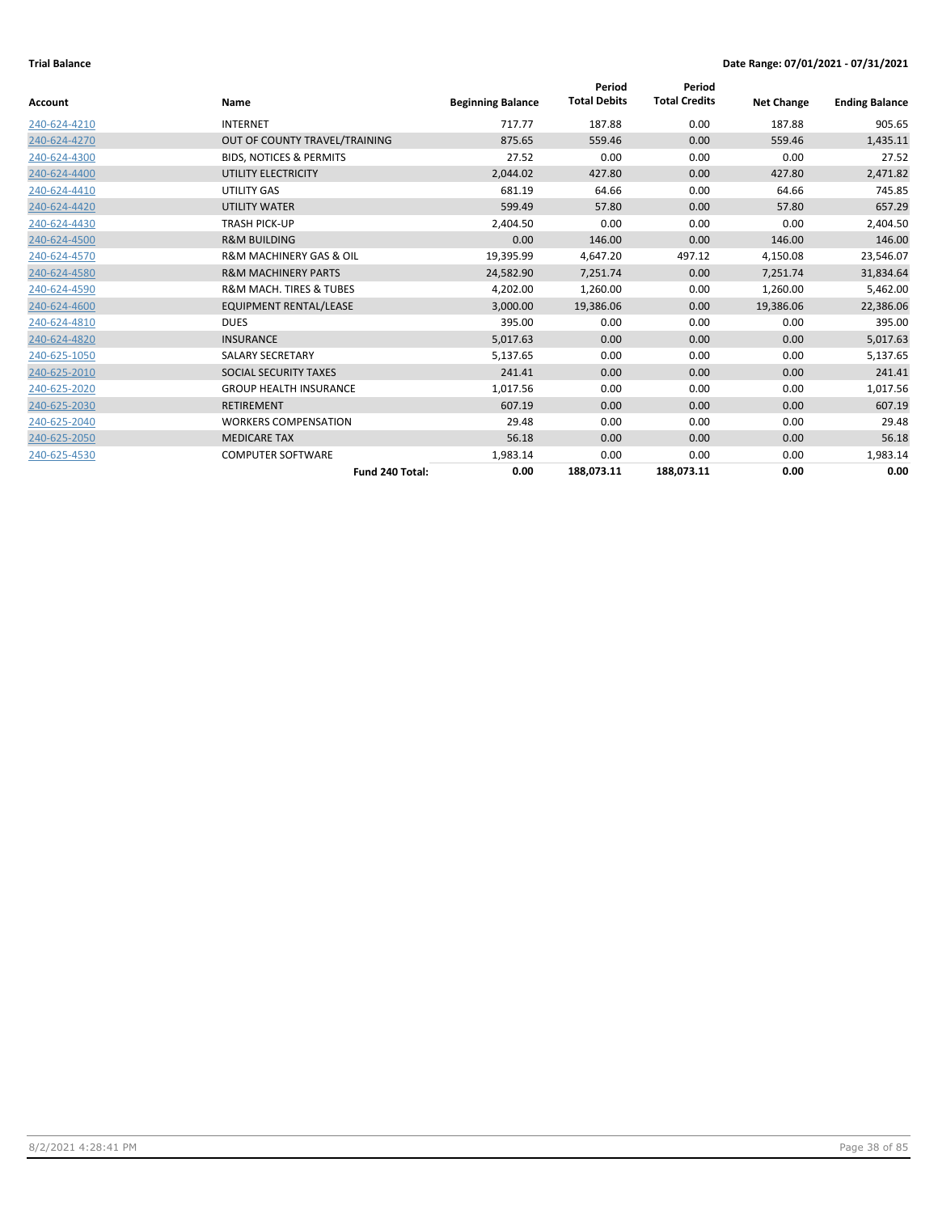|                |                                        |                          | Period              | Period               |                   |                       |
|----------------|----------------------------------------|--------------------------|---------------------|----------------------|-------------------|-----------------------|
| <b>Account</b> | Name                                   | <b>Beginning Balance</b> | <b>Total Debits</b> | <b>Total Credits</b> | <b>Net Change</b> | <b>Ending Balance</b> |
| 240-624-4210   | <b>INTERNET</b>                        | 717.77                   | 187.88              | 0.00                 | 187.88            | 905.65                |
| 240-624-4270   | OUT OF COUNTY TRAVEL/TRAINING          | 875.65                   | 559.46              | 0.00                 | 559.46            | 1,435.11              |
| 240-624-4300   | <b>BIDS. NOTICES &amp; PERMITS</b>     | 27.52                    | 0.00                | 0.00                 | 0.00              | 27.52                 |
| 240-624-4400   | UTILITY ELECTRICITY                    | 2,044.02                 | 427.80              | 0.00                 | 427.80            | 2,471.82              |
| 240-624-4410   | UTILITY GAS                            | 681.19                   | 64.66               | 0.00                 | 64.66             | 745.85                |
| 240-624-4420   | <b>UTILITY WATER</b>                   | 599.49                   | 57.80               | 0.00                 | 57.80             | 657.29                |
| 240-624-4430   | <b>TRASH PICK-UP</b>                   | 2,404.50                 | 0.00                | 0.00                 | 0.00              | 2,404.50              |
| 240-624-4500   | <b>R&amp;M BUILDING</b>                | 0.00                     | 146.00              | 0.00                 | 146.00            | 146.00                |
| 240-624-4570   | <b>R&amp;M MACHINERY GAS &amp; OIL</b> | 19,395.99                | 4,647.20            | 497.12               | 4,150.08          | 23,546.07             |
| 240-624-4580   | <b>R&amp;M MACHINERY PARTS</b>         | 24,582.90                | 7,251.74            | 0.00                 | 7,251.74          | 31,834.64             |
| 240-624-4590   | <b>R&amp;M MACH. TIRES &amp; TUBES</b> | 4,202.00                 | 1,260.00            | 0.00                 | 1,260.00          | 5,462.00              |
| 240-624-4600   | EQUIPMENT RENTAL/LEASE                 | 3,000.00                 | 19,386.06           | 0.00                 | 19,386.06         | 22,386.06             |
| 240-624-4810   | <b>DUES</b>                            | 395.00                   | 0.00                | 0.00                 | 0.00              | 395.00                |
| 240-624-4820   | <b>INSURANCE</b>                       | 5,017.63                 | 0.00                | 0.00                 | 0.00              | 5,017.63              |
| 240-625-1050   | <b>SALARY SECRETARY</b>                | 5,137.65                 | 0.00                | 0.00                 | 0.00              | 5,137.65              |
| 240-625-2010   | SOCIAL SECURITY TAXES                  | 241.41                   | 0.00                | 0.00                 | 0.00              | 241.41                |
| 240-625-2020   | <b>GROUP HEALTH INSURANCE</b>          | 1,017.56                 | 0.00                | 0.00                 | 0.00              | 1,017.56              |
| 240-625-2030   | <b>RETIREMENT</b>                      | 607.19                   | 0.00                | 0.00                 | 0.00              | 607.19                |
| 240-625-2040   | <b>WORKERS COMPENSATION</b>            | 29.48                    | 0.00                | 0.00                 | 0.00              | 29.48                 |
| 240-625-2050   | <b>MEDICARE TAX</b>                    | 56.18                    | 0.00                | 0.00                 | 0.00              | 56.18                 |
| 240-625-4530   | <b>COMPUTER SOFTWARE</b>               | 1,983.14                 | 0.00                | 0.00                 | 0.00              | 1,983.14              |
|                | Fund 240 Total:                        | 0.00                     | 188,073.11          | 188,073.11           | 0.00              | 0.00                  |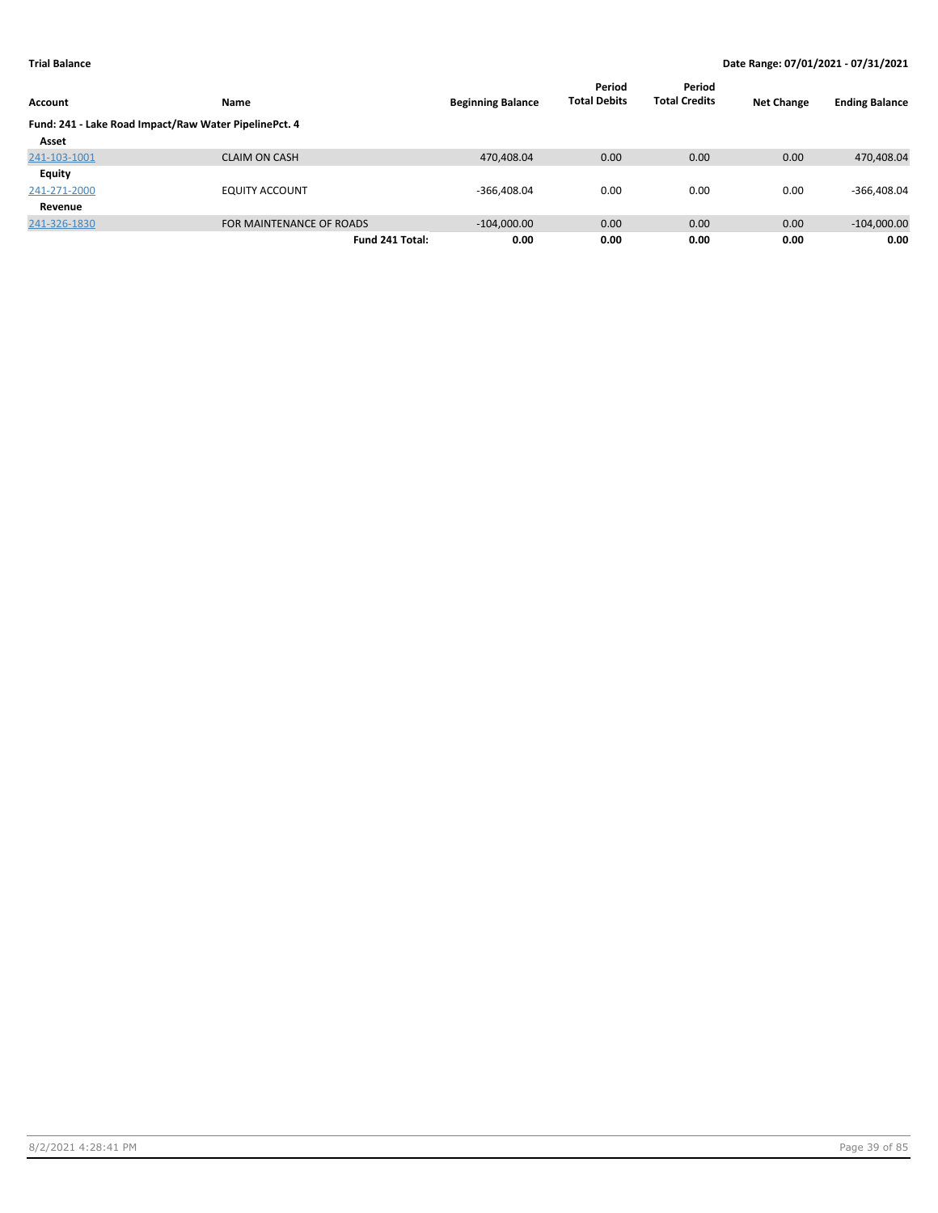|                                                       |                          |                          | Period              | Period               |                   |                       |
|-------------------------------------------------------|--------------------------|--------------------------|---------------------|----------------------|-------------------|-----------------------|
| Account                                               | <b>Name</b>              | <b>Beginning Balance</b> | <b>Total Debits</b> | <b>Total Credits</b> | <b>Net Change</b> | <b>Ending Balance</b> |
| Fund: 241 - Lake Road Impact/Raw Water PipelinePct. 4 |                          |                          |                     |                      |                   |                       |
| Asset                                                 |                          |                          |                     |                      |                   |                       |
| 241-103-1001                                          | <b>CLAIM ON CASH</b>     | 470,408.04               | 0.00                | 0.00                 | 0.00              | 470,408.04            |
| Equity                                                |                          |                          |                     |                      |                   |                       |
| 241-271-2000                                          | <b>EQUITY ACCOUNT</b>    | $-366,408.04$            | 0.00                | 0.00                 | 0.00              | $-366,408.04$         |
| Revenue                                               |                          |                          |                     |                      |                   |                       |
| 241-326-1830                                          | FOR MAINTENANCE OF ROADS | $-104,000.00$            | 0.00                | 0.00                 | 0.00              | $-104,000.00$         |
|                                                       | Fund 241 Total:          | 0.00                     | 0.00                | 0.00                 | 0.00              | 0.00                  |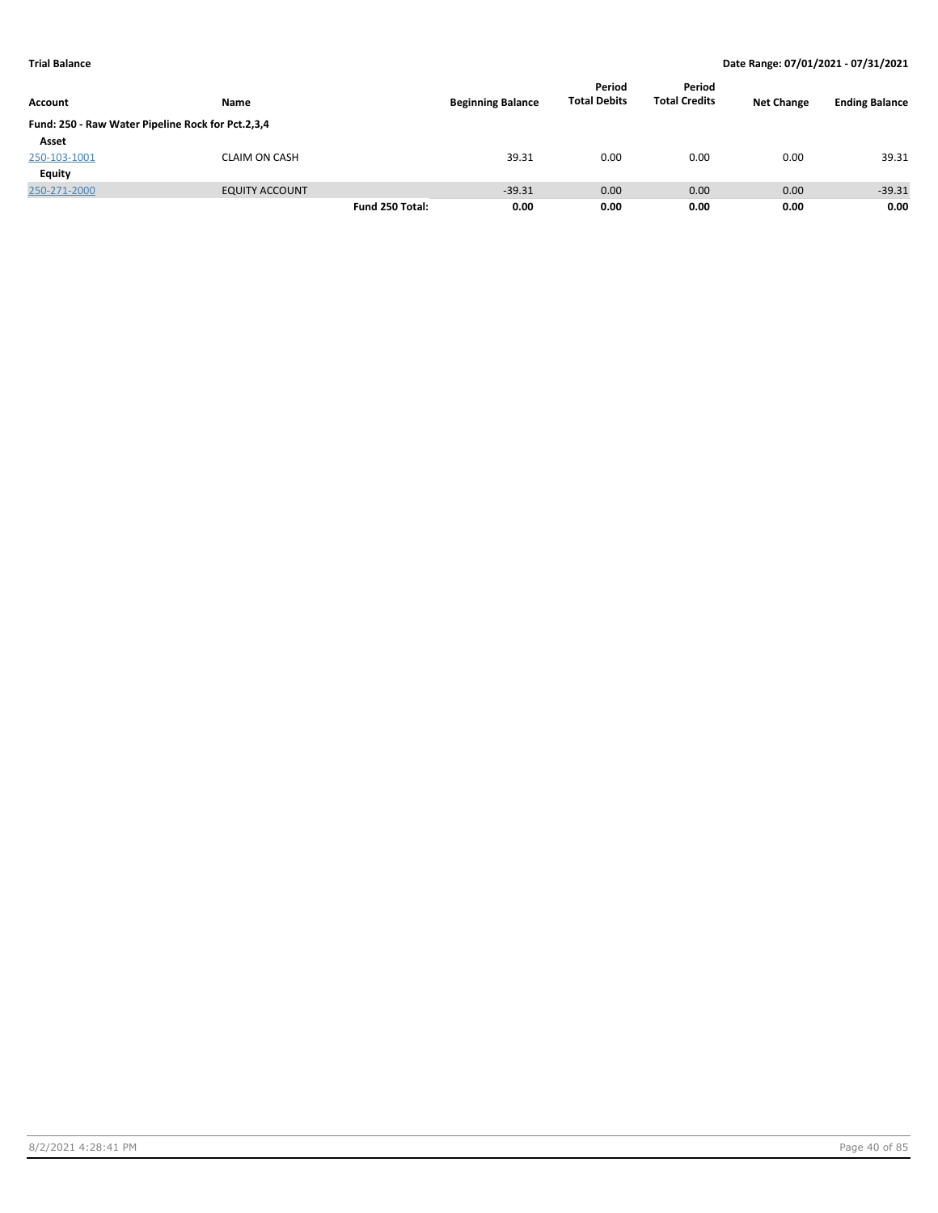|                                                   |                       |                 |                          | Period<br><b>Total Debits</b> | Period               |                   | <b>Ending Balance</b> |
|---------------------------------------------------|-----------------------|-----------------|--------------------------|-------------------------------|----------------------|-------------------|-----------------------|
| Account                                           | Name                  |                 | <b>Beginning Balance</b> |                               | <b>Total Credits</b> | <b>Net Change</b> |                       |
| Fund: 250 - Raw Water Pipeline Rock for Pct.2,3,4 |                       |                 |                          |                               |                      |                   |                       |
| Asset                                             |                       |                 |                          |                               |                      |                   |                       |
| 250-103-1001                                      | <b>CLAIM ON CASH</b>  |                 | 39.31                    | 0.00                          | 0.00                 | 0.00              | 39.31                 |
| <b>Equity</b>                                     |                       |                 |                          |                               |                      |                   |                       |
| 250-271-2000                                      | <b>EQUITY ACCOUNT</b> |                 | $-39.31$                 | 0.00                          | 0.00                 | 0.00              | $-39.31$              |
|                                                   |                       | Fund 250 Total: | 0.00                     | 0.00                          | 0.00                 | 0.00              | 0.00                  |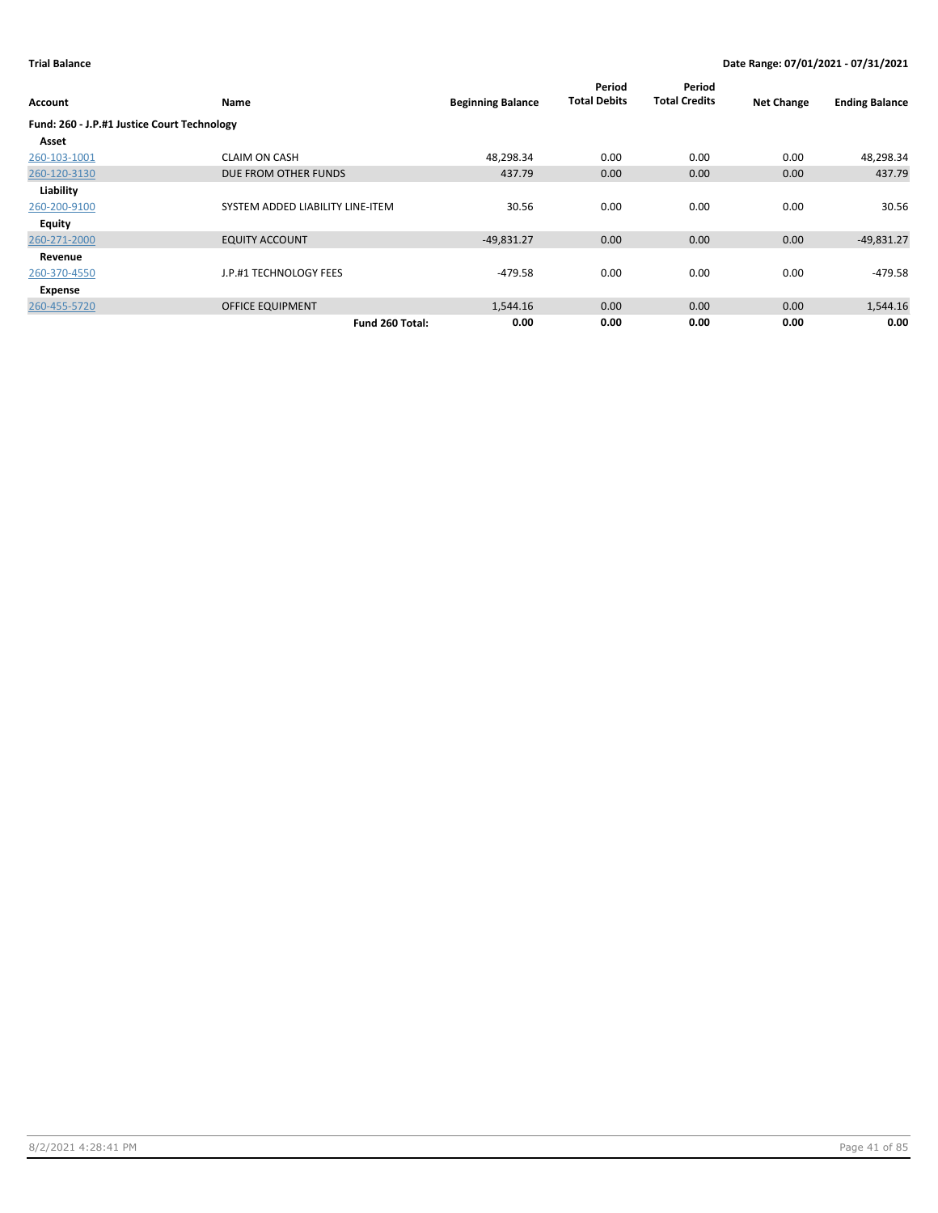| Account                                     | Name                             | <b>Beginning Balance</b> | Period<br><b>Total Debits</b> | Period<br><b>Total Credits</b> | <b>Net Change</b> | <b>Ending Balance</b> |
|---------------------------------------------|----------------------------------|--------------------------|-------------------------------|--------------------------------|-------------------|-----------------------|
| Fund: 260 - J.P.#1 Justice Court Technology |                                  |                          |                               |                                |                   |                       |
| Asset                                       |                                  |                          |                               |                                |                   |                       |
| 260-103-1001                                | <b>CLAIM ON CASH</b>             | 48,298.34                | 0.00                          | 0.00                           | 0.00              | 48,298.34             |
| 260-120-3130                                | DUE FROM OTHER FUNDS             | 437.79                   | 0.00                          | 0.00                           | 0.00              | 437.79                |
| Liability                                   |                                  |                          |                               |                                |                   |                       |
| 260-200-9100                                | SYSTEM ADDED LIABILITY LINE-ITEM | 30.56                    | 0.00                          | 0.00                           | 0.00              | 30.56                 |
| Equity                                      |                                  |                          |                               |                                |                   |                       |
| 260-271-2000                                | <b>EQUITY ACCOUNT</b>            | $-49,831.27$             | 0.00                          | 0.00                           | 0.00              | $-49,831.27$          |
| Revenue                                     |                                  |                          |                               |                                |                   |                       |
| 260-370-4550                                | J.P.#1 TECHNOLOGY FEES           | $-479.58$                | 0.00                          | 0.00                           | 0.00              | $-479.58$             |
| Expense                                     |                                  |                          |                               |                                |                   |                       |
| 260-455-5720                                | <b>OFFICE EQUIPMENT</b>          | 1,544.16                 | 0.00                          | 0.00                           | 0.00              | 1,544.16              |
|                                             | Fund 260 Total:                  | 0.00                     | 0.00                          | 0.00                           | 0.00              | 0.00                  |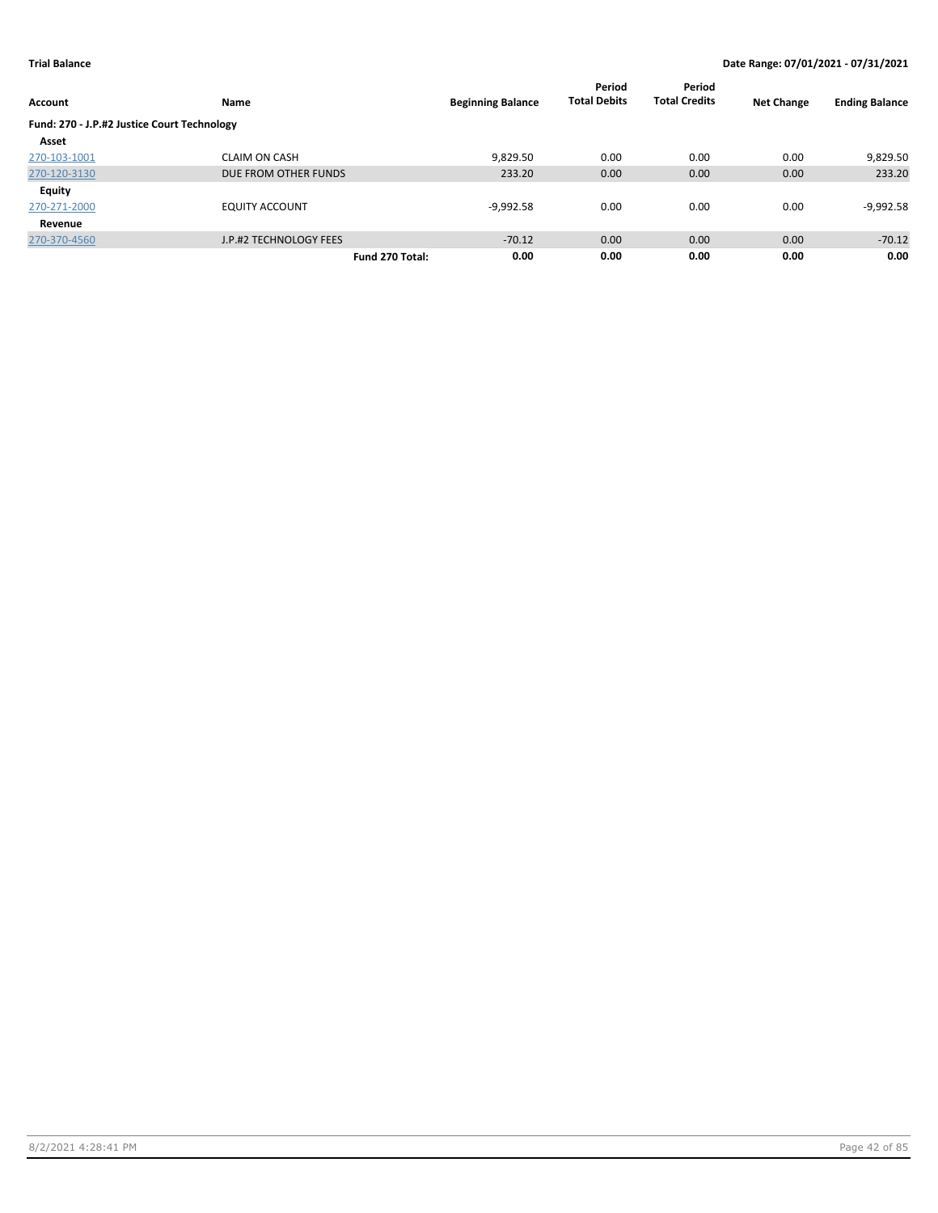|                                             |                        |                          | Period              | Period               |                   |                       |
|---------------------------------------------|------------------------|--------------------------|---------------------|----------------------|-------------------|-----------------------|
| <b>Account</b>                              | Name                   | <b>Beginning Balance</b> | <b>Total Debits</b> | <b>Total Credits</b> | <b>Net Change</b> | <b>Ending Balance</b> |
| Fund: 270 - J.P.#2 Justice Court Technology |                        |                          |                     |                      |                   |                       |
| Asset                                       |                        |                          |                     |                      |                   |                       |
| 270-103-1001                                | <b>CLAIM ON CASH</b>   | 9,829.50                 | 0.00                | 0.00                 | 0.00              | 9,829.50              |
| 270-120-3130                                | DUE FROM OTHER FUNDS   | 233.20                   | 0.00                | 0.00                 | 0.00              | 233.20                |
| <b>Equity</b>                               |                        |                          |                     |                      |                   |                       |
| 270-271-2000                                | <b>EQUITY ACCOUNT</b>  | $-9,992.58$              | 0.00                | 0.00                 | 0.00              | $-9,992.58$           |
| Revenue                                     |                        |                          |                     |                      |                   |                       |
| 270-370-4560                                | J.P.#2 TECHNOLOGY FEES | $-70.12$                 | 0.00                | 0.00                 | 0.00              | $-70.12$              |
|                                             |                        | 0.00<br>Fund 270 Total:  | 0.00                | 0.00                 | 0.00              | 0.00                  |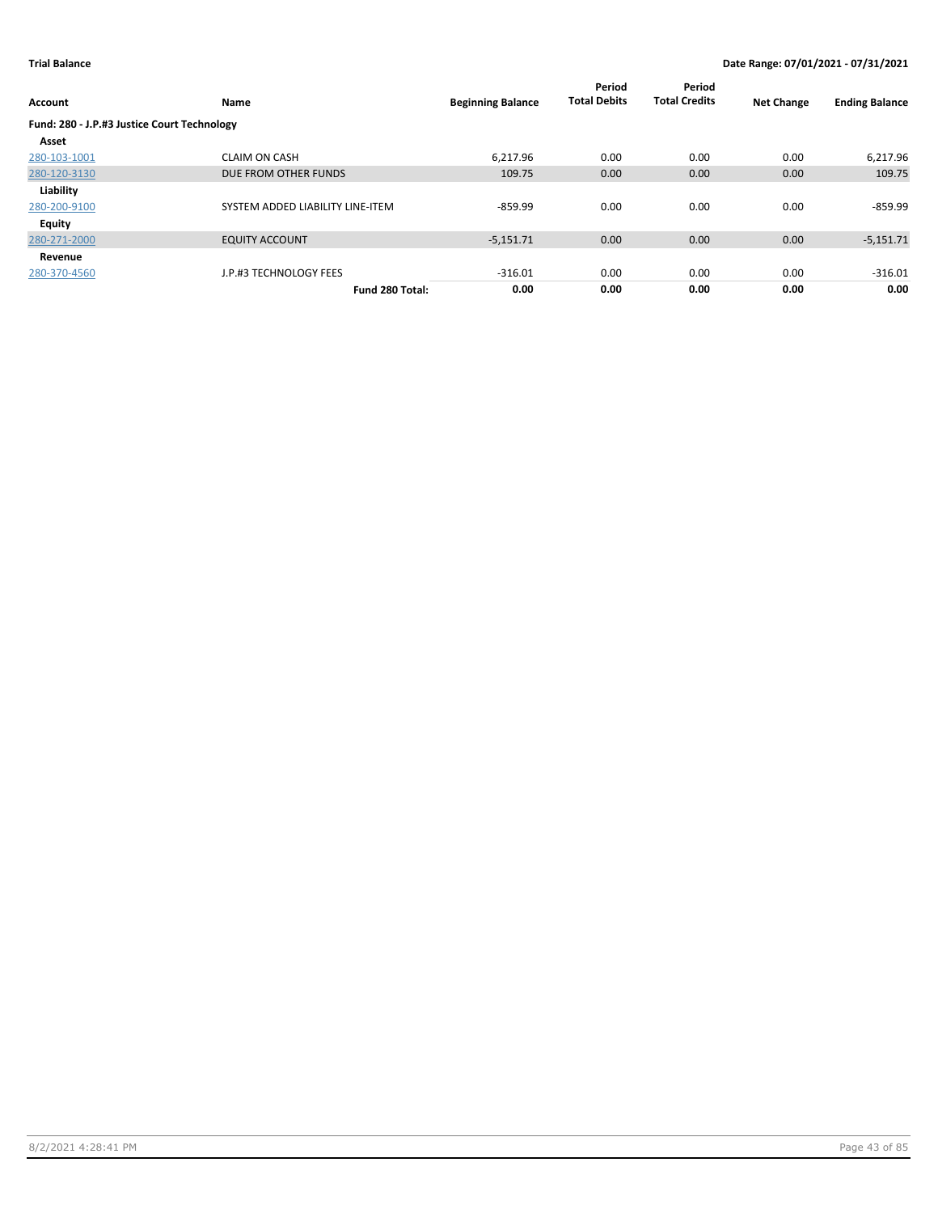| Account                                     | Name                             | <b>Beginning Balance</b> | Period<br><b>Total Debits</b> | Period<br><b>Total Credits</b> | <b>Net Change</b> | <b>Ending Balance</b> |
|---------------------------------------------|----------------------------------|--------------------------|-------------------------------|--------------------------------|-------------------|-----------------------|
| Fund: 280 - J.P.#3 Justice Court Technology |                                  |                          |                               |                                |                   |                       |
| Asset                                       |                                  |                          |                               |                                |                   |                       |
| 280-103-1001                                | <b>CLAIM ON CASH</b>             | 6.217.96                 | 0.00                          | 0.00                           | 0.00              | 6,217.96              |
| 280-120-3130                                | DUE FROM OTHER FUNDS             | 109.75                   | 0.00                          | 0.00                           | 0.00              | 109.75                |
| Liability                                   |                                  |                          |                               |                                |                   |                       |
| 280-200-9100                                | SYSTEM ADDED LIABILITY LINE-ITEM | $-859.99$                | 0.00                          | 0.00                           | 0.00              | $-859.99$             |
| Equity                                      |                                  |                          |                               |                                |                   |                       |
| 280-271-2000                                | <b>EQUITY ACCOUNT</b>            | $-5,151.71$              | 0.00                          | 0.00                           | 0.00              | $-5,151.71$           |
| Revenue                                     |                                  |                          |                               |                                |                   |                       |
| 280-370-4560                                | J.P.#3 TECHNOLOGY FEES           | $-316.01$                | 0.00                          | 0.00                           | 0.00              | $-316.01$             |
|                                             | Fund 280 Total:                  | 0.00                     | 0.00                          | 0.00                           | 0.00              | 0.00                  |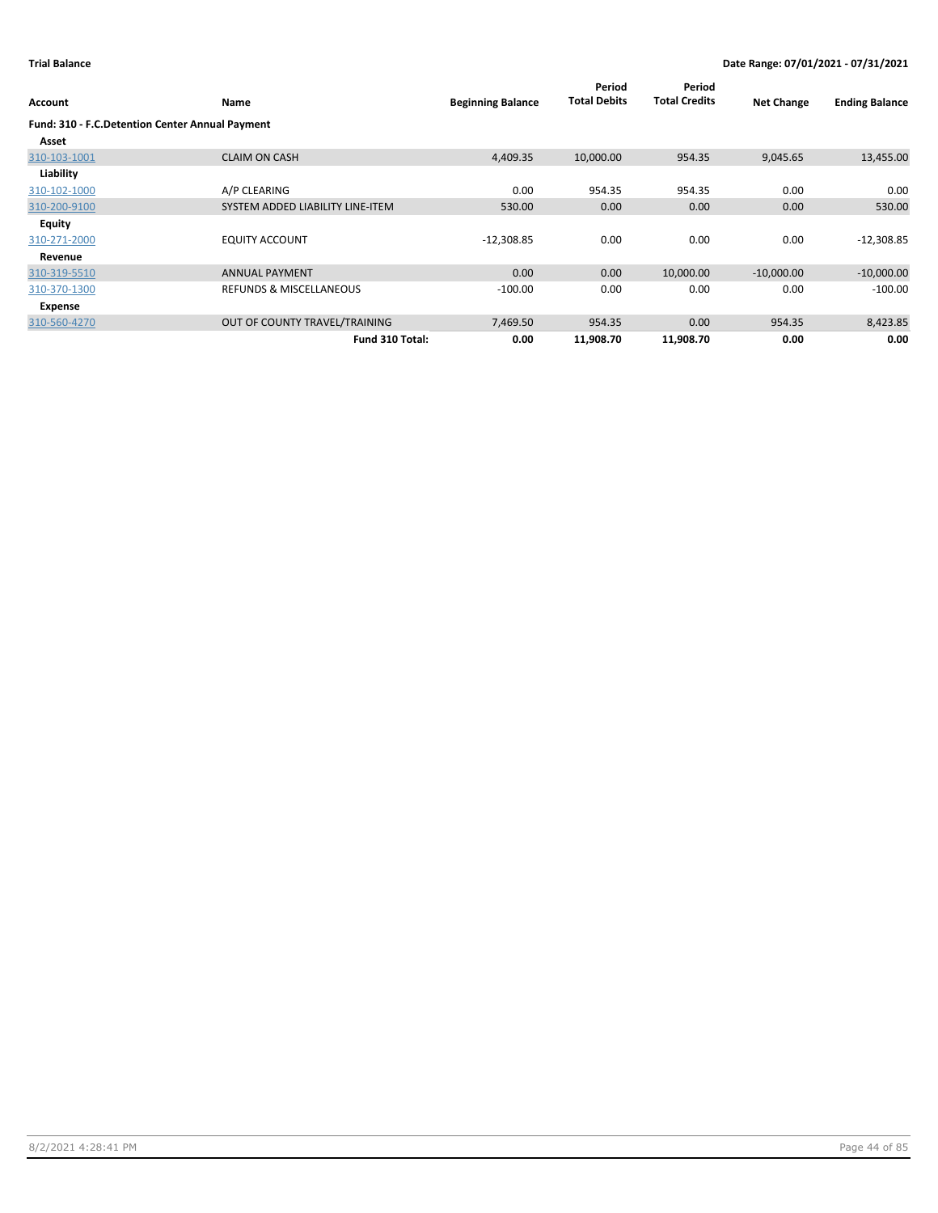| Account                                         | Name                               | <b>Beginning Balance</b> | Period<br><b>Total Debits</b> | Period<br><b>Total Credits</b> | <b>Net Change</b> | <b>Ending Balance</b> |
|-------------------------------------------------|------------------------------------|--------------------------|-------------------------------|--------------------------------|-------------------|-----------------------|
| Fund: 310 - F.C.Detention Center Annual Payment |                                    |                          |                               |                                |                   |                       |
| Asset                                           |                                    |                          |                               |                                |                   |                       |
| 310-103-1001                                    | <b>CLAIM ON CASH</b>               | 4,409.35                 | 10,000.00                     | 954.35                         | 9,045.65          | 13,455.00             |
| Liability                                       |                                    |                          |                               |                                |                   |                       |
| 310-102-1000                                    | A/P CLEARING                       | 0.00                     | 954.35                        | 954.35                         | 0.00              | 0.00                  |
| 310-200-9100                                    | SYSTEM ADDED LIABILITY LINE-ITEM   | 530.00                   | 0.00                          | 0.00                           | 0.00              | 530.00                |
| <b>Equity</b>                                   |                                    |                          |                               |                                |                   |                       |
| 310-271-2000                                    | <b>EQUITY ACCOUNT</b>              | $-12,308.85$             | 0.00                          | 0.00                           | 0.00              | $-12,308.85$          |
| Revenue                                         |                                    |                          |                               |                                |                   |                       |
| 310-319-5510                                    | <b>ANNUAL PAYMENT</b>              | 0.00                     | 0.00                          | 10,000.00                      | $-10,000.00$      | $-10,000.00$          |
| 310-370-1300                                    | <b>REFUNDS &amp; MISCELLANEOUS</b> | $-100.00$                | 0.00                          | 0.00                           | 0.00              | $-100.00$             |
| Expense                                         |                                    |                          |                               |                                |                   |                       |
| 310-560-4270                                    | OUT OF COUNTY TRAVEL/TRAINING      | 7,469.50                 | 954.35                        | 0.00                           | 954.35            | 8,423.85              |
|                                                 | Fund 310 Total:                    | 0.00                     | 11,908.70                     | 11,908.70                      | 0.00              | 0.00                  |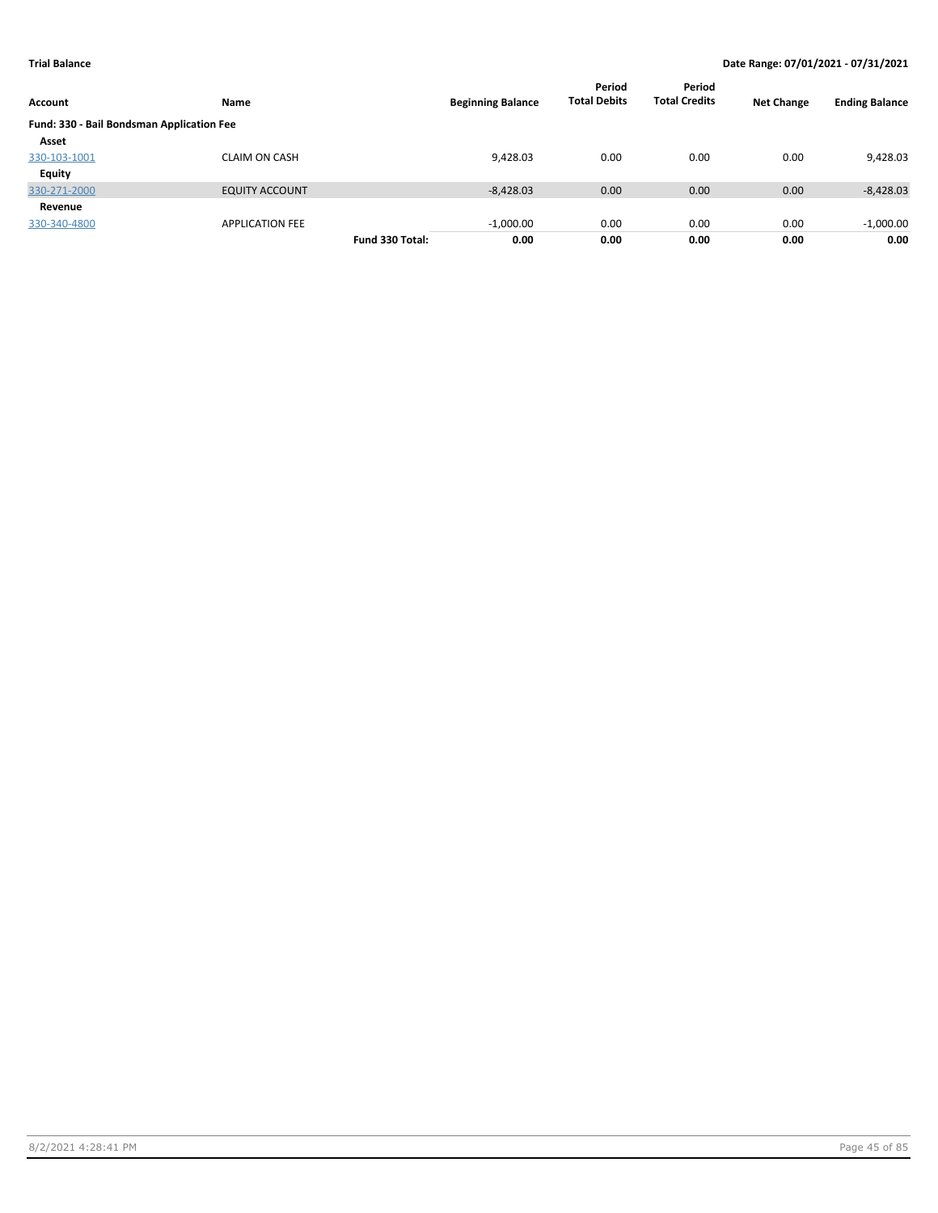| Account                                   | Name                   |                 | <b>Beginning Balance</b> | Period<br><b>Total Debits</b> | Period<br><b>Total Credits</b> | <b>Net Change</b> | <b>Ending Balance</b> |
|-------------------------------------------|------------------------|-----------------|--------------------------|-------------------------------|--------------------------------|-------------------|-----------------------|
| Fund: 330 - Bail Bondsman Application Fee |                        |                 |                          |                               |                                |                   |                       |
| Asset                                     |                        |                 |                          |                               |                                |                   |                       |
| 330-103-1001                              | <b>CLAIM ON CASH</b>   |                 | 9,428.03                 | 0.00                          | 0.00                           | 0.00              | 9,428.03              |
| Equity                                    |                        |                 |                          |                               |                                |                   |                       |
| 330-271-2000                              | <b>EQUITY ACCOUNT</b>  |                 | $-8,428.03$              | 0.00                          | 0.00                           | 0.00              | $-8,428.03$           |
| Revenue                                   |                        |                 |                          |                               |                                |                   |                       |
| 330-340-4800                              | <b>APPLICATION FEE</b> |                 | $-1,000.00$              | 0.00                          | 0.00                           | 0.00              | $-1,000.00$           |
|                                           |                        | Fund 330 Total: | 0.00                     | 0.00                          | 0.00                           | 0.00              | 0.00                  |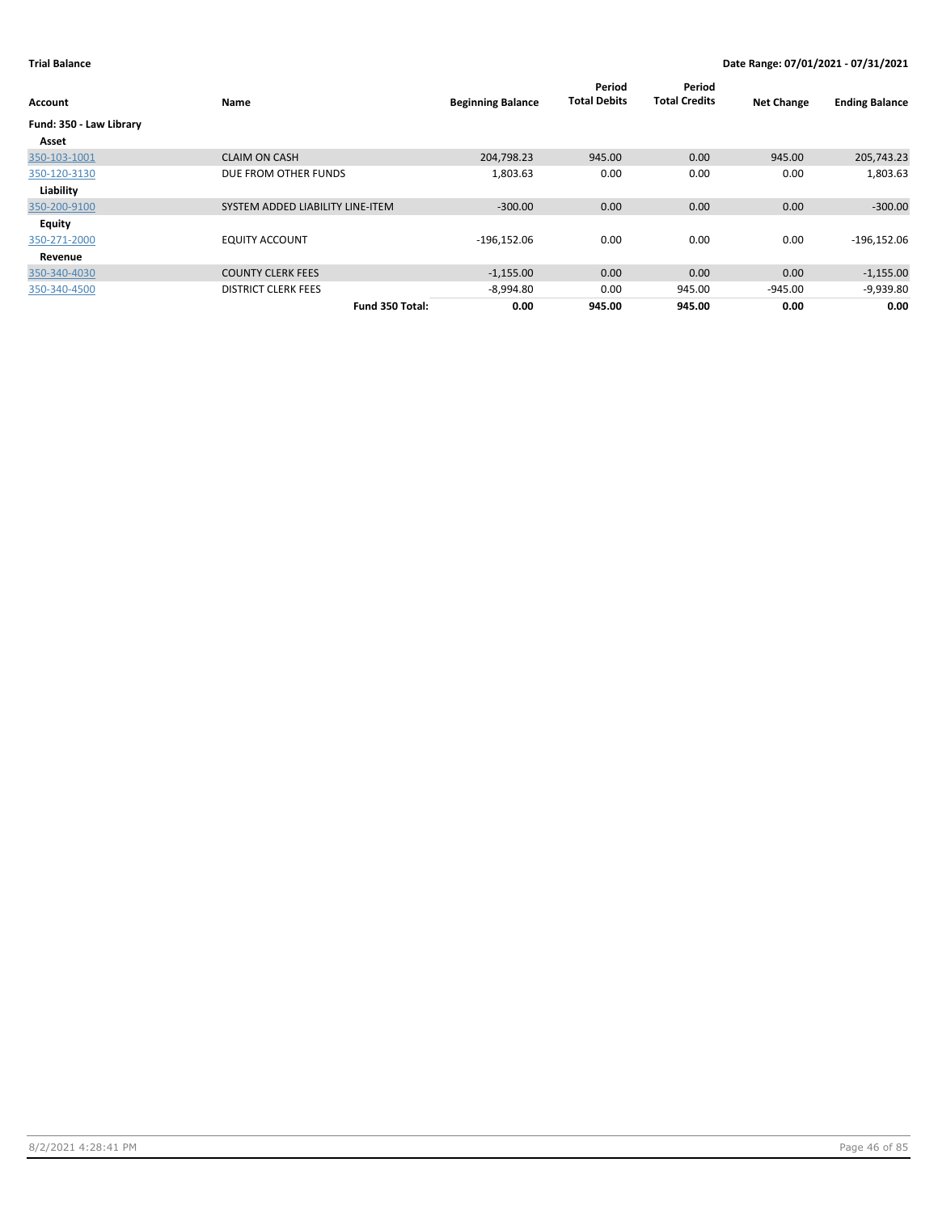| Account                 | Name                             | <b>Beginning Balance</b> | Period<br><b>Total Debits</b> | Period<br><b>Total Credits</b> | <b>Net Change</b> | <b>Ending Balance</b> |
|-------------------------|----------------------------------|--------------------------|-------------------------------|--------------------------------|-------------------|-----------------------|
| Fund: 350 - Law Library |                                  |                          |                               |                                |                   |                       |
| Asset                   |                                  |                          |                               |                                |                   |                       |
| 350-103-1001            | <b>CLAIM ON CASH</b>             | 204,798.23               | 945.00                        | 0.00                           | 945.00            | 205,743.23            |
| 350-120-3130            | DUE FROM OTHER FUNDS             | 1,803.63                 | 0.00                          | 0.00                           | 0.00              | 1,803.63              |
| Liability               |                                  |                          |                               |                                |                   |                       |
| 350-200-9100            | SYSTEM ADDED LIABILITY LINE-ITEM | $-300.00$                | 0.00                          | 0.00                           | 0.00              | $-300.00$             |
| Equity                  |                                  |                          |                               |                                |                   |                       |
| 350-271-2000            | <b>EQUITY ACCOUNT</b>            | $-196,152.06$            | 0.00                          | 0.00                           | 0.00              | $-196,152.06$         |
| Revenue                 |                                  |                          |                               |                                |                   |                       |
| 350-340-4030            | <b>COUNTY CLERK FEES</b>         | $-1,155.00$              | 0.00                          | 0.00                           | 0.00              | $-1,155.00$           |
| 350-340-4500            | <b>DISTRICT CLERK FEES</b>       | $-8,994.80$              | 0.00                          | 945.00                         | $-945.00$         | $-9,939.80$           |
|                         | Fund 350 Total:                  | 0.00                     | 945.00                        | 945.00                         | 0.00              | 0.00                  |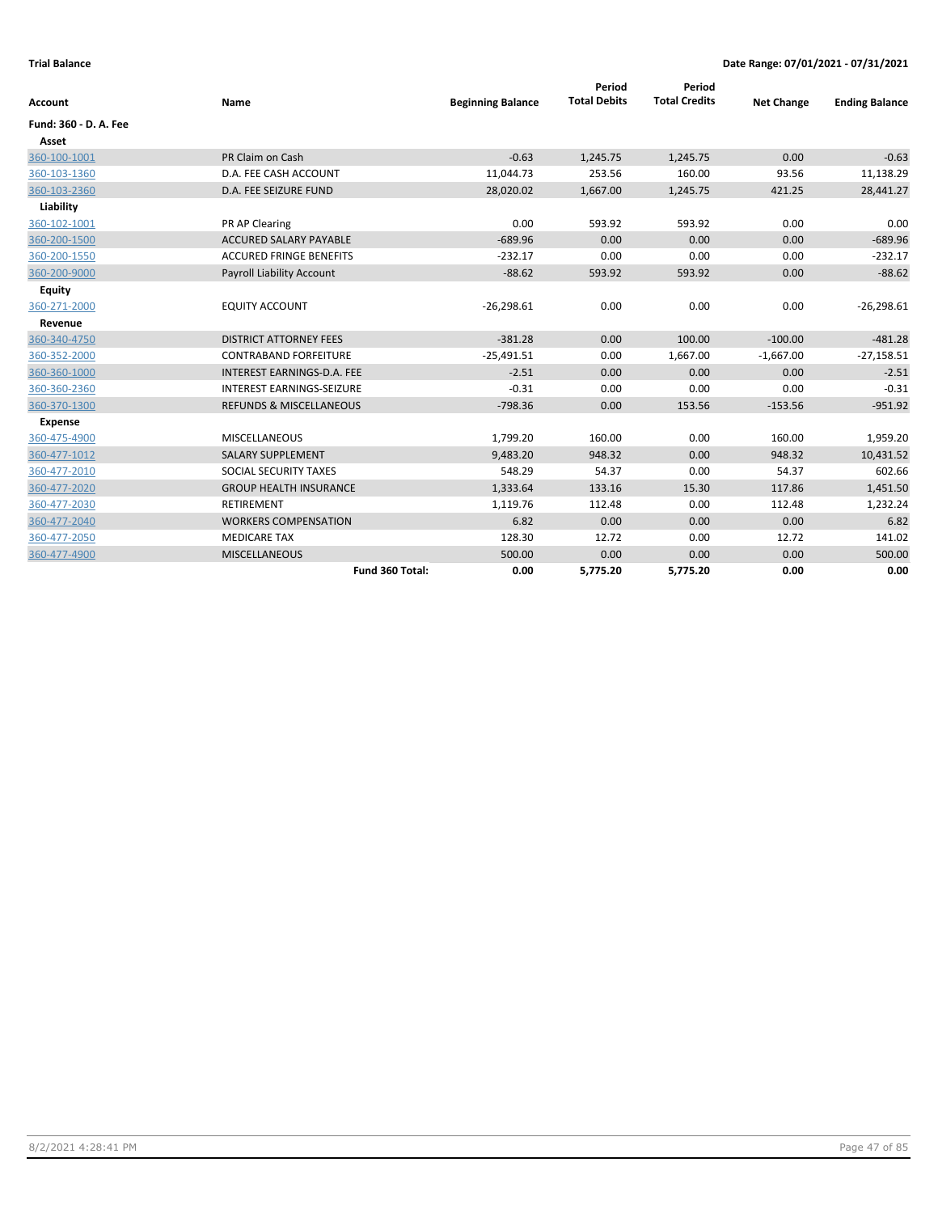| Account               | Name                               | <b>Beginning Balance</b> | Period<br><b>Total Debits</b> | Period<br><b>Total Credits</b> | <b>Net Change</b> | <b>Ending Balance</b> |
|-----------------------|------------------------------------|--------------------------|-------------------------------|--------------------------------|-------------------|-----------------------|
| Fund: 360 - D. A. Fee |                                    |                          |                               |                                |                   |                       |
| Asset                 |                                    |                          |                               |                                |                   |                       |
| 360-100-1001          | PR Claim on Cash                   | $-0.63$                  | 1,245.75                      | 1,245.75                       | 0.00              | $-0.63$               |
| 360-103-1360          | D.A. FEE CASH ACCOUNT              | 11,044.73                | 253.56                        | 160.00                         | 93.56             | 11,138.29             |
| 360-103-2360          | D.A. FEE SEIZURE FUND              | 28,020.02                | 1,667.00                      | 1,245.75                       | 421.25            | 28,441.27             |
| Liability             |                                    |                          |                               |                                |                   |                       |
| 360-102-1001          | PR AP Clearing                     | 0.00                     | 593.92                        | 593.92                         | 0.00              | 0.00                  |
| 360-200-1500          | <b>ACCURED SALARY PAYABLE</b>      | $-689.96$                | 0.00                          | 0.00                           | 0.00              | $-689.96$             |
| 360-200-1550          | <b>ACCURED FRINGE BENEFITS</b>     | $-232.17$                | 0.00                          | 0.00                           | 0.00              | $-232.17$             |
| 360-200-9000          | <b>Payroll Liability Account</b>   | $-88.62$                 | 593.92                        | 593.92                         | 0.00              | $-88.62$              |
| <b>Equity</b>         |                                    |                          |                               |                                |                   |                       |
| 360-271-2000          | <b>EQUITY ACCOUNT</b>              | $-26,298.61$             | 0.00                          | 0.00                           | 0.00              | $-26,298.61$          |
| Revenue               |                                    |                          |                               |                                |                   |                       |
| 360-340-4750          | <b>DISTRICT ATTORNEY FEES</b>      | $-381.28$                | 0.00                          | 100.00                         | $-100.00$         | $-481.28$             |
| 360-352-2000          | <b>CONTRABAND FORFEITURE</b>       | $-25,491.51$             | 0.00                          | 1,667.00                       | $-1,667.00$       | $-27,158.51$          |
| 360-360-1000          | INTEREST EARNINGS-D.A. FEE         | $-2.51$                  | 0.00                          | 0.00                           | 0.00              | $-2.51$               |
| 360-360-2360          | <b>INTEREST EARNINGS-SEIZURE</b>   | $-0.31$                  | 0.00                          | 0.00                           | 0.00              | $-0.31$               |
| 360-370-1300          | <b>REFUNDS &amp; MISCELLANEOUS</b> | $-798.36$                | 0.00                          | 153.56                         | $-153.56$         | $-951.92$             |
| <b>Expense</b>        |                                    |                          |                               |                                |                   |                       |
| 360-475-4900          | <b>MISCELLANEOUS</b>               | 1,799.20                 | 160.00                        | 0.00                           | 160.00            | 1,959.20              |
| 360-477-1012          | <b>SALARY SUPPLEMENT</b>           | 9,483.20                 | 948.32                        | 0.00                           | 948.32            | 10,431.52             |
| 360-477-2010          | SOCIAL SECURITY TAXES              | 548.29                   | 54.37                         | 0.00                           | 54.37             | 602.66                |
| 360-477-2020          | <b>GROUP HEALTH INSURANCE</b>      | 1,333.64                 | 133.16                        | 15.30                          | 117.86            | 1,451.50              |
| 360-477-2030          | <b>RETIREMENT</b>                  | 1,119.76                 | 112.48                        | 0.00                           | 112.48            | 1,232.24              |
| 360-477-2040          | <b>WORKERS COMPENSATION</b>        | 6.82                     | 0.00                          | 0.00                           | 0.00              | 6.82                  |
| 360-477-2050          | <b>MEDICARE TAX</b>                | 128.30                   | 12.72                         | 0.00                           | 12.72             | 141.02                |
| 360-477-4900          | <b>MISCELLANEOUS</b>               | 500.00                   | 0.00                          | 0.00                           | 0.00              | 500.00                |
|                       | Fund 360 Total:                    | 0.00                     | 5,775.20                      | 5,775.20                       | 0.00              | 0.00                  |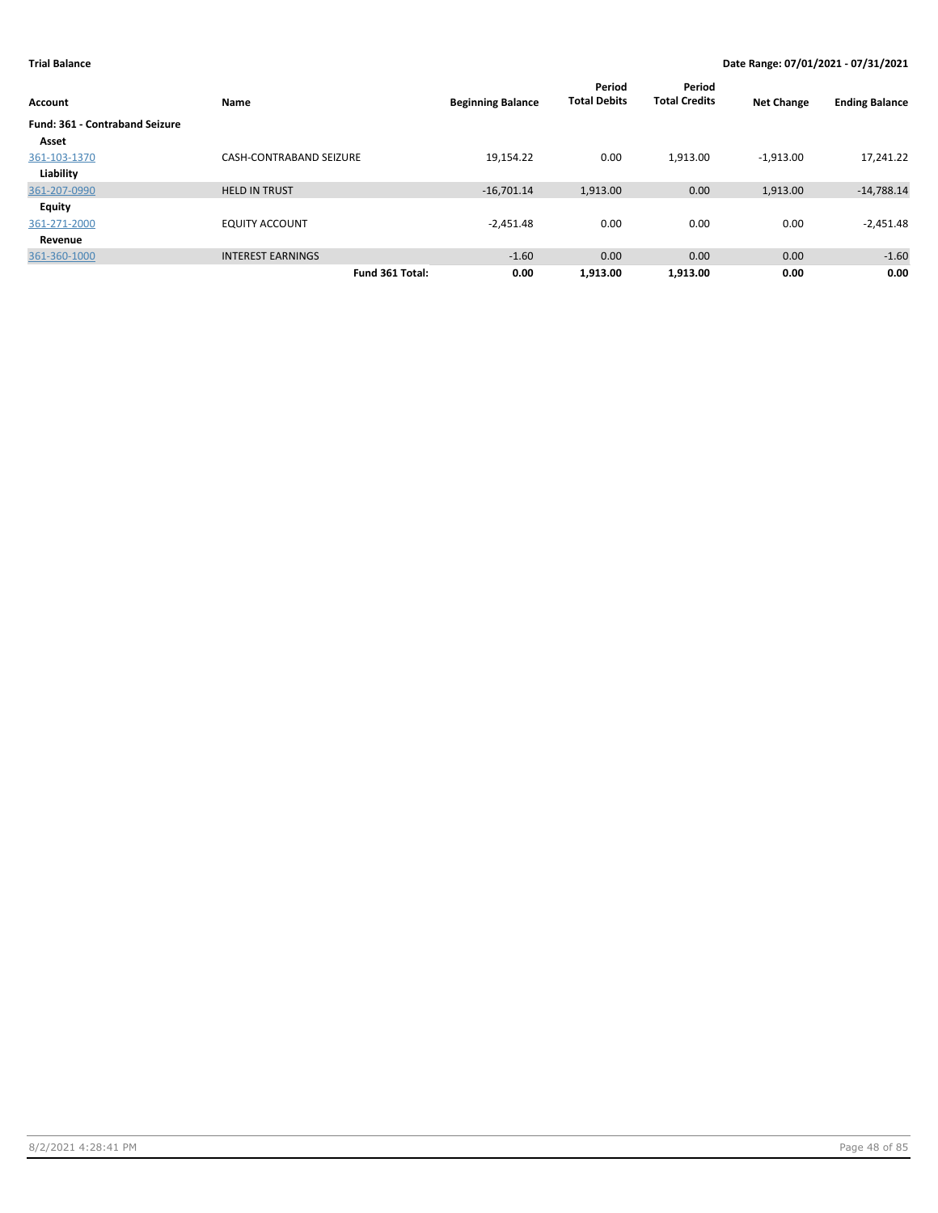| Account                               | Name                           | <b>Beginning Balance</b> | Period<br><b>Total Debits</b> | Period<br><b>Total Credits</b> | <b>Net Change</b> | <b>Ending Balance</b> |
|---------------------------------------|--------------------------------|--------------------------|-------------------------------|--------------------------------|-------------------|-----------------------|
| <b>Fund: 361 - Contraband Seizure</b> |                                |                          |                               |                                |                   |                       |
| Asset                                 |                                |                          |                               |                                |                   |                       |
| 361-103-1370                          | <b>CASH-CONTRABAND SEIZURE</b> | 19,154.22                | 0.00                          | 1,913.00                       | $-1,913.00$       | 17,241.22             |
| Liability                             |                                |                          |                               |                                |                   |                       |
| 361-207-0990                          | <b>HELD IN TRUST</b>           | $-16,701.14$             | 1,913.00                      | 0.00                           | 1,913.00          | $-14,788.14$          |
| Equity                                |                                |                          |                               |                                |                   |                       |
| 361-271-2000                          | <b>EQUITY ACCOUNT</b>          | $-2,451.48$              | 0.00                          | 0.00                           | 0.00              | $-2,451.48$           |
| Revenue                               |                                |                          |                               |                                |                   |                       |
| 361-360-1000                          | <b>INTEREST EARNINGS</b>       | $-1.60$                  | 0.00                          | 0.00                           | 0.00              | $-1.60$               |
|                                       | Fund 361 Total:                | 0.00                     | 1.913.00                      | 1.913.00                       | 0.00              | 0.00                  |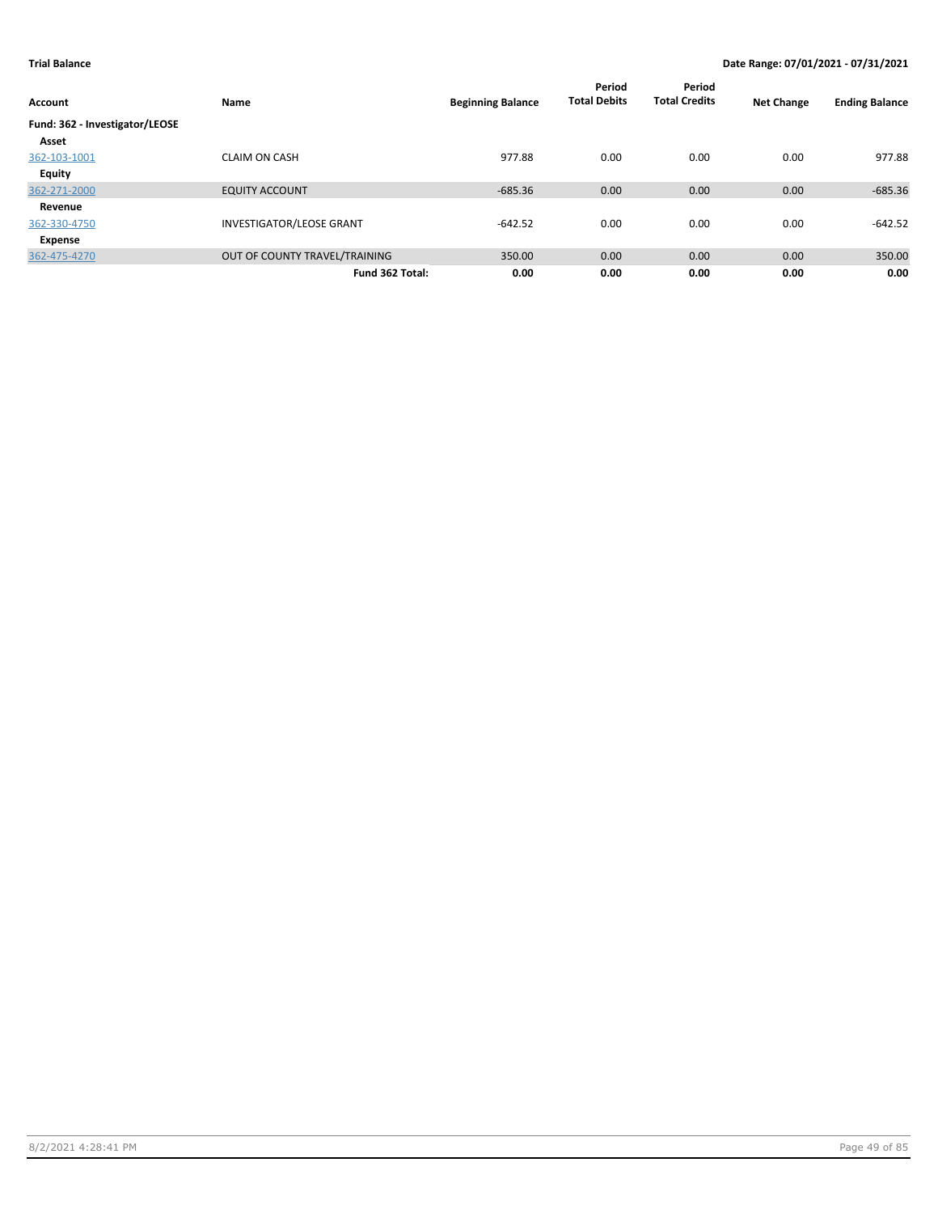| Account                        | Name                            | <b>Beginning Balance</b> | Period<br><b>Total Debits</b> | Period<br><b>Total Credits</b> | <b>Net Change</b> | <b>Ending Balance</b> |
|--------------------------------|---------------------------------|--------------------------|-------------------------------|--------------------------------|-------------------|-----------------------|
| Fund: 362 - Investigator/LEOSE |                                 |                          |                               |                                |                   |                       |
| Asset                          |                                 |                          |                               |                                |                   |                       |
| 362-103-1001                   | <b>CLAIM ON CASH</b>            | 977.88                   | 0.00                          | 0.00                           | 0.00              | 977.88                |
| Equity                         |                                 |                          |                               |                                |                   |                       |
| 362-271-2000                   | <b>EQUITY ACCOUNT</b>           | $-685.36$                | 0.00                          | 0.00                           | 0.00              | $-685.36$             |
| Revenue                        |                                 |                          |                               |                                |                   |                       |
| 362-330-4750                   | <b>INVESTIGATOR/LEOSE GRANT</b> | $-642.52$                | 0.00                          | 0.00                           | 0.00              | $-642.52$             |
| Expense                        |                                 |                          |                               |                                |                   |                       |
| 362-475-4270                   | OUT OF COUNTY TRAVEL/TRAINING   | 350.00                   | 0.00                          | 0.00                           | 0.00              | 350.00                |
|                                | Fund 362 Total:                 | 0.00                     | 0.00                          | 0.00                           | 0.00              | 0.00                  |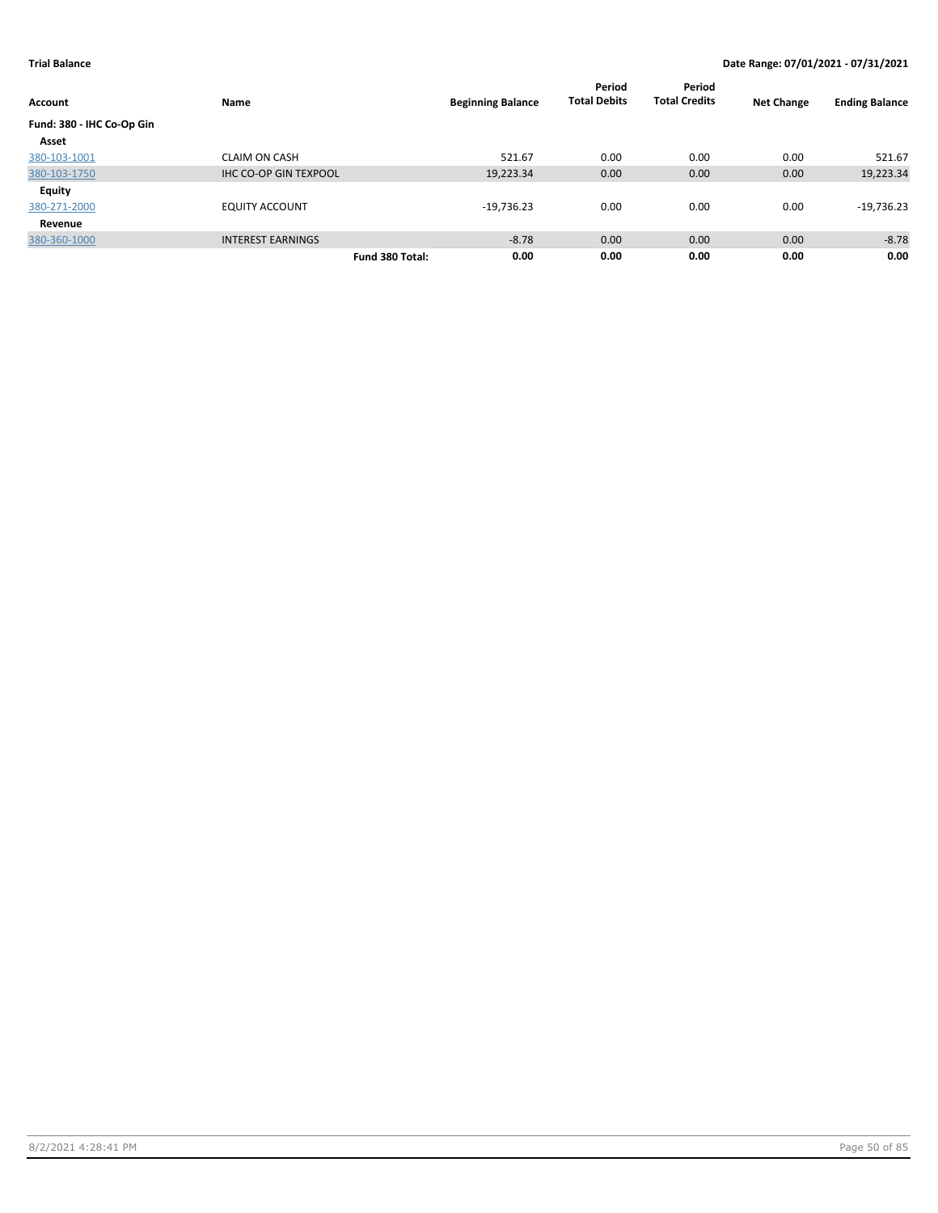|                           |                              |                          | Period<br><b>Total Debits</b> | Period<br><b>Total Credits</b> |                   |                       |
|---------------------------|------------------------------|--------------------------|-------------------------------|--------------------------------|-------------------|-----------------------|
| <b>Account</b>            | Name                         | <b>Beginning Balance</b> |                               |                                | <b>Net Change</b> | <b>Ending Balance</b> |
| Fund: 380 - IHC Co-Op Gin |                              |                          |                               |                                |                   |                       |
| Asset                     |                              |                          |                               |                                |                   |                       |
| 380-103-1001              | <b>CLAIM ON CASH</b>         | 521.67                   | 0.00                          | 0.00                           | 0.00              | 521.67                |
| 380-103-1750              | <b>IHC CO-OP GIN TEXPOOL</b> | 19,223.34                | 0.00                          | 0.00                           | 0.00              | 19,223.34             |
| <b>Equity</b>             |                              |                          |                               |                                |                   |                       |
| 380-271-2000              | <b>EQUITY ACCOUNT</b>        | $-19,736.23$             | 0.00                          | 0.00                           | 0.00              | $-19,736.23$          |
| Revenue                   |                              |                          |                               |                                |                   |                       |
| 380-360-1000              | <b>INTEREST EARNINGS</b>     |                          | $-8.78$<br>0.00               | 0.00                           | 0.00              | $-8.78$               |
|                           |                              | Fund 380 Total:          | 0.00<br>0.00                  | 0.00                           | 0.00              | 0.00                  |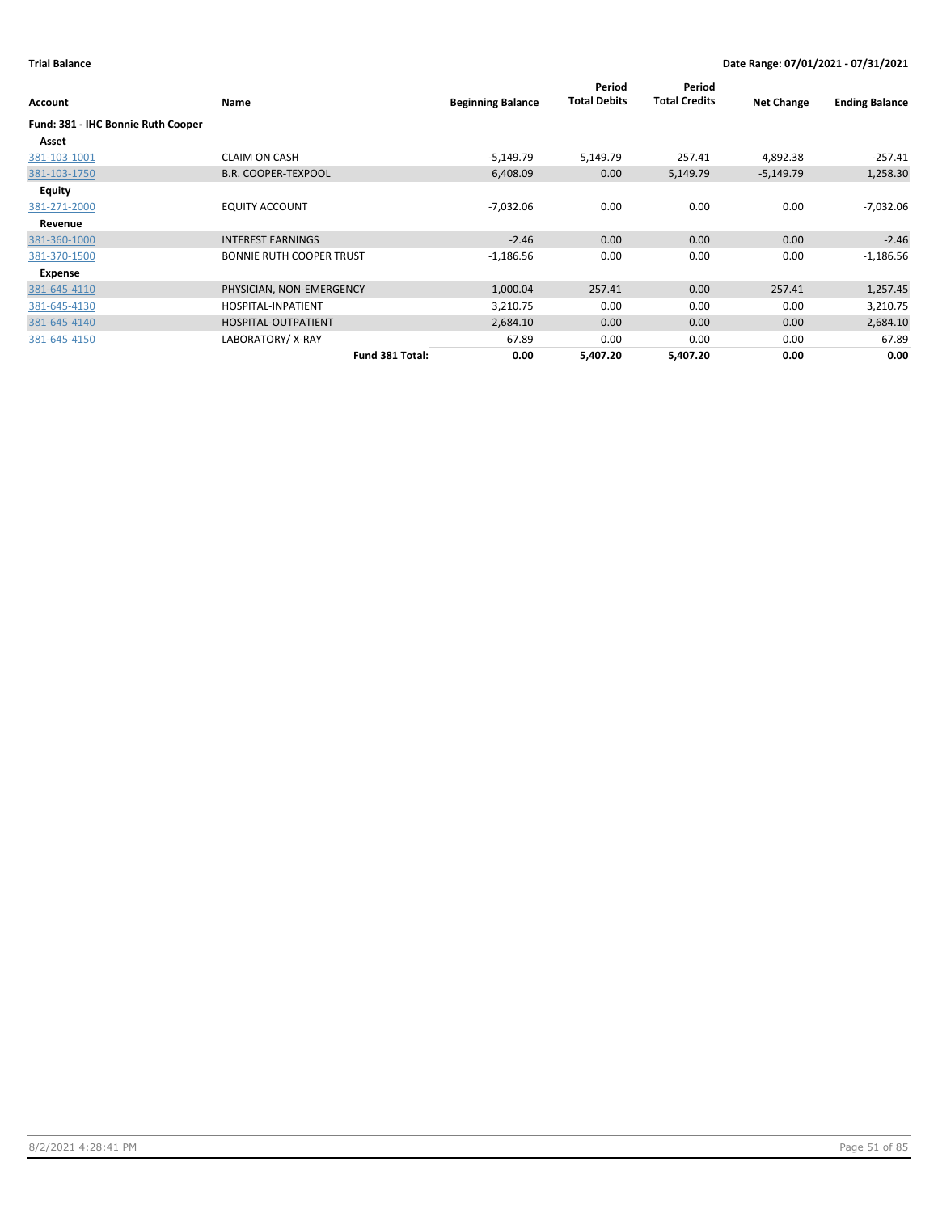| Account                            | Name                            | <b>Beginning Balance</b> | Period<br><b>Total Debits</b> | Period<br><b>Total Credits</b> | <b>Net Change</b> | <b>Ending Balance</b> |
|------------------------------------|---------------------------------|--------------------------|-------------------------------|--------------------------------|-------------------|-----------------------|
| Fund: 381 - IHC Bonnie Ruth Cooper |                                 |                          |                               |                                |                   |                       |
| Asset                              |                                 |                          |                               |                                |                   |                       |
| 381-103-1001                       | <b>CLAIM ON CASH</b>            | $-5,149.79$              | 5,149.79                      | 257.41                         | 4,892.38          | $-257.41$             |
| 381-103-1750                       | <b>B.R. COOPER-TEXPOOL</b>      | 6,408.09                 | 0.00                          | 5,149.79                       | $-5,149.79$       | 1,258.30              |
| <b>Equity</b>                      |                                 |                          |                               |                                |                   |                       |
| 381-271-2000                       | <b>EQUITY ACCOUNT</b>           | $-7,032.06$              | 0.00                          | 0.00                           | 0.00              | $-7,032.06$           |
| Revenue                            |                                 |                          |                               |                                |                   |                       |
| 381-360-1000                       | <b>INTEREST EARNINGS</b>        | $-2.46$                  | 0.00                          | 0.00                           | 0.00              | $-2.46$               |
| 381-370-1500                       | <b>BONNIE RUTH COOPER TRUST</b> | $-1,186.56$              | 0.00                          | 0.00                           | 0.00              | $-1,186.56$           |
| Expense                            |                                 |                          |                               |                                |                   |                       |
| 381-645-4110                       | PHYSICIAN, NON-EMERGENCY        | 1,000.04                 | 257.41                        | 0.00                           | 257.41            | 1,257.45              |
| 381-645-4130                       | HOSPITAL-INPATIENT              | 3,210.75                 | 0.00                          | 0.00                           | 0.00              | 3,210.75              |
| 381-645-4140                       | HOSPITAL-OUTPATIENT             | 2,684.10                 | 0.00                          | 0.00                           | 0.00              | 2,684.10              |
| 381-645-4150                       | LABORATORY/X-RAY                | 67.89                    | 0.00                          | 0.00                           | 0.00              | 67.89                 |
|                                    | Fund 381 Total:                 | 0.00                     | 5,407.20                      | 5,407.20                       | 0.00              | 0.00                  |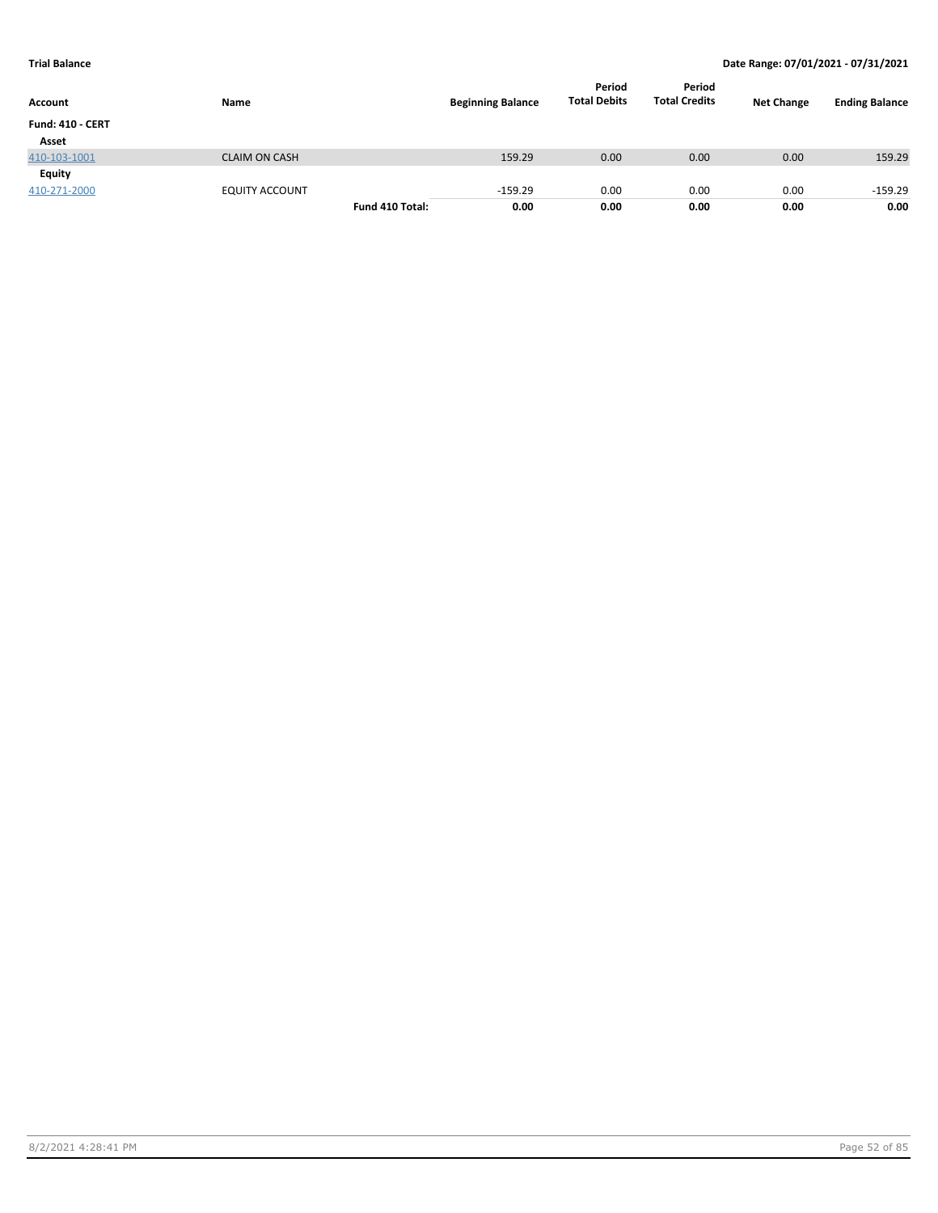| Account                 | Name                  |                 | <b>Beginning Balance</b> | Period<br><b>Total Debits</b> | Period<br><b>Total Credits</b> | <b>Net Change</b> | <b>Ending Balance</b> |
|-------------------------|-----------------------|-----------------|--------------------------|-------------------------------|--------------------------------|-------------------|-----------------------|
| <b>Fund: 410 - CERT</b> |                       |                 |                          |                               |                                |                   |                       |
| Asset                   |                       |                 |                          |                               |                                |                   |                       |
| 410-103-1001            | <b>CLAIM ON CASH</b>  |                 | 159.29                   | 0.00                          | 0.00                           | 0.00              | 159.29                |
| Equity                  |                       |                 |                          |                               |                                |                   |                       |
| 410-271-2000            | <b>EQUITY ACCOUNT</b> |                 | $-159.29$                | 0.00                          | 0.00                           | 0.00              | $-159.29$             |
|                         |                       | Fund 410 Total: | 0.00                     | 0.00                          | 0.00                           | 0.00              | 0.00                  |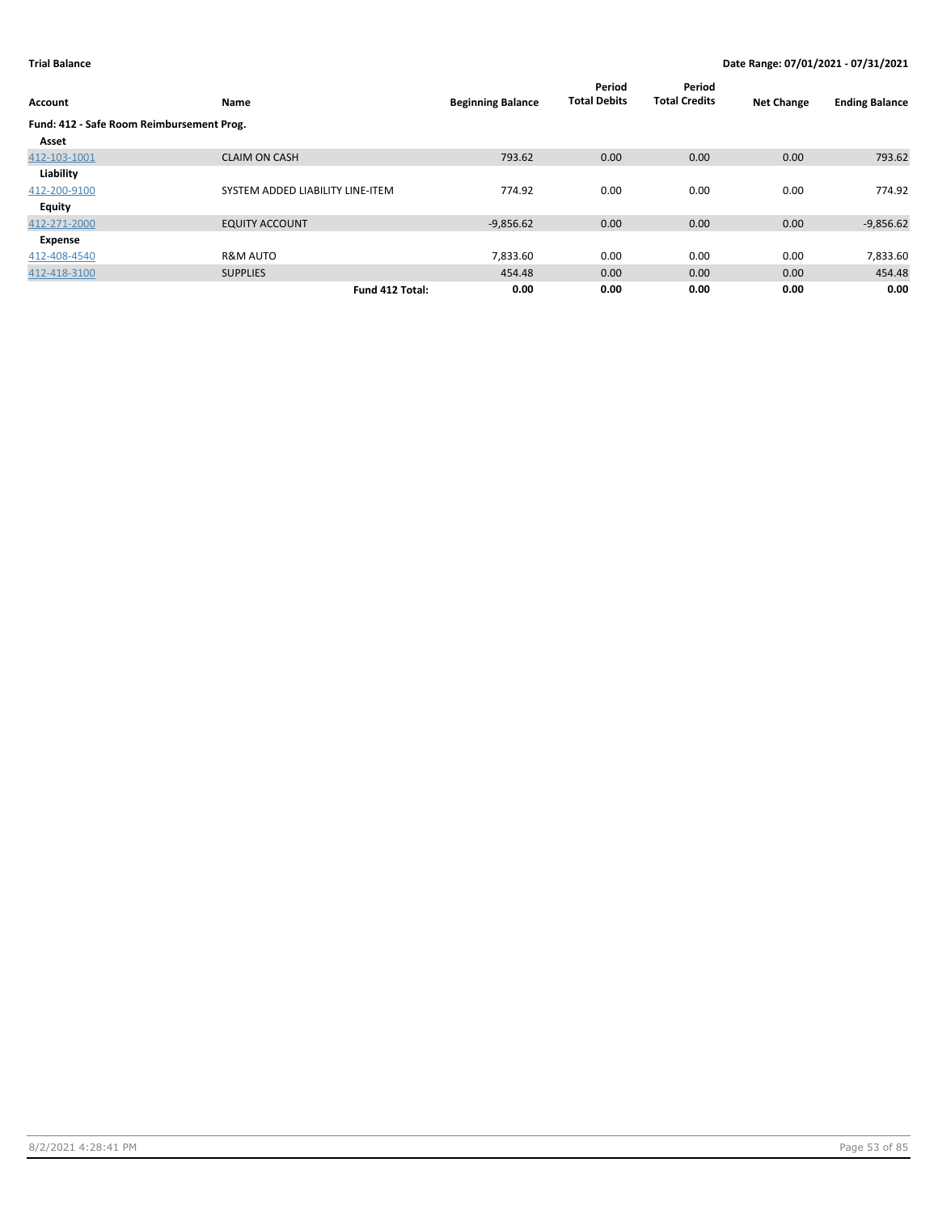| Account                                   | Name                             | <b>Beginning Balance</b> | Period<br><b>Total Debits</b> | Period<br><b>Total Credits</b> | <b>Net Change</b> | <b>Ending Balance</b> |
|-------------------------------------------|----------------------------------|--------------------------|-------------------------------|--------------------------------|-------------------|-----------------------|
| Fund: 412 - Safe Room Reimbursement Prog. |                                  |                          |                               |                                |                   |                       |
| Asset                                     |                                  |                          |                               |                                |                   |                       |
| 412-103-1001                              | <b>CLAIM ON CASH</b>             | 793.62                   | 0.00                          | 0.00                           | 0.00              | 793.62                |
| Liability                                 |                                  |                          |                               |                                |                   |                       |
| 412-200-9100                              | SYSTEM ADDED LIABILITY LINE-ITEM | 774.92                   | 0.00                          | 0.00                           | 0.00              | 774.92                |
| Equity                                    |                                  |                          |                               |                                |                   |                       |
| 412-271-2000                              | <b>EQUITY ACCOUNT</b>            | $-9,856.62$              | 0.00                          | 0.00                           | 0.00              | $-9,856.62$           |
| Expense                                   |                                  |                          |                               |                                |                   |                       |
| 412-408-4540                              | <b>R&amp;M AUTO</b>              | 7,833.60                 | 0.00                          | 0.00                           | 0.00              | 7,833.60              |
| 412-418-3100                              | <b>SUPPLIES</b>                  | 454.48                   | 0.00                          | 0.00                           | 0.00              | 454.48                |
|                                           | Fund 412 Total:                  | 0.00                     | 0.00                          | 0.00                           | 0.00              | 0.00                  |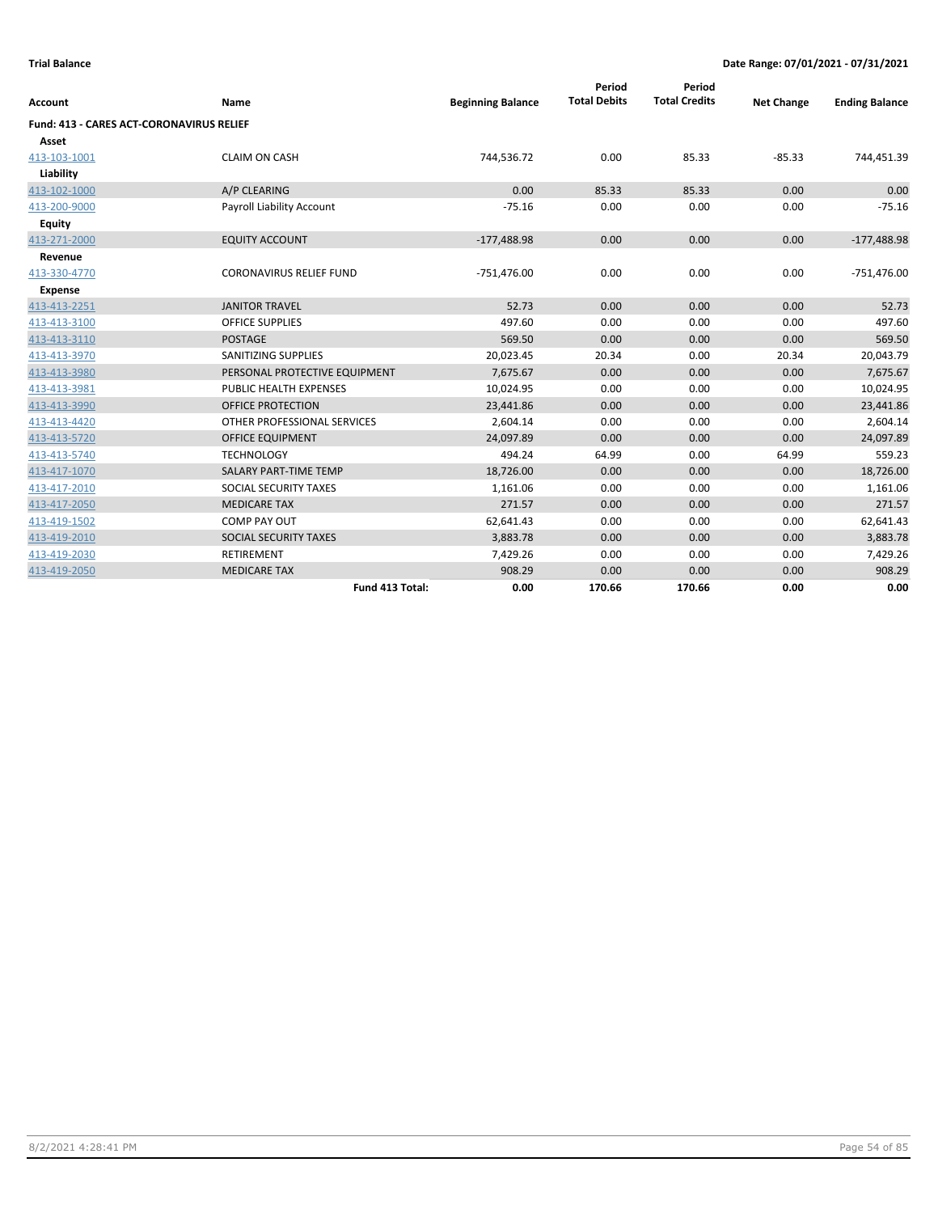| <b>Account</b>                           | Name                           | <b>Beginning Balance</b> | Period<br><b>Total Debits</b> | Period<br><b>Total Credits</b> | <b>Net Change</b> | <b>Ending Balance</b> |
|------------------------------------------|--------------------------------|--------------------------|-------------------------------|--------------------------------|-------------------|-----------------------|
| Fund: 413 - CARES ACT-CORONAVIRUS RELIEF |                                |                          |                               |                                |                   |                       |
| Asset                                    |                                |                          |                               |                                |                   |                       |
| 413-103-1001                             | <b>CLAIM ON CASH</b>           | 744,536.72               | 0.00                          | 85.33                          | $-85.33$          | 744,451.39            |
| Liability                                |                                |                          |                               |                                |                   |                       |
| 413-102-1000                             | A/P CLEARING                   | 0.00                     | 85.33                         | 85.33                          | 0.00              | 0.00                  |
| 413-200-9000                             | Payroll Liability Account      | $-75.16$                 | 0.00                          | 0.00                           | 0.00              | $-75.16$              |
| Equity                                   |                                |                          |                               |                                |                   |                       |
| 413-271-2000                             | <b>EQUITY ACCOUNT</b>          | $-177,488.98$            | 0.00                          | 0.00                           | 0.00              | $-177,488.98$         |
| Revenue                                  |                                |                          |                               |                                |                   |                       |
| 413-330-4770                             | <b>CORONAVIRUS RELIEF FUND</b> | $-751,476.00$            | 0.00                          | 0.00                           | 0.00              | $-751,476.00$         |
| Expense                                  |                                |                          |                               |                                |                   |                       |
| 413-413-2251                             | <b>JANITOR TRAVEL</b>          | 52.73                    | 0.00                          | 0.00                           | 0.00              | 52.73                 |
| 413-413-3100                             | <b>OFFICE SUPPLIES</b>         | 497.60                   | 0.00                          | 0.00                           | 0.00              | 497.60                |
| 413-413-3110                             | <b>POSTAGE</b>                 | 569.50                   | 0.00                          | 0.00                           | 0.00              | 569.50                |
| 413-413-3970                             | SANITIZING SUPPLIES            | 20,023.45                | 20.34                         | 0.00                           | 20.34             | 20,043.79             |
| 413-413-3980                             | PERSONAL PROTECTIVE EQUIPMENT  | 7,675.67                 | 0.00                          | 0.00                           | 0.00              | 7,675.67              |
| 413-413-3981                             | <b>PUBLIC HEALTH EXPENSES</b>  | 10,024.95                | 0.00                          | 0.00                           | 0.00              | 10,024.95             |
| 413-413-3990                             | <b>OFFICE PROTECTION</b>       | 23,441.86                | 0.00                          | 0.00                           | 0.00              | 23,441.86             |
| 413-413-4420                             | OTHER PROFESSIONAL SERVICES    | 2,604.14                 | 0.00                          | 0.00                           | 0.00              | 2,604.14              |
| 413-413-5720                             | <b>OFFICE EQUIPMENT</b>        | 24,097.89                | 0.00                          | 0.00                           | 0.00              | 24,097.89             |
| 413-413-5740                             | <b>TECHNOLOGY</b>              | 494.24                   | 64.99                         | 0.00                           | 64.99             | 559.23                |
| 413-417-1070                             | <b>SALARY PART-TIME TEMP</b>   | 18,726.00                | 0.00                          | 0.00                           | 0.00              | 18,726.00             |
| 413-417-2010                             | SOCIAL SECURITY TAXES          | 1,161.06                 | 0.00                          | 0.00                           | 0.00              | 1,161.06              |
| 413-417-2050                             | <b>MEDICARE TAX</b>            | 271.57                   | 0.00                          | 0.00                           | 0.00              | 271.57                |
| 413-419-1502                             | <b>COMP PAY OUT</b>            | 62,641.43                | 0.00                          | 0.00                           | 0.00              | 62,641.43             |
| 413-419-2010                             | SOCIAL SECURITY TAXES          | 3,883.78                 | 0.00                          | 0.00                           | 0.00              | 3,883.78              |
| 413-419-2030                             | RETIREMENT                     | 7,429.26                 | 0.00                          | 0.00                           | 0.00              | 7,429.26              |
| 413-419-2050                             | <b>MEDICARE TAX</b>            | 908.29                   | 0.00                          | 0.00                           | 0.00              | 908.29                |
|                                          | Fund 413 Total:                | 0.00                     | 170.66                        | 170.66                         | 0.00              | 0.00                  |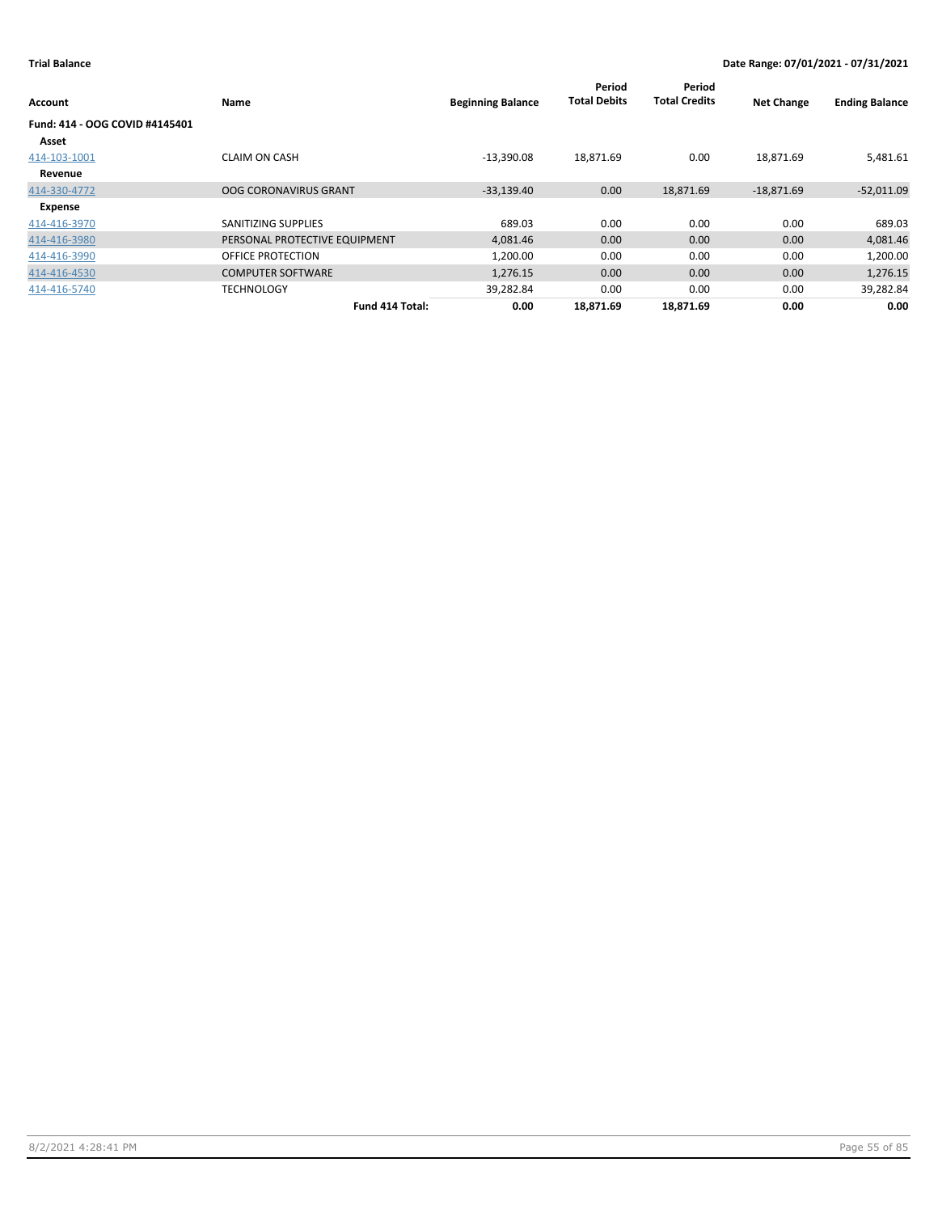| Account                        | <b>Name</b>                   | <b>Beginning Balance</b> | Period<br><b>Total Debits</b> | Period<br><b>Total Credits</b> | <b>Net Change</b> | <b>Ending Balance</b> |
|--------------------------------|-------------------------------|--------------------------|-------------------------------|--------------------------------|-------------------|-----------------------|
| Fund: 414 - OOG COVID #4145401 |                               |                          |                               |                                |                   |                       |
| Asset                          |                               |                          |                               |                                |                   |                       |
| 414-103-1001                   | <b>CLAIM ON CASH</b>          | $-13,390.08$             | 18,871.69                     | 0.00                           | 18,871.69         | 5,481.61              |
| Revenue                        |                               |                          |                               |                                |                   |                       |
| 414-330-4772                   | <b>OOG CORONAVIRUS GRANT</b>  | $-33,139.40$             | 0.00                          | 18,871.69                      | $-18,871.69$      | $-52,011.09$          |
| Expense                        |                               |                          |                               |                                |                   |                       |
| 414-416-3970                   | SANITIZING SUPPLIES           | 689.03                   | 0.00                          | 0.00                           | 0.00              | 689.03                |
| 414-416-3980                   | PERSONAL PROTECTIVE EQUIPMENT | 4,081.46                 | 0.00                          | 0.00                           | 0.00              | 4,081.46              |
| 414-416-3990                   | OFFICE PROTECTION             | 1,200.00                 | 0.00                          | 0.00                           | 0.00              | 1,200.00              |
| 414-416-4530                   | <b>COMPUTER SOFTWARE</b>      | 1,276.15                 | 0.00                          | 0.00                           | 0.00              | 1,276.15              |
| 414-416-5740                   | <b>TECHNOLOGY</b>             | 39,282.84                | 0.00                          | 0.00                           | 0.00              | 39,282.84             |
|                                | Fund 414 Total:               | 0.00                     | 18.871.69                     | 18.871.69                      | 0.00              | 0.00                  |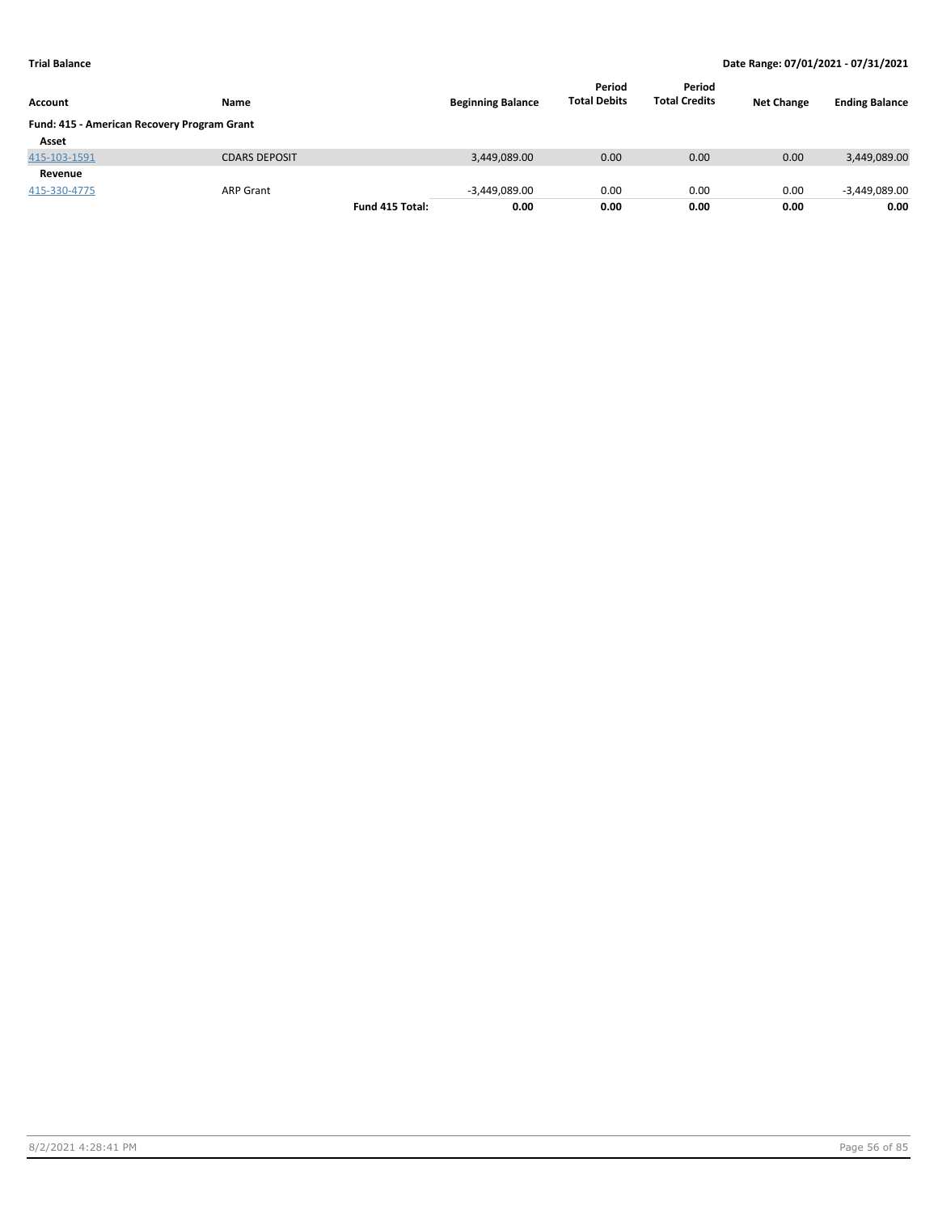| <b>Account</b>                              | <b>Name</b>          |                 | <b>Beginning Balance</b> | Period<br><b>Total Debits</b> | Period<br><b>Total Credits</b> | <b>Net Change</b> | <b>Ending Balance</b> |
|---------------------------------------------|----------------------|-----------------|--------------------------|-------------------------------|--------------------------------|-------------------|-----------------------|
| Fund: 415 - American Recovery Program Grant |                      |                 |                          |                               |                                |                   |                       |
| Asset                                       |                      |                 |                          |                               |                                |                   |                       |
| 415-103-1591                                | <b>CDARS DEPOSIT</b> |                 | 3,449,089.00             | 0.00                          | 0.00                           | 0.00              | 3,449,089.00          |
| Revenue                                     |                      |                 |                          |                               |                                |                   |                       |
| 415-330-4775                                | <b>ARP Grant</b>     |                 | $-3,449,089.00$          | 0.00                          | 0.00                           | 0.00              | $-3,449,089.00$       |
|                                             |                      | Fund 415 Total: | 0.00                     | 0.00                          | 0.00                           | 0.00              | 0.00                  |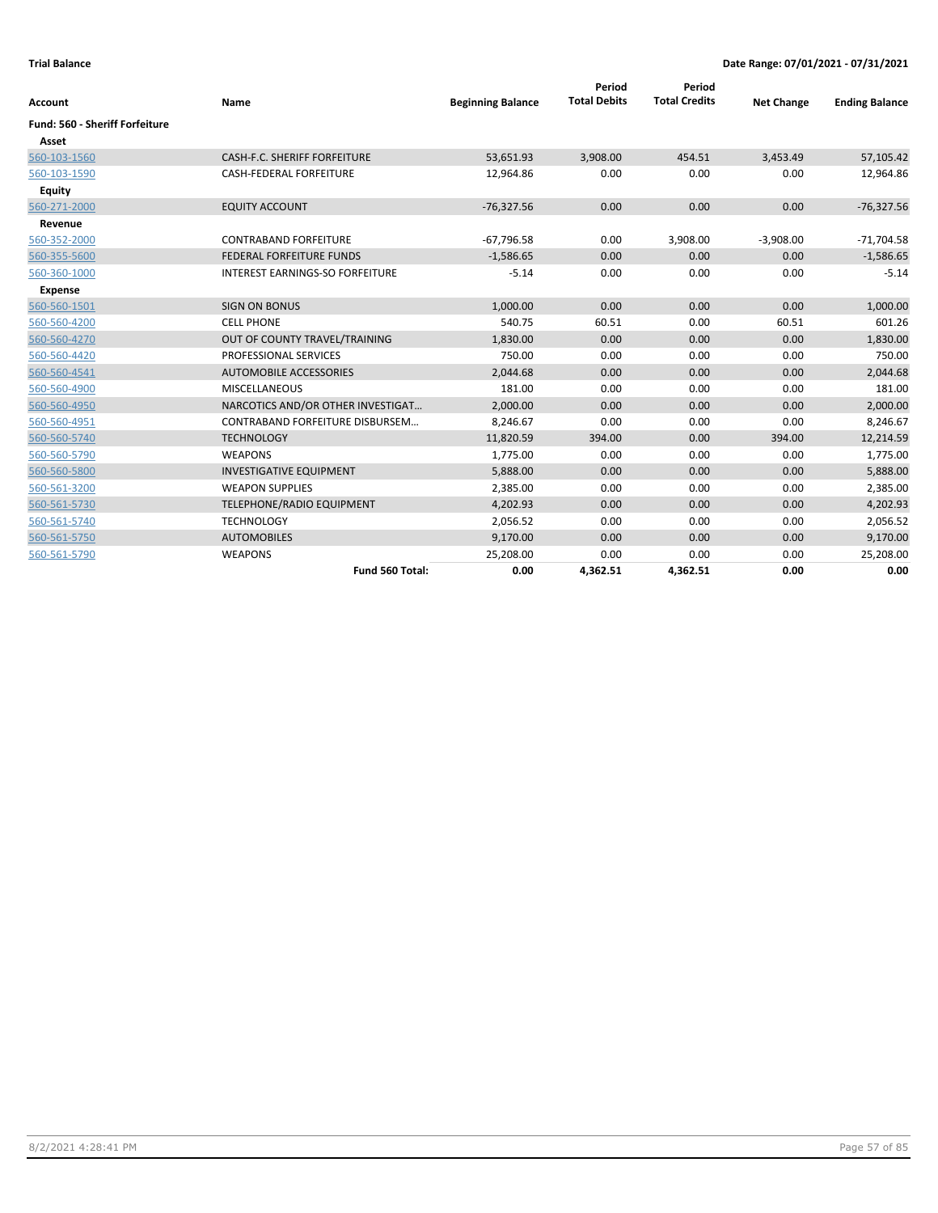| Account                               | Name                                   | <b>Beginning Balance</b> | Period<br><b>Total Debits</b> | Period<br><b>Total Credits</b> | <b>Net Change</b> | <b>Ending Balance</b> |
|---------------------------------------|----------------------------------------|--------------------------|-------------------------------|--------------------------------|-------------------|-----------------------|
| <b>Fund: 560 - Sheriff Forfeiture</b> |                                        |                          |                               |                                |                   |                       |
| Asset                                 |                                        |                          |                               |                                |                   |                       |
| 560-103-1560                          | CASH-F.C. SHERIFF FORFEITURE           | 53,651.93                | 3,908.00                      | 454.51                         | 3,453.49          | 57,105.42             |
| 560-103-1590                          | <b>CASH-FEDERAL FORFEITURE</b>         | 12,964.86                | 0.00                          | 0.00                           | 0.00              | 12,964.86             |
| Equity                                |                                        |                          |                               |                                |                   |                       |
| 560-271-2000                          | <b>EQUITY ACCOUNT</b>                  | $-76,327.56$             | 0.00                          | 0.00                           | 0.00              | $-76,327.56$          |
| Revenue                               |                                        |                          |                               |                                |                   |                       |
| 560-352-2000                          | <b>CONTRABAND FORFEITURE</b>           | $-67,796.58$             | 0.00                          | 3,908.00                       | $-3,908.00$       | $-71,704.58$          |
| 560-355-5600                          | FEDERAL FORFEITURE FUNDS               | $-1,586.65$              | 0.00                          | 0.00                           | 0.00              | $-1,586.65$           |
| 560-360-1000                          | <b>INTEREST EARNINGS-SO FORFEITURE</b> | $-5.14$                  | 0.00                          | 0.00                           | 0.00              | $-5.14$               |
| <b>Expense</b>                        |                                        |                          |                               |                                |                   |                       |
| 560-560-1501                          | <b>SIGN ON BONUS</b>                   | 1,000.00                 | 0.00                          | 0.00                           | 0.00              | 1,000.00              |
| 560-560-4200                          | <b>CELL PHONE</b>                      | 540.75                   | 60.51                         | 0.00                           | 60.51             | 601.26                |
| 560-560-4270                          | OUT OF COUNTY TRAVEL/TRAINING          | 1,830.00                 | 0.00                          | 0.00                           | 0.00              | 1,830.00              |
| 560-560-4420                          | <b>PROFESSIONAL SERVICES</b>           | 750.00                   | 0.00                          | 0.00                           | 0.00              | 750.00                |
| 560-560-4541                          | AUTOMOBILE ACCESSORIES                 | 2,044.68                 | 0.00                          | 0.00                           | 0.00              | 2,044.68              |
| 560-560-4900                          | <b>MISCELLANEOUS</b>                   | 181.00                   | 0.00                          | 0.00                           | 0.00              | 181.00                |
| 560-560-4950                          | NARCOTICS AND/OR OTHER INVESTIGAT      | 2,000.00                 | 0.00                          | 0.00                           | 0.00              | 2,000.00              |
| 560-560-4951                          | CONTRABAND FORFEITURE DISBURSEM        | 8,246.67                 | 0.00                          | 0.00                           | 0.00              | 8,246.67              |
| 560-560-5740                          | <b>TECHNOLOGY</b>                      | 11,820.59                | 394.00                        | 0.00                           | 394.00            | 12,214.59             |
| 560-560-5790                          | <b>WEAPONS</b>                         | 1,775.00                 | 0.00                          | 0.00                           | 0.00              | 1,775.00              |
| 560-560-5800                          | <b>INVESTIGATIVE EQUIPMENT</b>         | 5,888.00                 | 0.00                          | 0.00                           | 0.00              | 5,888.00              |
| 560-561-3200                          | <b>WEAPON SUPPLIES</b>                 | 2,385.00                 | 0.00                          | 0.00                           | 0.00              | 2,385.00              |
| 560-561-5730                          | TELEPHONE/RADIO EQUIPMENT              | 4,202.93                 | 0.00                          | 0.00                           | 0.00              | 4,202.93              |
| 560-561-5740                          | <b>TECHNOLOGY</b>                      | 2,056.52                 | 0.00                          | 0.00                           | 0.00              | 2,056.52              |
| 560-561-5750                          | <b>AUTOMOBILES</b>                     | 9,170.00                 | 0.00                          | 0.00                           | 0.00              | 9,170.00              |
| 560-561-5790                          | <b>WEAPONS</b>                         | 25,208.00                | 0.00                          | 0.00                           | 0.00              | 25,208.00             |
|                                       | Fund 560 Total:                        | 0.00                     | 4,362.51                      | 4,362.51                       | 0.00              | 0.00                  |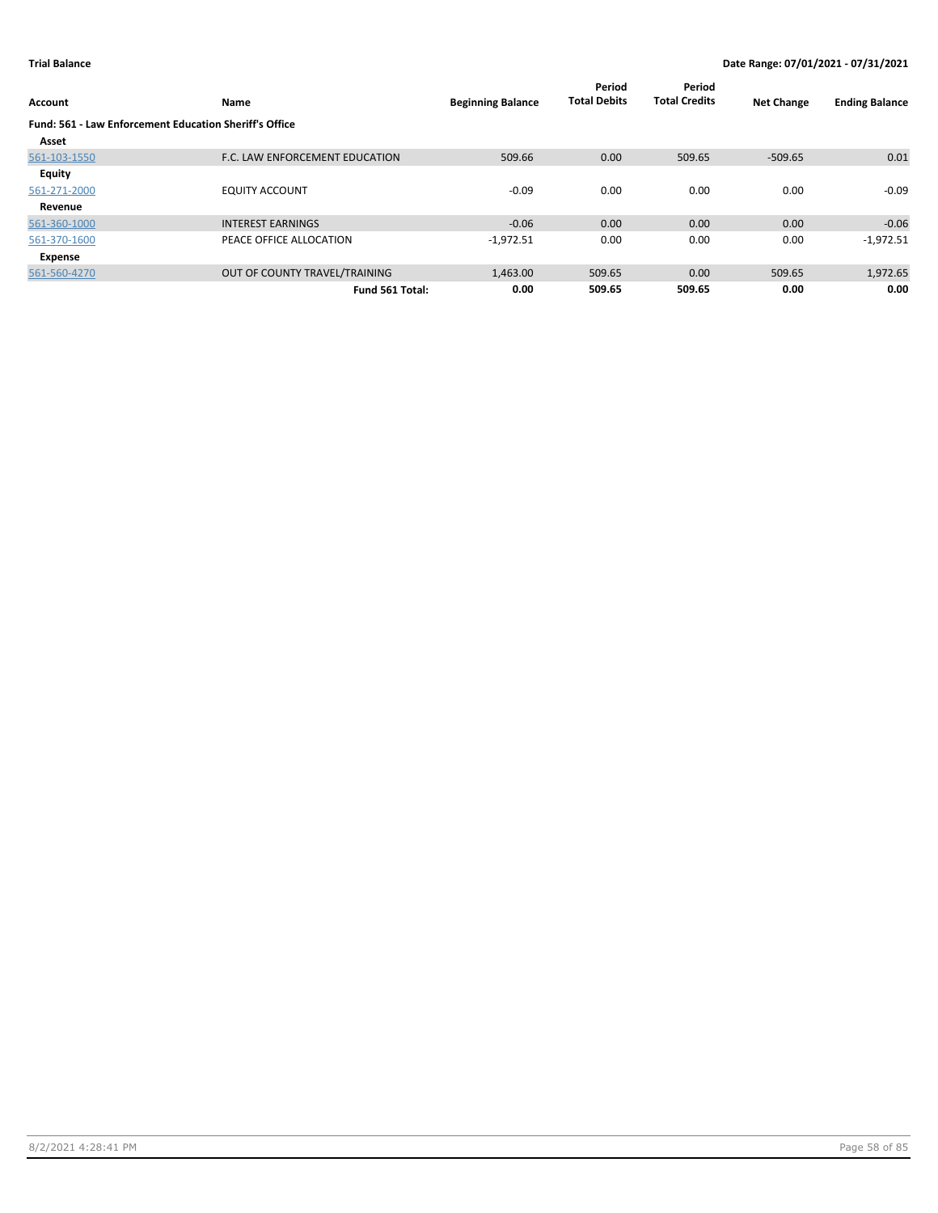| Account                                                | Name                           | <b>Beginning Balance</b> | Period<br><b>Total Debits</b> | Period<br><b>Total Credits</b> | <b>Net Change</b> | <b>Ending Balance</b> |
|--------------------------------------------------------|--------------------------------|--------------------------|-------------------------------|--------------------------------|-------------------|-----------------------|
| Fund: 561 - Law Enforcement Education Sheriff's Office |                                |                          |                               |                                |                   |                       |
| Asset                                                  |                                |                          |                               |                                |                   |                       |
| 561-103-1550                                           | F.C. LAW ENFORCEMENT EDUCATION | 509.66                   | 0.00                          | 509.65                         | -509.65           | 0.01                  |
| Equity                                                 |                                |                          |                               |                                |                   |                       |
| 561-271-2000                                           | <b>EQUITY ACCOUNT</b>          | $-0.09$                  | 0.00                          | 0.00                           | 0.00              | $-0.09$               |
| Revenue                                                |                                |                          |                               |                                |                   |                       |
| 561-360-1000                                           | <b>INTEREST EARNINGS</b>       | $-0.06$                  | 0.00                          | 0.00                           | 0.00              | $-0.06$               |
| 561-370-1600                                           | PEACE OFFICE ALLOCATION        | $-1,972.51$              | 0.00                          | 0.00                           | 0.00              | $-1,972.51$           |
| Expense                                                |                                |                          |                               |                                |                   |                       |
| 561-560-4270                                           | OUT OF COUNTY TRAVEL/TRAINING  | 1,463.00                 | 509.65                        | 0.00                           | 509.65            | 1,972.65              |
|                                                        | Fund 561 Total:                | 0.00                     | 509.65                        | 509.65                         | 0.00              | 0.00                  |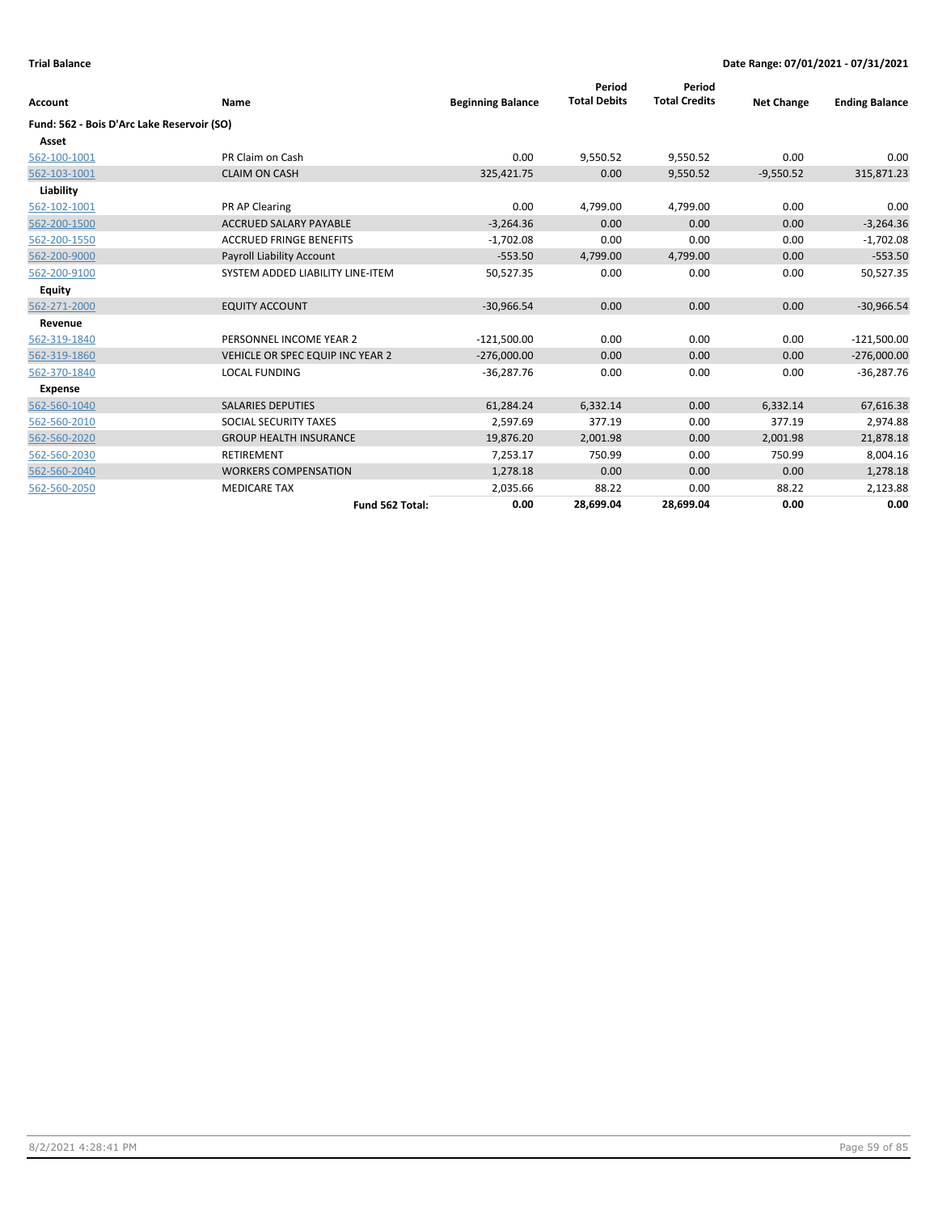| Account                                    | Name                             | <b>Beginning Balance</b> | Period<br><b>Total Debits</b> | Period<br><b>Total Credits</b> | <b>Net Change</b> | <b>Ending Balance</b> |
|--------------------------------------------|----------------------------------|--------------------------|-------------------------------|--------------------------------|-------------------|-----------------------|
| Fund: 562 - Bois D'Arc Lake Reservoir (SO) |                                  |                          |                               |                                |                   |                       |
| Asset                                      |                                  |                          |                               |                                |                   |                       |
| 562-100-1001                               | PR Claim on Cash                 | 0.00                     | 9,550.52                      | 9,550.52                       | 0.00              | 0.00                  |
| 562-103-1001                               | <b>CLAIM ON CASH</b>             | 325,421.75               | 0.00                          | 9,550.52                       | $-9,550.52$       | 315,871.23            |
| Liability                                  |                                  |                          |                               |                                |                   |                       |
| 562-102-1001                               | PR AP Clearing                   | 0.00                     | 4,799.00                      | 4,799.00                       | 0.00              | 0.00                  |
| 562-200-1500                               | <b>ACCRUED SALARY PAYABLE</b>    | $-3,264.36$              | 0.00                          | 0.00                           | 0.00              | $-3,264.36$           |
| 562-200-1550                               | <b>ACCRUED FRINGE BENEFITS</b>   | $-1,702.08$              | 0.00                          | 0.00                           | 0.00              | $-1,702.08$           |
| 562-200-9000                               | <b>Payroll Liability Account</b> | $-553.50$                | 4,799.00                      | 4,799.00                       | 0.00              | $-553.50$             |
| 562-200-9100                               | SYSTEM ADDED LIABILITY LINE-ITEM | 50,527.35                | 0.00                          | 0.00                           | 0.00              | 50,527.35             |
| <b>Equity</b>                              |                                  |                          |                               |                                |                   |                       |
| 562-271-2000                               | <b>EQUITY ACCOUNT</b>            | $-30,966.54$             | 0.00                          | 0.00                           | 0.00              | $-30,966.54$          |
| Revenue                                    |                                  |                          |                               |                                |                   |                       |
| 562-319-1840                               | PERSONNEL INCOME YEAR 2          | $-121,500.00$            | 0.00                          | 0.00                           | 0.00              | $-121,500.00$         |
| 562-319-1860                               | VEHICLE OR SPEC EQUIP INC YEAR 2 | $-276,000.00$            | 0.00                          | 0.00                           | 0.00              | $-276,000.00$         |
| 562-370-1840                               | <b>LOCAL FUNDING</b>             | $-36,287.76$             | 0.00                          | 0.00                           | 0.00              | $-36,287.76$          |
| <b>Expense</b>                             |                                  |                          |                               |                                |                   |                       |
| 562-560-1040                               | <b>SALARIES DEPUTIES</b>         | 61,284.24                | 6,332.14                      | 0.00                           | 6,332.14          | 67,616.38             |
| 562-560-2010                               | <b>SOCIAL SECURITY TAXES</b>     | 2,597.69                 | 377.19                        | 0.00                           | 377.19            | 2,974.88              |
| 562-560-2020                               | <b>GROUP HEALTH INSURANCE</b>    | 19,876.20                | 2,001.98                      | 0.00                           | 2,001.98          | 21,878.18             |
| 562-560-2030                               | <b>RETIREMENT</b>                | 7,253.17                 | 750.99                        | 0.00                           | 750.99            | 8,004.16              |
| 562-560-2040                               | <b>WORKERS COMPENSATION</b>      | 1,278.18                 | 0.00                          | 0.00                           | 0.00              | 1,278.18              |
| 562-560-2050                               | <b>MEDICARE TAX</b>              | 2,035.66                 | 88.22                         | 0.00                           | 88.22             | 2,123.88              |
|                                            | Fund 562 Total:                  | 0.00                     | 28,699.04                     | 28,699.04                      | 0.00              | 0.00                  |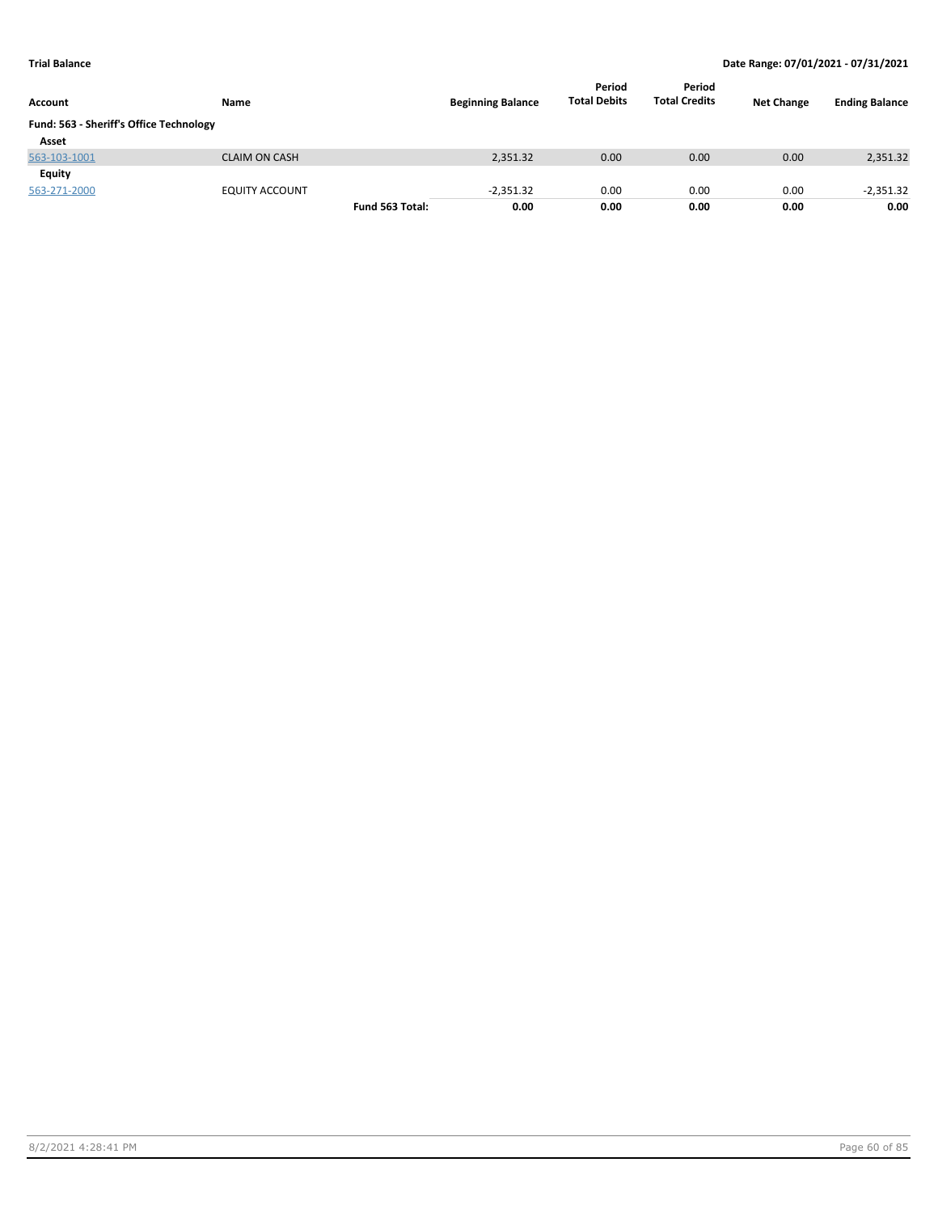| Account                                 | Name                  |                 | <b>Beginning Balance</b> | Period<br><b>Total Debits</b> | Period<br><b>Total Credits</b> | <b>Net Change</b> | <b>Ending Balance</b> |
|-----------------------------------------|-----------------------|-----------------|--------------------------|-------------------------------|--------------------------------|-------------------|-----------------------|
| Fund: 563 - Sheriff's Office Technology |                       |                 |                          |                               |                                |                   |                       |
| Asset                                   |                       |                 |                          |                               |                                |                   |                       |
| 563-103-1001                            | <b>CLAIM ON CASH</b>  |                 | 2,351.32                 | 0.00                          | 0.00                           | 0.00              | 2,351.32              |
| Equity                                  |                       |                 |                          |                               |                                |                   |                       |
| 563-271-2000                            | <b>EQUITY ACCOUNT</b> |                 | $-2.351.32$              | 0.00                          | 0.00                           | 0.00              | $-2,351.32$           |
|                                         |                       | Fund 563 Total: | 0.00                     | 0.00                          | 0.00                           | 0.00              | 0.00                  |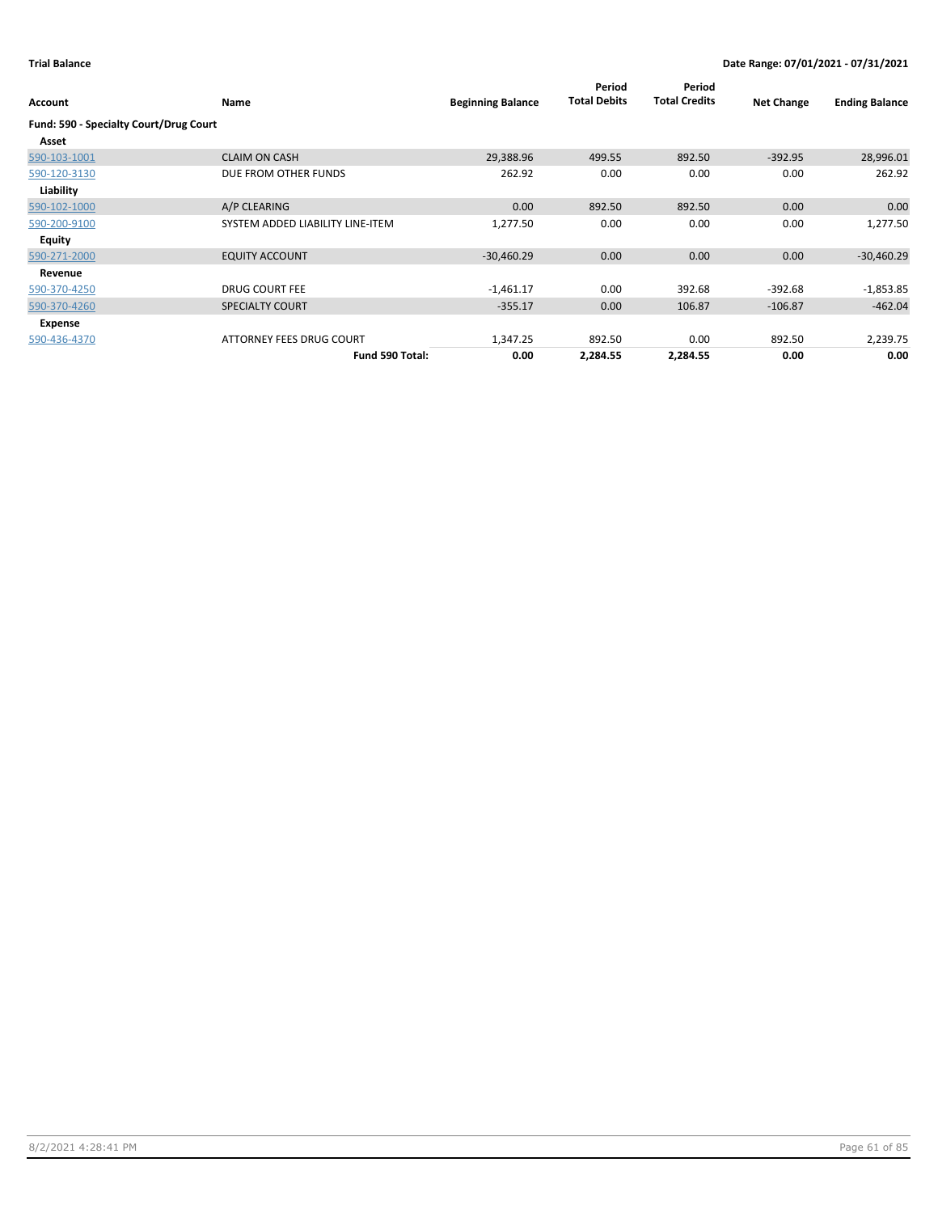| Account                                | <b>Name</b>                      | <b>Beginning Balance</b> | Period<br><b>Total Debits</b> | Period<br><b>Total Credits</b> | <b>Net Change</b> | <b>Ending Balance</b> |
|----------------------------------------|----------------------------------|--------------------------|-------------------------------|--------------------------------|-------------------|-----------------------|
| Fund: 590 - Specialty Court/Drug Court |                                  |                          |                               |                                |                   |                       |
| Asset                                  |                                  |                          |                               |                                |                   |                       |
| 590-103-1001                           | <b>CLAIM ON CASH</b>             | 29,388.96                | 499.55                        | 892.50                         | $-392.95$         | 28,996.01             |
| 590-120-3130                           | DUE FROM OTHER FUNDS             | 262.92                   | 0.00                          | 0.00                           | 0.00              | 262.92                |
| Liability                              |                                  |                          |                               |                                |                   |                       |
| 590-102-1000                           | A/P CLEARING                     | 0.00                     | 892.50                        | 892.50                         | 0.00              | 0.00                  |
| 590-200-9100                           | SYSTEM ADDED LIABILITY LINE-ITEM | 1,277.50                 | 0.00                          | 0.00                           | 0.00              | 1,277.50              |
| Equity                                 |                                  |                          |                               |                                |                   |                       |
| 590-271-2000                           | <b>EQUITY ACCOUNT</b>            | $-30,460.29$             | 0.00                          | 0.00                           | 0.00              | $-30,460.29$          |
| Revenue                                |                                  |                          |                               |                                |                   |                       |
| 590-370-4250                           | <b>DRUG COURT FEE</b>            | $-1,461.17$              | 0.00                          | 392.68                         | $-392.68$         | $-1,853.85$           |
| 590-370-4260                           | <b>SPECIALTY COURT</b>           | $-355.17$                | 0.00                          | 106.87                         | $-106.87$         | $-462.04$             |
| Expense                                |                                  |                          |                               |                                |                   |                       |
| 590-436-4370                           | ATTORNEY FEES DRUG COURT         | 1,347.25                 | 892.50                        | 0.00                           | 892.50            | 2,239.75              |
|                                        | Fund 590 Total:                  | 0.00                     | 2,284.55                      | 2,284.55                       | 0.00              | 0.00                  |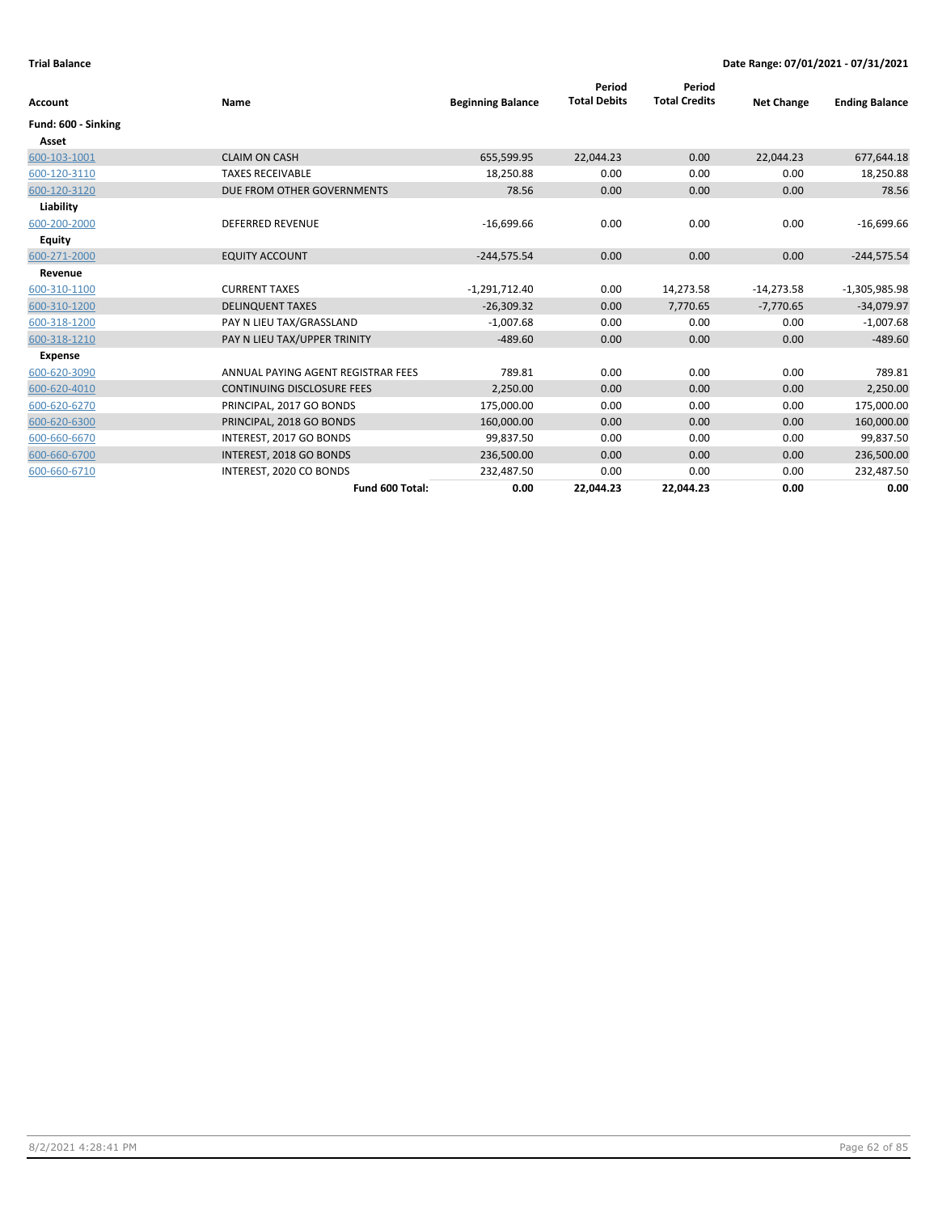| Account             | Name                               | <b>Beginning Balance</b> | Period<br><b>Total Debits</b> | Period<br><b>Total Credits</b> | <b>Net Change</b> | <b>Ending Balance</b> |
|---------------------|------------------------------------|--------------------------|-------------------------------|--------------------------------|-------------------|-----------------------|
| Fund: 600 - Sinking |                                    |                          |                               |                                |                   |                       |
| Asset               |                                    |                          |                               |                                |                   |                       |
| 600-103-1001        | <b>CLAIM ON CASH</b>               | 655,599.95               | 22,044.23                     | 0.00                           | 22,044.23         | 677,644.18            |
| 600-120-3110        | <b>TAXES RECEIVABLE</b>            | 18,250.88                | 0.00                          | 0.00                           | 0.00              | 18,250.88             |
| 600-120-3120        | DUE FROM OTHER GOVERNMENTS         | 78.56                    | 0.00                          | 0.00                           | 0.00              | 78.56                 |
| Liability           |                                    |                          |                               |                                |                   |                       |
| 600-200-2000        | <b>DEFERRED REVENUE</b>            | $-16,699.66$             | 0.00                          | 0.00                           | 0.00              | $-16,699.66$          |
| <b>Equity</b>       |                                    |                          |                               |                                |                   |                       |
| 600-271-2000        | <b>EQUITY ACCOUNT</b>              | $-244,575.54$            | 0.00                          | 0.00                           | 0.00              | $-244,575.54$         |
| Revenue             |                                    |                          |                               |                                |                   |                       |
| 600-310-1100        | <b>CURRENT TAXES</b>               | $-1,291,712.40$          | 0.00                          | 14,273.58                      | $-14,273.58$      | $-1,305,985.98$       |
| 600-310-1200        | <b>DELINQUENT TAXES</b>            | $-26,309.32$             | 0.00                          | 7,770.65                       | $-7,770.65$       | $-34,079.97$          |
| 600-318-1200        | PAY N LIEU TAX/GRASSLAND           | $-1,007.68$              | 0.00                          | 0.00                           | 0.00              | $-1,007.68$           |
| 600-318-1210        | PAY N LIEU TAX/UPPER TRINITY       | $-489.60$                | 0.00                          | 0.00                           | 0.00              | $-489.60$             |
| <b>Expense</b>      |                                    |                          |                               |                                |                   |                       |
| 600-620-3090        | ANNUAL PAYING AGENT REGISTRAR FEES | 789.81                   | 0.00                          | 0.00                           | 0.00              | 789.81                |
| 600-620-4010        | <b>CONTINUING DISCLOSURE FEES</b>  | 2,250.00                 | 0.00                          | 0.00                           | 0.00              | 2,250.00              |
| 600-620-6270        | PRINCIPAL, 2017 GO BONDS           | 175,000.00               | 0.00                          | 0.00                           | 0.00              | 175,000.00            |
| 600-620-6300        | PRINCIPAL, 2018 GO BONDS           | 160,000.00               | 0.00                          | 0.00                           | 0.00              | 160,000.00            |
| 600-660-6670        | INTEREST, 2017 GO BONDS            | 99,837.50                | 0.00                          | 0.00                           | 0.00              | 99,837.50             |
| 600-660-6700        | INTEREST, 2018 GO BONDS            | 236,500.00               | 0.00                          | 0.00                           | 0.00              | 236,500.00            |
| 600-660-6710        | INTEREST, 2020 CO BONDS            | 232,487.50               | 0.00                          | 0.00                           | 0.00              | 232,487.50            |
|                     | Fund 600 Total:                    | 0.00                     | 22,044.23                     | 22,044.23                      | 0.00              | 0.00                  |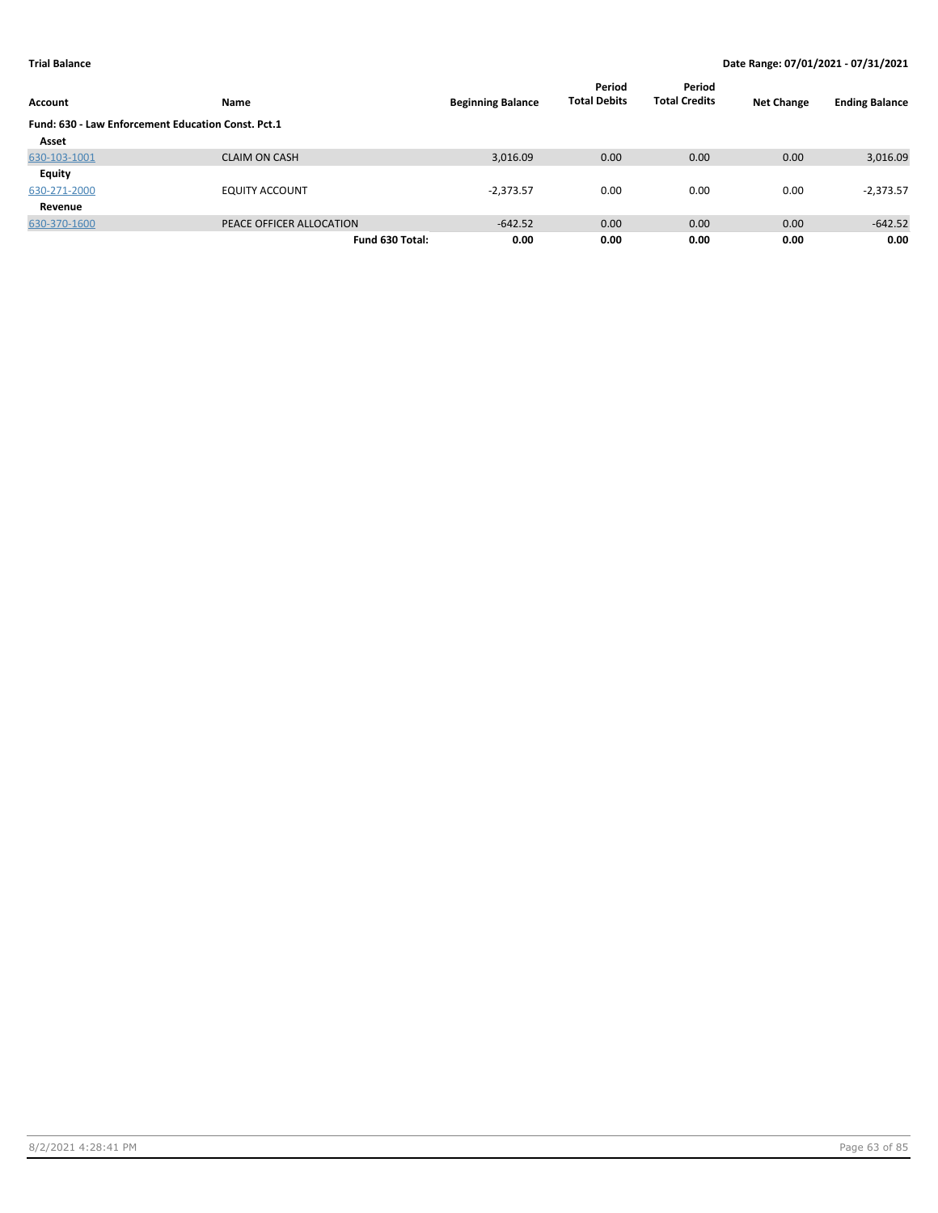| Account                                            | Name                     | <b>Beginning Balance</b> | Period<br><b>Total Debits</b> | Period<br><b>Total Credits</b> | <b>Net Change</b> | <b>Ending Balance</b> |
|----------------------------------------------------|--------------------------|--------------------------|-------------------------------|--------------------------------|-------------------|-----------------------|
| Fund: 630 - Law Enforcement Education Const. Pct.1 |                          |                          |                               |                                |                   |                       |
| Asset                                              |                          |                          |                               |                                |                   |                       |
| 630-103-1001                                       | <b>CLAIM ON CASH</b>     | 3,016.09                 | 0.00                          | 0.00                           | 0.00              | 3,016.09              |
| Equity                                             |                          |                          |                               |                                |                   |                       |
| 630-271-2000                                       | <b>EQUITY ACCOUNT</b>    | $-2,373.57$              | 0.00                          | 0.00                           | 0.00              | $-2,373.57$           |
| Revenue                                            |                          |                          |                               |                                |                   |                       |
| 630-370-1600                                       | PEACE OFFICER ALLOCATION | $-642.52$                | 0.00                          | 0.00                           | 0.00              | $-642.52$             |
|                                                    | Fund 630 Total:          | 0.00                     | 0.00                          | 0.00                           | 0.00              | 0.00                  |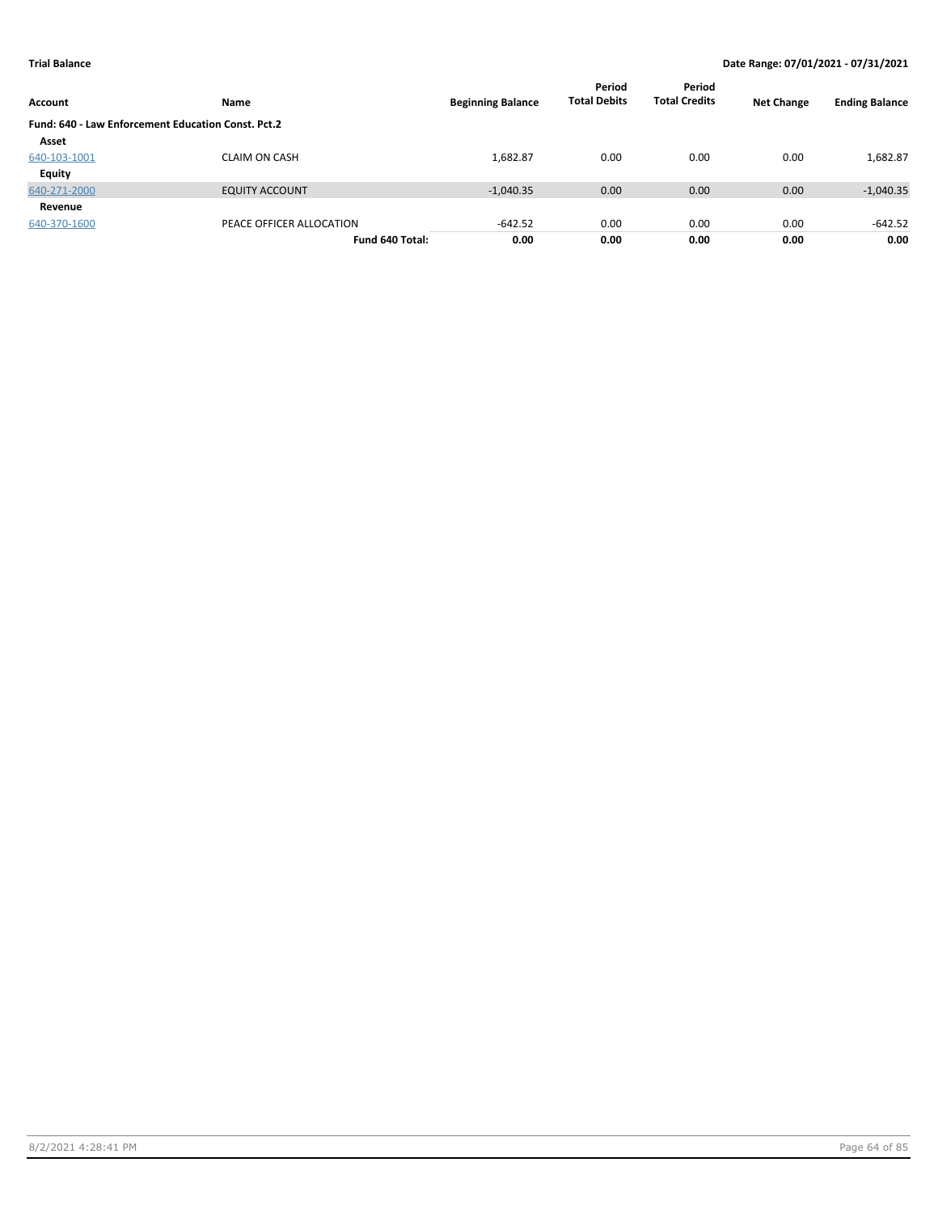| Account                                                   | Name                     | <b>Beginning Balance</b> | Period<br><b>Total Debits</b> | Period<br><b>Total Credits</b> | <b>Net Change</b> | <b>Ending Balance</b> |
|-----------------------------------------------------------|--------------------------|--------------------------|-------------------------------|--------------------------------|-------------------|-----------------------|
| <b>Fund: 640 - Law Enforcement Education Const. Pct.2</b> |                          |                          |                               |                                |                   |                       |
| Asset                                                     |                          |                          |                               |                                |                   |                       |
| 640-103-1001                                              | <b>CLAIM ON CASH</b>     | 1,682.87                 | 0.00                          | 0.00                           | 0.00              | 1,682.87              |
| <b>Equity</b>                                             |                          |                          |                               |                                |                   |                       |
| 640-271-2000                                              | <b>EQUITY ACCOUNT</b>    | $-1,040.35$              | 0.00                          | 0.00                           | 0.00              | $-1,040.35$           |
| Revenue                                                   |                          |                          |                               |                                |                   |                       |
| 640-370-1600                                              | PEACE OFFICER ALLOCATION | $-642.52$                | 0.00                          | 0.00                           | 0.00              | $-642.52$             |
|                                                           | Fund 640 Total:          | 0.00                     | 0.00                          | 0.00                           | 0.00              | 0.00                  |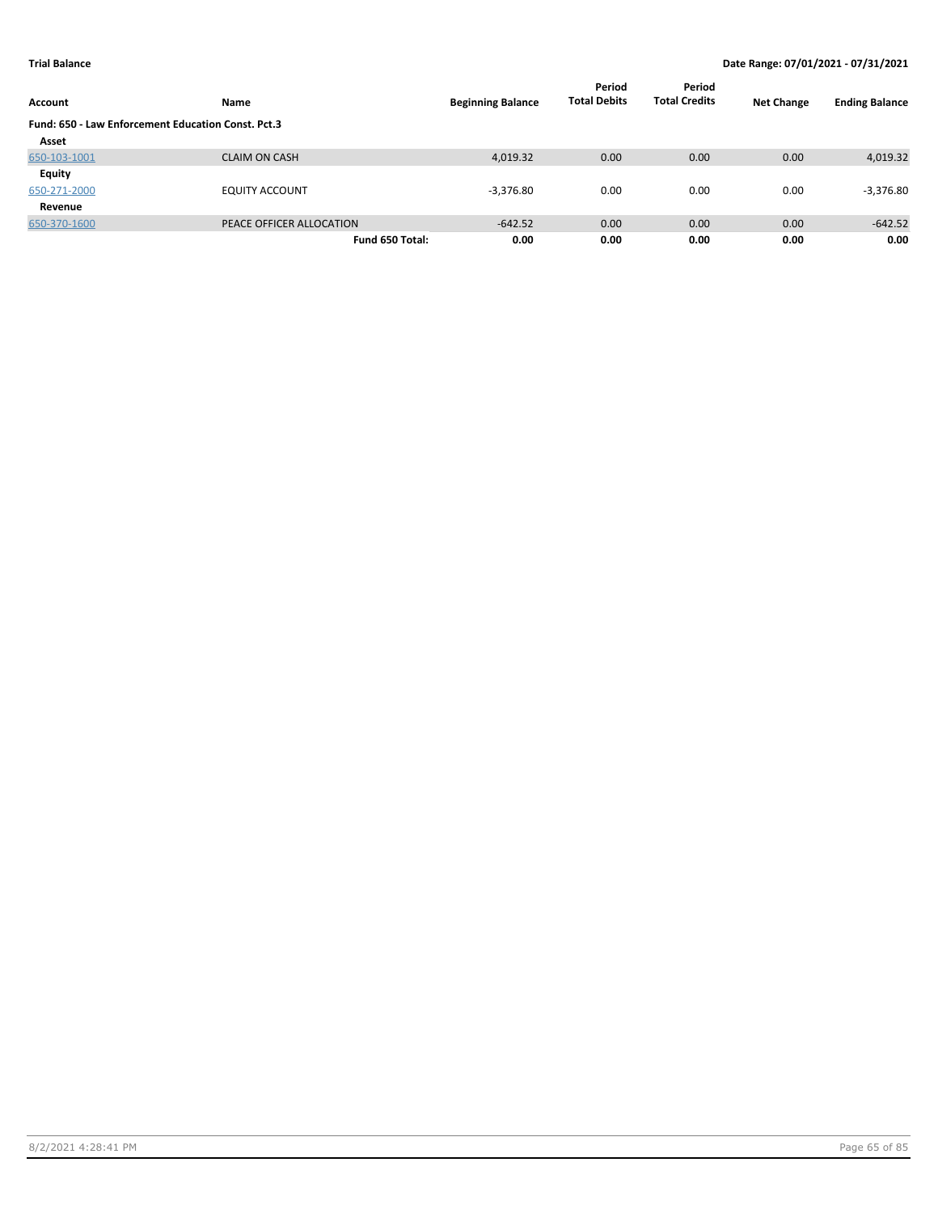| Account                                            | Name                     | <b>Beginning Balance</b> | Period<br><b>Total Debits</b> | Period<br><b>Total Credits</b> | <b>Net Change</b> | <b>Ending Balance</b> |
|----------------------------------------------------|--------------------------|--------------------------|-------------------------------|--------------------------------|-------------------|-----------------------|
| Fund: 650 - Law Enforcement Education Const. Pct.3 |                          |                          |                               |                                |                   |                       |
| Asset                                              |                          |                          |                               |                                |                   |                       |
| 650-103-1001                                       | <b>CLAIM ON CASH</b>     | 4,019.32                 | 0.00                          | 0.00                           | 0.00              | 4,019.32              |
| Equity                                             |                          |                          |                               |                                |                   |                       |
| 650-271-2000                                       | <b>EQUITY ACCOUNT</b>    | $-3,376.80$              | 0.00                          | 0.00                           | 0.00              | $-3,376.80$           |
| Revenue                                            |                          |                          |                               |                                |                   |                       |
| 650-370-1600                                       | PEACE OFFICER ALLOCATION | $-642.52$                | 0.00                          | 0.00                           | 0.00              | $-642.52$             |
|                                                    | Fund 650 Total:          | 0.00                     | 0.00                          | 0.00                           | 0.00              | 0.00                  |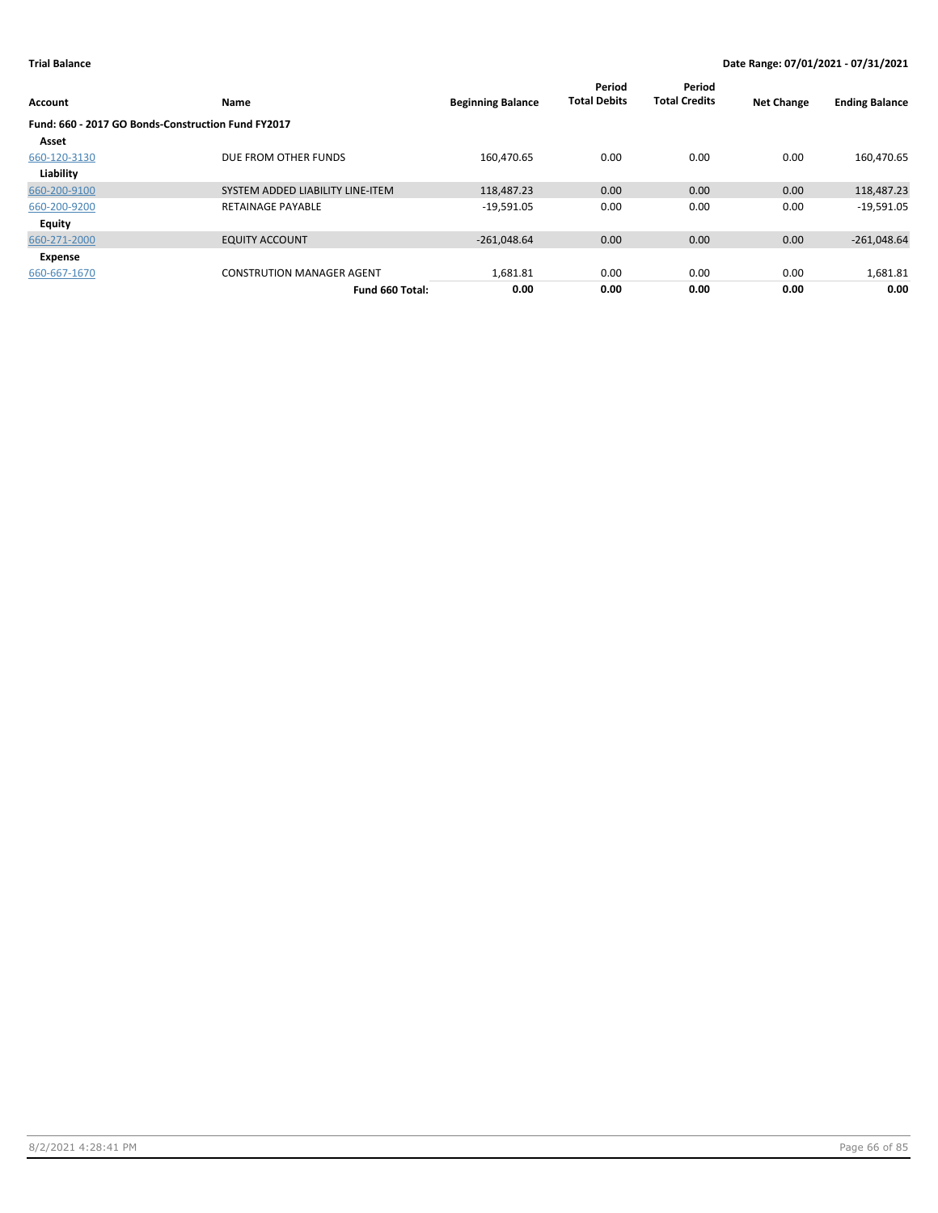| Account                                            | Name                             | <b>Beginning Balance</b> | Period<br><b>Total Debits</b> | Period<br><b>Total Credits</b> | <b>Net Change</b> | <b>Ending Balance</b> |
|----------------------------------------------------|----------------------------------|--------------------------|-------------------------------|--------------------------------|-------------------|-----------------------|
| Fund: 660 - 2017 GO Bonds-Construction Fund FY2017 |                                  |                          |                               |                                |                   |                       |
| Asset                                              |                                  |                          |                               |                                |                   |                       |
| 660-120-3130                                       | DUE FROM OTHER FUNDS             | 160,470.65               | 0.00                          | 0.00                           | 0.00              | 160,470.65            |
| Liability                                          |                                  |                          |                               |                                |                   |                       |
| 660-200-9100                                       | SYSTEM ADDED LIABILITY LINE-ITEM | 118,487.23               | 0.00                          | 0.00                           | 0.00              | 118,487.23            |
| 660-200-9200                                       | <b>RETAINAGE PAYABLE</b>         | $-19,591.05$             | 0.00                          | 0.00                           | 0.00              | $-19,591.05$          |
| Equity                                             |                                  |                          |                               |                                |                   |                       |
| 660-271-2000                                       | <b>EQUITY ACCOUNT</b>            | $-261,048.64$            | 0.00                          | 0.00                           | 0.00              | $-261,048.64$         |
| Expense                                            |                                  |                          |                               |                                |                   |                       |
| 660-667-1670                                       | <b>CONSTRUTION MANAGER AGENT</b> | 1,681.81                 | 0.00                          | 0.00                           | 0.00              | 1,681.81              |
|                                                    | Fund 660 Total:                  | 0.00                     | 0.00                          | 0.00                           | 0.00              | 0.00                  |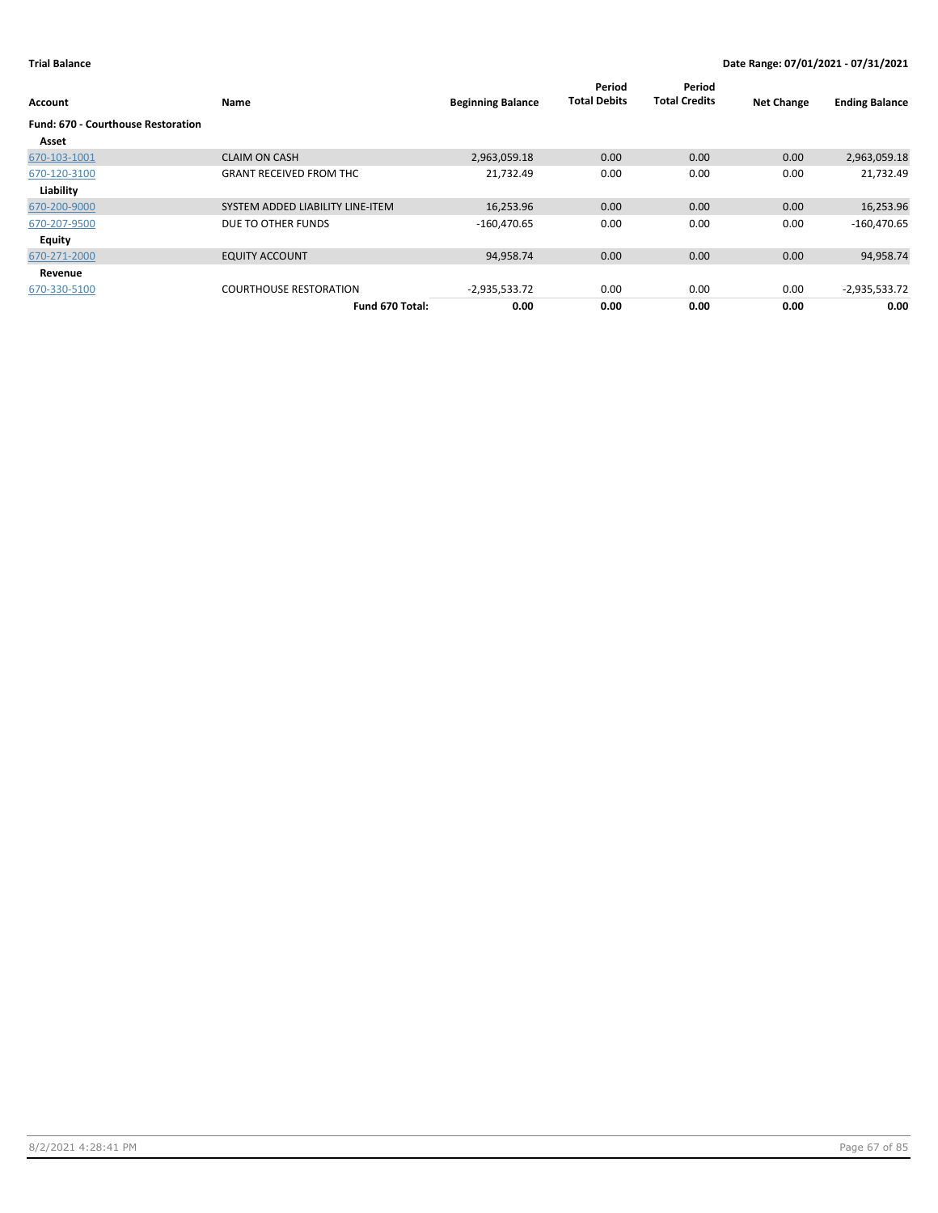| Account                                            | Name                             | <b>Beginning Balance</b> | Period<br><b>Total Debits</b> | Period<br><b>Total Credits</b> | <b>Net Change</b> | <b>Ending Balance</b> |
|----------------------------------------------------|----------------------------------|--------------------------|-------------------------------|--------------------------------|-------------------|-----------------------|
| <b>Fund: 670 - Courthouse Restoration</b><br>Asset |                                  |                          |                               |                                |                   |                       |
| 670-103-1001                                       | <b>CLAIM ON CASH</b>             | 2,963,059.18             | 0.00                          | 0.00                           | 0.00              | 2,963,059.18          |
| 670-120-3100                                       | <b>GRANT RECEIVED FROM THC</b>   | 21,732.49                | 0.00                          | 0.00                           | 0.00              | 21,732.49             |
| Liability                                          |                                  |                          |                               |                                |                   |                       |
| 670-200-9000                                       | SYSTEM ADDED LIABILITY LINE-ITEM | 16,253.96                | 0.00                          | 0.00                           | 0.00              | 16,253.96             |
| 670-207-9500                                       | DUE TO OTHER FUNDS               | $-160,470.65$            | 0.00                          | 0.00                           | 0.00              | $-160,470.65$         |
| Equity                                             |                                  |                          |                               |                                |                   |                       |
| 670-271-2000                                       | <b>EQUITY ACCOUNT</b>            | 94,958.74                | 0.00                          | 0.00                           | 0.00              | 94,958.74             |
| Revenue                                            |                                  |                          |                               |                                |                   |                       |
| 670-330-5100                                       | <b>COURTHOUSE RESTORATION</b>    | $-2,935,533.72$          | 0.00                          | 0.00                           | 0.00              | $-2,935,533.72$       |
|                                                    | Fund 670 Total:                  | 0.00                     | 0.00                          | 0.00                           | 0.00              | 0.00                  |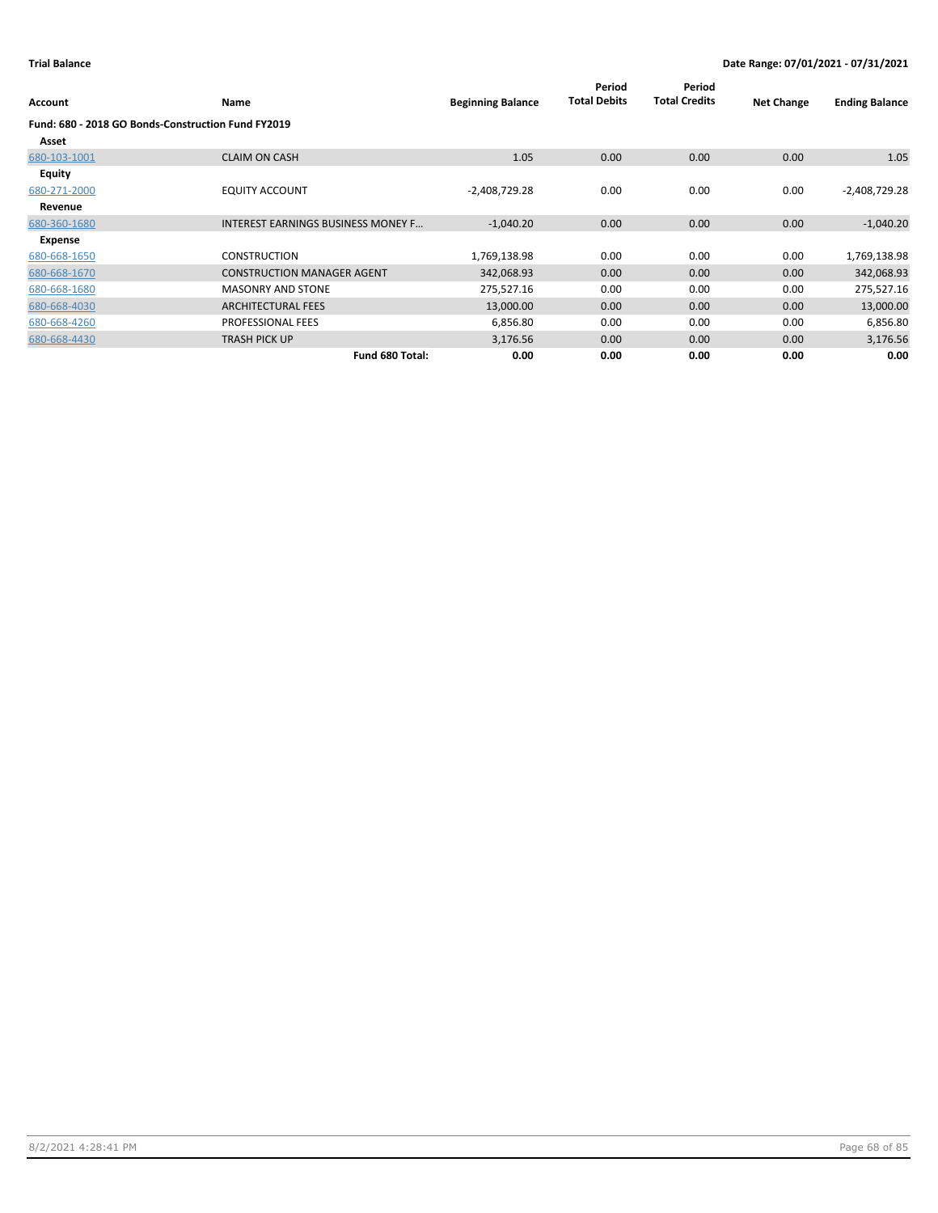| Account       | Name                                               | <b>Beginning Balance</b> | Period<br><b>Total Debits</b> | Period<br><b>Total Credits</b> | <b>Net Change</b> | <b>Ending Balance</b> |
|---------------|----------------------------------------------------|--------------------------|-------------------------------|--------------------------------|-------------------|-----------------------|
|               | Fund: 680 - 2018 GO Bonds-Construction Fund FY2019 |                          |                               |                                |                   |                       |
| Asset         |                                                    |                          |                               |                                |                   |                       |
| 680-103-1001  | <b>CLAIM ON CASH</b>                               | 1.05                     | 0.00                          | 0.00                           | 0.00              | 1.05                  |
| <b>Equity</b> |                                                    |                          |                               |                                |                   |                       |
| 680-271-2000  | <b>EQUITY ACCOUNT</b>                              | $-2,408,729.28$          | 0.00                          | 0.00                           | 0.00              | $-2,408,729.28$       |
| Revenue       |                                                    |                          |                               |                                |                   |                       |
| 680-360-1680  | INTEREST EARNINGS BUSINESS MONEY F                 | $-1,040.20$              | 0.00                          | 0.00                           | 0.00              | $-1,040.20$           |
| Expense       |                                                    |                          |                               |                                |                   |                       |
| 680-668-1650  | <b>CONSTRUCTION</b>                                | 1,769,138.98             | 0.00                          | 0.00                           | 0.00              | 1,769,138.98          |
| 680-668-1670  | <b>CONSTRUCTION MANAGER AGENT</b>                  | 342,068.93               | 0.00                          | 0.00                           | 0.00              | 342,068.93            |
| 680-668-1680  | <b>MASONRY AND STONE</b>                           | 275,527.16               | 0.00                          | 0.00                           | 0.00              | 275,527.16            |
| 680-668-4030  | <b>ARCHITECTURAL FEES</b>                          | 13,000.00                | 0.00                          | 0.00                           | 0.00              | 13,000.00             |
| 680-668-4260  | PROFESSIONAL FEES                                  | 6,856.80                 | 0.00                          | 0.00                           | 0.00              | 6,856.80              |
| 680-668-4430  | <b>TRASH PICK UP</b>                               | 3,176.56                 | 0.00                          | 0.00                           | 0.00              | 3,176.56              |
|               | Fund 680 Total:                                    | 0.00                     | 0.00                          | 0.00                           | 0.00              | 0.00                  |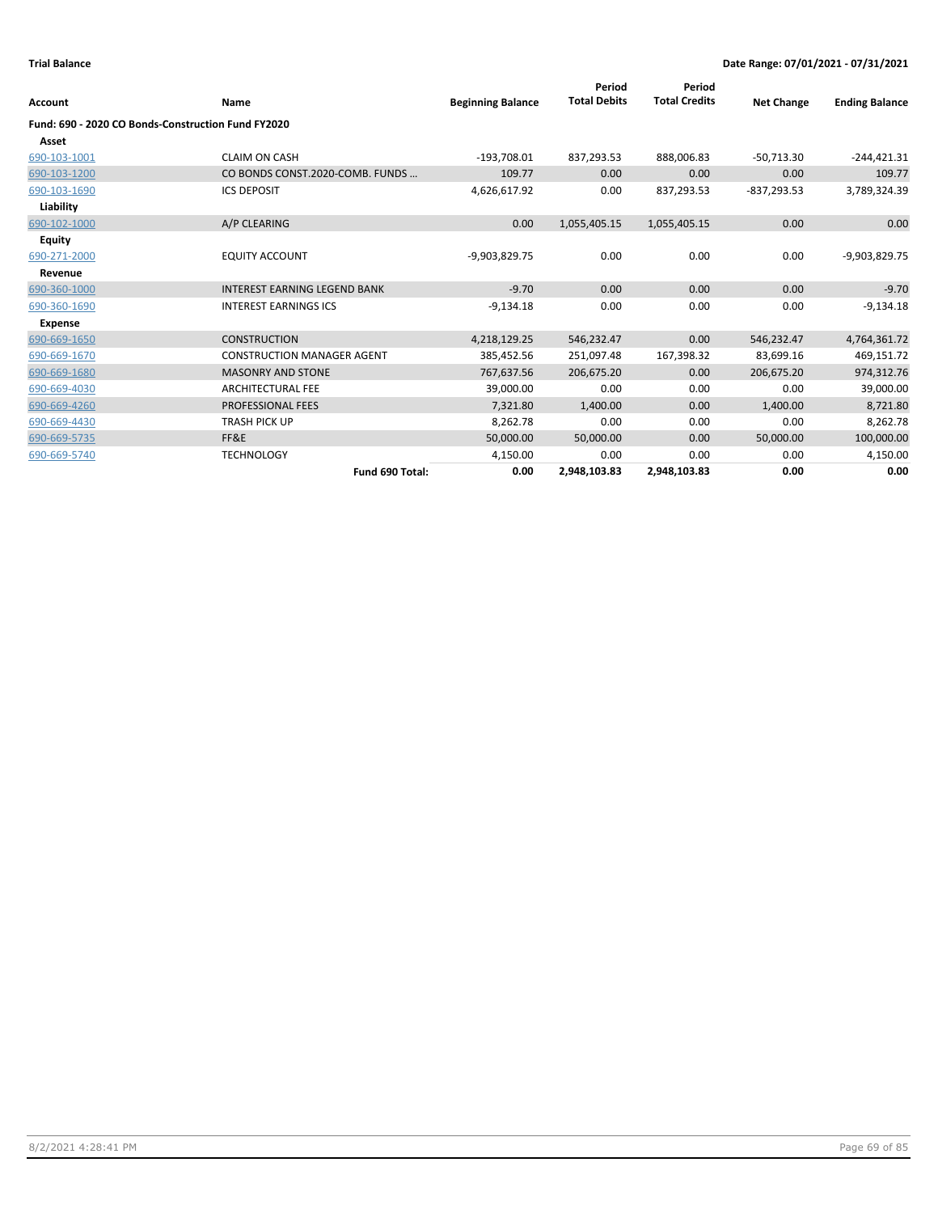| <b>Account</b>                                     | Name                                | <b>Beginning Balance</b> | Period<br><b>Total Debits</b> | Period<br><b>Total Credits</b> | <b>Net Change</b> | <b>Ending Balance</b> |
|----------------------------------------------------|-------------------------------------|--------------------------|-------------------------------|--------------------------------|-------------------|-----------------------|
| Fund: 690 - 2020 CO Bonds-Construction Fund FY2020 |                                     |                          |                               |                                |                   |                       |
| Asset                                              |                                     |                          |                               |                                |                   |                       |
| 690-103-1001                                       | <b>CLAIM ON CASH</b>                | $-193,708.01$            | 837,293.53                    | 888,006.83                     | $-50,713.30$      | $-244,421.31$         |
| 690-103-1200                                       | CO BONDS CONST.2020-COMB. FUNDS     | 109.77                   | 0.00                          | 0.00                           | 0.00              | 109.77                |
| 690-103-1690                                       | <b>ICS DEPOSIT</b>                  | 4,626,617.92             | 0.00                          | 837,293.53                     | $-837,293.53$     | 3,789,324.39          |
| Liability                                          |                                     |                          |                               |                                |                   |                       |
| 690-102-1000                                       | A/P CLEARING                        | 0.00                     | 1,055,405.15                  | 1,055,405.15                   | 0.00              | 0.00                  |
| <b>Equity</b>                                      |                                     |                          |                               |                                |                   |                       |
| 690-271-2000                                       | <b>EQUITY ACCOUNT</b>               | -9,903,829.75            | 0.00                          | 0.00                           | 0.00              | -9,903,829.75         |
| Revenue                                            |                                     |                          |                               |                                |                   |                       |
| 690-360-1000                                       | <b>INTEREST EARNING LEGEND BANK</b> | $-9.70$                  | 0.00                          | 0.00                           | 0.00              | $-9.70$               |
| 690-360-1690                                       | <b>INTEREST EARNINGS ICS</b>        | $-9,134.18$              | 0.00                          | 0.00                           | 0.00              | $-9,134.18$           |
| <b>Expense</b>                                     |                                     |                          |                               |                                |                   |                       |
| 690-669-1650                                       | <b>CONSTRUCTION</b>                 | 4,218,129.25             | 546,232.47                    | 0.00                           | 546,232.47        | 4,764,361.72          |
| 690-669-1670                                       | <b>CONSTRUCTION MANAGER AGENT</b>   | 385,452.56               | 251,097.48                    | 167,398.32                     | 83,699.16         | 469,151.72            |
| 690-669-1680                                       | <b>MASONRY AND STONE</b>            | 767,637.56               | 206,675.20                    | 0.00                           | 206,675.20        | 974,312.76            |
| 690-669-4030                                       | <b>ARCHITECTURAL FEE</b>            | 39,000.00                | 0.00                          | 0.00                           | 0.00              | 39,000.00             |
| 690-669-4260                                       | <b>PROFESSIONAL FEES</b>            | 7,321.80                 | 1,400.00                      | 0.00                           | 1,400.00          | 8,721.80              |
| 690-669-4430                                       | <b>TRASH PICK UP</b>                | 8,262.78                 | 0.00                          | 0.00                           | 0.00              | 8,262.78              |
| 690-669-5735                                       | FF&E                                | 50,000.00                | 50,000.00                     | 0.00                           | 50,000.00         | 100,000.00            |
| 690-669-5740                                       | <b>TECHNOLOGY</b>                   | 4,150.00                 | 0.00                          | 0.00                           | 0.00              | 4,150.00              |
|                                                    | Fund 690 Total:                     | 0.00                     | 2,948,103.83                  | 2,948,103.83                   | 0.00              | 0.00                  |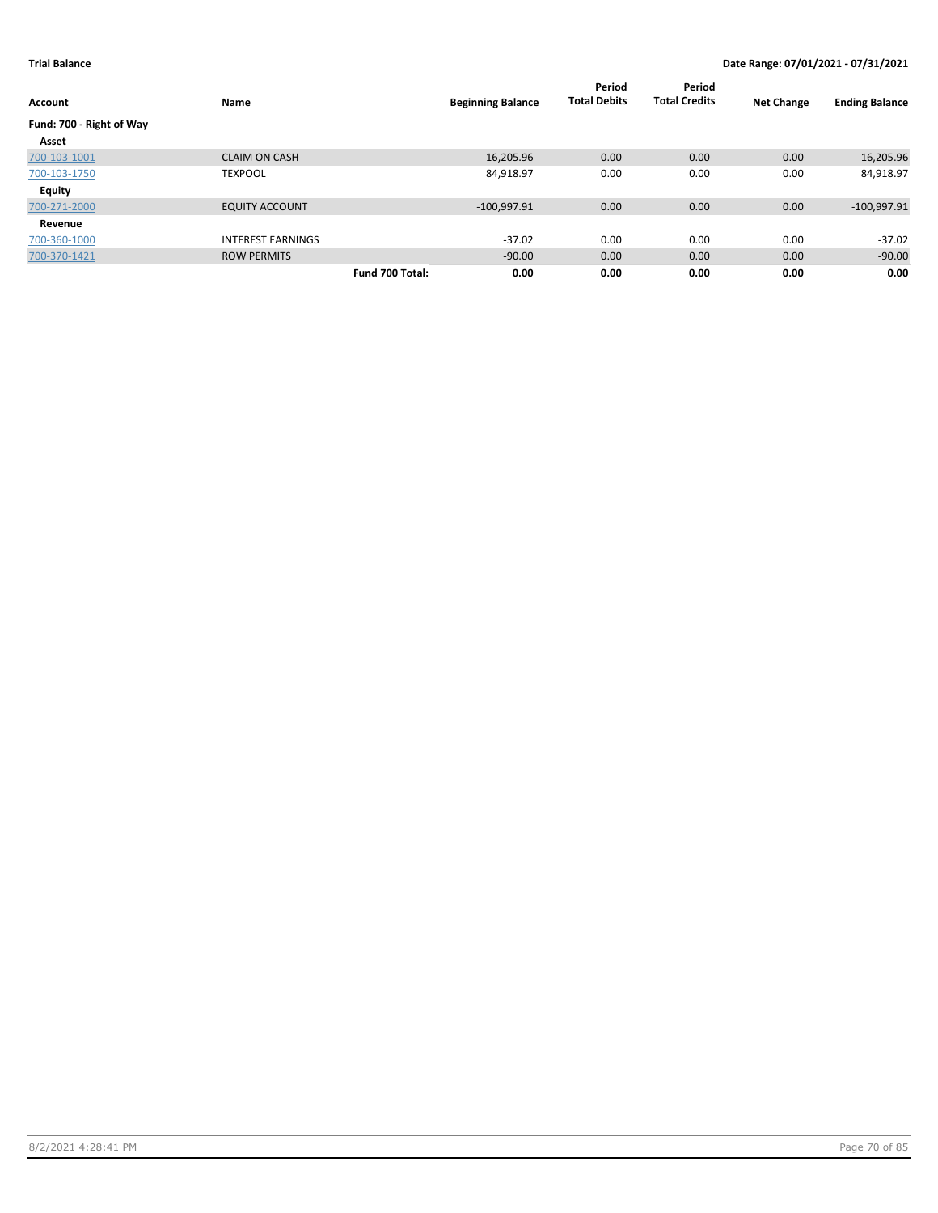| Account                  | Name                     | <b>Beginning Balance</b> | Period<br><b>Total Debits</b> | Period<br><b>Total Credits</b> | <b>Net Change</b> | <b>Ending Balance</b> |
|--------------------------|--------------------------|--------------------------|-------------------------------|--------------------------------|-------------------|-----------------------|
| Fund: 700 - Right of Way |                          |                          |                               |                                |                   |                       |
| Asset                    |                          |                          |                               |                                |                   |                       |
| 700-103-1001             | <b>CLAIM ON CASH</b>     | 16,205.96                | 0.00                          | 0.00                           | 0.00              | 16,205.96             |
| 700-103-1750             | <b>TEXPOOL</b>           | 84,918.97                | 0.00                          | 0.00                           | 0.00              | 84,918.97             |
| <b>Equity</b>            |                          |                          |                               |                                |                   |                       |
| 700-271-2000             | <b>EQUITY ACCOUNT</b>    | $-100,997.91$            | 0.00                          | 0.00                           | 0.00              | $-100,997.91$         |
| Revenue                  |                          |                          |                               |                                |                   |                       |
| 700-360-1000             | <b>INTEREST EARNINGS</b> | $-37.02$                 | 0.00                          | 0.00                           | 0.00              | $-37.02$              |
| 700-370-1421             | <b>ROW PERMITS</b>       | $-90.00$                 | 0.00                          | 0.00                           | 0.00              | $-90.00$              |
|                          | Fund 700 Total:          | 0.00                     | 0.00                          | 0.00                           | 0.00              | 0.00                  |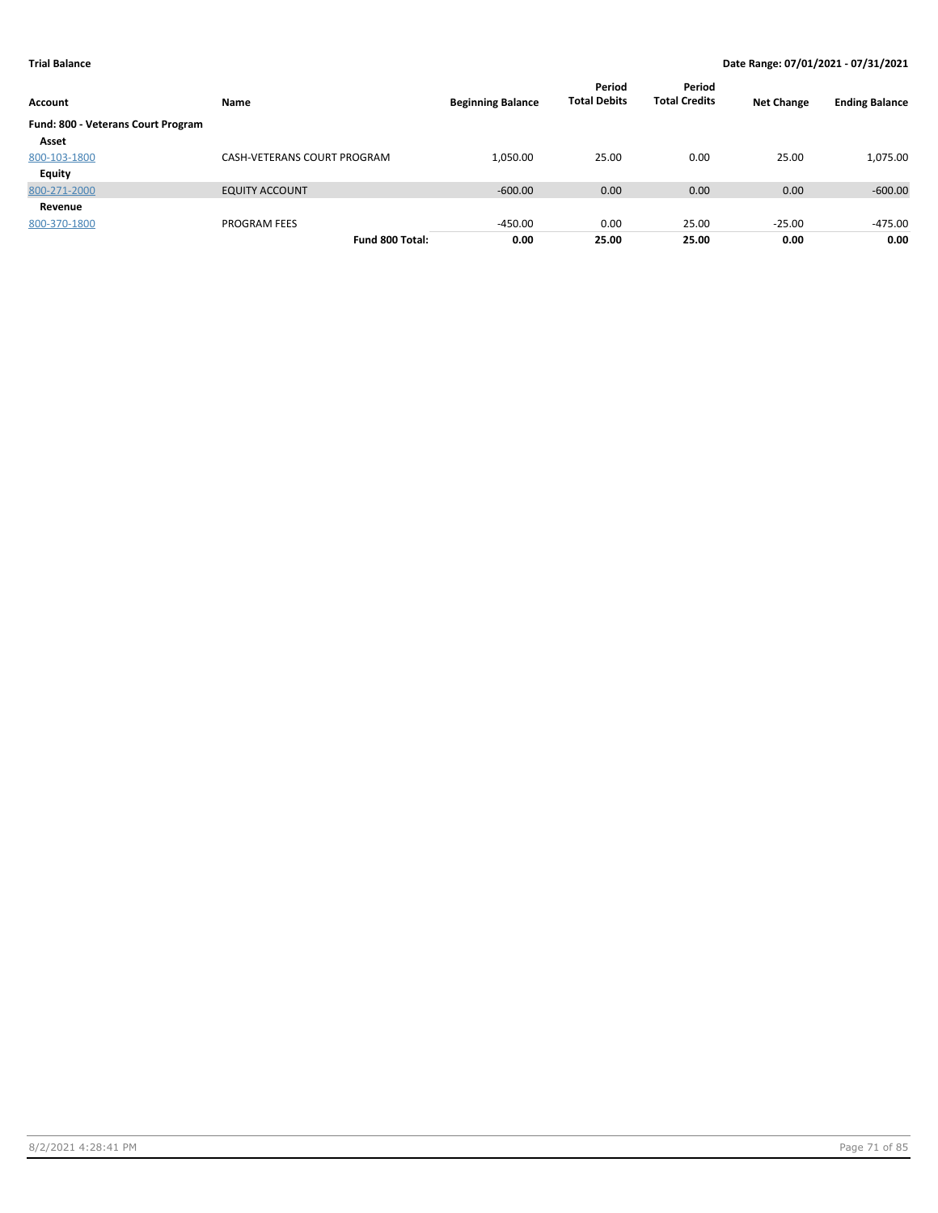| Account                            | Name                        | <b>Beginning Balance</b> | Period<br><b>Total Debits</b> | Period<br><b>Total Credits</b> | <b>Net Change</b> | <b>Ending Balance</b> |
|------------------------------------|-----------------------------|--------------------------|-------------------------------|--------------------------------|-------------------|-----------------------|
| Fund: 800 - Veterans Court Program |                             |                          |                               |                                |                   |                       |
| Asset                              |                             |                          |                               |                                |                   |                       |
| 800-103-1800                       | CASH-VETERANS COURT PROGRAM | 1,050.00                 | 25.00                         | 0.00                           | 25.00             | 1,075.00              |
| Equity                             |                             |                          |                               |                                |                   |                       |
| 800-271-2000                       | <b>EQUITY ACCOUNT</b>       | $-600.00$                | 0.00                          | 0.00                           | 0.00              | $-600.00$             |
| Revenue                            |                             |                          |                               |                                |                   |                       |
| 800-370-1800                       | <b>PROGRAM FEES</b>         | $-450.00$                | 0.00                          | 25.00                          | $-25.00$          | -475.00               |
|                                    | Fund 800 Total:             | 0.00                     | 25.00                         | 25.00                          | 0.00              | 0.00                  |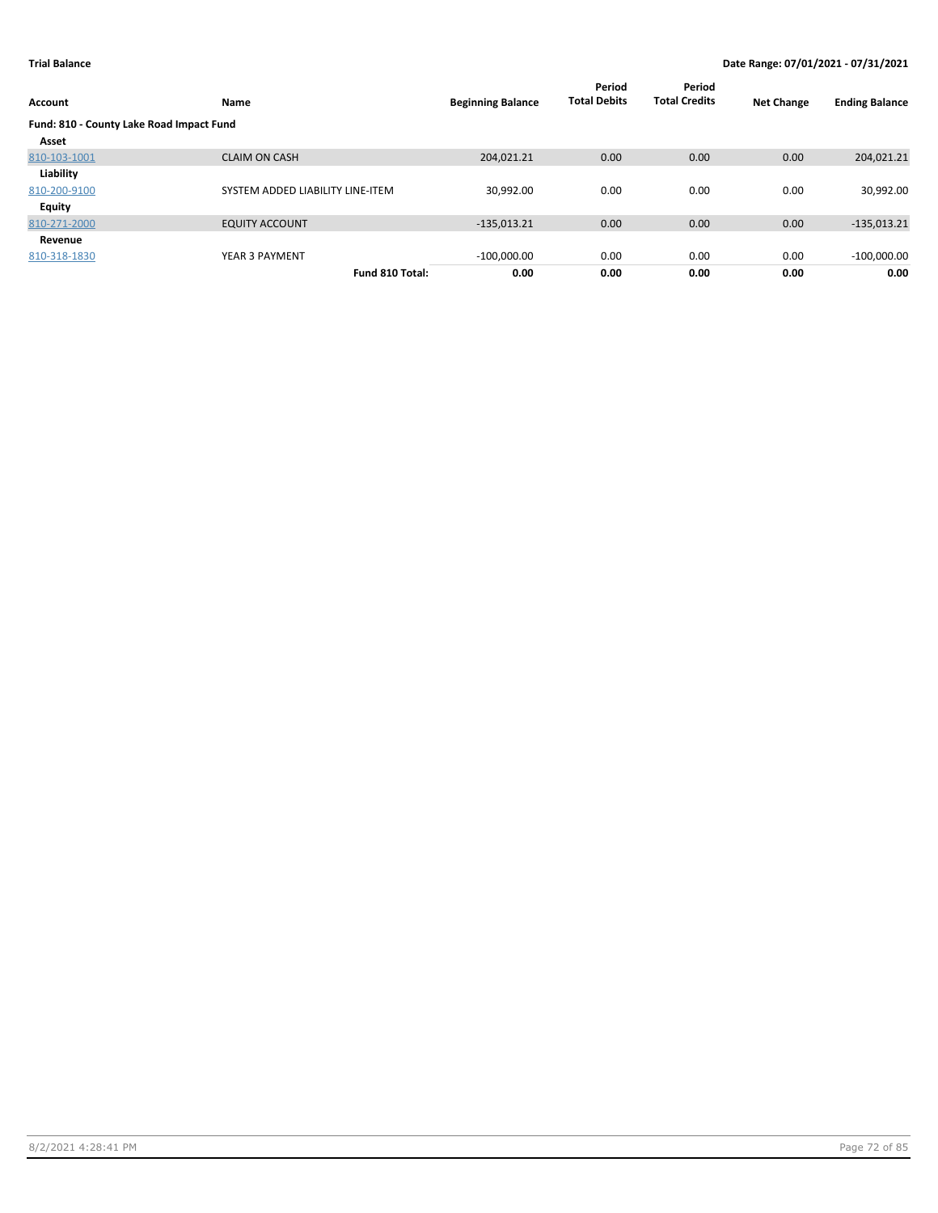| <b>Account</b>                           | Name                             | <b>Beginning Balance</b> | Period<br><b>Total Debits</b> | Period<br><b>Total Credits</b> | <b>Net Change</b> | <b>Ending Balance</b> |
|------------------------------------------|----------------------------------|--------------------------|-------------------------------|--------------------------------|-------------------|-----------------------|
| Fund: 810 - County Lake Road Impact Fund |                                  |                          |                               |                                |                   |                       |
| Asset                                    |                                  |                          |                               |                                |                   |                       |
| 810-103-1001                             | <b>CLAIM ON CASH</b>             | 204,021.21               | 0.00                          | 0.00                           | 0.00              | 204,021.21            |
| Liability                                |                                  |                          |                               |                                |                   |                       |
| 810-200-9100                             | SYSTEM ADDED LIABILITY LINE-ITEM | 30,992.00                | 0.00                          | 0.00                           | 0.00              | 30,992.00             |
| <b>Equity</b>                            |                                  |                          |                               |                                |                   |                       |
| 810-271-2000                             | <b>EQUITY ACCOUNT</b>            | $-135,013.21$            | 0.00                          | 0.00                           | 0.00              | $-135,013.21$         |
| Revenue                                  |                                  |                          |                               |                                |                   |                       |
| 810-318-1830                             | YEAR 3 PAYMENT                   | $-100,000.00$            | 0.00                          | 0.00                           | 0.00              | $-100,000.00$         |
|                                          | Fund 810 Total:                  | 0.00                     | 0.00                          | 0.00                           | 0.00              | 0.00                  |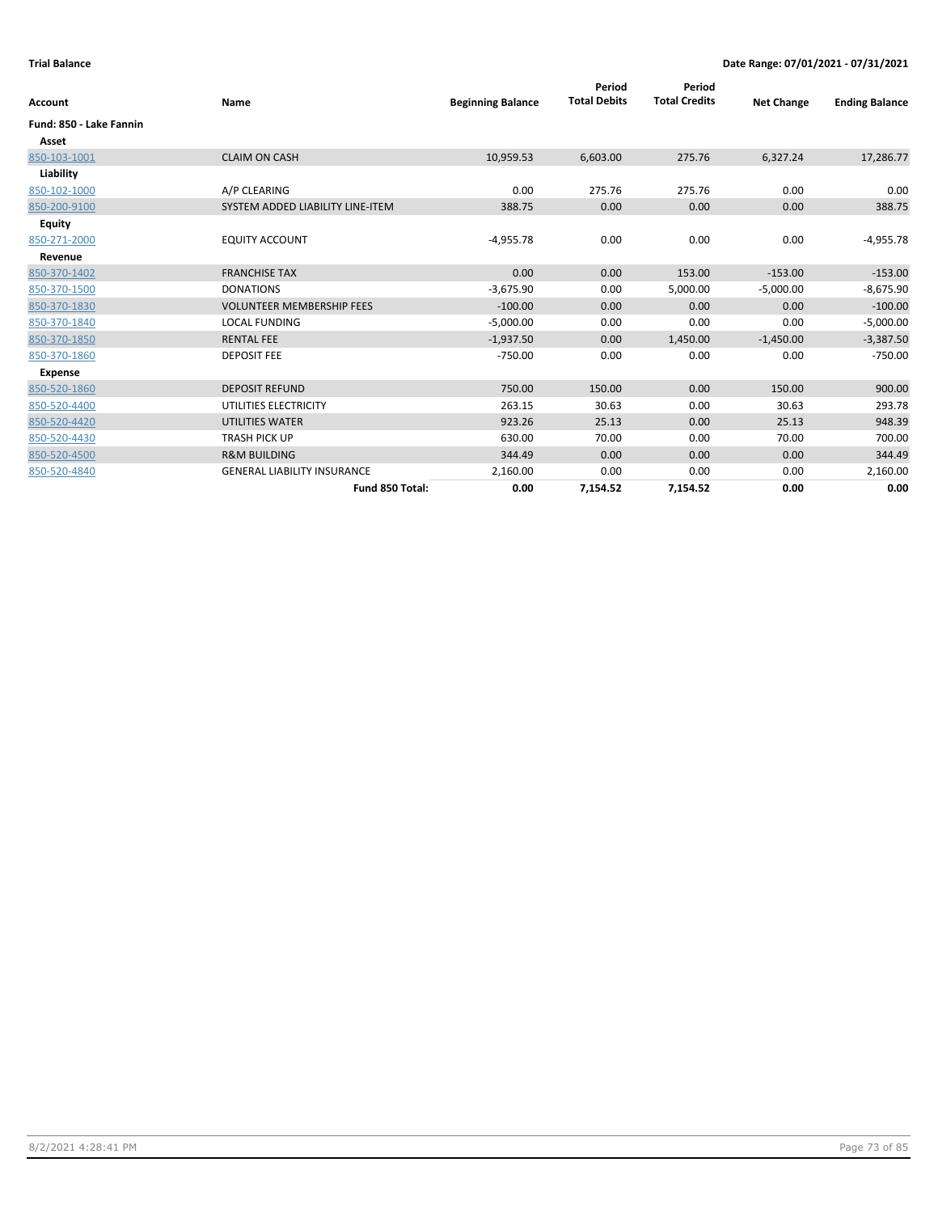| Account                 | Name                               | <b>Beginning Balance</b> | Period<br><b>Total Debits</b> | Period<br><b>Total Credits</b> | <b>Net Change</b> | <b>Ending Balance</b> |
|-------------------------|------------------------------------|--------------------------|-------------------------------|--------------------------------|-------------------|-----------------------|
| Fund: 850 - Lake Fannin |                                    |                          |                               |                                |                   |                       |
| Asset                   |                                    |                          |                               |                                |                   |                       |
| 850-103-1001            | <b>CLAIM ON CASH</b>               | 10,959.53                | 6,603.00                      | 275.76                         | 6,327.24          | 17,286.77             |
| Liability               |                                    |                          |                               |                                |                   |                       |
| 850-102-1000            | A/P CLEARING                       | 0.00                     | 275.76                        | 275.76                         | 0.00              | 0.00                  |
| 850-200-9100            | SYSTEM ADDED LIABILITY LINE-ITEM   | 388.75                   | 0.00                          | 0.00                           | 0.00              | 388.75                |
| Equity                  |                                    |                          |                               |                                |                   |                       |
| 850-271-2000            | <b>EQUITY ACCOUNT</b>              | $-4,955.78$              | 0.00                          | 0.00                           | 0.00              | $-4,955.78$           |
| Revenue                 |                                    |                          |                               |                                |                   |                       |
| 850-370-1402            | <b>FRANCHISE TAX</b>               | 0.00                     | 0.00                          | 153.00                         | $-153.00$         | $-153.00$             |
| 850-370-1500            | <b>DONATIONS</b>                   | $-3,675.90$              | 0.00                          | 5,000.00                       | $-5,000.00$       | $-8,675.90$           |
| 850-370-1830            | <b>VOLUNTEER MEMBERSHIP FEES</b>   | $-100.00$                | 0.00                          | 0.00                           | 0.00              | $-100.00$             |
| 850-370-1840            | <b>LOCAL FUNDING</b>               | $-5,000.00$              | 0.00                          | 0.00                           | 0.00              | $-5,000.00$           |
| 850-370-1850            | <b>RENTAL FEE</b>                  | $-1,937.50$              | 0.00                          | 1,450.00                       | $-1,450.00$       | $-3,387.50$           |
| 850-370-1860            | <b>DEPOSIT FEE</b>                 | $-750.00$                | 0.00                          | 0.00                           | 0.00              | $-750.00$             |
| <b>Expense</b>          |                                    |                          |                               |                                |                   |                       |
| 850-520-1860            | <b>DEPOSIT REFUND</b>              | 750.00                   | 150.00                        | 0.00                           | 150.00            | 900.00                |
| 850-520-4400            | UTILITIES ELECTRICITY              | 263.15                   | 30.63                         | 0.00                           | 30.63             | 293.78                |
| 850-520-4420            | <b>UTILITIES WATER</b>             | 923.26                   | 25.13                         | 0.00                           | 25.13             | 948.39                |
| 850-520-4430            | <b>TRASH PICK UP</b>               | 630.00                   | 70.00                         | 0.00                           | 70.00             | 700.00                |
| 850-520-4500            | <b>R&amp;M BUILDING</b>            | 344.49                   | 0.00                          | 0.00                           | 0.00              | 344.49                |
| 850-520-4840            | <b>GENERAL LIABILITY INSURANCE</b> | 2,160.00                 | 0.00                          | 0.00                           | 0.00              | 2,160.00              |
|                         | Fund 850 Total:                    | 0.00                     | 7,154.52                      | 7,154.52                       | 0.00              | 0.00                  |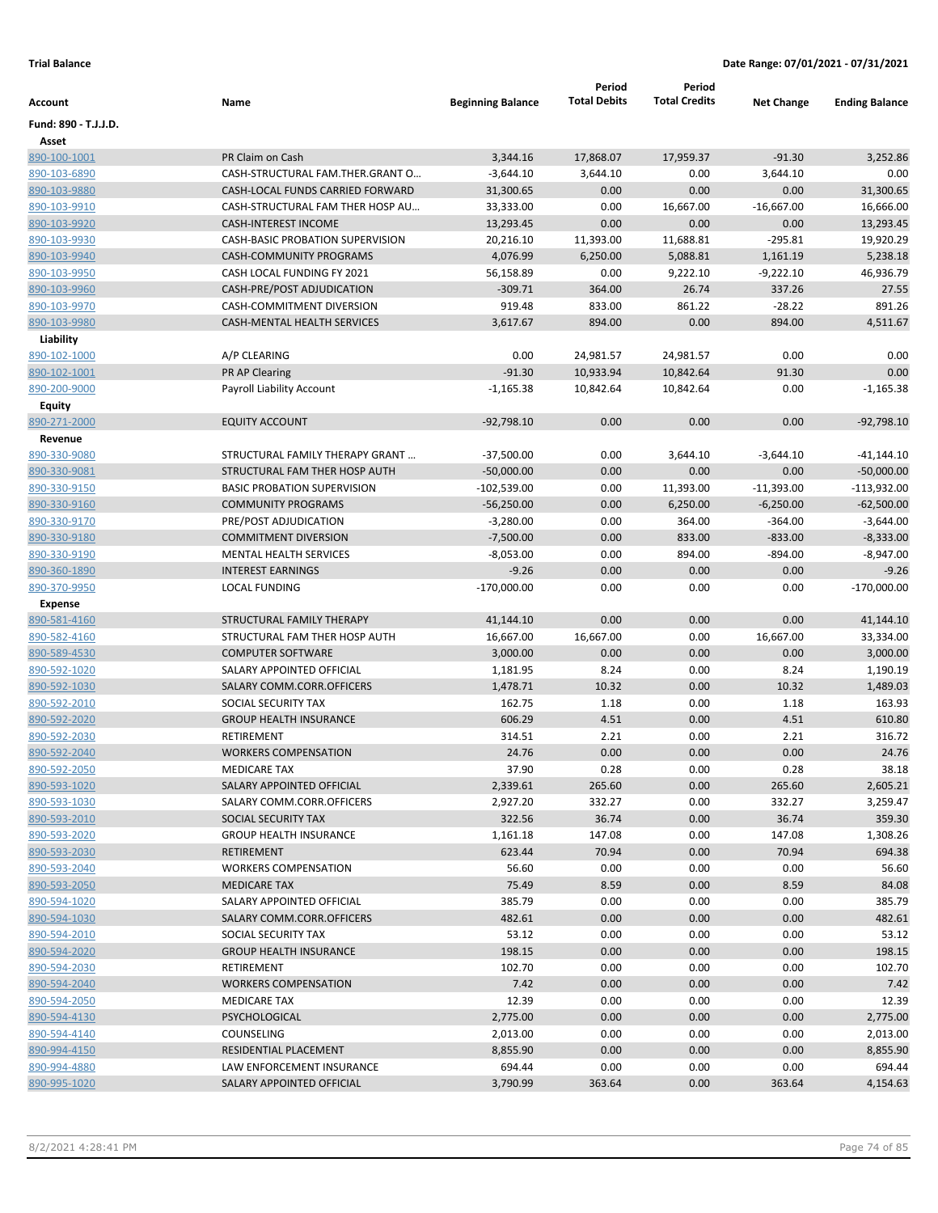|                      |                                         |                          | Period              | Period               |                   |                       |
|----------------------|-----------------------------------------|--------------------------|---------------------|----------------------|-------------------|-----------------------|
| Account              | Name                                    | <b>Beginning Balance</b> | <b>Total Debits</b> | <b>Total Credits</b> | <b>Net Change</b> | <b>Ending Balance</b> |
| Fund: 890 - T.J.J.D. |                                         |                          |                     |                      |                   |                       |
| Asset                |                                         |                          |                     |                      |                   |                       |
| 890-100-1001         | PR Claim on Cash                        | 3,344.16                 | 17,868.07           | 17,959.37            | $-91.30$          | 3,252.86              |
| 890-103-6890         | CASH-STRUCTURAL FAM.THER.GRANT O        | $-3,644.10$              | 3,644.10            | 0.00                 | 3,644.10          | 0.00                  |
| 890-103-9880         | CASH-LOCAL FUNDS CARRIED FORWARD        | 31,300.65                | 0.00                | 0.00                 | 0.00              | 31,300.65             |
| 890-103-9910         | CASH-STRUCTURAL FAM THER HOSP AU        | 33,333.00                | 0.00                | 16,667.00            | $-16,667.00$      | 16,666.00             |
| 890-103-9920         | <b>CASH-INTEREST INCOME</b>             | 13,293.45                | 0.00                | 0.00                 | 0.00              | 13,293.45             |
| 890-103-9930         | <b>CASH-BASIC PROBATION SUPERVISION</b> | 20,216.10                | 11,393.00           | 11,688.81            | $-295.81$         | 19,920.29             |
| 890-103-9940         | CASH-COMMUNITY PROGRAMS                 | 4,076.99                 | 6,250.00            | 5,088.81             | 1,161.19          | 5,238.18              |
| 890-103-9950         | CASH LOCAL FUNDING FY 2021              | 56,158.89                | 0.00                | 9,222.10             | $-9,222.10$       | 46,936.79             |
| 890-103-9960         | CASH-PRE/POST ADJUDICATION              | $-309.71$                | 364.00              | 26.74                | 337.26            | 27.55                 |
| 890-103-9970         | CASH-COMMITMENT DIVERSION               | 919.48                   | 833.00              | 861.22               | $-28.22$          | 891.26                |
| 890-103-9980         | CASH-MENTAL HEALTH SERVICES             | 3,617.67                 | 894.00              | 0.00                 | 894.00            | 4,511.67              |
| Liability            |                                         |                          |                     |                      |                   |                       |
| 890-102-1000         | A/P CLEARING                            | 0.00                     | 24,981.57           | 24,981.57            | 0.00              | 0.00                  |
| 890-102-1001         | <b>PR AP Clearing</b>                   | $-91.30$                 | 10,933.94           | 10,842.64            | 91.30             | 0.00                  |
| 890-200-9000         | Payroll Liability Account               | $-1,165.38$              | 10,842.64           | 10,842.64            | 0.00              | $-1,165.38$           |
| Equity               |                                         |                          |                     |                      |                   |                       |
| 890-271-2000         | <b>EQUITY ACCOUNT</b>                   | $-92,798.10$             | 0.00                | 0.00                 | 0.00              | $-92,798.10$          |
| Revenue              |                                         |                          |                     |                      |                   |                       |
| 890-330-9080         | STRUCTURAL FAMILY THERAPY GRANT         | $-37,500.00$             | 0.00                | 3,644.10             | $-3,644.10$       | -41,144.10            |
| 890-330-9081         | STRUCTURAL FAM THER HOSP AUTH           | $-50,000.00$             | 0.00                | 0.00                 | 0.00              | $-50,000.00$          |
| 890-330-9150         | <b>BASIC PROBATION SUPERVISION</b>      | $-102,539.00$            | 0.00                | 11,393.00            | $-11,393.00$      | $-113,932.00$         |
| 890-330-9160         | <b>COMMUNITY PROGRAMS</b>               | $-56,250.00$             | 0.00                | 6,250.00             | $-6,250.00$       | $-62,500.00$          |
| 890-330-9170         | PRE/POST ADJUDICATION                   | $-3,280.00$              | 0.00                | 364.00               | $-364.00$         | $-3,644.00$           |
| 890-330-9180         | <b>COMMITMENT DIVERSION</b>             | $-7,500.00$              | 0.00                | 833.00               | $-833.00$         | $-8,333.00$           |
| 890-330-9190         | MENTAL HEALTH SERVICES                  | $-8,053.00$              | 0.00                | 894.00               | $-894.00$         | $-8,947.00$           |
| 890-360-1890         | <b>INTEREST EARNINGS</b>                | $-9.26$                  | 0.00                | 0.00                 | 0.00              | $-9.26$               |
| 890-370-9950         | <b>LOCAL FUNDING</b>                    | $-170,000.00$            | 0.00                | 0.00                 | 0.00              | $-170,000.00$         |
| <b>Expense</b>       |                                         |                          |                     |                      |                   |                       |
| 890-581-4160         | STRUCTURAL FAMILY THERAPY               | 41,144.10                | 0.00                | 0.00                 | 0.00              | 41,144.10             |
| 890-582-4160         | STRUCTURAL FAM THER HOSP AUTH           | 16,667.00                | 16,667.00           | 0.00                 | 16,667.00         | 33,334.00             |
| 890-589-4530         | <b>COMPUTER SOFTWARE</b>                | 3,000.00                 | 0.00                | 0.00                 | 0.00              | 3,000.00              |
| 890-592-1020         | SALARY APPOINTED OFFICIAL               | 1,181.95                 | 8.24                | 0.00                 | 8.24              | 1,190.19              |
| 890-592-1030         | SALARY COMM.CORR.OFFICERS               | 1,478.71                 | 10.32               | 0.00                 | 10.32             | 1,489.03              |
| 890-592-2010         | SOCIAL SECURITY TAX                     | 162.75                   | 1.18                | 0.00                 | 1.18              | 163.93                |
| 890-592-2020         | <b>GROUP HEALTH INSURANCE</b>           | 606.29                   | 4.51                | 0.00                 | 4.51              | 610.80                |
| 890-592-2030         | RETIREMENT                              | 314.51                   | 2.21                | 0.00                 | 2.21              | 316.72                |
| 890-592-2040         | <b>WORKERS COMPENSATION</b>             | 24.76                    | 0.00                | 0.00                 | 0.00              | 24.76                 |
| 890-592-2050         | <b>MEDICARE TAX</b>                     | 37.90                    | 0.28                | 0.00                 | 0.28              | 38.18                 |
| 890-593-1020         | SALARY APPOINTED OFFICIAL               | 2,339.61                 | 265.60              | 0.00                 | 265.60            | 2,605.21              |
| 890-593-1030         | SALARY COMM.CORR.OFFICERS               | 2,927.20                 | 332.27              | 0.00                 | 332.27            | 3,259.47              |
| 890-593-2010         | SOCIAL SECURITY TAX                     | 322.56                   | 36.74               | 0.00                 | 36.74             | 359.30                |
| 890-593-2020         | <b>GROUP HEALTH INSURANCE</b>           | 1,161.18                 | 147.08              | 0.00                 | 147.08            | 1,308.26              |
| 890-593-2030         | RETIREMENT                              | 623.44                   | 70.94               | 0.00                 | 70.94             | 694.38                |
| 890-593-2040         | <b>WORKERS COMPENSATION</b>             | 56.60                    | 0.00                | 0.00                 | 0.00              | 56.60                 |
| 890-593-2050         | <b>MEDICARE TAX</b>                     | 75.49                    | 8.59                | 0.00                 | 8.59              | 84.08                 |
| 890-594-1020         | SALARY APPOINTED OFFICIAL               | 385.79                   | 0.00                | 0.00                 | 0.00              | 385.79                |
| 890-594-1030         | SALARY COMM.CORR.OFFICERS               | 482.61                   | 0.00                | 0.00                 | 0.00              | 482.61                |
| 890-594-2010         | SOCIAL SECURITY TAX                     | 53.12                    | 0.00                | 0.00                 | 0.00              | 53.12                 |
| 890-594-2020         | <b>GROUP HEALTH INSURANCE</b>           | 198.15                   | 0.00                | 0.00                 | 0.00              | 198.15                |
| 890-594-2030         | RETIREMENT                              | 102.70                   | 0.00                | 0.00                 | 0.00              | 102.70                |
| 890-594-2040         | <b>WORKERS COMPENSATION</b>             | 7.42                     | 0.00                | 0.00                 | 0.00              | 7.42                  |
| 890-594-2050         | <b>MEDICARE TAX</b>                     | 12.39                    | 0.00                | 0.00                 | 0.00              | 12.39                 |
| 890-594-4130         | PSYCHOLOGICAL                           | 2,775.00                 | 0.00                | 0.00                 | 0.00              | 2,775.00              |
| 890-594-4140         | COUNSELING                              | 2,013.00                 | 0.00                | 0.00                 | 0.00              | 2,013.00              |
| 890-994-4150         | RESIDENTIAL PLACEMENT                   | 8,855.90                 | 0.00                | 0.00                 | 0.00              | 8,855.90              |
| 890-994-4880         | LAW ENFORCEMENT INSURANCE               | 694.44                   | 0.00                | 0.00                 | 0.00              | 694.44                |
| 890-995-1020         | SALARY APPOINTED OFFICIAL               | 3,790.99                 | 363.64              | 0.00                 | 363.64            | 4,154.63              |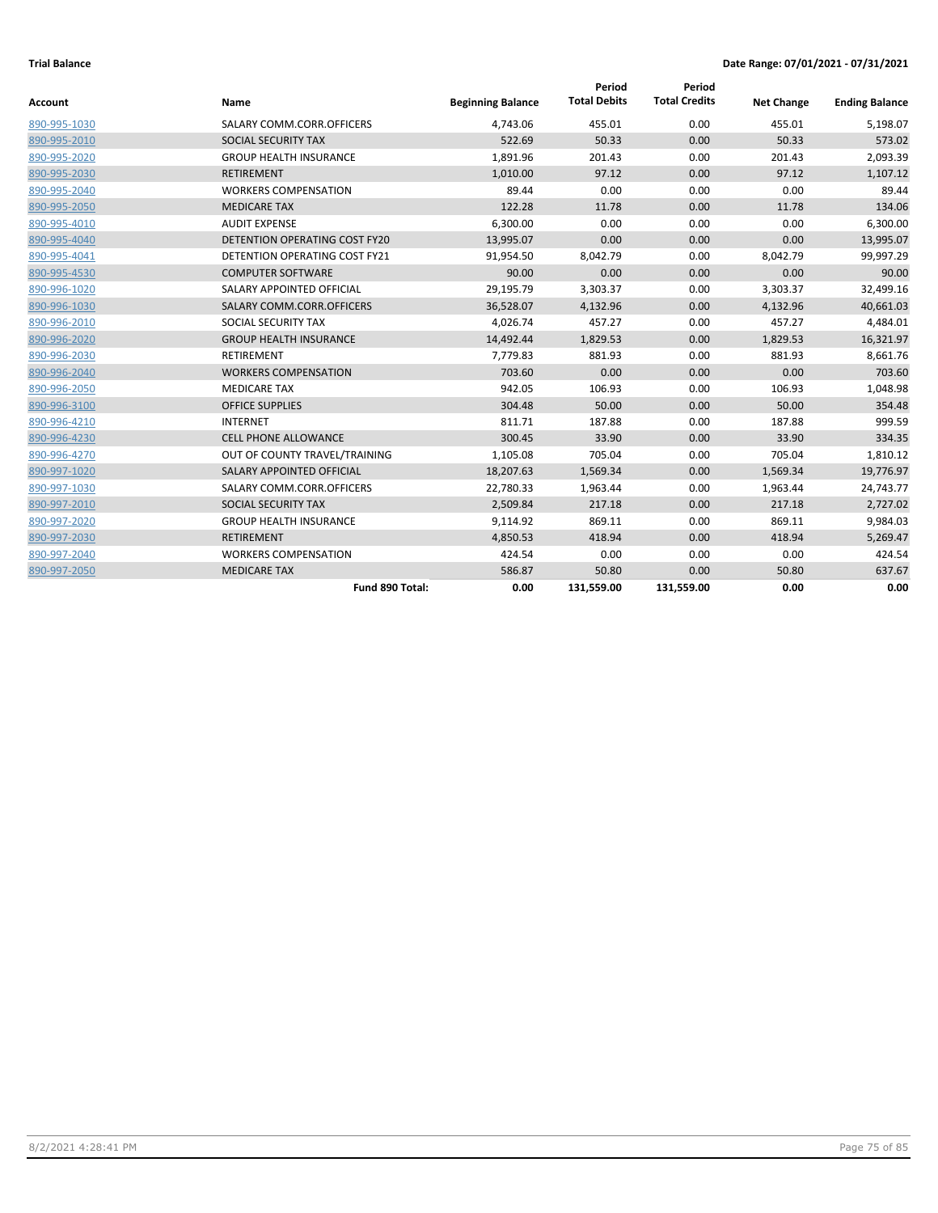| Account      | Name                                 | <b>Beginning Balance</b> | Period<br><b>Total Debits</b> | Period<br><b>Total Credits</b> | <b>Net Change</b> | <b>Ending Balance</b> |
|--------------|--------------------------------------|--------------------------|-------------------------------|--------------------------------|-------------------|-----------------------|
| 890-995-1030 | SALARY COMM.CORR.OFFICERS            | 4,743.06                 | 455.01                        | 0.00                           | 455.01            | 5,198.07              |
| 890-995-2010 | SOCIAL SECURITY TAX                  | 522.69                   | 50.33                         | 0.00                           | 50.33             | 573.02                |
| 890-995-2020 | <b>GROUP HEALTH INSURANCE</b>        | 1,891.96                 | 201.43                        | 0.00                           | 201.43            | 2,093.39              |
| 890-995-2030 | RETIREMENT                           | 1,010.00                 | 97.12                         | 0.00                           | 97.12             | 1,107.12              |
| 890-995-2040 | <b>WORKERS COMPENSATION</b>          | 89.44                    | 0.00                          | 0.00                           | 0.00              | 89.44                 |
| 890-995-2050 | <b>MEDICARE TAX</b>                  | 122.28                   | 11.78                         | 0.00                           | 11.78             | 134.06                |
| 890-995-4010 | <b>AUDIT EXPENSE</b>                 | 6,300.00                 | 0.00                          | 0.00                           | 0.00              | 6,300.00              |
| 890-995-4040 | DETENTION OPERATING COST FY20        | 13,995.07                | 0.00                          | 0.00                           | 0.00              | 13,995.07             |
| 890-995-4041 | <b>DETENTION OPERATING COST FY21</b> | 91,954.50                | 8,042.79                      | 0.00                           | 8,042.79          | 99,997.29             |
| 890-995-4530 | <b>COMPUTER SOFTWARE</b>             | 90.00                    | 0.00                          | 0.00                           | 0.00              | 90.00                 |
| 890-996-1020 | SALARY APPOINTED OFFICIAL            | 29,195.79                | 3,303.37                      | 0.00                           | 3,303.37          | 32,499.16             |
| 890-996-1030 | SALARY COMM.CORR.OFFICERS            | 36,528.07                | 4,132.96                      | 0.00                           | 4,132.96          | 40,661.03             |
| 890-996-2010 | SOCIAL SECURITY TAX                  | 4,026.74                 | 457.27                        | 0.00                           | 457.27            | 4,484.01              |
| 890-996-2020 | <b>GROUP HEALTH INSURANCE</b>        | 14,492.44                | 1,829.53                      | 0.00                           | 1,829.53          | 16,321.97             |
| 890-996-2030 | <b>RETIREMENT</b>                    | 7,779.83                 | 881.93                        | 0.00                           | 881.93            | 8,661.76              |
| 890-996-2040 | <b>WORKERS COMPENSATION</b>          | 703.60                   | 0.00                          | 0.00                           | 0.00              | 703.60                |
| 890-996-2050 | <b>MEDICARE TAX</b>                  | 942.05                   | 106.93                        | 0.00                           | 106.93            | 1,048.98              |
| 890-996-3100 | <b>OFFICE SUPPLIES</b>               | 304.48                   | 50.00                         | 0.00                           | 50.00             | 354.48                |
| 890-996-4210 | <b>INTERNET</b>                      | 811.71                   | 187.88                        | 0.00                           | 187.88            | 999.59                |
| 890-996-4230 | <b>CELL PHONE ALLOWANCE</b>          | 300.45                   | 33.90                         | 0.00                           | 33.90             | 334.35                |
| 890-996-4270 | OUT OF COUNTY TRAVEL/TRAINING        | 1,105.08                 | 705.04                        | 0.00                           | 705.04            | 1,810.12              |
| 890-997-1020 | SALARY APPOINTED OFFICIAL            | 18,207.63                | 1,569.34                      | 0.00                           | 1,569.34          | 19,776.97             |
| 890-997-1030 | SALARY COMM.CORR.OFFICERS            | 22,780.33                | 1,963.44                      | 0.00                           | 1,963.44          | 24,743.77             |
| 890-997-2010 | SOCIAL SECURITY TAX                  | 2,509.84                 | 217.18                        | 0.00                           | 217.18            | 2,727.02              |
| 890-997-2020 | <b>GROUP HEALTH INSURANCE</b>        | 9,114.92                 | 869.11                        | 0.00                           | 869.11            | 9,984.03              |
| 890-997-2030 | <b>RETIREMENT</b>                    | 4,850.53                 | 418.94                        | 0.00                           | 418.94            | 5,269.47              |
| 890-997-2040 | <b>WORKERS COMPENSATION</b>          | 424.54                   | 0.00                          | 0.00                           | 0.00              | 424.54                |
| 890-997-2050 | <b>MEDICARE TAX</b>                  | 586.87                   | 50.80                         | 0.00                           | 50.80             | 637.67                |
|              | Fund 890 Total:                      | 0.00                     | 131,559.00                    | 131,559.00                     | 0.00              | 0.00                  |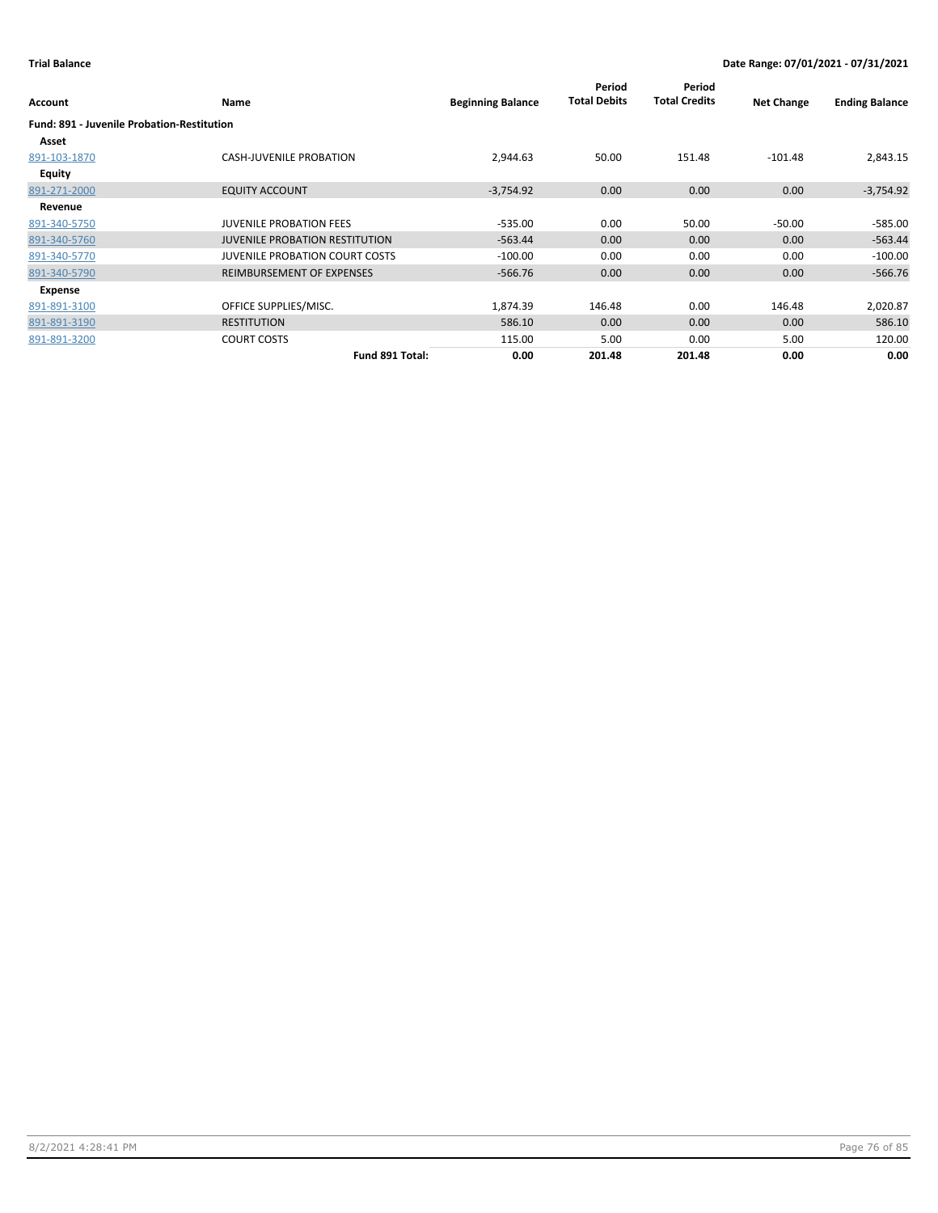| Account                                           | <b>Name</b>                           | <b>Beginning Balance</b> | Period<br><b>Total Debits</b> | Period<br><b>Total Credits</b> | <b>Net Change</b> | <b>Ending Balance</b> |
|---------------------------------------------------|---------------------------------------|--------------------------|-------------------------------|--------------------------------|-------------------|-----------------------|
| <b>Fund: 891 - Juvenile Probation-Restitution</b> |                                       |                          |                               |                                |                   |                       |
| Asset                                             |                                       |                          |                               |                                |                   |                       |
| 891-103-1870                                      | <b>CASH-JUVENILE PROBATION</b>        | 2,944.63                 | 50.00                         | 151.48                         | $-101.48$         | 2,843.15              |
| Equity                                            |                                       |                          |                               |                                |                   |                       |
| 891-271-2000                                      | <b>EQUITY ACCOUNT</b>                 | $-3,754.92$              | 0.00 <sub>1</sub>             | 0.00                           | 0.00              | $-3,754.92$           |
| Revenue                                           |                                       |                          |                               |                                |                   |                       |
| 891-340-5750                                      | <b>JUVENILE PROBATION FEES</b>        | $-535.00$                | 0.00                          | 50.00                          | $-50.00$          | -585.00               |
| 891-340-5760                                      | <b>JUVENILE PROBATION RESTITUTION</b> | $-563.44$                | 0.00                          | 0.00                           | 0.00              | $-563.44$             |
| 891-340-5770                                      | <b>JUVENILE PROBATION COURT COSTS</b> | $-100.00$                | 0.00                          | 0.00                           | 0.00              | $-100.00$             |
| 891-340-5790                                      | REIMBURSEMENT OF EXPENSES             | $-566.76$                | 0.00                          | 0.00                           | 0.00              | $-566.76$             |
| Expense                                           |                                       |                          |                               |                                |                   |                       |
| 891-891-3100                                      | OFFICE SUPPLIES/MISC.                 | 1,874.39                 | 146.48                        | 0.00                           | 146.48            | 2,020.87              |
| 891-891-3190                                      | <b>RESTITUTION</b>                    | 586.10                   | 0.00                          | 0.00                           | 0.00              | 586.10                |
| 891-891-3200                                      | <b>COURT COSTS</b>                    | 115.00                   | 5.00                          | 0.00                           | 5.00              | 120.00                |
|                                                   | Fund 891 Total:                       | 0.00                     | 201.48                        | 201.48                         | 0.00              | 0.00                  |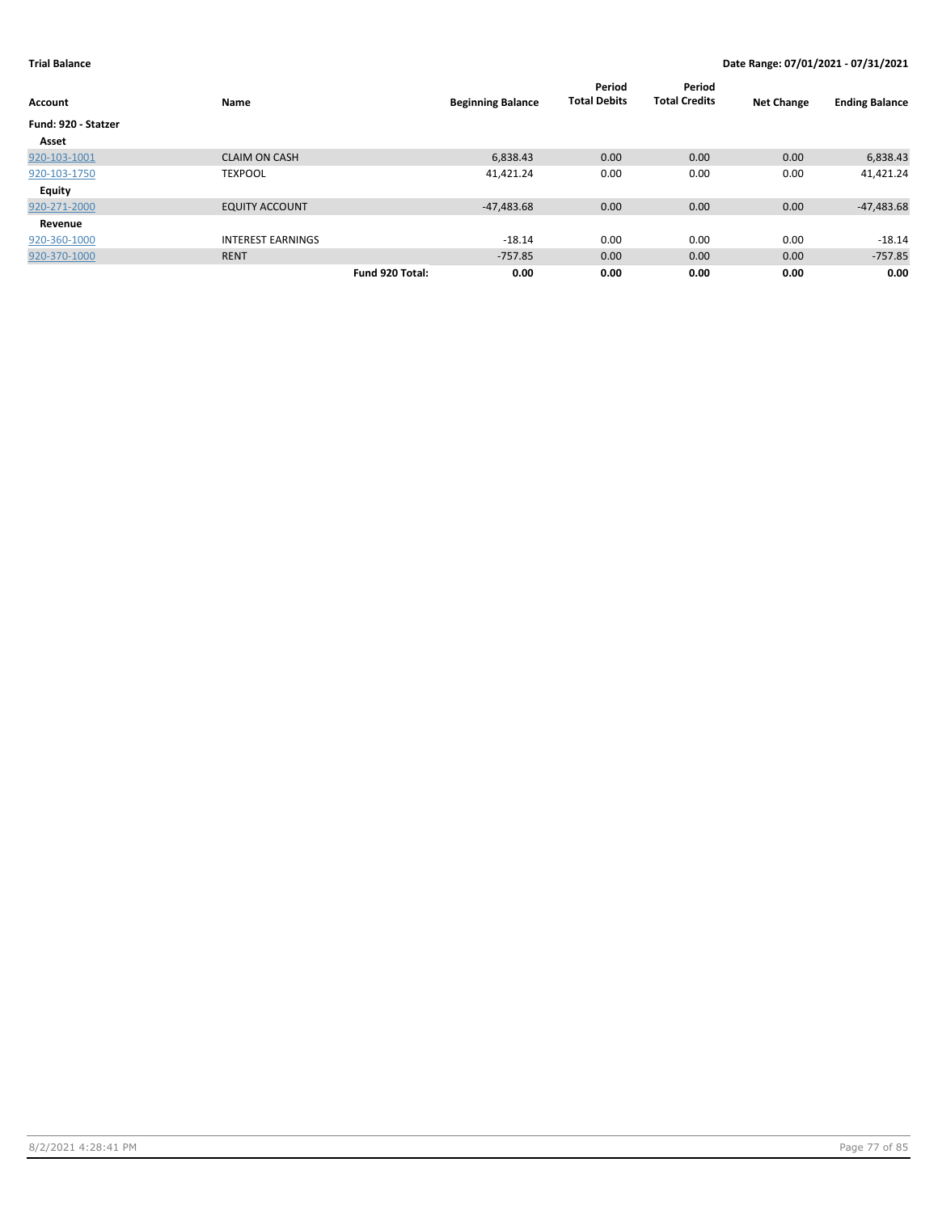| <b>Account</b>      | Name                     |                 | <b>Beginning Balance</b> | Period<br><b>Total Debits</b> | Period<br><b>Total Credits</b> | <b>Net Change</b> | <b>Ending Balance</b> |
|---------------------|--------------------------|-----------------|--------------------------|-------------------------------|--------------------------------|-------------------|-----------------------|
| Fund: 920 - Statzer |                          |                 |                          |                               |                                |                   |                       |
| Asset               |                          |                 |                          |                               |                                |                   |                       |
| 920-103-1001        | <b>CLAIM ON CASH</b>     |                 | 6,838.43                 | 0.00                          | 0.00                           | 0.00              | 6,838.43              |
| 920-103-1750        | <b>TEXPOOL</b>           |                 | 41,421.24                | 0.00                          | 0.00                           | 0.00              | 41,421.24             |
| <b>Equity</b>       |                          |                 |                          |                               |                                |                   |                       |
| 920-271-2000        | <b>EQUITY ACCOUNT</b>    |                 | $-47,483.68$             | 0.00                          | 0.00                           | 0.00              | $-47,483.68$          |
| Revenue             |                          |                 |                          |                               |                                |                   |                       |
| 920-360-1000        | <b>INTEREST EARNINGS</b> |                 | $-18.14$                 | 0.00                          | 0.00                           | 0.00              | $-18.14$              |
| 920-370-1000        | <b>RENT</b>              |                 | $-757.85$                | 0.00                          | 0.00                           | 0.00              | $-757.85$             |
|                     |                          | Fund 920 Total: | 0.00                     | 0.00                          | 0.00                           | 0.00              | 0.00                  |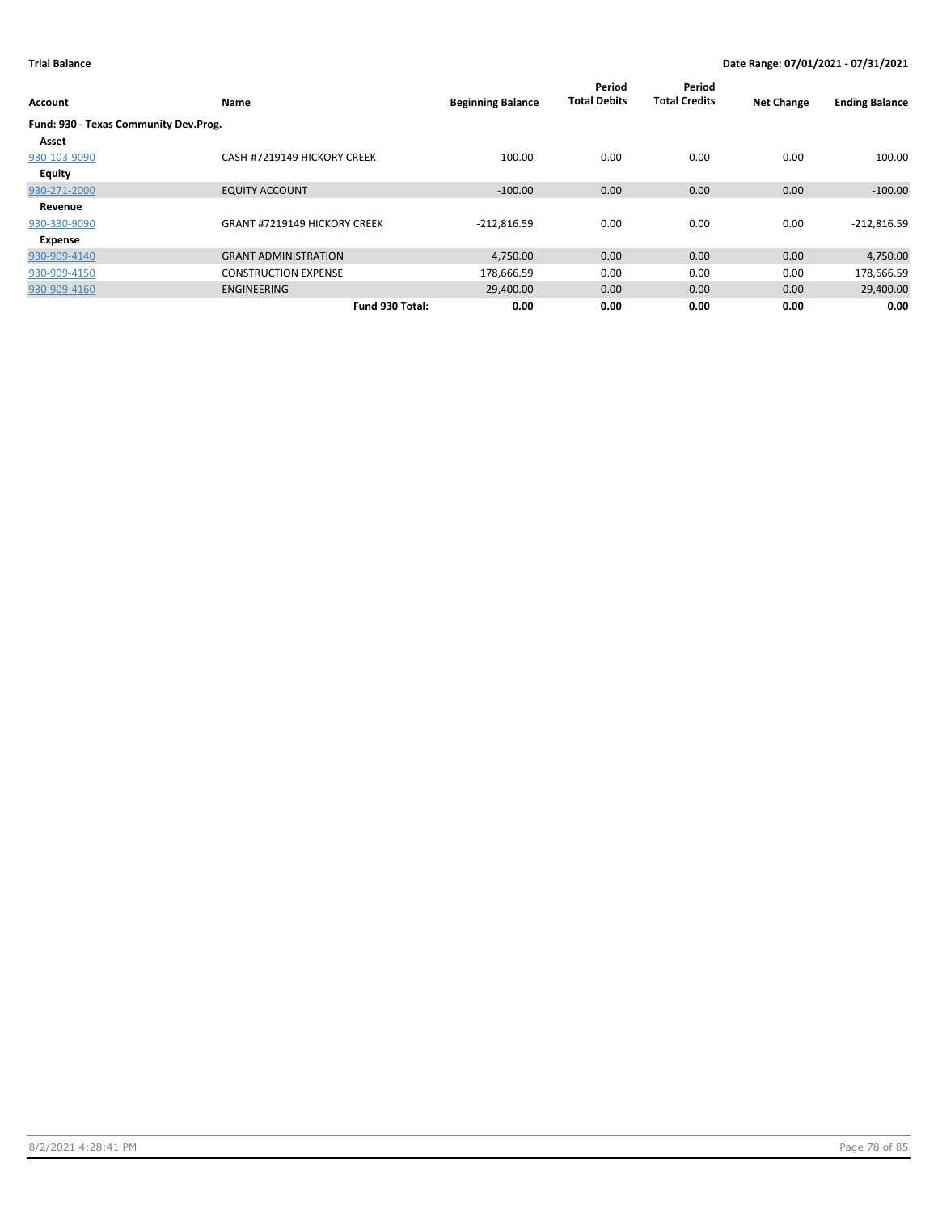| Account                               | Name                                | <b>Beginning Balance</b> | Period<br><b>Total Debits</b> | Period<br><b>Total Credits</b> | <b>Net Change</b> | <b>Ending Balance</b> |
|---------------------------------------|-------------------------------------|--------------------------|-------------------------------|--------------------------------|-------------------|-----------------------|
| Fund: 930 - Texas Community Dev.Prog. |                                     |                          |                               |                                |                   |                       |
| Asset                                 |                                     |                          |                               |                                |                   |                       |
| 930-103-9090                          | CASH-#7219149 HICKORY CREEK         | 100.00                   | 0.00                          | 0.00                           | 0.00              | 100.00                |
| Equity                                |                                     |                          |                               |                                |                   |                       |
| 930-271-2000                          | <b>EQUITY ACCOUNT</b>               | $-100.00$                | 0.00                          | 0.00                           | 0.00              | $-100.00$             |
| Revenue                               |                                     |                          |                               |                                |                   |                       |
| 930-330-9090                          | <b>GRANT #7219149 HICKORY CREEK</b> | $-212,816.59$            | 0.00                          | 0.00                           | 0.00              | $-212,816.59$         |
| Expense                               |                                     |                          |                               |                                |                   |                       |
| 930-909-4140                          | <b>GRANT ADMINISTRATION</b>         | 4,750.00                 | 0.00                          | 0.00                           | 0.00              | 4,750.00              |
| 930-909-4150                          | <b>CONSTRUCTION EXPENSE</b>         | 178,666.59               | 0.00                          | 0.00                           | 0.00              | 178,666.59            |
| 930-909-4160                          | <b>ENGINEERING</b>                  | 29,400.00                | 0.00                          | 0.00                           | 0.00              | 29,400.00             |
|                                       | Fund 930 Total:                     | 0.00                     | 0.00                          | 0.00                           | 0.00              | 0.00                  |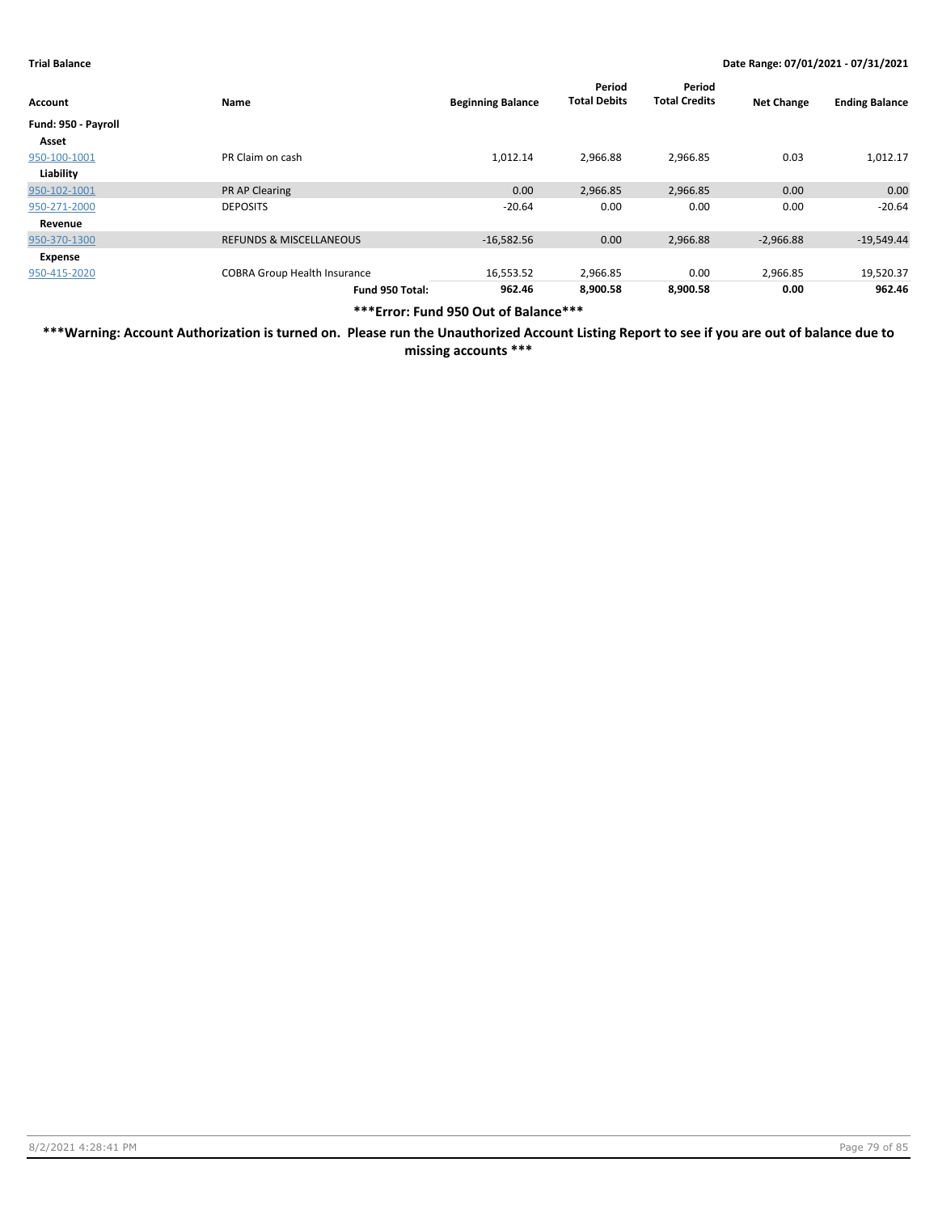| Account             | Name                                | <b>Beginning Balance</b> | Period<br><b>Total Debits</b> | Period<br><b>Total Credits</b> | <b>Net Change</b> | <b>Ending Balance</b> |
|---------------------|-------------------------------------|--------------------------|-------------------------------|--------------------------------|-------------------|-----------------------|
| Fund: 950 - Payroll |                                     |                          |                               |                                |                   |                       |
| Asset               |                                     |                          |                               |                                |                   |                       |
| 950-100-1001        | PR Claim on cash                    | 1,012.14                 | 2,966.88                      | 2,966.85                       | 0.03              | 1,012.17              |
| Liability           |                                     |                          |                               |                                |                   |                       |
| 950-102-1001        | <b>PR AP Clearing</b>               | 0.00                     | 2,966.85                      | 2,966.85                       | 0.00              | 0.00                  |
| 950-271-2000        | <b>DEPOSITS</b>                     | $-20.64$                 | 0.00                          | 0.00                           | 0.00              | $-20.64$              |
| Revenue             |                                     |                          |                               |                                |                   |                       |
| 950-370-1300        | <b>REFUNDS &amp; MISCELLANEOUS</b>  | $-16,582.56$             | 0.00                          | 2,966.88                       | $-2,966.88$       | $-19,549.44$          |
| Expense             |                                     |                          |                               |                                |                   |                       |
| 950-415-2020        | <b>COBRA Group Health Insurance</b> | 16,553.52                | 2,966.85                      | 0.00                           | 2,966.85          | 19,520.37             |
|                     | Fund 950 Total:                     | 962.46                   | 8,900.58                      | 8,900.58                       | 0.00              | 962.46                |

**\*\*\*Error: Fund 950 Out of Balance\*\*\***

**\*\*\*Warning: Account Authorization is turned on. Please run the Unauthorized Account Listing Report to see if you are out of balance due to missing accounts \*\*\***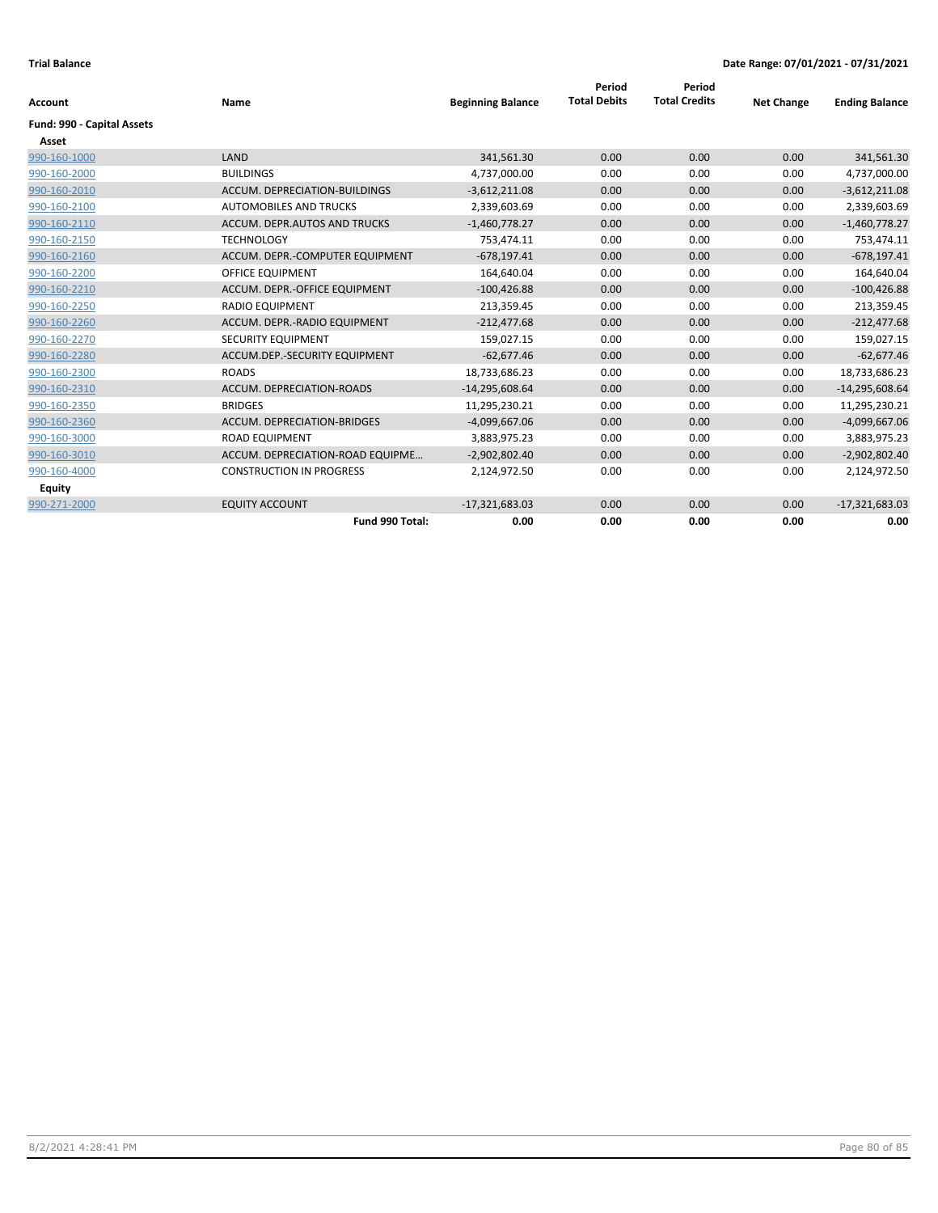| <b>Account</b>             | Name                             | <b>Beginning Balance</b> | Period<br><b>Total Debits</b> | Period<br><b>Total Credits</b> | <b>Net Change</b> | <b>Ending Balance</b> |
|----------------------------|----------------------------------|--------------------------|-------------------------------|--------------------------------|-------------------|-----------------------|
|                            |                                  |                          |                               |                                |                   |                       |
| Fund: 990 - Capital Assets |                                  |                          |                               |                                |                   |                       |
| Asset                      |                                  |                          |                               |                                |                   |                       |
| 990-160-1000               | LAND                             | 341,561.30               | 0.00                          | 0.00                           | 0.00              | 341,561.30            |
| 990-160-2000               | <b>BUILDINGS</b>                 | 4,737,000.00             | 0.00                          | 0.00                           | 0.00              | 4,737,000.00          |
| 990-160-2010               | ACCUM. DEPRECIATION-BUILDINGS    | $-3,612,211.08$          | 0.00                          | 0.00                           | 0.00              | $-3,612,211.08$       |
| 990-160-2100               | <b>AUTOMOBILES AND TRUCKS</b>    | 2,339,603.69             | 0.00                          | 0.00                           | 0.00              | 2,339,603.69          |
| 990-160-2110               | ACCUM. DEPR.AUTOS AND TRUCKS     | $-1,460,778.27$          | 0.00                          | 0.00                           | 0.00              | $-1,460,778.27$       |
| 990-160-2150               | <b>TECHNOLOGY</b>                | 753.474.11               | 0.00                          | 0.00                           | 0.00              | 753,474.11            |
| 990-160-2160               | ACCUM. DEPR.-COMPUTER EQUIPMENT  | $-678,197.41$            | 0.00                          | 0.00                           | 0.00              | $-678,197.41$         |
| 990-160-2200               | <b>OFFICE EQUIPMENT</b>          | 164,640.04               | 0.00                          | 0.00                           | 0.00              | 164,640.04            |
| 990-160-2210               | ACCUM. DEPR.-OFFICE EQUIPMENT    | $-100,426.88$            | 0.00                          | 0.00                           | 0.00              | $-100,426.88$         |
| 990-160-2250               | <b>RADIO EQUIPMENT</b>           | 213,359.45               | 0.00                          | 0.00                           | 0.00              | 213,359.45            |
| 990-160-2260               | ACCUM. DEPR.-RADIO EQUIPMENT     | $-212.477.68$            | 0.00                          | 0.00                           | 0.00              | $-212,477.68$         |
| 990-160-2270               | SECURITY EQUIPMENT               | 159,027.15               | 0.00                          | 0.00                           | 0.00              | 159,027.15            |
| 990-160-2280               | ACCUM.DEP.-SECURITY EQUIPMENT    | $-62,677.46$             | 0.00                          | 0.00                           | 0.00              | $-62,677.46$          |
| 990-160-2300               | <b>ROADS</b>                     | 18,733,686.23            | 0.00                          | 0.00                           | 0.00              | 18,733,686.23         |
| 990-160-2310               | ACCUM. DEPRECIATION-ROADS        | $-14,295,608.64$         | 0.00                          | 0.00                           | 0.00              | $-14,295,608.64$      |
| 990-160-2350               | <b>BRIDGES</b>                   | 11,295,230.21            | 0.00                          | 0.00                           | 0.00              | 11,295,230.21         |
| 990-160-2360               | ACCUM. DEPRECIATION-BRIDGES      | $-4,099,667.06$          | 0.00                          | 0.00                           | 0.00              | $-4,099,667.06$       |
| 990-160-3000               | <b>ROAD EQUIPMENT</b>            | 3,883,975.23             | 0.00                          | 0.00                           | 0.00              | 3,883,975.23          |
| 990-160-3010               | ACCUM. DEPRECIATION-ROAD EQUIPME | $-2,902,802.40$          | 0.00                          | 0.00                           | 0.00              | $-2,902,802.40$       |
| 990-160-4000               | <b>CONSTRUCTION IN PROGRESS</b>  | 2,124,972.50             | 0.00                          | 0.00                           | 0.00              | 2,124,972.50          |
| <b>Equity</b>              |                                  |                          |                               |                                |                   |                       |
| 990-271-2000               | <b>EQUITY ACCOUNT</b>            | $-17,321,683.03$         | 0.00                          | 0.00                           | 0.00              | $-17,321,683.03$      |
|                            | Fund 990 Total:                  | 0.00                     | 0.00                          | 0.00                           | 0.00              | 0.00                  |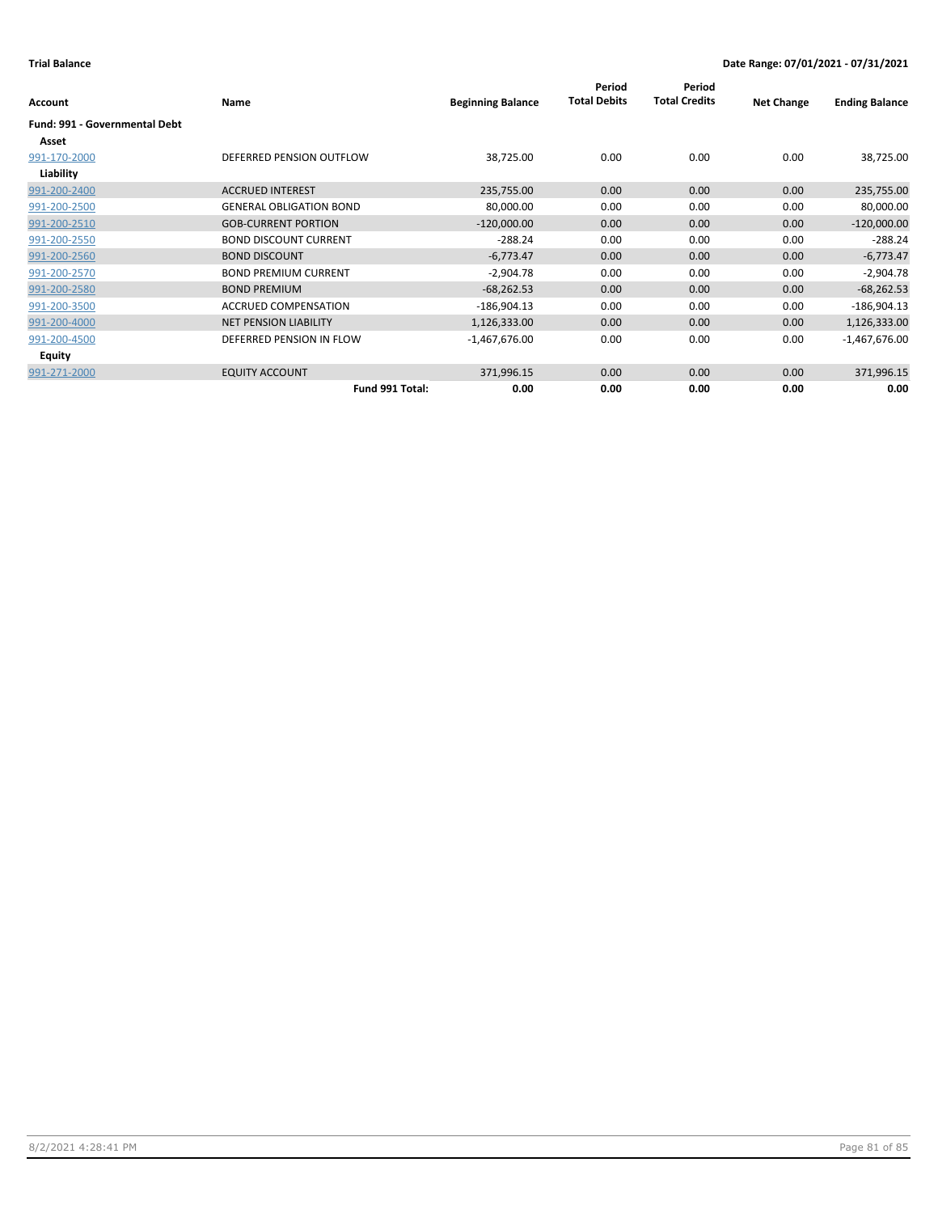|                                      |                                |                          | Period<br><b>Total Debits</b> | Period<br><b>Total Credits</b> |                   |                       |
|--------------------------------------|--------------------------------|--------------------------|-------------------------------|--------------------------------|-------------------|-----------------------|
| <b>Account</b>                       | Name                           | <b>Beginning Balance</b> |                               |                                | <b>Net Change</b> | <b>Ending Balance</b> |
| <b>Fund: 991 - Governmental Debt</b> |                                |                          |                               |                                |                   |                       |
| Asset                                |                                |                          |                               |                                |                   |                       |
| 991-170-2000                         | DEFERRED PENSION OUTFLOW       | 38,725.00                | 0.00                          | 0.00                           | 0.00              | 38,725.00             |
| Liability                            |                                |                          |                               |                                |                   |                       |
| 991-200-2400                         | <b>ACCRUED INTEREST</b>        | 235,755.00               | 0.00                          | 0.00                           | 0.00              | 235,755.00            |
| 991-200-2500                         | <b>GENERAL OBLIGATION BOND</b> | 80,000.00                | 0.00                          | 0.00                           | 0.00              | 80,000.00             |
| 991-200-2510                         | <b>GOB-CURRENT PORTION</b>     | $-120,000.00$            | 0.00                          | 0.00                           | 0.00              | $-120,000.00$         |
| 991-200-2550                         | <b>BOND DISCOUNT CURRENT</b>   | $-288.24$                | 0.00                          | 0.00                           | 0.00              | $-288.24$             |
| 991-200-2560                         | <b>BOND DISCOUNT</b>           | $-6,773.47$              | 0.00                          | 0.00                           | 0.00              | $-6,773.47$           |
| 991-200-2570                         | <b>BOND PREMIUM CURRENT</b>    | $-2,904.78$              | 0.00                          | 0.00                           | 0.00              | $-2,904.78$           |
| 991-200-2580                         | <b>BOND PREMIUM</b>            | $-68,262.53$             | 0.00                          | 0.00                           | 0.00              | $-68,262.53$          |
| 991-200-3500                         | <b>ACCRUED COMPENSATION</b>    | $-186,904.13$            | 0.00                          | 0.00                           | 0.00              | $-186,904.13$         |
| 991-200-4000                         | <b>NET PENSION LIABILITY</b>   | 1,126,333.00             | 0.00                          | 0.00                           | 0.00              | 1,126,333.00          |
| 991-200-4500                         | DEFERRED PENSION IN FLOW       | $-1,467,676.00$          | 0.00                          | 0.00                           | 0.00              | $-1,467,676.00$       |
| Equity                               |                                |                          |                               |                                |                   |                       |
| 991-271-2000                         | <b>EQUITY ACCOUNT</b>          | 371,996.15               | 0.00                          | 0.00                           | 0.00              | 371,996.15            |
|                                      | Fund 991 Total:                | 0.00                     | 0.00                          | 0.00                           | 0.00              | 0.00                  |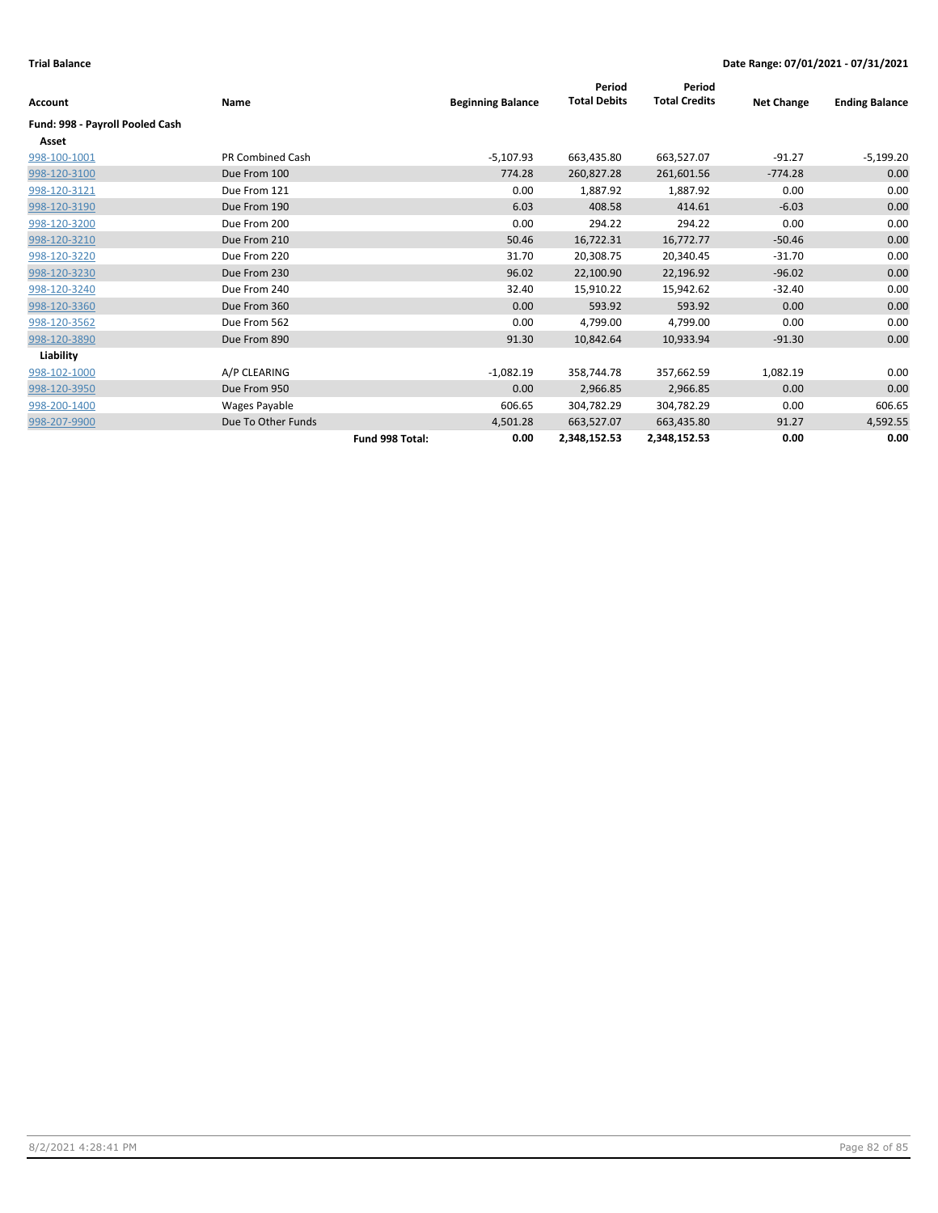|                                 |                    |                 |                          | Period              | Period               |                   |                       |
|---------------------------------|--------------------|-----------------|--------------------------|---------------------|----------------------|-------------------|-----------------------|
| <b>Account</b>                  | Name               |                 | <b>Beginning Balance</b> | <b>Total Debits</b> | <b>Total Credits</b> | <b>Net Change</b> | <b>Ending Balance</b> |
| Fund: 998 - Payroll Pooled Cash |                    |                 |                          |                     |                      |                   |                       |
| Asset                           |                    |                 |                          |                     |                      |                   |                       |
| 998-100-1001                    | PR Combined Cash   |                 | $-5,107.93$              | 663,435.80          | 663,527.07           | $-91.27$          | $-5,199.20$           |
| 998-120-3100                    | Due From 100       |                 | 774.28                   | 260,827.28          | 261,601.56           | $-774.28$         | 0.00                  |
| 998-120-3121                    | Due From 121       |                 | 0.00                     | 1,887.92            | 1,887.92             | 0.00              | 0.00                  |
| 998-120-3190                    | Due From 190       |                 | 6.03                     | 408.58              | 414.61               | $-6.03$           | 0.00                  |
| 998-120-3200                    | Due From 200       |                 | 0.00                     | 294.22              | 294.22               | 0.00              | 0.00                  |
| 998-120-3210                    | Due From 210       |                 | 50.46                    | 16,722.31           | 16,772.77            | $-50.46$          | 0.00                  |
| 998-120-3220                    | Due From 220       |                 | 31.70                    | 20,308.75           | 20,340.45            | $-31.70$          | 0.00                  |
| 998-120-3230                    | Due From 230       |                 | 96.02                    | 22,100.90           | 22,196.92            | $-96.02$          | 0.00                  |
| 998-120-3240                    | Due From 240       |                 | 32.40                    | 15,910.22           | 15,942.62            | $-32.40$          | 0.00                  |
| 998-120-3360                    | Due From 360       |                 | 0.00                     | 593.92              | 593.92               | 0.00              | 0.00                  |
| 998-120-3562                    | Due From 562       |                 | 0.00                     | 4,799.00            | 4,799.00             | 0.00              | 0.00                  |
| 998-120-3890                    | Due From 890       |                 | 91.30                    | 10,842.64           | 10,933.94            | $-91.30$          | 0.00                  |
| Liability                       |                    |                 |                          |                     |                      |                   |                       |
| 998-102-1000                    | A/P CLEARING       |                 | $-1,082.19$              | 358,744.78          | 357,662.59           | 1,082.19          | 0.00                  |
| 998-120-3950                    | Due From 950       |                 | 0.00                     | 2,966.85            | 2,966.85             | 0.00              | 0.00                  |
| 998-200-1400                    | Wages Payable      |                 | 606.65                   | 304,782.29          | 304,782.29           | 0.00              | 606.65                |
| 998-207-9900                    | Due To Other Funds |                 | 4,501.28                 | 663,527.07          | 663,435.80           | 91.27             | 4,592.55              |
|                                 |                    | Fund 998 Total: | 0.00                     | 2,348,152.53        | 2,348,152.53         | 0.00              | 0.00                  |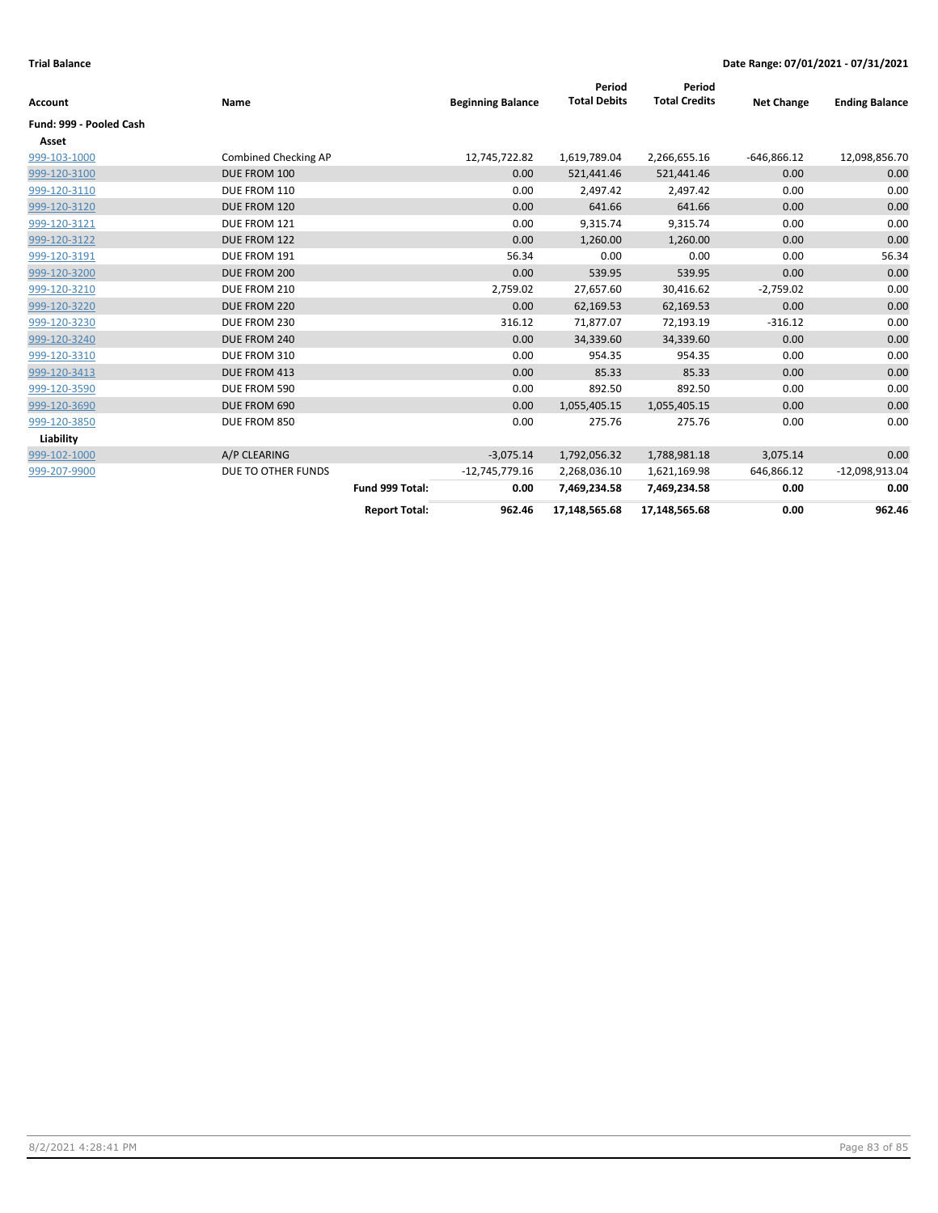|                         |                             |                      |                          | Period<br><b>Total Debits</b> | Period<br><b>Total Credits</b> |                   |                       |
|-------------------------|-----------------------------|----------------------|--------------------------|-------------------------------|--------------------------------|-------------------|-----------------------|
| <b>Account</b>          | Name                        |                      | <b>Beginning Balance</b> |                               |                                | <b>Net Change</b> | <b>Ending Balance</b> |
| Fund: 999 - Pooled Cash |                             |                      |                          |                               |                                |                   |                       |
| Asset                   |                             |                      |                          |                               |                                |                   |                       |
| 999-103-1000            | <b>Combined Checking AP</b> |                      | 12,745,722.82            | 1,619,789.04                  | 2,266,655.16                   | $-646,866.12$     | 12,098,856.70         |
| 999-120-3100            | DUE FROM 100                |                      | 0.00                     | 521,441.46                    | 521,441.46                     | 0.00              | 0.00                  |
| 999-120-3110            | DUE FROM 110                |                      | 0.00                     | 2,497.42                      | 2,497.42                       | 0.00              | 0.00                  |
| 999-120-3120            | DUE FROM 120                |                      | 0.00                     | 641.66                        | 641.66                         | 0.00              | 0.00                  |
| 999-120-3121            | DUE FROM 121                |                      | 0.00                     | 9,315.74                      | 9,315.74                       | 0.00              | 0.00                  |
| 999-120-3122            | DUE FROM 122                |                      | 0.00                     | 1,260.00                      | 1,260.00                       | 0.00              | 0.00                  |
| 999-120-3191            | DUE FROM 191                |                      | 56.34                    | 0.00                          | 0.00                           | 0.00              | 56.34                 |
| 999-120-3200            | DUE FROM 200                |                      | 0.00                     | 539.95                        | 539.95                         | 0.00              | 0.00                  |
| 999-120-3210            | DUE FROM 210                |                      | 2,759.02                 | 27,657.60                     | 30,416.62                      | $-2,759.02$       | 0.00                  |
| 999-120-3220            | DUE FROM 220                |                      | 0.00                     | 62,169.53                     | 62,169.53                      | 0.00              | 0.00                  |
| 999-120-3230            | DUE FROM 230                |                      | 316.12                   | 71,877.07                     | 72,193.19                      | $-316.12$         | 0.00                  |
| 999-120-3240            | DUE FROM 240                |                      | 0.00                     | 34,339.60                     | 34,339.60                      | 0.00              | 0.00                  |
| 999-120-3310            | DUE FROM 310                |                      | 0.00                     | 954.35                        | 954.35                         | 0.00              | 0.00                  |
| 999-120-3413            | DUE FROM 413                |                      | 0.00                     | 85.33                         | 85.33                          | 0.00              | 0.00                  |
| 999-120-3590            | DUE FROM 590                |                      | 0.00                     | 892.50                        | 892.50                         | 0.00              | 0.00                  |
| 999-120-3690            | DUE FROM 690                |                      | 0.00                     | 1,055,405.15                  | 1,055,405.15                   | 0.00              | 0.00                  |
| 999-120-3850            | DUE FROM 850                |                      | 0.00                     | 275.76                        | 275.76                         | 0.00              | 0.00                  |
| Liability               |                             |                      |                          |                               |                                |                   |                       |
| 999-102-1000            | A/P CLEARING                |                      | $-3,075.14$              | 1,792,056.32                  | 1,788,981.18                   | 3,075.14          | 0.00                  |
| 999-207-9900            | DUE TO OTHER FUNDS          |                      | $-12,745,779.16$         | 2,268,036.10                  | 1,621,169.98                   | 646,866.12        | $-12,098,913.04$      |
|                         |                             | Fund 999 Total:      | 0.00                     | 7,469,234.58                  | 7,469,234.58                   | 0.00              | 0.00                  |
|                         |                             | <b>Report Total:</b> | 962.46                   | 17,148,565.68                 | 17,148,565.68                  | 0.00              | 962.46                |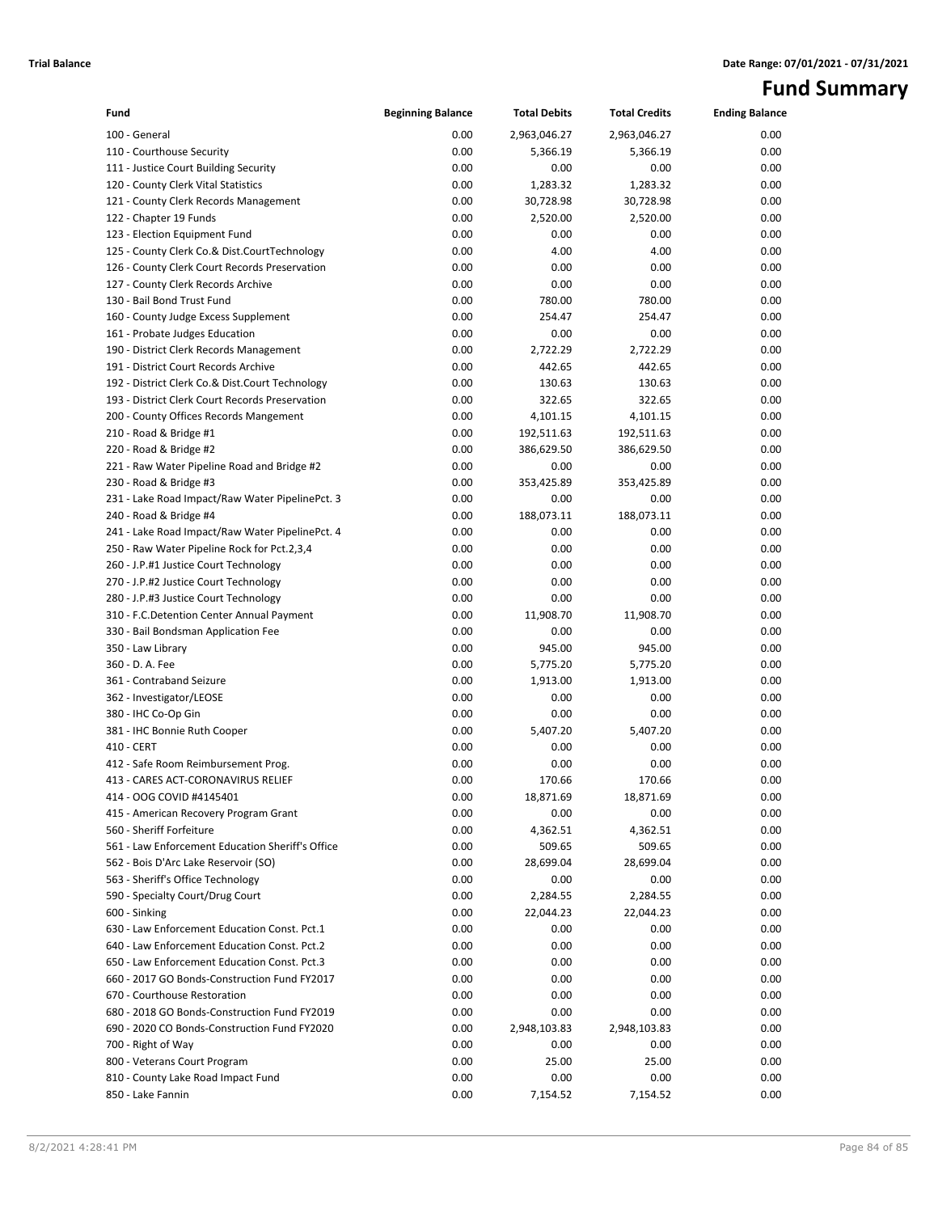# **Fund Summary**

| Fund                                                                         | <b>Beginning Balance</b> | <b>Total Debits</b>  | <b>Total Credits</b> | <b>Ending Balance</b> |
|------------------------------------------------------------------------------|--------------------------|----------------------|----------------------|-----------------------|
| 100 - General                                                                | 0.00                     | 2,963,046.27         | 2,963,046.27         | 0.00                  |
| 110 - Courthouse Security                                                    | 0.00                     | 5,366.19             | 5,366.19             | 0.00                  |
| 111 - Justice Court Building Security                                        | 0.00                     | 0.00                 | 0.00                 | 0.00                  |
| 120 - County Clerk Vital Statistics                                          | 0.00                     | 1,283.32             | 1,283.32             | 0.00                  |
| 121 - County Clerk Records Management                                        | 0.00                     | 30,728.98            | 30,728.98            | 0.00                  |
| 122 - Chapter 19 Funds                                                       | 0.00                     | 2,520.00             | 2,520.00             | 0.00                  |
| 123 - Election Equipment Fund                                                | 0.00                     | 0.00                 | 0.00                 | 0.00                  |
| 125 - County Clerk Co.& Dist.CourtTechnology                                 | 0.00                     | 4.00                 | 4.00                 | 0.00                  |
| 126 - County Clerk Court Records Preservation                                | 0.00                     | 0.00                 | 0.00                 | 0.00                  |
| 127 - County Clerk Records Archive                                           | 0.00                     | 0.00                 | 0.00                 | 0.00                  |
| 130 - Bail Bond Trust Fund                                                   | 0.00                     | 780.00               | 780.00               | 0.00                  |
| 160 - County Judge Excess Supplement                                         | 0.00                     | 254.47               | 254.47               | 0.00                  |
| 161 - Probate Judges Education                                               | 0.00                     | 0.00                 | 0.00                 | 0.00                  |
| 190 - District Clerk Records Management                                      | 0.00                     | 2,722.29             | 2,722.29             | 0.00                  |
| 191 - District Court Records Archive                                         | 0.00                     | 442.65               | 442.65               | 0.00                  |
| 192 - District Clerk Co.& Dist.Court Technology                              | 0.00                     | 130.63               | 130.63               | 0.00                  |
| 193 - District Clerk Court Records Preservation                              | 0.00                     | 322.65               | 322.65               | 0.00                  |
| 200 - County Offices Records Mangement                                       | 0.00                     | 4,101.15             | 4,101.15             | 0.00                  |
| 210 - Road & Bridge #1                                                       | 0.00                     | 192,511.63           | 192,511.63           | 0.00                  |
| 220 - Road & Bridge #2                                                       | 0.00                     | 386,629.50           | 386,629.50           | 0.00                  |
| 221 - Raw Water Pipeline Road and Bridge #2                                  | 0.00                     | 0.00                 | 0.00                 | 0.00                  |
| 230 - Road & Bridge #3                                                       | 0.00                     | 353,425.89           | 353,425.89           | 0.00                  |
| 231 - Lake Road Impact/Raw Water PipelinePct. 3                              | 0.00                     | 0.00                 | 0.00                 | 0.00                  |
| 240 - Road & Bridge #4                                                       | 0.00                     | 188,073.11           | 188,073.11           | 0.00                  |
| 241 - Lake Road Impact/Raw Water PipelinePct. 4                              | 0.00                     | 0.00                 | 0.00                 | 0.00                  |
| 250 - Raw Water Pipeline Rock for Pct.2,3,4                                  | 0.00                     | 0.00                 | 0.00                 | 0.00                  |
| 260 - J.P.#1 Justice Court Technology                                        | 0.00                     | 0.00                 | 0.00                 | 0.00                  |
| 270 - J.P.#2 Justice Court Technology                                        | 0.00                     | 0.00                 | 0.00                 | 0.00                  |
| 280 - J.P.#3 Justice Court Technology                                        | 0.00                     | 0.00                 | 0.00                 | 0.00                  |
| 310 - F.C.Detention Center Annual Payment                                    | 0.00                     | 11,908.70            | 11,908.70            | 0.00                  |
| 330 - Bail Bondsman Application Fee                                          | 0.00                     | 0.00                 | 0.00                 | 0.00                  |
| 350 - Law Library                                                            | 0.00                     | 945.00               | 945.00               | 0.00                  |
| 360 - D. A. Fee                                                              | 0.00                     | 5,775.20             | 5,775.20             | 0.00                  |
| 361 - Contraband Seizure                                                     | 0.00                     | 1,913.00             | 1,913.00             | 0.00                  |
| 362 - Investigator/LEOSE                                                     | 0.00                     | 0.00                 | 0.00                 | 0.00                  |
| 380 - IHC Co-Op Gin                                                          | 0.00                     | 0.00                 | 0.00                 | 0.00                  |
| 381 - IHC Bonnie Ruth Cooper                                                 | 0.00                     | 5,407.20             | 5,407.20             | 0.00                  |
| 410 - CERT                                                                   | 0.00                     | 0.00                 | 0.00                 | 0.00                  |
| 412 - Safe Room Reimbursement Prog.                                          | 0.00                     | 0.00                 | 0.00                 | 0.00                  |
| 413 - CARES ACT-CORONAVIRUS RELIEF                                           | 0.00                     | 170.66               | 170.66               | 0.00                  |
| 414 - OOG COVID #4145401                                                     | 0.00                     | 18,871.69            | 18,871.69            | 0.00                  |
| 415 - American Recovery Program Grant                                        | 0.00                     | 0.00                 | 0.00                 | 0.00                  |
| 560 - Sheriff Forfeiture                                                     | 0.00                     | 4,362.51             | 4,362.51             | 0.00                  |
| 561 - Law Enforcement Education Sheriff's Office                             | 0.00                     | 509.65               | 509.65               | 0.00                  |
| 562 - Bois D'Arc Lake Reservoir (SO)                                         | 0.00                     | 28,699.04            | 28,699.04            | 0.00                  |
| 563 - Sheriff's Office Technology                                            | 0.00                     | 0.00                 | 0.00                 | 0.00                  |
| 590 - Specialty Court/Drug Court                                             | 0.00                     | 2,284.55             | 2,284.55             | 0.00                  |
| 600 - Sinking                                                                | 0.00                     | 22,044.23            | 22,044.23            | 0.00                  |
| 630 - Law Enforcement Education Const. Pct.1                                 | 0.00                     | 0.00                 | 0.00                 | 0.00                  |
| 640 - Law Enforcement Education Const. Pct.2                                 | 0.00                     | 0.00                 | 0.00                 | 0.00                  |
| 650 - Law Enforcement Education Const. Pct.3                                 | 0.00                     | 0.00                 | 0.00                 | 0.00                  |
| 660 - 2017 GO Bonds-Construction Fund FY2017                                 | 0.00                     | 0.00                 | 0.00                 | 0.00                  |
| 670 - Courthouse Restoration<br>680 - 2018 GO Bonds-Construction Fund FY2019 | 0.00                     | 0.00                 | 0.00                 | 0.00                  |
| 690 - 2020 CO Bonds-Construction Fund FY2020                                 | 0.00<br>0.00             | 0.00<br>2,948,103.83 | 0.00<br>2,948,103.83 | 0.00<br>0.00          |
| 700 - Right of Way                                                           | 0.00                     | 0.00                 | 0.00                 | 0.00                  |
| 800 - Veterans Court Program                                                 | 0.00                     | 25.00                | 25.00                | 0.00                  |
| 810 - County Lake Road Impact Fund                                           | 0.00                     | 0.00                 | 0.00                 | 0.00                  |
| 850 - Lake Fannin                                                            | 0.00                     | 7,154.52             | 7,154.52             | 0.00                  |